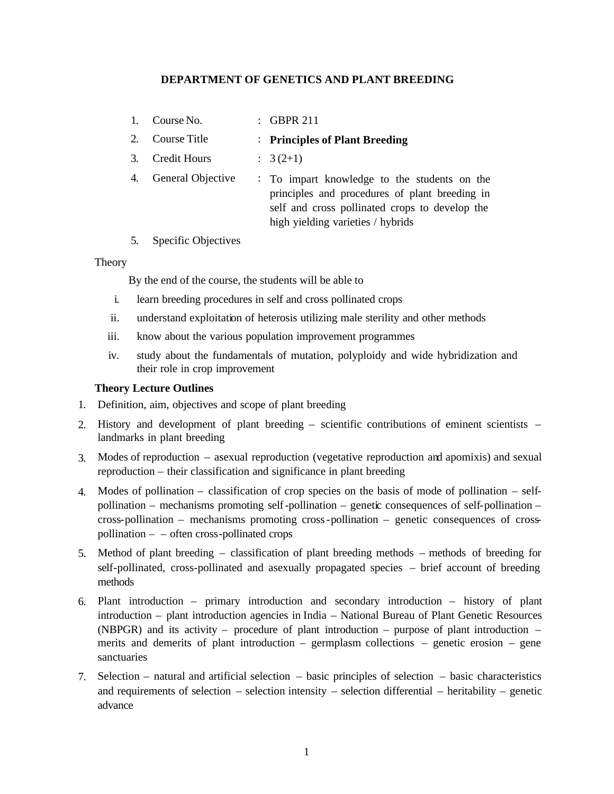# **DEPARTMENT OF GENETICS AND PLANT BREEDING**

| 1. | Course No.          | $\therefore$ GBPR 211                                                                                                                                                                 |
|----|---------------------|---------------------------------------------------------------------------------------------------------------------------------------------------------------------------------------|
| 2. | Course Title        | : Principles of Plant Breeding                                                                                                                                                        |
| 3. | <b>Credit Hours</b> | $\therefore$ 3 (2+1)                                                                                                                                                                  |
| 4. | General Objective   | : To impart knowledge to the students on the<br>principles and procedures of plant breeding in<br>self and cross pollinated crops to develop the<br>high yielding varieties / hybrids |

5. Specific Objectives

#### **Theory**

By the end of the course, the students will be able to

- i. learn breeding procedures in self and cross pollinated crops
- ii. understand exploitation of heterosis utilizing male sterility and other methods
- iii. know about the various population improvement programmes
- iv. study about the fundamentals of mutation, polyploidy and wide hybridization and their role in crop improvement

## **Theory Lecture Outlines**

- 1. Definition, aim, objectives and scope of plant breeding
- 2. History and development of plant breeding *–* scientific contributions of eminent scientists *–* landmarks in plant breeding
- 3. Modes of reproduction asexual reproduction (vegetative reproduction and apomixis) and sexual reproduction – their classification and significance in plant breeding
- 4. Modes of pollination classification of crop species on the basis of mode of pollination selfpollination – mechanisms promoting self-pollination – genetic consequences of self-pollination – cross-pollination – mechanisms promoting cross-pollination – genetic consequences of crosspollination – – often cross-pollinated crops
- 5. Method of plant breeding classification of plant breeding methods methods of breeding for self-pollinated, cross-pollinated and asexually propagated species – brief account of breeding methods
- 6. Plant introduction primary introduction and secondary introduction history of plant introduction – plant introduction agencies in India – National Bureau of Plant Genetic Resources (NBPGR) and its activity – procedure of plant introduction – purpose of plant introduction – merits and demerits of plant introduction – germplasm collections – genetic erosion – gene sanctuaries
- 7. Selection natural and artificial selection basic principles of selection basic characteristics and requirements of selection – selection intensity – selection differential – heritability – genetic advance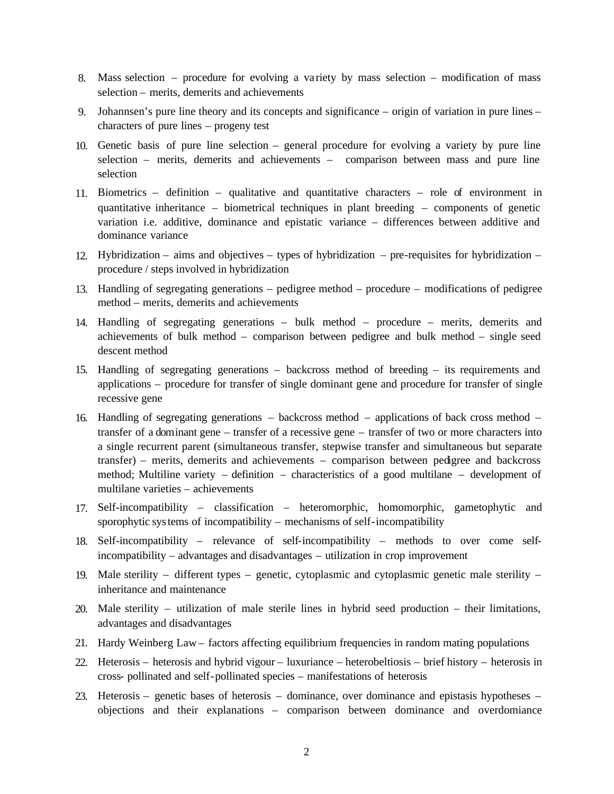- 8. Mass selection procedure for evolving a variety by mass selection modification of mass selection – merits, demerits and achievements
- 9. Johannsen's pure line theory and its concepts and significance origin of variation in pure lines characters of pure lines – progeny test
- 10. Genetic basis of pure line selection general procedure for evolving a variety by pure line selection – merits, demerits and achievements – comparison between mass and pure line selection
- 11. Biometrics definition qualitative and quantitative characters role of environment in quantitative inheritance – biometrical techniques in plant breeding – components of genetic variation i.e. additive, dominance and epistatic variance – differences between additive and dominance variance
- 12. Hybridization aims and objectives types of hybridization pre-requisites for hybridization procedure / steps involved in hybridization
- 13. Handling of segregating generations pedigree method procedure modifications of pedigree method – merits, demerits and achievements
- 14. Handling of segregating generations bulk method procedure merits, demerits and achievements of bulk method – comparison between pedigree and bulk method – single seed descent method
- 15. Handling of segregating generations backcross method of breeding its requirements and applications – procedure for transfer of single dominant gene and procedure for transfer of single recessive gene
- 16. Handling of segregating generations backcross method applications of back cross method transfer of a dominant gene – transfer of a recessive gene – transfer of two or more characters into a single recurrent parent (simultaneous transfer, stepwise transfer and simultaneous but separate transfer) – merits, demerits and achievements – comparison between pedigree and backcross method; Multiline variety – definition – characteristics of a good multilane – development of multilane varieties – achievements
- 17. Self-incompatibility classification heteromorphic, homomorphic, gametophytic and sporophytic systems of incompatibility – mechanisms of self-incompatibility
- 18. Self-incompatibility relevance of self-incompatibility methods to over come selfincompatibility – advantages and disadvantages – utilization in crop improvement
- 19. Male sterility different types genetic, cytoplasmic and cytoplasmic genetic male sterility inheritance and maintenance
- 20. Male sterility utilization of male sterile lines in hybrid seed production their limitations, advantages and disadvantages
- 21. Hardy Weinberg Law factors affecting equilibrium frequencies in random mating populations
- 22. Heterosis heterosis and hybrid vigour luxuriance heterobeltiosis brief history heterosis in cross- pollinated and self-pollinated species – manifestations of heterosis
- 23. Heterosis genetic bases of heterosis dominance, over dominance and epistasis hypotheses objections and their explanations – comparison between dominance and overdomiance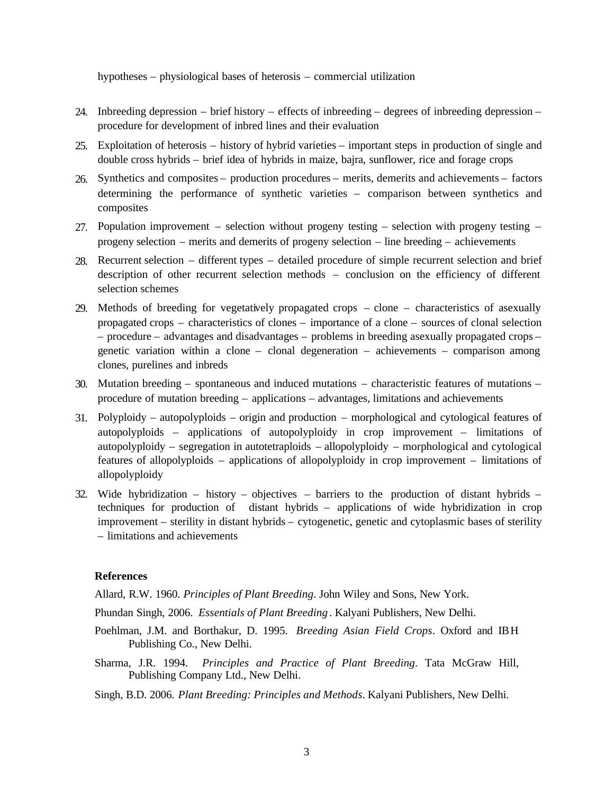hypotheses – physiological bases of heterosis – commercial utilization

- 24. Inbreeding depression brief history effects of inbreeding degrees of inbreeding depression procedure for development of inbred lines and their evaluation
- 25. Exploitation of heterosis history of hybrid varieties important steps in production of single and double cross hybrids – brief idea of hybrids in maize, bajra, sunflower, rice and forage crops
- 26. Synthetics and composites production procedures merits, demerits and achievements factors determining the performance of synthetic varieties – comparison between synthetics and composites
- 27. Population improvement selection without progeny testing selection with progeny testing progeny selection – merits and demerits of progeny selection – line breeding – achievements
- 28. Recurrent selection different types detailed procedure of simple recurrent selection and brief description of other recurrent selection methods – conclusion on the efficiency of different selection schemes
- 29. Methods of breeding for vegetatively propagated crops clone characteristics of asexually propagated crops – characteristics of clones – importance of a clone – sources of clonal selection – procedure – advantages and disadvantages – problems in breeding asexually propagated crops – genetic variation within a clone – clonal degeneration – achievements – comparison among clones, purelines and inbreds
- 30. Mutation breeding spontaneous and induced mutations characteristic features of mutations procedure of mutation breeding – applications – advantages, limitations and achievements
- 31. Polyploidy autopolyploids origin and production morphological and cytological features of autopolyploids – applications of autopolyploidy in crop improvement – limitations of autopolyploidy – segregation in autotetraploids – allopolyploidy – morphological and cytological features of allopolyploids – applications of allopolyploidy in crop improvement – limitations of allopolyploidy
- 32. Wide hybridization history objectives barriers to the production of distant hybrids techniques for production of distant hybrids – applications of wide hybridization in crop improvement – sterility in distant hybrids – cytogenetic, genetic and cytoplasmic bases of sterility – limitations and achievements

# **References**

Allard, R.W. 1960. *Principles of Plant Breeding*. John Wiley and Sons, New York.

- Phundan Singh, 2006. *Essentials of Plant Breeding* . Kalyani Publishers, New Delhi.
- Poehlman, J.M. and Borthakur, D. 1995. *Breeding Asian Field Crops*. Oxford and IBH Publishing Co., New Delhi.
- Sharma, J.R. 1994. *Principles and Practice of Plant Breeding*. Tata McGraw Hill, Publishing Company Ltd., New Delhi.

Singh, B.D. 2006. *Plant Breeding: Principles and Methods*. Kalyani Publishers, New Delhi.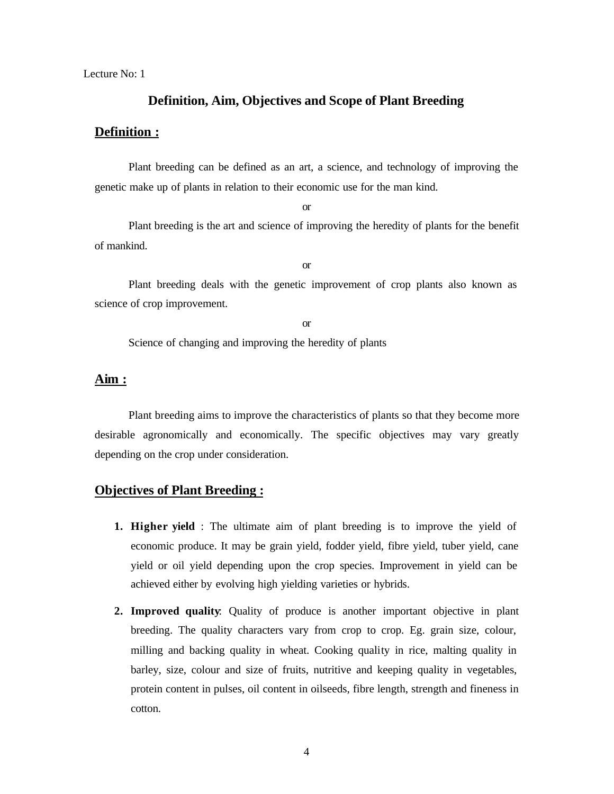Lecture No: 1

# **Definition, Aim, Objectives and Scope of Plant Breeding**

# **Definition :**

Plant breeding can be defined as an art, a science, and technology of improving the genetic make up of plants in relation to their economic use for the man kind.

or

Plant breeding is the art and science of improving the heredity of plants for the benefit of mankind.

or

Plant breeding deals with the genetic improvement of crop plants also known as science of crop improvement.

or

Science of changing and improving the heredity of plants

# **Aim :**

Plant breeding aims to improve the characteristics of plants so that they become more desirable agronomically and economically. The specific objectives may vary greatly depending on the crop under consideration.

# **Objectives of Plant Breeding :**

- **1. Higher yield** : The ultimate aim of plant breeding is to improve the yield of economic produce. It may be grain yield, fodder yield, fibre yield, tuber yield, cane yield or oil yield depending upon the crop species. Improvement in yield can be achieved either by evolving high yielding varieties or hybrids.
- **2. Improved quality**: Quality of produce is another important objective in plant breeding. The quality characters vary from crop to crop. Eg. grain size, colour, milling and backing quality in wheat. Cooking quality in rice, malting quality in barley, size, colour and size of fruits, nutritive and keeping quality in vegetables, protein content in pulses, oil content in oilseeds, fibre length, strength and fineness in cotton.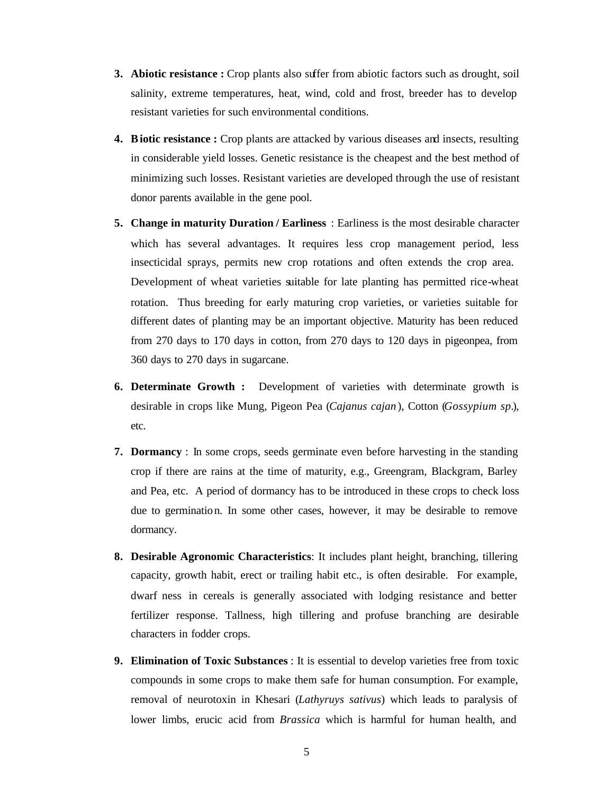- **3. Abiotic resistance :** Crop plants also suffer from abiotic factors such as drought, soil salinity, extreme temperatures, heat, wind, cold and frost, breeder has to develop resistant varieties for such environmental conditions.
- **4. Biotic resistance :** Crop plants are attacked by various diseases and insects, resulting in considerable yield losses. Genetic resistance is the cheapest and the best method of minimizing such losses. Resistant varieties are developed through the use of resistant donor parents available in the gene pool.
- **5. Change in maturity Duration / Earliness** : Earliness is the most desirable character which has several advantages. It requires less crop management period, less insecticidal sprays, permits new crop rotations and often extends the crop area. Development of wheat varieties suitable for late planting has permitted rice-wheat rotation. Thus breeding for early maturing crop varieties, or varieties suitable for different dates of planting may be an important objective. Maturity has been reduced from 270 days to 170 days in cotton, from 270 days to 120 days in pigeonpea, from 360 days to 270 days in sugarcane.
- **6. Determinate Growth :** Development of varieties with determinate growth is desirable in crops like Mung, Pigeon Pea (*Cajanus cajan* ), Cotton (*Gossypium sp.*), etc.
- **7. Dormancy** : In some crops, seeds germinate even before harvesting in the standing crop if there are rains at the time of maturity, e.g., Greengram, Blackgram, Barley and Pea, etc. A period of dormancy has to be introduced in these crops to check loss due to germination. In some other cases, however, it may be desirable to remove dormancy.
- **8. Desirable Agronomic Characteristics**: It includes plant height, branching, tillering capacity, growth habit, erect or trailing habit etc., is often desirable. For example, dwarf ness in cereals is generally associated with lodging resistance and better fertilizer response. Tallness, high tillering and profuse branching are desirable characters in fodder crops.
- **9. Elimination of Toxic Substances** : It is essential to develop varieties free from toxic compounds in some crops to make them safe for human consumption. For example, removal of neurotoxin in Khesari (*Lathyruys sativus*) which leads to paralysis of lower limbs, erucic acid from *Brassica* which is harmful for human health, and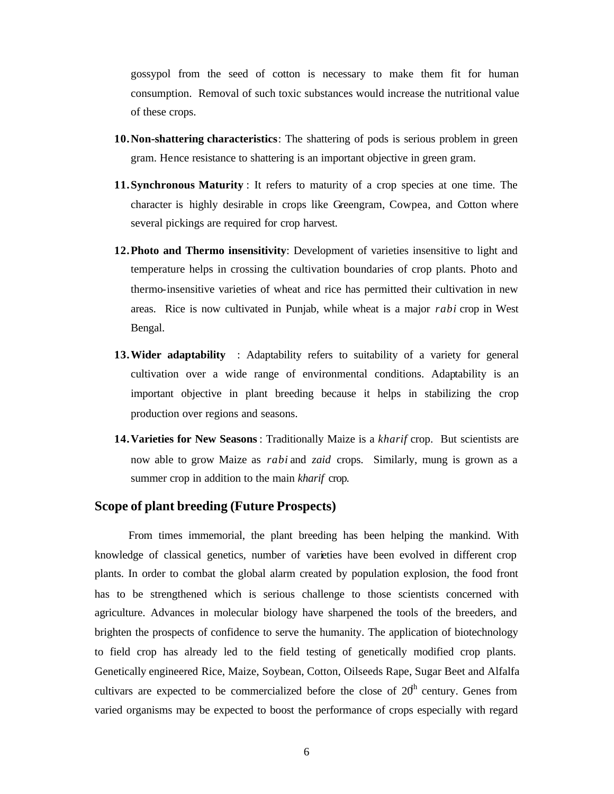gossypol from the seed of cotton is necessary to make them fit for human consumption. Removal of such toxic substances would increase the nutritional value of these crops.

- **10.Non-shattering characteristics**: The shattering of pods is serious problem in green gram. Hence resistance to shattering is an important objective in green gram.
- **11.Synchronous Maturity** : It refers to maturity of a crop species at one time. The character is highly desirable in crops like Greengram, Cowpea, and Cotton where several pickings are required for crop harvest.
- **12.Photo and Thermo insensitivity**: Development of varieties insensitive to light and temperature helps in crossing the cultivation boundaries of crop plants. Photo and thermo-insensitive varieties of wheat and rice has permitted their cultivation in new areas. Rice is now cultivated in Punjab, while wheat is a major *rabi* crop in West Bengal.
- **13.Wider adaptability** : Adaptability refers to suitability of a variety for general cultivation over a wide range of environmental conditions. Adaptability is an important objective in plant breeding because it helps in stabilizing the crop production over regions and seasons.
- **14.Varieties for New Seasons** : Traditionally Maize is a *kharif* crop. But scientists are now able to grow Maize as *rabi* and *zaid* crops. Similarly, mung is grown as a summer crop in addition to the main *kharif* crop.

# **Scope of plant breeding (Future Prospects)**

From times immemorial, the plant breeding has been helping the mankind. With knowledge of classical genetics, number of varieties have been evolved in different crop plants. In order to combat the global alarm created by population explosion, the food front has to be strengthened which is serious challenge to those scientists concerned with agriculture. Advances in molecular biology have sharpened the tools of the breeders, and brighten the prospects of confidence to serve the humanity. The application of biotechnology to field crop has already led to the field testing of genetically modified crop plants. Genetically engineered Rice, Maize, Soybean, Cotton, Oilseeds Rape, Sugar Beet and Alfalfa cultivars are expected to be commercialized before the close of  $20<sup>th</sup>$  century. Genes from varied organisms may be expected to boost the performance of crops especially with regard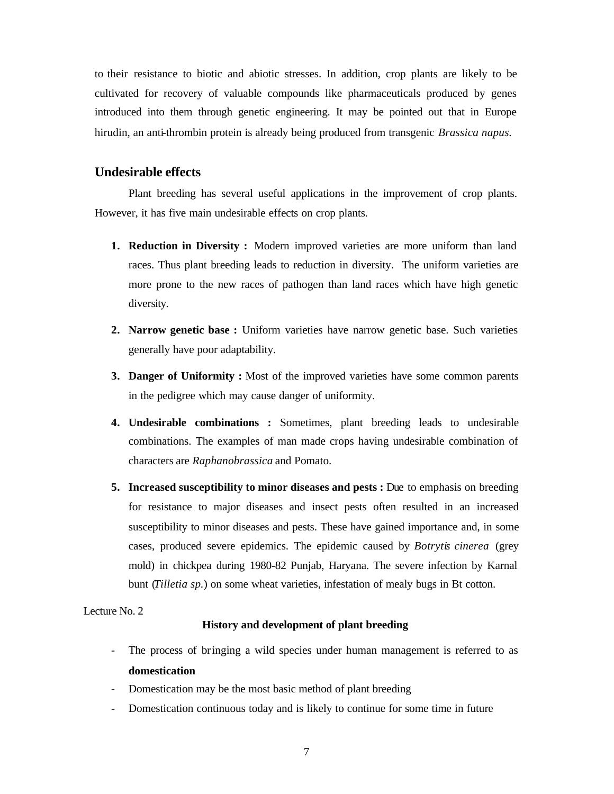to their resistance to biotic and abiotic stresses. In addition, crop plants are likely to be cultivated for recovery of valuable compounds like pharmaceuticals produced by genes introduced into them through genetic engineering. It may be pointed out that in Europe hirudin, an anti-thrombin protein is already being produced from transgenic *Brassica napus.*

# **Undesirable effects**

Plant breeding has several useful applications in the improvement of crop plants. However, it has five main undesirable effects on crop plants.

- **1. Reduction in Diversity :** Modern improved varieties are more uniform than land races. Thus plant breeding leads to reduction in diversity. The uniform varieties are more prone to the new races of pathogen than land races which have high genetic diversity.
- **2. Narrow genetic base :** Uniform varieties have narrow genetic base. Such varieties generally have poor adaptability.
- **3. Danger of Uniformity :** Most of the improved varieties have some common parents in the pedigree which may cause danger of uniformity.
- **4. Undesirable combinations :** Sometimes, plant breeding leads to undesirable combinations. The examples of man made crops having undesirable combination of characters are *Raphanobrassica* and Pomato.
- **5. Increased susceptibility to minor diseases and pests :** Due to emphasis on breeding for resistance to major diseases and insect pests often resulted in an increased susceptibility to minor diseases and pests. These have gained importance and, in some cases, produced severe epidemics. The epidemic caused by *Botrytis cinerea* (grey mold) in chickpea during 1980-82 Punjab, Haryana. The severe infection by Karnal bunt (*Tilletia sp.*) on some wheat varieties, infestation of mealy bugs in Bt cotton.

Lecture No. 2

#### **History and development of plant breeding**

- The process of bringing a wild species under human management is referred to as **domestication**
- Domestication may be the most basic method of plant breeding
- Domestication continuous today and is likely to continue for some time in future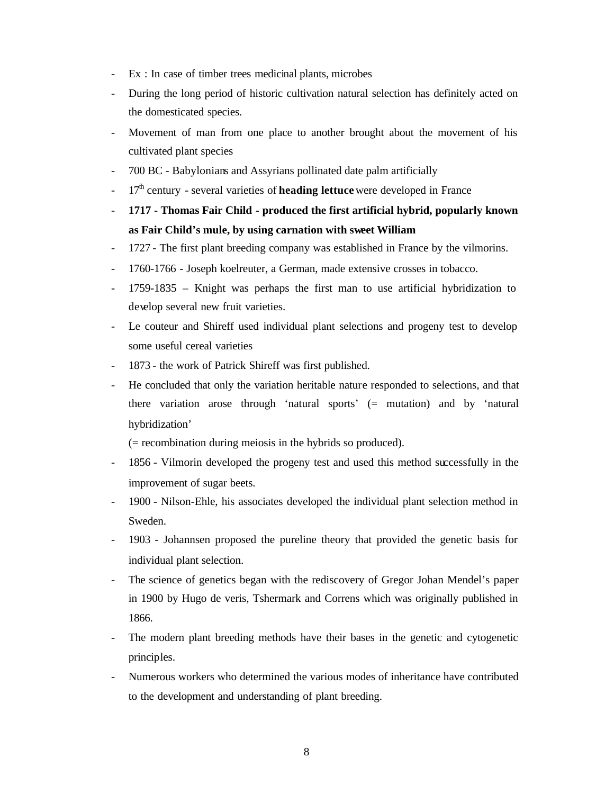- Ex : In case of timber trees medicinal plants, microbes
- During the long period of historic cultivation natural selection has definitely acted on the domesticated species.
- Movement of man from one place to another brought about the movement of his cultivated plant species
- 700 BC Babylonians and Assyrians pollinated date palm artificially
- 17<sup>th</sup> century several varieties of **heading lettuce** were developed in France
- **1717 Thomas Fair Child produced the first artificial hybrid, popularly known as Fair Child's mule, by using carnation with sweet William**
- 1727 The first plant breeding company was established in France by the vilmorins.
- 1760-1766 Joseph koelreuter, a German, made extensive crosses in tobacco.
- 1759-1835 Knight was perhaps the first man to use artificial hybridization to develop several new fruit varieties.
- Le couteur and Shireff used individual plant selections and progeny test to develop some useful cereal varieties
- 1873 the work of Patrick Shireff was first published.
- He concluded that only the variation heritable nature responded to selections, and that there variation arose through 'natural sports' (= mutation) and by 'natural hybridization'

(= recombination during meiosis in the hybrids so produced).

- 1856 Vilmorin developed the progeny test and used this method successfully in the improvement of sugar beets.
- 1900 Nilson-Ehle, his associates developed the individual plant selection method in Sweden.
- 1903 Johannsen proposed the pureline theory that provided the genetic basis for individual plant selection.
- The science of genetics began with the rediscovery of Gregor Johan Mendel's paper in 1900 by Hugo de veris, Tshermark and Correns which was originally published in 1866.
- The modern plant breeding methods have their bases in the genetic and cytogenetic principles.
- Numerous workers who determined the various modes of inheritance have contributed to the development and understanding of plant breeding.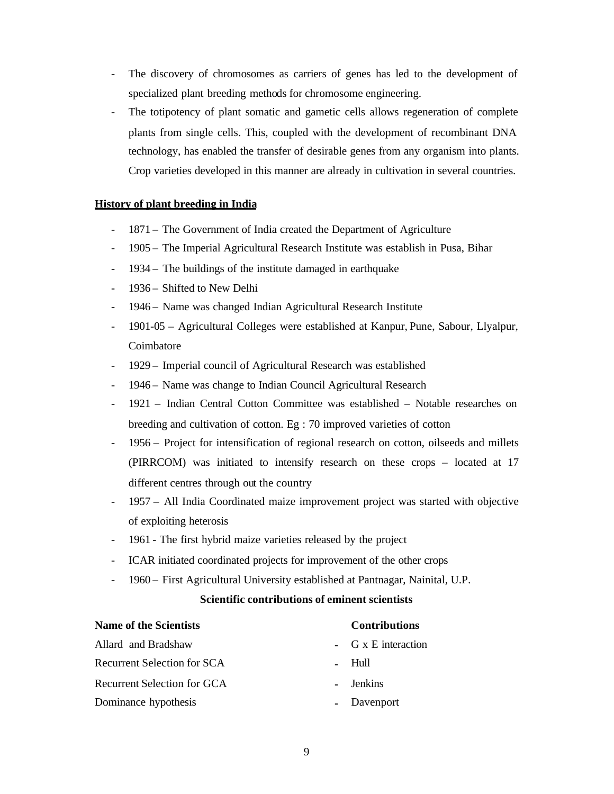- The discovery of chromosomes as carriers of genes has led to the development of specialized plant breeding methods for chromosome engineering.
- The totipotency of plant somatic and gametic cells allows regeneration of complete plants from single cells. This, coupled with the development of recombinant DNA technology, has enabled the transfer of desirable genes from any organism into plants. Crop varieties developed in this manner are already in cultivation in several countries.

# **History of plant breeding in India**

- 1871 The Government of India created the Department of Agriculture
- 1905 The Imperial Agricultural Research Institute was establish in Pusa, Bihar
- 1934 The buildings of the institute damaged in earthquake
- 1936 Shifted to New Delhi
- 1946 Name was changed Indian Agricultural Research Institute
- 1901-05 Agricultural Colleges were established at Kanpur, Pune, Sabour, Llyalpur, Coimbatore
- 1929 Imperial council of Agricultural Research was established
- 1946 Name was change to Indian Council Agricultural Research
- 1921 Indian Central Cotton Committee was established Notable researches on breeding and cultivation of cotton. Eg : 70 improved varieties of cotton
- 1956 Project for intensification of regional research on cotton, oilseeds and millets (PIRRCOM) was initiated to intensify research on these crops – located at 17 different centres through out the country
- 1957 All India Coordinated maize improvement project was started with objective of exploiting heterosis
- 1961 The first hybrid maize varieties released by the project
- ICAR initiated coordinated projects for improvement of the other crops
- 1960 First Agricultural University established at Pantnagar, Nainital, U.P.

# **Scientific contributions of eminent scientists**

| <b>Name of the Scientists</b>      | <b>Contributions</b> |                            |  |
|------------------------------------|----------------------|----------------------------|--|
| Allard and Bradshaw                |                      | - $G \times E$ interaction |  |
| <b>Recurrent Selection for SCA</b> |                      | - Hull                     |  |
| <b>Recurrent Selection for GCA</b> |                      | - Jenkins                  |  |
| Dominance hypothesis               |                      | - Davenport                |  |
|                                    |                      |                            |  |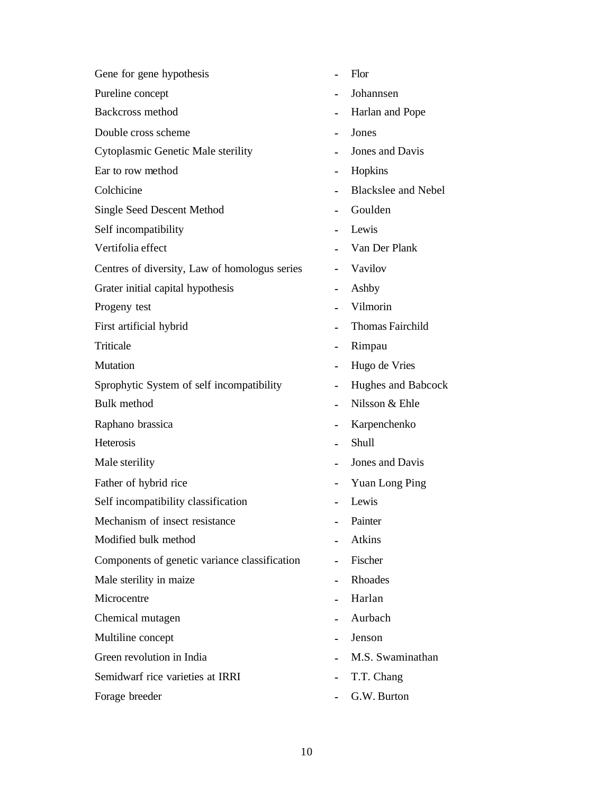| Gene for gene hypothesis                      |                | Flor                       |
|-----------------------------------------------|----------------|----------------------------|
| Pureline concept                              |                | Johannsen                  |
| <b>Backcross method</b>                       |                | Harlan and Pope            |
| Double cross scheme                           | $\blacksquare$ | Jones                      |
| Cytoplasmic Genetic Male sterility            |                | Jones and Davis            |
| Ear to row method                             |                | Hopkins                    |
| Colchicine                                    |                | <b>Blackslee and Nebel</b> |
| <b>Single Seed Descent Method</b>             |                | Goulden                    |
| Self incompatibility                          |                | Lewis                      |
| Vertifolia effect                             |                | Van Der Plank              |
| Centres of diversity, Law of homologus series |                | Vavilov                    |
| Grater initial capital hypothesis             | ä,             | Ashby                      |
| Progeny test                                  |                | Vilmorin                   |
| First artificial hybrid                       |                | Thomas Fairchild           |
| Triticale                                     | $\blacksquare$ | Rimpau                     |
| Mutation                                      |                | Hugo de Vries              |
| Sprophytic System of self incompatibility     | ä,             | Hughes and Babcock         |
| <b>Bulk</b> method                            | ۰              | Nilsson & Ehle             |
| Raphano brassica                              |                | Karpenchenko               |
| Heterosis                                     |                | Shull                      |
| Male sterility                                |                | Jones and Davis            |
| Father of hybrid rice                         |                | Yuan Long Ping             |
| Self incompatibility classification           |                | Lewis                      |
| Mechanism of insect resistance                |                | Painter                    |
| Modified bulk method                          |                | Atkins                     |
| Components of genetic variance classification |                | Fischer                    |
| Male sterility in maize                       |                | Rhoades                    |
| Microcentre                                   |                | Harlan                     |
| Chemical mutagen                              |                | Aurbach                    |
| Multiline concept                             |                | Jenson                     |
| Green revolution in India                     |                | M.S. Swaminathan           |
| Semidwarf rice varieties at IRRI              |                | T.T. Chang                 |
| Forage breeder                                |                | G.W. Burton                |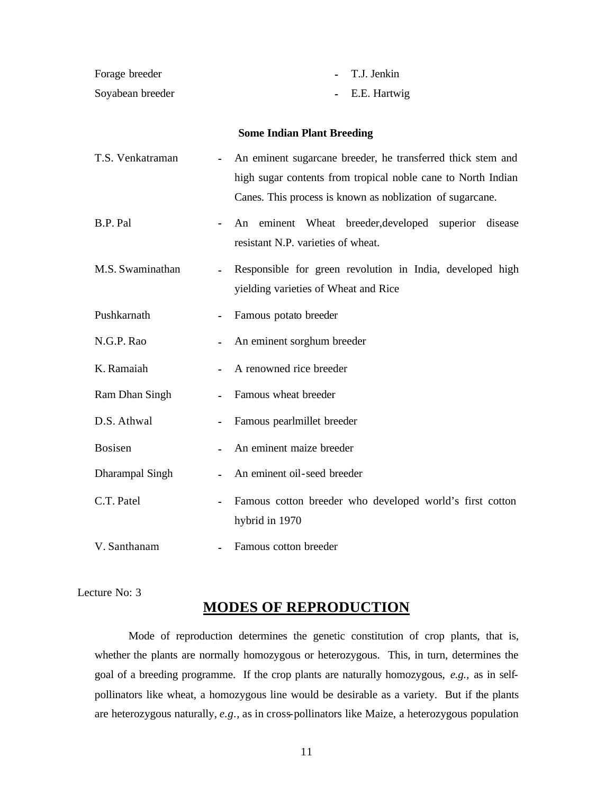| Forage breeder         | T.J. Jenkin                                                                                                                                                                              |
|------------------------|------------------------------------------------------------------------------------------------------------------------------------------------------------------------------------------|
| Soyabean breeder       | E.E. Hartwig                                                                                                                                                                             |
|                        | <b>Some Indian Plant Breeding</b>                                                                                                                                                        |
| T.S. Venkatraman       | An eminent sugarcane breeder, he transferred thick stem and<br>high sugar contents from tropical noble cane to North Indian<br>Canes. This process is known as noblization of sugarcane. |
| B.P. Pal               | eminent Wheat<br>breeder, developed superior disease<br>An<br>٠<br>resistant N.P. varieties of wheat.                                                                                    |
| M.S. Swaminathan       | Responsible for green revolution in India, developed high<br>yielding varieties of Wheat and Rice                                                                                        |
| Pushkarnath            | Famous potato breeder                                                                                                                                                                    |
| N.G.P. Rao             | An eminent sorghum breeder<br>۰                                                                                                                                                          |
| K. Ramaiah             | A renowned rice breeder                                                                                                                                                                  |
| Ram Dhan Singh         | Famous wheat breeder                                                                                                                                                                     |
| D.S. Athwal            | Famous pearlmillet breeder                                                                                                                                                               |
| <b>Bosisen</b>         | An eminent maize breeder                                                                                                                                                                 |
| <b>Dharampal Singh</b> | An eminent oil-seed breeder                                                                                                                                                              |
| C.T. Patel             | Famous cotton breeder who developed world's first cotton<br>hybrid in 1970                                                                                                               |
| V. Santhanam           | Famous cotton breeder                                                                                                                                                                    |

Lecture No: 3

# **MODES OF REPRODUCTION**

Mode of reproduction determines the genetic constitution of crop plants, that is, whether the plants are normally homozygous or heterozygous. This, in turn, determines the goal of a breeding programme. If the crop plants are naturally homozygous, *e.g.,* as in selfpollinators like wheat, a homozygous line would be desirable as a variety. But if the plants are heterozygous naturally, *e.g.,* as in cross-pollinators like Maize, a heterozygous population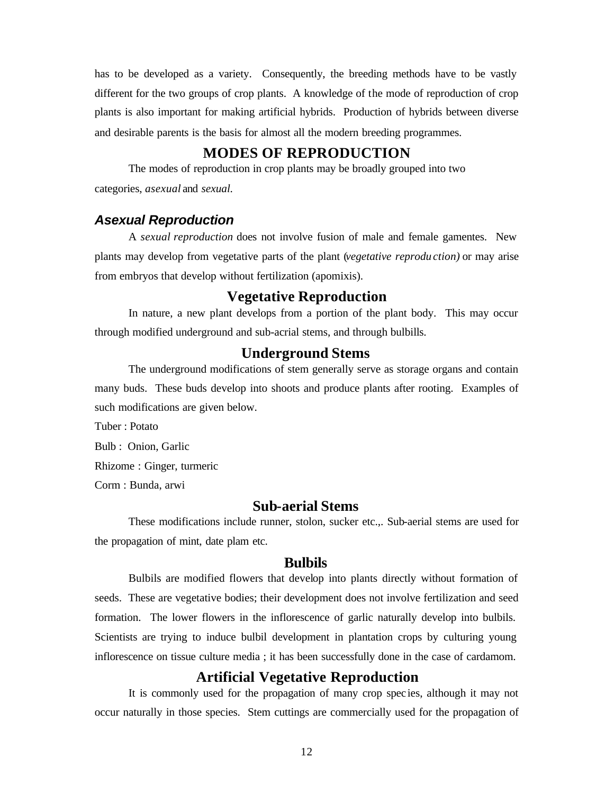has to be developed as a variety. Consequently, the breeding methods have to be vastly different for the two groups of crop plants. A knowledge of the mode of reproduction of crop plants is also important for making artificial hybrids. Production of hybrids between diverse and desirable parents is the basis for almost all the modern breeding programmes.

# **MODES OF REPRODUCTION**

The modes of reproduction in crop plants may be broadly grouped into two categories, *asexual* and *sexual.*

# *Asexual Reproduction*

A *sexual reproduction* does not involve fusion of male and female gamentes. New plants may develop from vegetative parts of the plant (*vegetative reprodu ction)* or may arise from embryos that develop without fertilization (apomixis).

# **Vegetative Reproduction**

In nature, a new plant develops from a portion of the plant body. This may occur through modified underground and sub-acrial stems, and through bulbills.

# **Underground Stems**

The underground modifications of stem generally serve as storage organs and contain many buds. These buds develop into shoots and produce plants after rooting. Examples of such modifications are given below.

Tuber : Potato Bulb : Onion, Garlic Rhizome : Ginger, turmeric

Corm : Bunda, arwi

# **Sub-aerial Stems**

These modifications include runner, stolon, sucker etc.,. Sub-aerial stems are used for the propagation of mint, date plam etc.

# **Bulbils**

Bulbils are modified flowers that develop into plants directly without formation of seeds. These are vegetative bodies; their development does not involve fertilization and seed formation. The lower flowers in the inflorescence of garlic naturally develop into bulbils. Scientists are trying to induce bulbil development in plantation crops by culturing young inflorescence on tissue culture media ; it has been successfully done in the case of cardamom.

# **Artificial Vegetative Reproduction**

It is commonly used for the propagation of many crop spec ies, although it may not occur naturally in those species. Stem cuttings are commercially used for the propagation of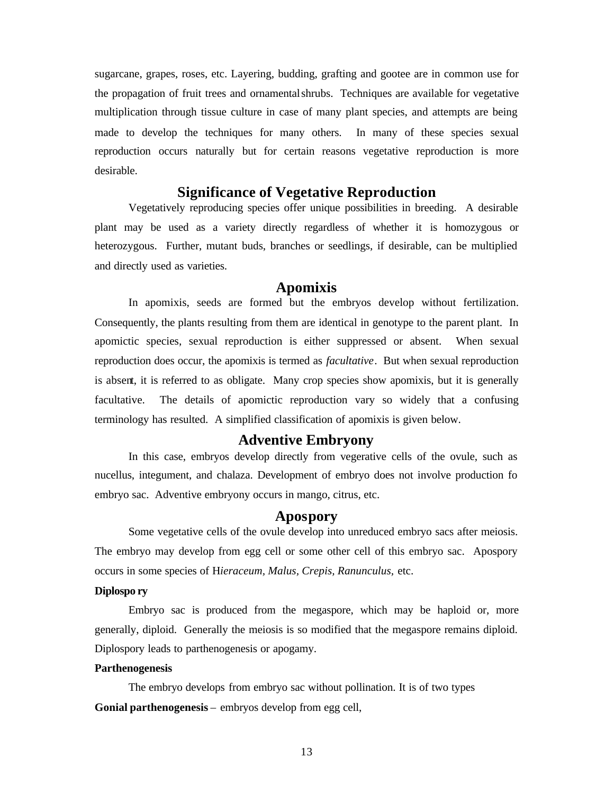sugarcane, grapes, roses, etc. Layering, budding, grafting and gootee are in common use for the propagation of fruit trees and ornamental shrubs. Techniques are available for vegetative multiplication through tissue culture in case of many plant species, and attempts are being made to develop the techniques for many others. In many of these species sexual reproduction occurs naturally but for certain reasons vegetative reproduction is more desirable.

# **Significance of Vegetative Reproduction**

Vegetatively reproducing species offer unique possibilities in breeding. A desirable plant may be used as a variety directly regardless of whether it is homozygous or heterozygous. Further, mutant buds, branches or seedlings, if desirable, can be multiplied and directly used as varieties.

# **Apomixis**

In apomixis, seeds are formed but the embryos develop without fertilization. Consequently, the plants resulting from them are identical in genotype to the parent plant. In apomictic species, sexual reproduction is either suppressed or absent. When sexual reproduction does occur, the apomixis is termed as *facultative*. But when sexual reproduction is absent, it is referred to as obligate. Many crop species show apomixis, but it is generally facultative. The details of apomictic reproduction vary so widely that a confusing terminology has resulted. A simplified classification of apomixis is given below.

# **Adventive Embryony**

In this case, embryos develop directly from vegerative cells of the ovule, such as nucellus, integument, and chalaza. Development of embryo does not involve production fo embryo sac. Adventive embryony occurs in mango, citrus, etc.

## **Apospory**

Some vegetative cells of the ovule develop into unreduced embryo sacs after meiosis. The embryo may develop from egg cell or some other cell of this embryo sac. Apospory occurs in some species of H*ieraceum, Malus, Crepis, Ranunculus,* etc.

#### **Diplospo ry**

Embryo sac is produced from the megaspore, which may be haploid or, more generally, diploid. Generally the meiosis is so modified that the megaspore remains diploid. Diplospory leads to parthenogenesis or apogamy.

#### **Parthenogenesis**

The embryo develops from embryo sac without pollination. It is of two types **Gonial parthenogenesis** – embryos develop from egg cell,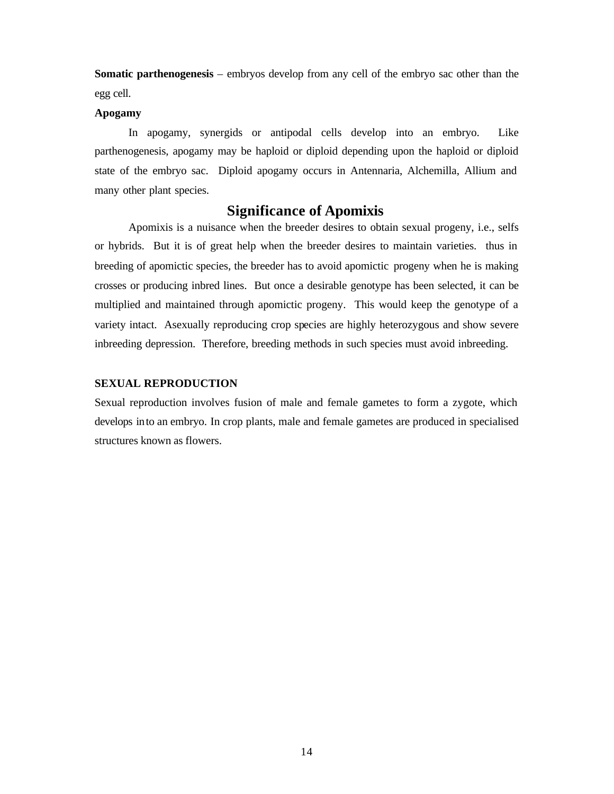**Somatic parthenogenesis** – embryos develop from any cell of the embryo sac other than the egg cell.

### **Apogamy**

In apogamy, synergids or antipodal cells develop into an embryo. Like parthenogenesis, apogamy may be haploid or diploid depending upon the haploid or diploid state of the embryo sac. Diploid apogamy occurs in Antennaria, Alchemilla, Allium and many other plant species.

# **Significance of Apomixis**

Apomixis is a nuisance when the breeder desires to obtain sexual progeny, i.e., selfs or hybrids. But it is of great help when the breeder desires to maintain varieties. thus in breeding of apomictic species, the breeder has to avoid apomictic progeny when he is making crosses or producing inbred lines. But once a desirable genotype has been selected, it can be multiplied and maintained through apomictic progeny. This would keep the genotype of a variety intact. Asexually reproducing crop species are highly heterozygous and show severe inbreeding depression. Therefore, breeding methods in such species must avoid inbreeding.

#### **SEXUAL REPRODUCTION**

Sexual reproduction involves fusion of male and female gametes to form a zygote, which develops into an embryo. In crop plants, male and female gametes are produced in specialised structures known as flowers.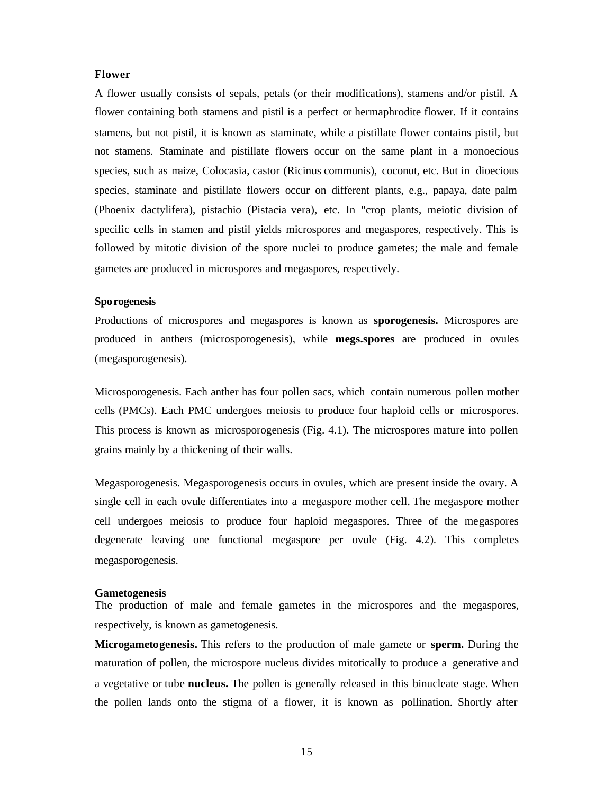#### **Flower**

A flower usually consists of sepals, petals (or their modifications), stamens and/or pistil. A flower containing both stamens and pistil is a perfect or hermaphrodite flower. If it contains stamens, but not pistil, it is known as staminate, while a pistillate flower contains pistil, but not stamens. Staminate and pistillate flowers occur on the same plant in a monoecious species, such as maize, Colocasia, castor (Ricinus communis), coconut, etc. But in dioecious species, staminate and pistillate flowers occur on different plants, e.g., papaya, date palm (Phoenix dactylifera), pistachio (Pistacia vera), etc. In "crop plants, meiotic division of specific cells in stamen and pistil yields microspores and megaspores, respectively. This is followed by mitotic division of the spore nuclei to produce gametes; the male and female gametes are produced in microspores and megaspores, respectively.

#### **Sporogenesis**

Productions of microspores and megaspores is known as **sporogenesis.** Microspores are produced in anthers (microsporogenesis), while **megs.spores** are produced in ovules (megasporogenesis).

Microsporogenesis. Each anther has four pollen sacs, which contain numerous pollen mother cells (PMCs). Each PMC undergoes meiosis to produce four haploid cells or microspores. This process is known as microsporogenesis (Fig. 4.1). The microspores mature into pollen grains mainly by a thickening of their walls.

Megasporogenesis. Megasporogenesis occurs in ovules, which are present inside the ovary. A single cell in each ovule differentiates into a megaspore mother cell. The megaspore mother cell undergoes meiosis to produce four haploid megaspores. Three of the megaspores degenerate leaving one functional megaspore per ovule (Fig. 4.2). This completes megasporogenesis.

#### **Gametogenesis**

The production of male and female gametes in the microspores and the megaspores, respectively, is known as gametogenesis.

**Microgametogenesis.** This refers to the production of male gamete or **sperm.** During the maturation of pollen, the microspore nucleus divides mitotically to produce a generative and a vegetative or tube **nucleus.** The pollen is generally released in this binucleate stage. When the pollen lands onto the stigma of a flower, it is known as pollination. Shortly after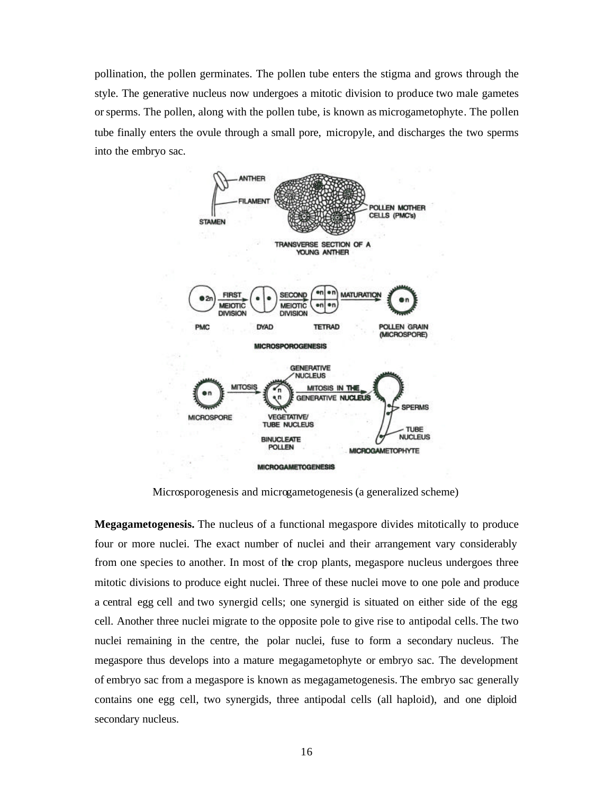pollination, the pollen germinates. The pollen tube enters the stigma and grows through the style. The generative nucleus now undergoes a mitotic division to produce two male gametes or sperms. The pollen, along with the pollen tube, is known as microgametophyte. The pollen tube finally enters the ovule through a small pore, micropyle, and discharges the two sperms into the embryo sac.



Microsporogenesis and microgametogenesis (a generalized scheme)

**Megagametogenesis.** The nucleus of a functional megaspore divides mitotically to produce four or more nuclei. The exact number of nuclei and their arrangement vary considerably from one species to another. In most of the crop plants, megaspore nucleus undergoes three mitotic divisions to produce eight nuclei. Three of these nuclei move to one pole and produce a central egg cell and two synergid cells; one synergid is situated on either side of the egg cell. Another three nuclei migrate to the opposite pole to give rise to antipodal cells. The two nuclei remaining in the centre, the polar nuclei, fuse to form a secondary nucleus. The megaspore thus develops into a mature megagametophyte or embryo sac. The development of embryo sac from a megaspore is known as megagametogenesis. The embryo sac generally contains one egg cell, two synergids, three antipodal cells (all haploid), and one diploid secondary nucleus.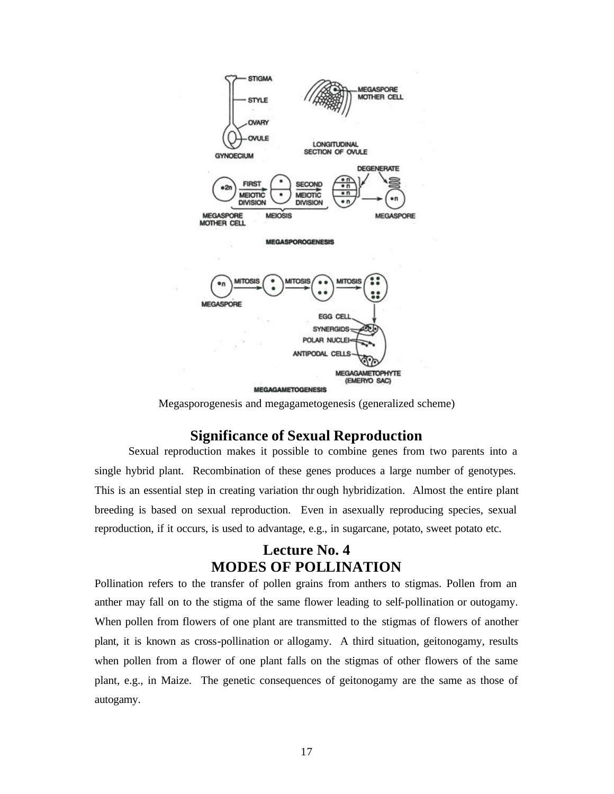

Megasporogenesis and megagametogenesis (generalized scheme)

# **Significance of Sexual Reproduction**

Sexual reproduction makes it possible to combine genes from two parents into a single hybrid plant. Recombination of these genes produces a large number of genotypes. This is an essential step in creating variation thr ough hybridization. Almost the entire plant breeding is based on sexual reproduction. Even in asexually reproducing species, sexual reproduction, if it occurs, is used to advantage, e.g., in sugarcane, potato, sweet potato etc.

# **Lecture No. 4 MODES OF POLLINATION**

Pollination refers to the transfer of pollen grains from anthers to stigmas. Pollen from an anther may fall on to the stigma of the same flower leading to self-pollination or outogamy. When pollen from flowers of one plant are transmitted to the stigmas of flowers of another plant, it is known as cross-pollination or allogamy. A third situation, geitonogamy, results when pollen from a flower of one plant falls on the stigmas of other flowers of the same plant, e.g., in Maize. The genetic consequences of geitonogamy are the same as those of autogamy.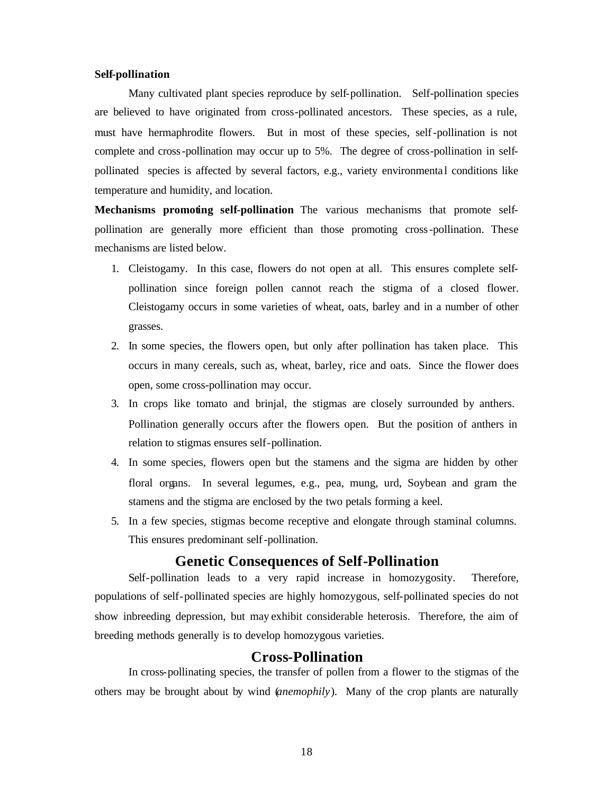#### **Self-pollination**

Many cultivated plant species reproduce by self-pollination. Self-pollination species are believed to have originated from cross-pollinated ancestors. These species, as a rule, must have hermaphrodite flowers. But in most of these species, self-pollination is not complete and cross-pollination may occur up to 5%. The degree of cross-pollination in selfpollinated species is affected by several factors, e.g., variety environmenta l conditions like temperature and humidity, and location.

**Mechanisms promoting self-pollination** The various mechanisms that promote selfpollination are generally more efficient than those promoting cross-pollination. These mechanisms are listed below.

- 1. Cleistogamy. In this case, flowers do not open at all. This ensures complete selfpollination since foreign pollen cannot reach the stigma of a closed flower. Cleistogamy occurs in some varieties of wheat, oats, barley and in a number of other grasses.
- 2. In some species, the flowers open, but only after pollination has taken place. This occurs in many cereals, such as, wheat, barley, rice and oats. Since the flower does open, some cross-pollination may occur.
- 3. In crops like tomato and brinjal, the stigmas are closely surrounded by anthers. Pollination generally occurs after the flowers open. But the position of anthers in relation to stigmas ensures self-pollination.
- 4. In some species, flowers open but the stamens and the sigma are hidden by other floral organs. In several legumes, e.g., pea, mung, urd, Soybean and gram the stamens and the stigma are enclosed by the two petals forming a keel.
- 5. In a few species, stigmas become receptive and elongate through staminal columns. This ensures predominant self-pollination.

# **Genetic Consequences of Self-Pollination**

Self-pollination leads to a very rapid increase in homozygosity. Therefore, populations of self-pollinated species are highly homozygous, self-pollinated species do not show inbreeding depression, but may exhibit considerable heterosis. Therefore, the aim of breeding methods generally is to develop homozygous varieties.

# **Cross-Pollination**

In cross-pollinating species, the transfer of pollen from a flower to the stigmas of the others may be brought about by wind (*anemophily*). Many of the crop plants are naturally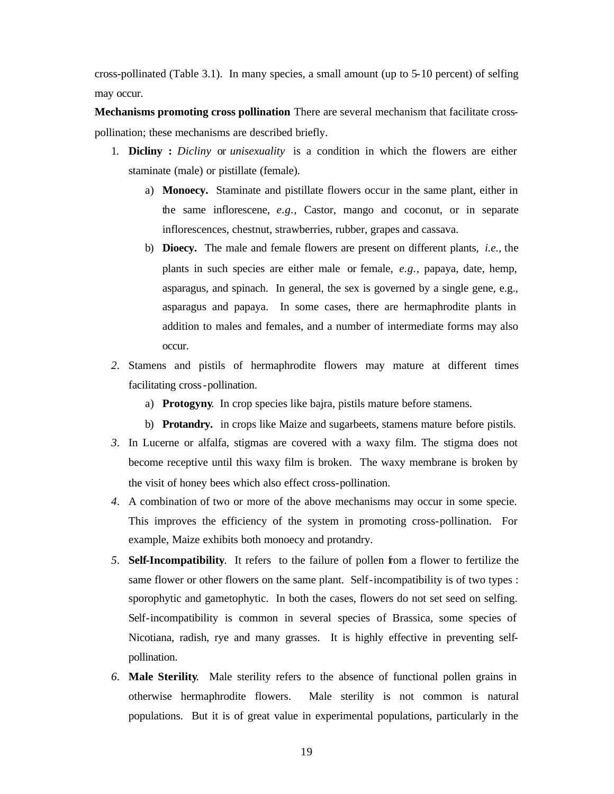cross-pollinated (Table 3.1). In many species, a small amount (up to 5-10 percent) of selfing may occur.

**Mechanisms promoting cross pollination** There are several mechanism that facilitate crosspollination; these mechanisms are described briefly.

- 1. **Dicliny :** *Dicliny* or *unisexuality* is a condition in which the flowers are either staminate (male) or pistillate (female).
	- a) **Monoecy.** Staminate and pistillate flowers occur in the same plant, either in the same inflorescene, *e.g.,* Castor, mango and coconut, or in separate inflorescences, chestnut, strawberries, rubber, grapes and cassava.
	- b) **Dioecy.** The male and female flowers are present on different plants, *i.e.,* the plants in such species are either male or female, *e.g.,* papaya, date, hemp, asparagus, and spinach. In general, the sex is governed by a single gene, e.g., asparagus and papaya. In some cases, there are hermaphrodite plants in addition to males and females, and a number of intermediate forms may also occur.
- *2.* Stamens and pistils of hermaphrodite flowers may mature at different times facilitating cross-pollination.
	- a) **Protogyny**. In crop species like bajra, pistils mature before stamens.
	- b) **Protandry.** in crops like Maize and sugarbeets, stamens mature before pistils.
- *3.* In Lucerne or alfalfa, stigmas are covered with a waxy film. The stigma does not become receptive until this waxy film is broken. The waxy membrane is broken by the visit of honey bees which also effect cross-pollination.
- *4.* A combination of two or more of the above mechanisms may occur in some specie. This improves the efficiency of the system in promoting cross-pollination. For example, Maize exhibits both monoecy and protandry.
- *5.* **Self-Incompatibility**. It refers to the failure of pollen from a flower to fertilize the same flower or other flowers on the same plant. Self-incompatibility is of two types : sporophytic and gametophytic. In both the cases, flowers do not set seed on selfing. Self-incompatibility is common in several species of Brassica, some species of Nicotiana, radish, rye and many grasses. It is highly effective in preventing selfpollination.
- *6.* **Male Sterility**. Male sterility refers to the absence of functional pollen grains in otherwise hermaphrodite flowers. Male sterility is not common is natural populations. But it is of great value in experimental populations, particularly in the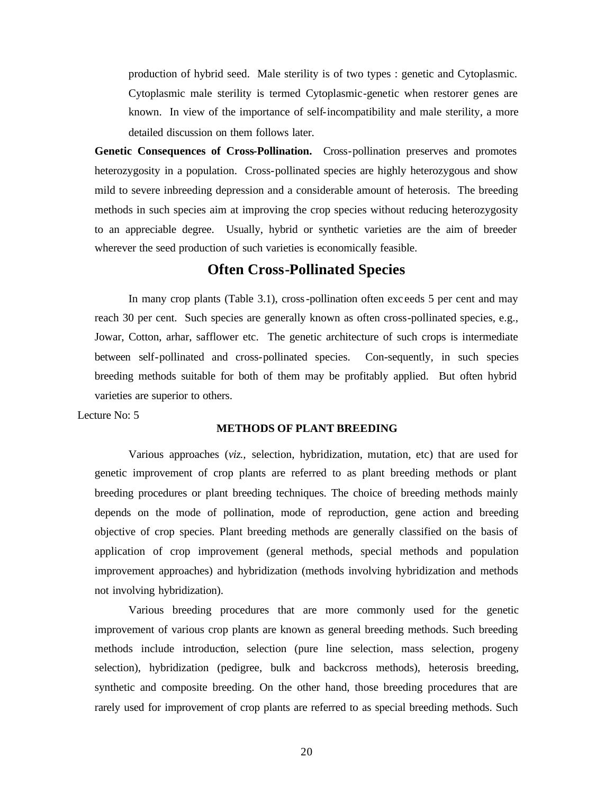production of hybrid seed. Male sterility is of two types : genetic and Cytoplasmic. Cytoplasmic male sterility is termed Cytoplasmic-genetic when restorer genes are known. In view of the importance of self-incompatibility and male sterility, a more detailed discussion on them follows later.

**Genetic Consequences of Cross-Pollination.** Cross-pollination preserves and promotes heterozygosity in a population. Cross-pollinated species are highly heterozygous and show mild to severe inbreeding depression and a considerable amount of heterosis. The breeding methods in such species aim at improving the crop species without reducing heterozygosity to an appreciable degree. Usually, hybrid or synthetic varieties are the aim of breeder wherever the seed production of such varieties is economically feasible.

# **Often Cross-Pollinated Species**

In many crop plants (Table 3.1), cross-pollination often exc eeds 5 per cent and may reach 30 per cent. Such species are generally known as often cross-pollinated species, e.g., Jowar, Cotton, arhar, safflower etc. The genetic architecture of such crops is intermediate between self-pollinated and cross-pollinated species. Con-sequently, in such species breeding methods suitable for both of them may be profitably applied. But often hybrid varieties are superior to others.

Lecture No: 5

#### **METHODS OF PLANT BREEDING**

Various approaches (*viz.,* selection, hybridization, mutation, etc) that are used for genetic improvement of crop plants are referred to as plant breeding methods or plant breeding procedures or plant breeding techniques. The choice of breeding methods mainly depends on the mode of pollination, mode of reproduction, gene action and breeding objective of crop species. Plant breeding methods are generally classified on the basis of application of crop improvement (general methods, special methods and population improvement approaches) and hybridization (methods involving hybridization and methods not involving hybridization).

Various breeding procedures that are more commonly used for the genetic improvement of various crop plants are known as general breeding methods. Such breeding methods include introduction, selection (pure line selection, mass selection, progeny selection), hybridization (pedigree, bulk and backcross methods), heterosis breeding, synthetic and composite breeding. On the other hand, those breeding procedures that are rarely used for improvement of crop plants are referred to as special breeding methods. Such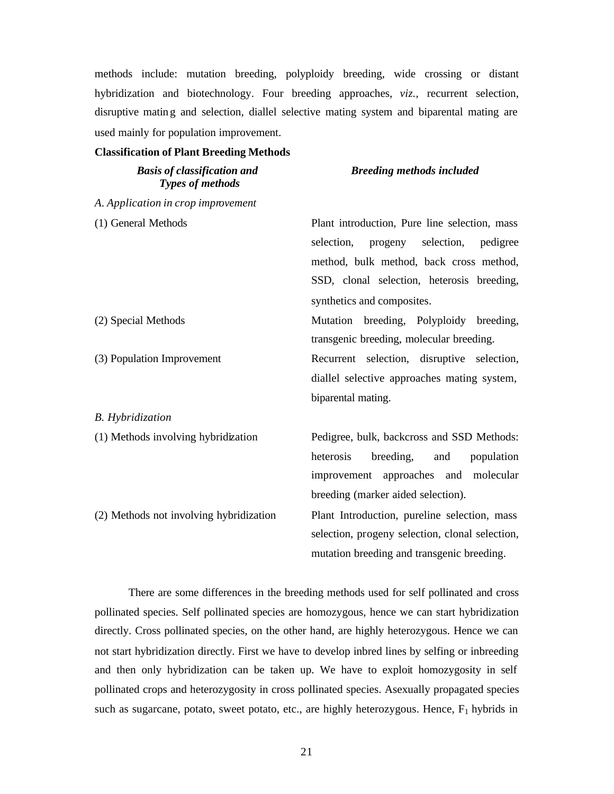methods include: mutation breeding, polyploidy breeding, wide crossing or distant hybridization and biotechnology. Four breeding approaches, *viz.,* recurrent selection, disruptive mating and selection, diallel selective mating system and biparental mating are used mainly for population improvement.

#### **Classification of Plant Breeding Methods**

*Basis of classification and Types of methods*

## *Breeding methods included*

| A. Application in crop improvement      |                                                 |  |  |  |  |  |
|-----------------------------------------|-------------------------------------------------|--|--|--|--|--|
| (1) General Methods                     | Plant introduction, Pure line selection, mass   |  |  |  |  |  |
|                                         | selection,<br>progeny selection, pedigree       |  |  |  |  |  |
|                                         | method, bulk method, back cross method,         |  |  |  |  |  |
|                                         | SSD, clonal selection, heterosis breeding,      |  |  |  |  |  |
|                                         | synthetics and composites.                      |  |  |  |  |  |
| (2) Special Methods                     | Mutation breeding, Polyploidy breeding,         |  |  |  |  |  |
|                                         | transgenic breeding, molecular breeding.        |  |  |  |  |  |
| (3) Population Improvement              | Recurrent selection, disruptive selection,      |  |  |  |  |  |
|                                         | diallel selective approaches mating system,     |  |  |  |  |  |
|                                         | biparental mating.                              |  |  |  |  |  |
| <b>B.</b> Hybridization                 |                                                 |  |  |  |  |  |
| (1) Methods involving hybridization     | Pedigree, bulk, backcross and SSD Methods:      |  |  |  |  |  |
|                                         | heterosis<br>breeding, and<br>population        |  |  |  |  |  |
|                                         | improvement approaches and molecular            |  |  |  |  |  |
|                                         | breeding (marker aided selection).              |  |  |  |  |  |
| (2) Methods not involving hybridization | Plant Introduction, pureline selection, mass    |  |  |  |  |  |
|                                         | selection, progeny selection, clonal selection, |  |  |  |  |  |
|                                         | mutation breeding and transgenic breeding.      |  |  |  |  |  |

There are some differences in the breeding methods used for self pollinated and cross pollinated species. Self pollinated species are homozygous, hence we can start hybridization directly. Cross pollinated species, on the other hand, are highly heterozygous. Hence we can not start hybridization directly. First we have to develop inbred lines by selfing or inbreeding and then only hybridization can be taken up. We have to exploit homozygosity in self pollinated crops and heterozygosity in cross pollinated species. Asexually propagated species such as sugarcane, potato, sweet potato, etc., are highly heterozygous. Hence,  $F_1$  hybrids in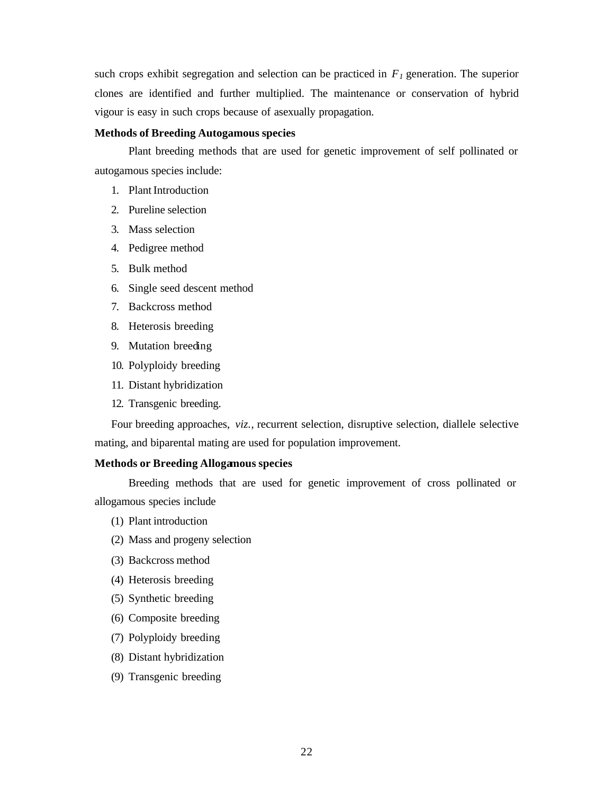such crops exhibit segregation and selection can be practiced in  $F_I$  generation. The superior clones are identified and further multiplied. The maintenance or conservation of hybrid vigour is easy in such crops because of asexually propagation.

## **Methods of Breeding Autogamous species**

Plant breeding methods that are used for genetic improvement of self pollinated or autogamous species include:

- 1. Plant Introduction
- 2. Pureline selection
- 3. Mass selection
- 4. Pedigree method
- 5. Bulk method
- 6. Single seed descent method
- 7. Backcross method
- 8. Heterosis breeding
- 9. Mutation breeding
- 10. Polyploidy breeding
- 11. Distant hybridization
- 12. Transgenic breeding.

Four breeding approaches, *viz.,* recurrent selection, disruptive selection, diallele selective mating, and biparental mating are used for population improvement.

## **Methods or Breeding Allogamous species**

Breeding methods that are used for genetic improvement of cross pollinated or allogamous species include

- (1) Plant introduction
- (2) Mass and progeny selection
- (3) Backcross method
- (4) Heterosis breeding
- (5) Synthetic breeding
- (6) Composite breeding
- (7) Polyploidy breeding
- (8) Distant hybridization
- (9) Transgenic breeding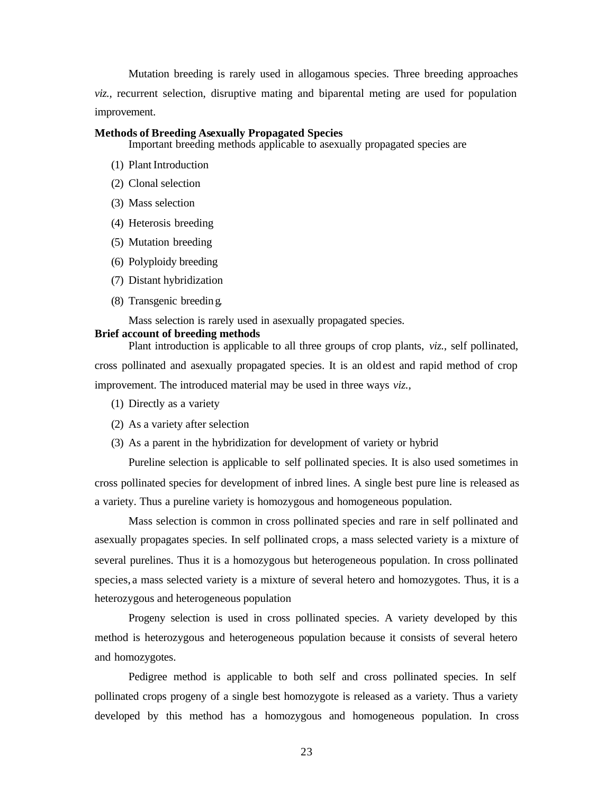Mutation breeding is rarely used in allogamous species. Three breeding approaches *viz.,* recurrent selection, disruptive mating and biparental meting are used for population improvement.

#### **Methods of Breeding Asexually Propagated Species**

Important breeding methods applicable to asexually propagated species are

- (1) Plant Introduction
- (2) Clonal selection
- (3) Mass selection
- (4) Heterosis breeding
- (5) Mutation breeding
- (6) Polyploidy breeding
- (7) Distant hybridization
- (8) Transgenic breeding.

Mass selection is rarely used in asexually propagated species.

#### **Brief account of breeding methods**

Plant introduction is applicable to all three groups of crop plants, *viz.,* self pollinated, cross pollinated and asexually propagated species. It is an oldest and rapid method of crop improvement. The introduced material may be used in three ways *viz.,*

- (1) Directly as a variety
- (2) As a variety after selection
- (3) As a parent in the hybridization for development of variety or hybrid

Pureline selection is applicable to self pollinated species. It is also used sometimes in cross pollinated species for development of inbred lines. A single best pure line is released as a variety. Thus a pureline variety is homozygous and homogeneous population.

Mass selection is common in cross pollinated species and rare in self pollinated and asexually propagates species. In self pollinated crops, a mass selected variety is a mixture of several purelines. Thus it is a homozygous but heterogeneous population. In cross pollinated species, a mass selected variety is a mixture of several hetero and homozygotes. Thus, it is a heterozygous and heterogeneous population

Progeny selection is used in cross pollinated species. A variety developed by this method is heterozygous and heterogeneous population because it consists of several hetero and homozygotes.

Pedigree method is applicable to both self and cross pollinated species. In self pollinated crops progeny of a single best homozygote is released as a variety. Thus a variety developed by this method has a homozygous and homogeneous population. In cross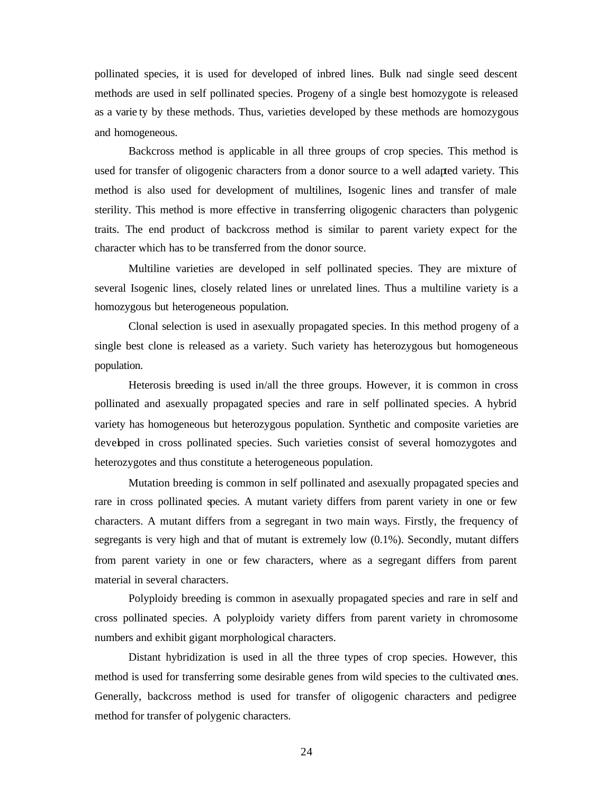pollinated species, it is used for developed of inbred lines. Bulk nad single seed descent methods are used in self pollinated species. Progeny of a single best homozygote is released as a varie ty by these methods. Thus, varieties developed by these methods are homozygous and homogeneous.

Backcross method is applicable in all three groups of crop species. This method is used for transfer of oligogenic characters from a donor source to a well adapted variety. This method is also used for development of multilines, Isogenic lines and transfer of male sterility. This method is more effective in transferring oligogenic characters than polygenic traits. The end product of backcross method is similar to parent variety expect for the character which has to be transferred from the donor source.

Multiline varieties are developed in self pollinated species. They are mixture of several Isogenic lines, closely related lines or unrelated lines. Thus a multiline variety is a homozygous but heterogeneous population.

Clonal selection is used in asexually propagated species. In this method progeny of a single best clone is released as a variety. Such variety has heterozygous but homogeneous population.

Heterosis breeding is used in/all the three groups. However, it is common in cross pollinated and asexually propagated species and rare in self pollinated species. A hybrid variety has homogeneous but heterozygous population. Synthetic and composite varieties are developed in cross pollinated species. Such varieties consist of several homozygotes and heterozygotes and thus constitute a heterogeneous population.

Mutation breeding is common in self pollinated and asexually propagated species and rare in cross pollinated species. A mutant variety differs from parent variety in one or few characters. A mutant differs from a segregant in two main ways. Firstly, the frequency of segregants is very high and that of mutant is extremely low (0.1%). Secondly, mutant differs from parent variety in one or few characters, where as a segregant differs from parent material in several characters.

Polyploidy breeding is common in asexually propagated species and rare in self and cross pollinated species. A polyploidy variety differs from parent variety in chromosome numbers and exhibit gigant morphological characters.

Distant hybridization is used in all the three types of crop species. However, this method is used for transferring some desirable genes from wild species to the cultivated ones. Generally, backcross method is used for transfer of oligogenic characters and pedigree method for transfer of polygenic characters.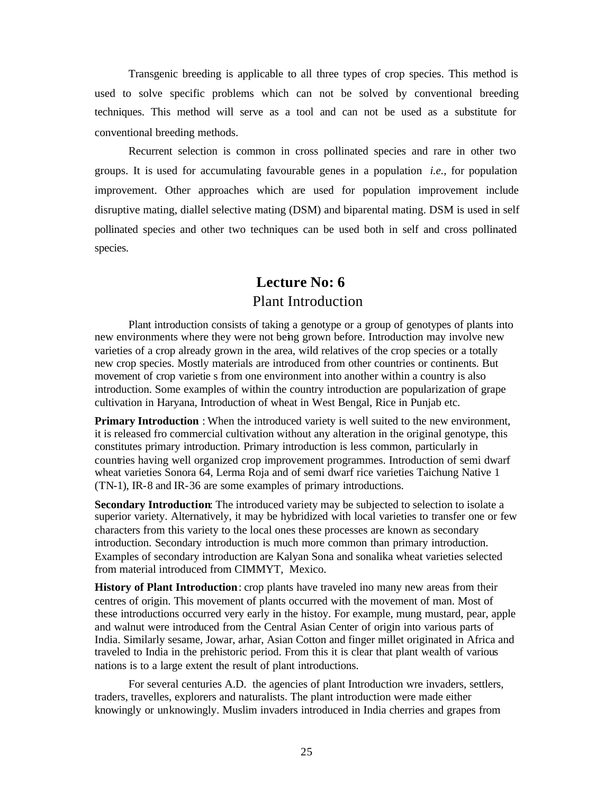Transgenic breeding is applicable to all three types of crop species. This method is used to solve specific problems which can not be solved by conventional breeding techniques. This method will serve as a tool and can not be used as a substitute for conventional breeding methods.

Recurrent selection is common in cross pollinated species and rare in other two groups. It is used for accumulating favourable genes in a population *i.e.,* for population improvement. Other approaches which are used for population improvement include disruptive mating, diallel selective mating (DSM) and biparental mating. DSM is used in self pollinated species and other two techniques can be used both in self and cross pollinated species.

# **Lecture No: 6** Plant Introduction

Plant introduction consists of taking a genotype or a group of genotypes of plants into new environments where they were not being grown before. Introduction may involve new varieties of a crop already grown in the area, wild relatives of the crop species or a totally new crop species. Mostly materials are introduced from other countries or continents. But movement of crop varietie s from one environment into another within a country is also introduction. Some examples of within the country introduction are popularization of grape cultivation in Haryana, Introduction of wheat in West Bengal, Rice in Punjab etc.

**Primary Introduction** : When the introduced variety is well suited to the new environment, it is released fro commercial cultivation without any alteration in the original genotype, this constitutes primary introduction. Primary introduction is less common, particularly in countries having well organized crop improvement programmes. Introduction of semi dwarf wheat varieties Sonora 64, Lerma Roja and of semi dwarf rice varieties Taichung Native 1 (TN-1), IR-8 and IR-36 are some examples of primary introductions.

**Secondary Introduction:** The introduced variety may be subjected to selection to isolate a superior variety. Alternatively, it may be hybridized with local varieties to transfer one or few characters from this variety to the local ones these processes are known as secondary introduction. Secondary introduction is much more common than primary introduction. Examples of secondary introduction are Kalyan Sona and sonalika wheat varieties selected from material introduced from CIMMYT, Mexico.

**History of Plant Introduction**: crop plants have traveled ino many new areas from their centres of origin. This movement of plants occurred with the movement of man. Most of these introductions occurred very early in the histoy. For example, mung mustard, pear, apple and walnut were introduced from the Central Asian Center of origin into various parts of India. Similarly sesame, Jowar, arhar, Asian Cotton and finger millet originated in Africa and traveled to India in the prehistoric period. From this it is clear that plant wealth of various nations is to a large extent the result of plant introductions.

For several centuries A.D. the agencies of plant Introduction wre invaders, settlers, traders, travelles, explorers and naturalists. The plant introduction were made either knowingly or unknowingly. Muslim invaders introduced in India cherries and grapes from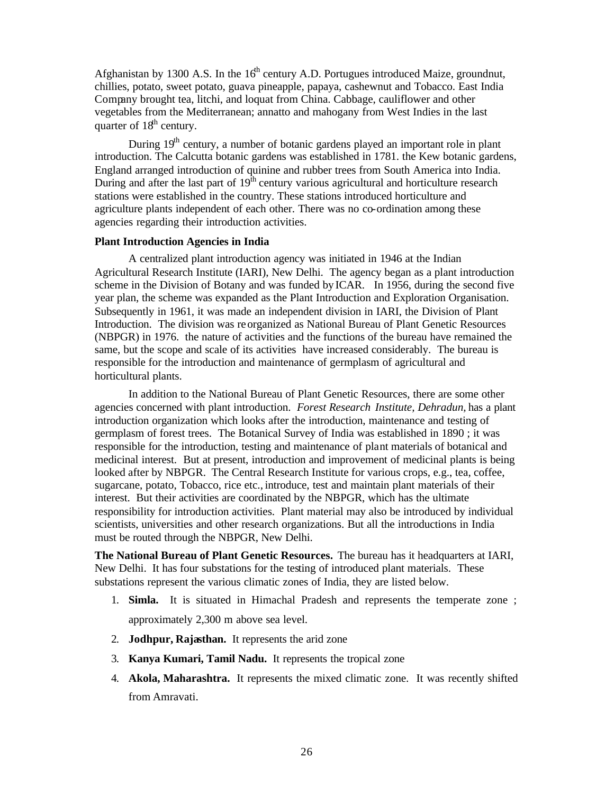Afghanistan by 1300 A.S. In the  $16<sup>th</sup>$  century A.D. Portugues introduced Maize, groundnut, chillies, potato, sweet potato, guava pineapple, papaya, cashewnut and Tobacco. East India Company brought tea, litchi, and loquat from China. Cabbage, cauliflower and other vegetables from the Mediterranean; annatto and mahogany from West Indies in the last quarter of  $18<sup>th</sup>$  century.

During  $19<sup>th</sup>$  century, a number of botanic gardens played an important role in plant introduction. The Calcutta botanic gardens was established in 1781. the Kew botanic gardens, England arranged introduction of quinine and rubber trees from South America into India. During and after the last part of  $19<sup>th</sup>$  century various agricultural and horticulture research stations were established in the country. These stations introduced horticulture and agriculture plants independent of each other. There was no co-ordination among these agencies regarding their introduction activities.

#### **Plant Introduction Agencies in India**

A centralized plant introduction agency was initiated in 1946 at the Indian Agricultural Research Institute (IARI), New Delhi. The agency began as a plant introduction scheme in the Division of Botany and was funded by ICAR. In 1956, during the second five year plan, the scheme was expanded as the Plant Introduction and Exploration Organisation. Subsequently in 1961, it was made an independent division in IARI, the Division of Plant Introduction. The division was reorganized as National Bureau of Plant Genetic Resources (NBPGR) in 1976. the nature of activities and the functions of the bureau have remained the same, but the scope and scale of its activities have increased considerably. The bureau is responsible for the introduction and maintenance of germplasm of agricultural and horticultural plants.

In addition to the National Bureau of Plant Genetic Resources, there are some other agencies concerned with plant introduction. *Forest Research Institute, Dehradun,* has a plant introduction organization which looks after the introduction, maintenance and testing of germplasm of forest trees. The Botanical Survey of India was established in 1890 ; it was responsible for the introduction, testing and maintenance of plant materials of botanical and medicinal interest. But at present, introduction and improvement of medicinal plants is being looked after by NBPGR. The Central Research Institute for various crops, e.g., tea, coffee, sugarcane, potato, Tobacco, rice etc., introduce, test and maintain plant materials of their interest. But their activities are coordinated by the NBPGR, which has the ultimate responsibility for introduction activities. Plant material may also be introduced by individual scientists, universities and other research organizations. But all the introductions in India must be routed through the NBPGR, New Delhi.

**The National Bureau of Plant Genetic Resources.** The bureau has it headquarters at IARI, New Delhi. It has four substations for the testing of introduced plant materials. These substations represent the various climatic zones of India, they are listed below.

- 1. **Simla.** It is situated in Himachal Pradesh and represents the temperate zone ; approximately 2,300 m above sea level.
- 2. **Jodhpur, Rajasthan.** It represents the arid zone
- 3. **Kanya Kumari, Tamil Nadu.** It represents the tropical zone
- 4. **Akola, Maharashtra.** It represents the mixed climatic zone. It was recently shifted from Amravati.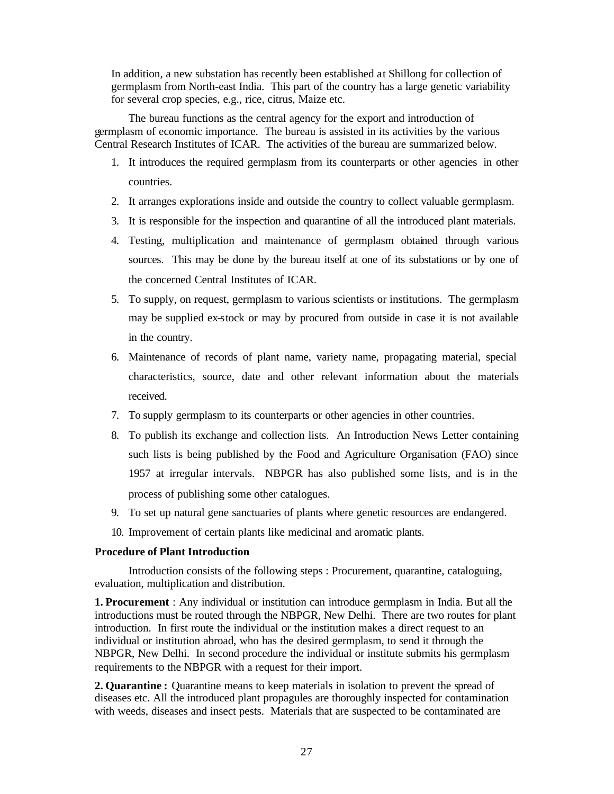In addition, a new substation has recently been established at Shillong for collection of germplasm from North-east India. This part of the country has a large genetic variability for several crop species, e.g., rice, citrus, Maize etc.

The bureau functions as the central agency for the export and introduction of germplasm of economic importance. The bureau is assisted in its activities by the various Central Research Institutes of ICAR. The activities of the bureau are summarized below.

- 1. It introduces the required germplasm from its counterparts or other agencies in other countries.
- 2. It arranges explorations inside and outside the country to collect valuable germplasm.
- 3. It is responsible for the inspection and quarantine of all the introduced plant materials.
- 4. Testing, multiplication and maintenance of germplasm obtained through various sources. This may be done by the bureau itself at one of its substations or by one of the concerned Central Institutes of ICAR.
- 5. To supply, on request, germplasm to various scientists or institutions. The germplasm may be supplied ex-stock or may by procured from outside in case it is not available in the country.
- 6. Maintenance of records of plant name, variety name, propagating material, special characteristics, source, date and other relevant information about the materials received.
- 7. To supply germplasm to its counterparts or other agencies in other countries.
- 8. To publish its exchange and collection lists. An Introduction News Letter containing such lists is being published by the Food and Agriculture Organisation (FAO) since 1957 at irregular intervals. NBPGR has also published some lists, and is in the process of publishing some other catalogues.
- 9. To set up natural gene sanctuaries of plants where genetic resources are endangered.
- 10. Improvement of certain plants like medicinal and aromatic plants.

## **Procedure of Plant Introduction**

Introduction consists of the following steps : Procurement, quarantine, cataloguing, evaluation, multiplication and distribution.

**1. Procurement** : Any individual or institution can introduce germplasm in India. But all the introductions must be routed through the NBPGR, New Delhi. There are two routes for plant introduction. In first route the individual or the institution makes a direct request to an individual or institution abroad, who has the desired germplasm, to send it through the NBPGR, New Delhi. In second procedure the individual or institute submits his germplasm requirements to the NBPGR with a request for their import.

**2. Quarantine :** Quarantine means to keep materials in isolation to prevent the spread of diseases etc. All the introduced plant propagules are thoroughly inspected for contamination with weeds, diseases and insect pests. Materials that are suspected to be contaminated are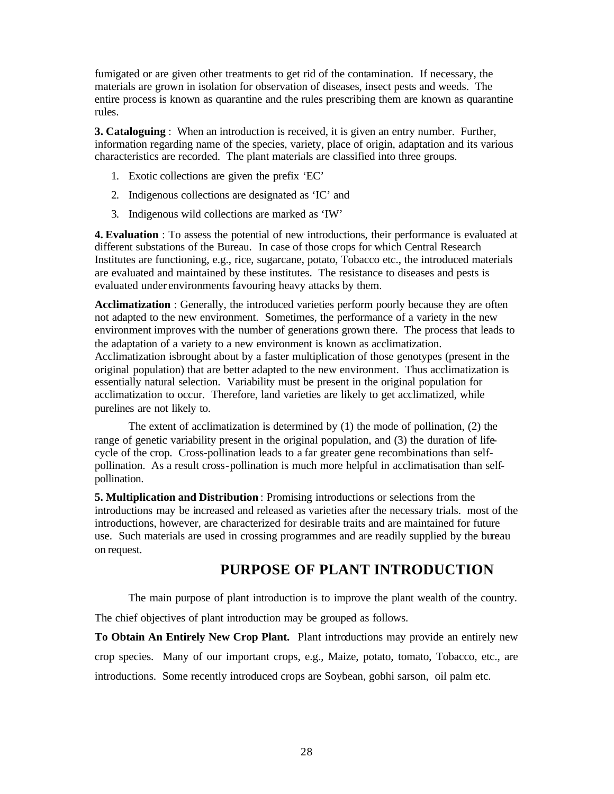fumigated or are given other treatments to get rid of the contamination. If necessary, the materials are grown in isolation for observation of diseases, insect pests and weeds. The entire process is known as quarantine and the rules prescribing them are known as quarantine rules.

**3. Cataloguing** : When an introduction is received, it is given an entry number. Further, information regarding name of the species, variety, place of origin, adaptation and its various characteristics are recorded. The plant materials are classified into three groups.

- 1. Exotic collections are given the prefix 'EC'
- 2. Indigenous collections are designated as 'IC' and
- 3. Indigenous wild collections are marked as 'IW'

**4. Evaluation** : To assess the potential of new introductions, their performance is evaluated at different substations of the Bureau. In case of those crops for which Central Research Institutes are functioning, e.g., rice, sugarcane, potato, Tobacco etc., the introduced materials are evaluated and maintained by these institutes. The resistance to diseases and pests is evaluated under environments favouring heavy attacks by them.

**Acclimatization** : Generally, the introduced varieties perform poorly because they are often not adapted to the new environment. Sometimes, the performance of a variety in the new environment improves with the number of generations grown there. The process that leads to the adaptation of a variety to a new environment is known as acclimatization. Acclimatization isbrought about by a faster multiplication of those genotypes (present in the original population) that are better adapted to the new environment. Thus acclimatization is essentially natural selection. Variability must be present in the original population for acclimatization to occur. Therefore, land varieties are likely to get acclimatized, while purelines are not likely to.

The extent of acclimatization is determined by (1) the mode of pollination, (2) the range of genetic variability present in the original population, and (3) the duration of lifecycle of the crop. Cross-pollination leads to a far greater gene recombinations than selfpollination. As a result cross-pollination is much more helpful in acclimatisation than selfpollination.

**5. Multiplication and Distribution** : Promising introductions or selections from the introductions may be increased and released as varieties after the necessary trials. most of the introductions, however, are characterized for desirable traits and are maintained for future use. Such materials are used in crossing programmes and are readily supplied by the bureau on request.

# **PURPOSE OF PLANT INTRODUCTION**

The main purpose of plant introduction is to improve the plant wealth of the country.

The chief objectives of plant introduction may be grouped as follows.

**To Obtain An Entirely New Crop Plant.** Plant introductions may provide an entirely new crop species. Many of our important crops, e.g., Maize, potato, tomato, Tobacco, etc., are introductions. Some recently introduced crops are Soybean, gobhi sarson, oil palm etc.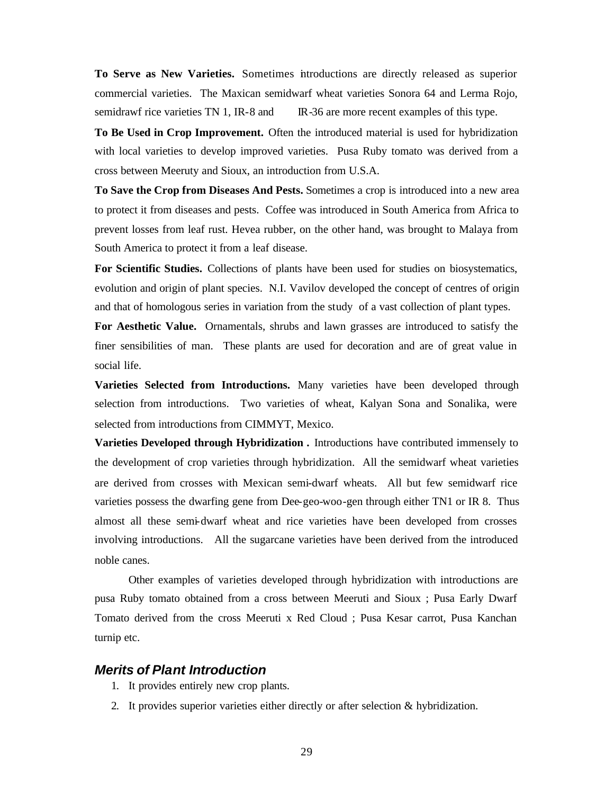**To Serve as New Varieties.** Sometimes introductions are directly released as superior commercial varieties. The Maxican semidwarf wheat varieties Sonora 64 and Lerma Rojo, semidrawf rice varieties TN 1, IR-8 and IR-36 are more recent examples of this type.

**To Be Used in Crop Improvement.** Often the introduced material is used for hybridization with local varieties to develop improved varieties. Pusa Ruby tomato was derived from a cross between Meeruty and Sioux, an introduction from U.S.A.

**To Save the Crop from Diseases And Pests.** Sometimes a crop is introduced into a new area to protect it from diseases and pests. Coffee was introduced in South America from Africa to prevent losses from leaf rust. Hevea rubber, on the other hand, was brought to Malaya from South America to protect it from a leaf disease.

**For Scientific Studies.** Collections of plants have been used for studies on biosystematics, evolution and origin of plant species. N.I. Vavilov developed the concept of centres of origin and that of homologous series in variation from the study of a vast collection of plant types.

**For Aesthetic Value.** Ornamentals, shrubs and lawn grasses are introduced to satisfy the finer sensibilities of man. These plants are used for decoration and are of great value in social life.

**Varieties Selected from Introductions.** Many varieties have been developed through selection from introductions. Two varieties of wheat, Kalyan Sona and Sonalika, were selected from introductions from CIMMYT, Mexico.

**Varieties Developed through Hybridization .** Introductions have contributed immensely to the development of crop varieties through hybridization. All the semidwarf wheat varieties are derived from crosses with Mexican semi-dwarf wheats. All but few semidwarf rice varieties possess the dwarfing gene from Dee-geo-woo-gen through either TN1 or IR 8. Thus almost all these semi-dwarf wheat and rice varieties have been developed from crosses involving introductions. All the sugarcane varieties have been derived from the introduced noble canes.

Other examples of varieties developed through hybridization with introductions are pusa Ruby tomato obtained from a cross between Meeruti and Sioux ; Pusa Early Dwarf Tomato derived from the cross Meeruti x Red Cloud ; Pusa Kesar carrot, Pusa Kanchan turnip etc.

# *Merits of Plant Introduction*

- 1. It provides entirely new crop plants.
- 2. It provides superior varieties either directly or after selection & hybridization.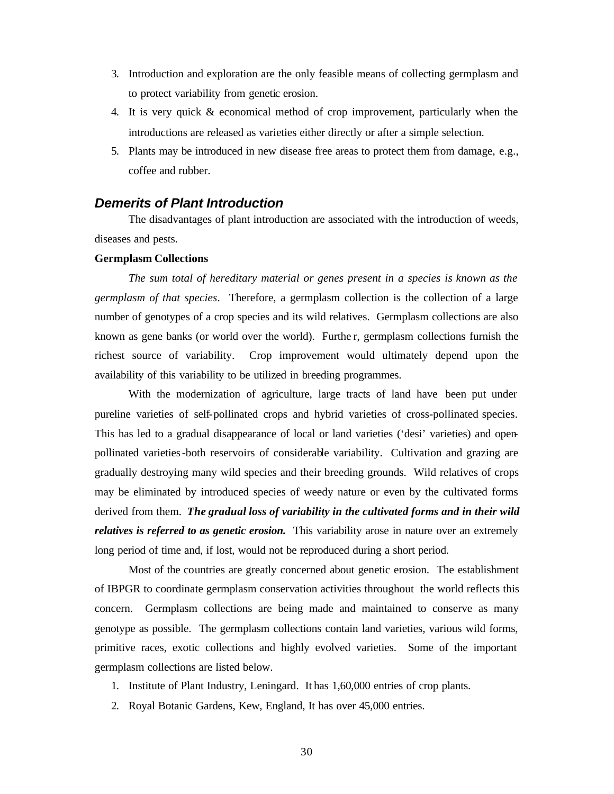- 3. Introduction and exploration are the only feasible means of collecting germplasm and to protect variability from genetic erosion.
- 4. It is very quick & economical method of crop improvement, particularly when the introductions are released as varieties either directly or after a simple selection.
- 5. Plants may be introduced in new disease free areas to protect them from damage, e.g., coffee and rubber.

# *Demerits of Plant Introduction*

The disadvantages of plant introduction are associated with the introduction of weeds, diseases and pests.

#### **Germplasm Collections**

*The sum total of hereditary material or genes present in a species is known as the germplasm of that species*. Therefore, a germplasm collection is the collection of a large number of genotypes of a crop species and its wild relatives. Germplasm collections are also known as gene banks (or world over the world). Furthe r, germplasm collections furnish the richest source of variability. Crop improvement would ultimately depend upon the availability of this variability to be utilized in breeding programmes.

With the modernization of agriculture, large tracts of land have been put under pureline varieties of self-pollinated crops and hybrid varieties of cross-pollinated species. This has led to a gradual disappearance of local or land varieties ('desi' varieties) and openpollinated varieties-both reservoirs of considerable variability. Cultivation and grazing are gradually destroying many wild species and their breeding grounds. Wild relatives of crops may be eliminated by introduced species of weedy nature or even by the cultivated forms derived from them. *The gradual loss of variability in the cultivated forms and in their wild relatives is referred to as genetic erosion.* This variability arose in nature over an extremely long period of time and, if lost, would not be reproduced during a short period.

Most of the countries are greatly concerned about genetic erosion. The establishment of IBPGR to coordinate germplasm conservation activities throughout the world reflects this concern. Germplasm collections are being made and maintained to conserve as many genotype as possible. The germplasm collections contain land varieties, various wild forms, primitive races, exotic collections and highly evolved varieties. Some of the important germplasm collections are listed below.

- 1. Institute of Plant Industry, Leningard. It has 1,60,000 entries of crop plants.
- 2. Royal Botanic Gardens, Kew, England, It has over 45,000 entries.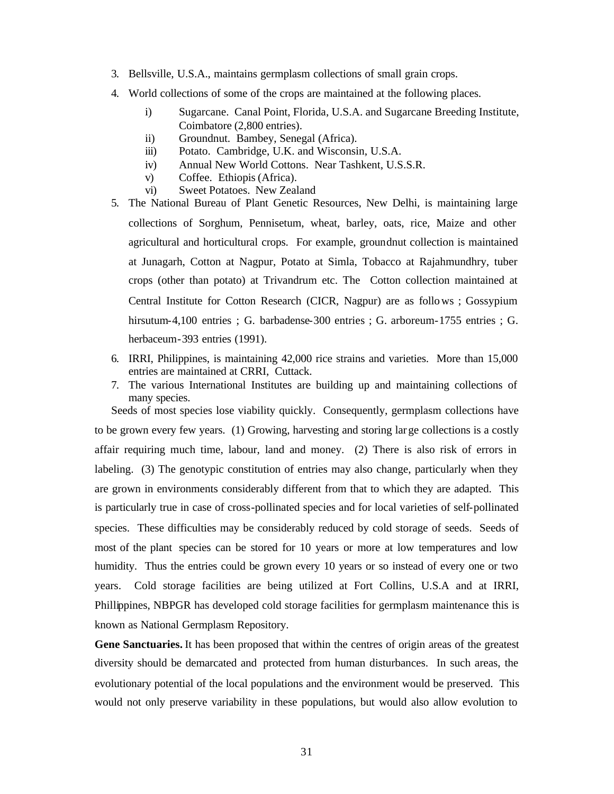- 3. Bellsville, U.S.A., maintains germplasm collections of small grain crops.
- 4. World collections of some of the crops are maintained at the following places.
	- i) Sugarcane. Canal Point, Florida, U.S.A. and Sugarcane Breeding Institute, Coimbatore (2,800 entries).
	- ii) Groundnut. Bambey, Senegal (Africa).
	- iii) Potato. Cambridge, U.K. and Wisconsin, U.S.A.
	- iv) Annual New World Cottons. Near Tashkent, U.S.S.R.
	- v) Coffee. Ethiopis (Africa).
	- vi) Sweet Potatoes. New Zealand
- 5. The National Bureau of Plant Genetic Resources, New Delhi, is maintaining large collections of Sorghum, Pennisetum, wheat, barley, oats, rice, Maize and other agricultural and horticultural crops. For example, groundnut collection is maintained at Junagarh, Cotton at Nagpur, Potato at Simla, Tobacco at Rajahmundhry, tuber crops (other than potato) at Trivandrum etc. The Cotton collection maintained at Central Institute for Cotton Research (CICR, Nagpur) are as follows ; Gossypium hirsutum-4,100 entries ; G. barbadense-300 entries ; G. arboreum-1755 entries ; G. herbaceum-393 entries (1991).
- 6. IRRI, Philippines, is maintaining 42,000 rice strains and varieties. More than 15,000 entries are maintained at CRRI, Cuttack.
- 7. The various International Institutes are building up and maintaining collections of many species.

Seeds of most species lose viability quickly. Consequently, germplasm collections have to be grown every few years. (1) Growing, harvesting and storing large collections is a costly affair requiring much time, labour, land and money. (2) There is also risk of errors in labeling. (3) The genotypic constitution of entries may also change, particularly when they are grown in environments considerably different from that to which they are adapted. This is particularly true in case of cross-pollinated species and for local varieties of self-pollinated species. These difficulties may be considerably reduced by cold storage of seeds. Seeds of most of the plant species can be stored for 10 years or more at low temperatures and low humidity. Thus the entries could be grown every 10 years or so instead of every one or two years. Cold storage facilities are being utilized at Fort Collins, U.S.A and at IRRI, Phillippines, NBPGR has developed cold storage facilities for germplasm maintenance this is known as National Germplasm Repository.

**Gene Sanctuaries.** It has been proposed that within the centres of origin areas of the greatest diversity should be demarcated and protected from human disturbances. In such areas, the evolutionary potential of the local populations and the environment would be preserved. This would not only preserve variability in these populations, but would also allow evolution to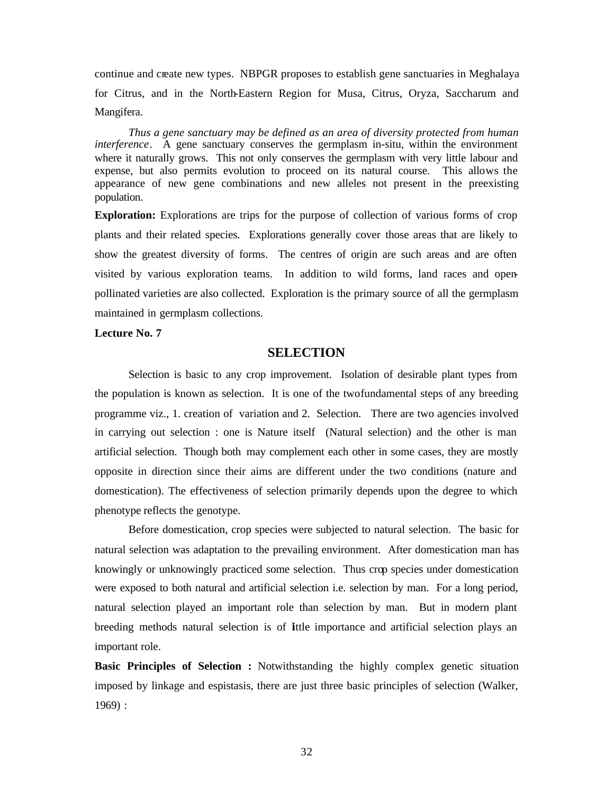continue and create new types. NBPGR proposes to establish gene sanctuaries in Meghalaya for Citrus, and in the North-Eastern Region for Musa, Citrus, Oryza, Saccharum and Mangifera.

*Thus a gene sanctuary may be defined as an area of diversity protected from human interference*. A gene sanctuary conserves the germplasm in-situ, within the environment where it naturally grows. This not only conserves the germplasm with very little labour and expense, but also permits evolution to proceed on its natural course. This allows the appearance of new gene combinations and new alleles not present in the preexisting population.

**Exploration:** Explorations are trips for the purpose of collection of various forms of crop plants and their related species. Explorations generally cover those areas that are likely to show the greatest diversity of forms. The centres of origin are such areas and are often visited by various exploration teams. In addition to wild forms, land races and openpollinated varieties are also collected. Exploration is the primary source of all the germplasm maintained in germplasm collections.

#### **Lecture No. 7**

# **SELECTION**

Selection is basic to any crop improvement. Isolation of desirable plant types from the population is known as selection. It is one of the two fundamental steps of any breeding programme viz., 1. creation of variation and 2. Selection. There are two agencies involved in carrying out selection : one is Nature itself (Natural selection) and the other is man artificial selection. Though both may complement each other in some cases, they are mostly opposite in direction since their aims are different under the two conditions (nature and domestication). The effectiveness of selection primarily depends upon the degree to which phenotype reflects the genotype.

Before domestication, crop species were subjected to natural selection. The basic for natural selection was adaptation to the prevailing environment. After domestication man has knowingly or unknowingly practiced some selection. Thus crop species under domestication were exposed to both natural and artificial selection i.e. selection by man. For a long period, natural selection played an important role than selection by man. But in modern plant breeding methods natural selection is of little importance and artificial selection plays an important role.

**Basic Principles of Selection :** Notwithstanding the highly complex genetic situation imposed by linkage and espistasis, there are just three basic principles of selection (Walker, 1969) :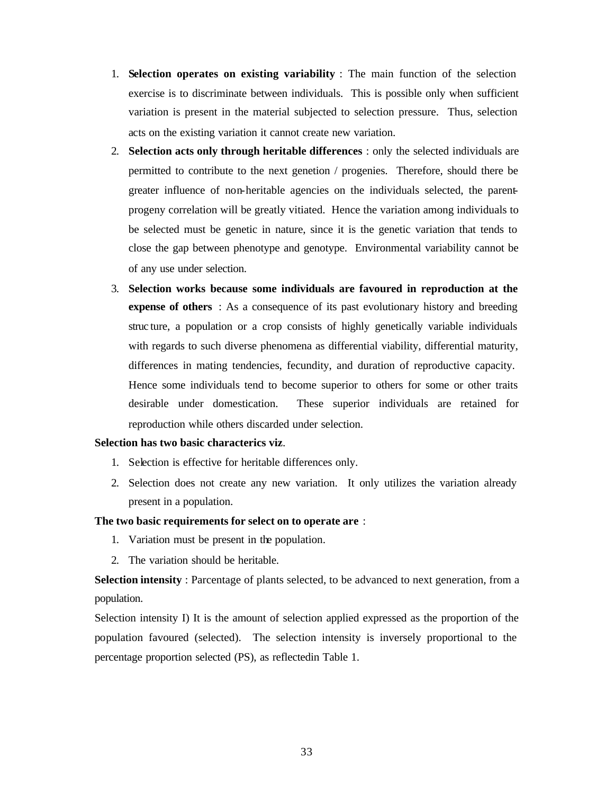- 1. **Selection operates on existing variability** : The main function of the selection exercise is to discriminate between individuals. This is possible only when sufficient variation is present in the material subjected to selection pressure. Thus, selection acts on the existing variation it cannot create new variation.
- 2. **Selection acts only through heritable differences** : only the selected individuals are permitted to contribute to the next genetion / progenies. Therefore, should there be greater influence of non-heritable agencies on the individuals selected, the parentprogeny correlation will be greatly vitiated. Hence the variation among individuals to be selected must be genetic in nature, since it is the genetic variation that tends to close the gap between phenotype and genotype. Environmental variability cannot be of any use under selection.
- 3. **Selection works because some individuals are favoured in reproduction at the expense of others** : As a consequence of its past evolutionary history and breeding struc ture, a population or a crop consists of highly genetically variable individuals with regards to such diverse phenomena as differential viability, differential maturity, differences in mating tendencies, fecundity, and duration of reproductive capacity. Hence some individuals tend to become superior to others for some or other traits desirable under domestication. These superior individuals are retained for reproduction while others discarded under selection.

#### **Selection has two basic characterics viz**.

- 1. Selection is effective for heritable differences only.
- 2. Selection does not create any new variation. It only utilizes the variation already present in a population.

## **The two basic requirements for select on to operate are** :

- 1. Variation must be present in the population.
- 2. The variation should be heritable.

**Selection intensity** : Parcentage of plants selected, to be advanced to next generation, from a population.

Selection intensity I) It is the amount of selection applied expressed as the proportion of the population favoured (selected). The selection intensity is inversely proportional to the percentage proportion selected (PS), as reflectedin Table 1.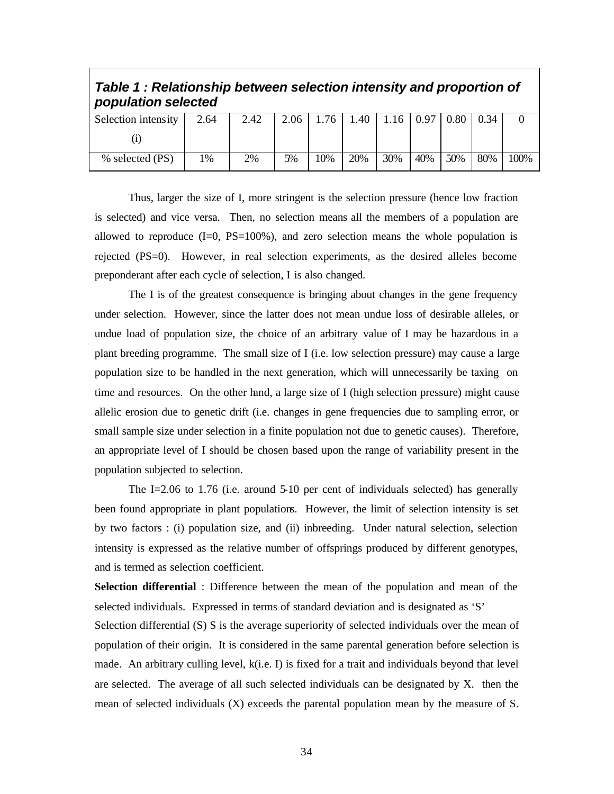| population selected |      |      |      |     |     |      |      |      |      |      |
|---------------------|------|------|------|-----|-----|------|------|------|------|------|
| Selection intensity | 2.64 | 2.42 | 2.06 | 76  | .40 | 1.16 | 0.97 | 0.80 | 0.34 |      |
|                     |      |      |      |     |     |      |      |      |      |      |
| % selected (PS)     | 1%   | 2%   | 5%   | 10% | 20% | 30%  | 40%  | 50%  | 80%  | 100% |

# *Table 1 : Relationship between selection intensity and proportion of*

Thus, larger the size of I, more stringent is the selection pressure (hence low fraction is selected) and vice versa. Then, no selection means all the members of a population are allowed to reproduce  $(I=0, PS=100\%)$ , and zero selection means the whole population is rejected (PS=0). However, in real selection experiments, as the desired alleles become preponderant after each cycle of selection, I is also changed.

The I is of the greatest consequence is bringing about changes in the gene frequency under selection. However, since the latter does not mean undue loss of desirable alleles, or undue load of population size, the choice of an arbitrary value of I may be hazardous in a plant breeding programme. The small size of I (i.e. low selection pressure) may cause a large population size to be handled in the next generation, which will unnecessarily be taxing on time and resources. On the other hand, a large size of I (high selection pressure) might cause allelic erosion due to genetic drift (i.e. changes in gene frequencies due to sampling error, or small sample size under selection in a finite population not due to genetic causes). Therefore, an appropriate level of I should be chosen based upon the range of variability present in the population subjected to selection.

The I=2.06 to 1.76 (i.e. around 5-10 per cent of individuals selected) has generally been found appropriate in plant populations. However, the limit of selection intensity is set by two factors : (i) population size, and (ii) inbreeding. Under natural selection, selection intensity is expressed as the relative number of offsprings produced by different genotypes, and is termed as selection coefficient.

**Selection differential** : Difference between the mean of the population and mean of the selected individuals. Expressed in terms of standard deviation and is designated as 'S'

Selection differential (S) S is the average superiority of selected individuals over the mean of population of their origin. It is considered in the same parental generation before selection is made. An arbitrary culling level, k(i.e. I) is fixed for a trait and individuals beyond that level are selected. The average of all such selected individuals can be designated by X. then the mean of selected individuals (X) exceeds the parental population mean by the measure of S.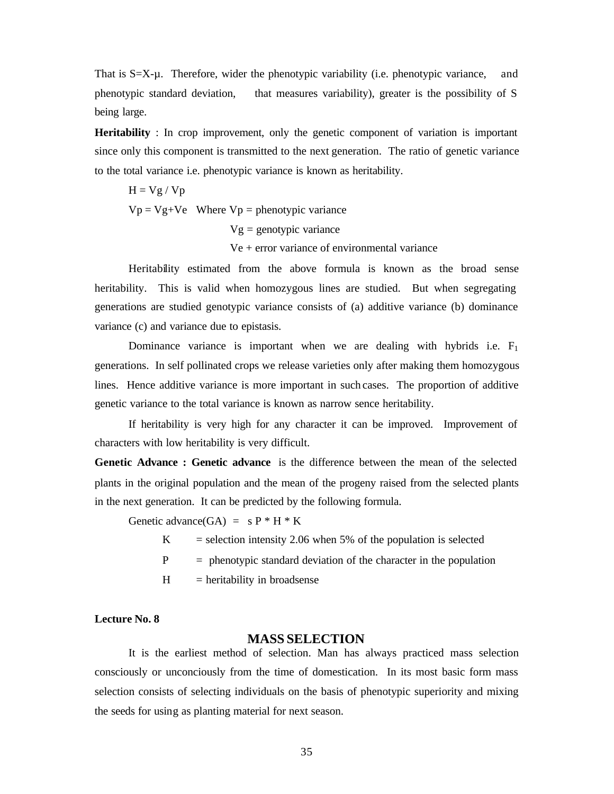That is  $S=X-u$ . Therefore, wider the phenotypic variability (i.e. phenotypic variance, and phenotypic standard deviation, that measures variability), greater is the possibility of S being large.

**Heritability** : In crop improvement, only the genetic component of variation is important since only this component is transmitted to the next generation. The ratio of genetic variance to the total variance i.e. phenotypic variance is known as heritability.

$$
H = Vg / Vp
$$
  
 
$$
Vp = Vg + Ve
$$
 Where  $Vp$  = phenotypic variance  
 
$$
Vg = genotypic variance
$$
  
 
$$
Ve + error variance of environmental variance
$$

Heritability estimated from the above formula is known as the broad sense heritability. This is valid when homozygous lines are studied. But when segregating generations are studied genotypic variance consists of (a) additive variance (b) dominance variance (c) and variance due to epistasis.

Dominance variance is important when we are dealing with hybrids i.e.  $F_1$ generations. In self pollinated crops we release varieties only after making them homozygous lines. Hence additive variance is more important in such cases. The proportion of additive genetic variance to the total variance is known as narrow sence heritability.

If heritability is very high for any character it can be improved. Improvement of characters with low heritability is very difficult.

**Genetic Advance : Genetic advance** is the difference between the mean of the selected plants in the original population and the mean of the progeny raised from the selected plants in the next generation. It can be predicted by the following formula.

Genetic advance(GA) =  $s P * H * K$ 

 $K =$  selection intensity 2.06 when 5% of the population is selected

 $P =$  phenotypic standard deviation of the character in the population

 $H = heritability in broad sense$ 

## **Lecture No. 8**

# **MASS SELECTION**

It is the earliest method of selection. Man has always practiced mass selection consciously or unconciously from the time of domestication. In its most basic form mass selection consists of selecting individuals on the basis of phenotypic superiority and mixing the seeds for using as planting material for next season.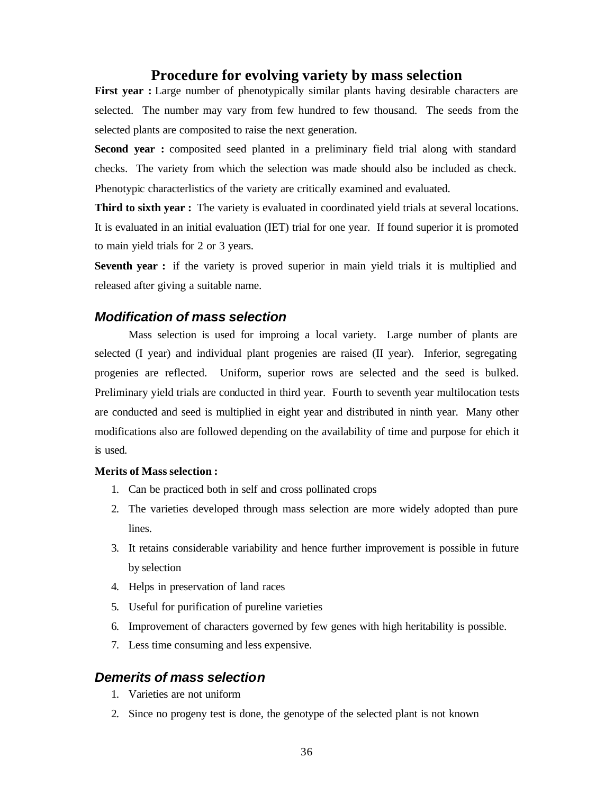# **Procedure for evolving variety by mass selection**

**First year :** Large number of phenotypically similar plants having desirable characters are selected. The number may vary from few hundred to few thousand. The seeds from the selected plants are composited to raise the next generation.

**Second year :** composited seed planted in a preliminary field trial along with standard checks. The variety from which the selection was made should also be included as check. Phenotypic characterlistics of the variety are critically examined and evaluated.

**Third to sixth year :** The variety is evaluated in coordinated yield trials at several locations. It is evaluated in an initial evaluation (IET) trial for one year. If found superior it is promoted to main yield trials for 2 or 3 years.

**Seventh year :** if the variety is proved superior in main yield trials it is multiplied and released after giving a suitable name.

# *Modification of mass selection*

Mass selection is used for improing a local variety. Large number of plants are selected (I year) and individual plant progenies are raised (II year). Inferior, segregating progenies are reflected. Uniform, superior rows are selected and the seed is bulked. Preliminary yield trials are conducted in third year. Fourth to seventh year multilocation tests are conducted and seed is multiplied in eight year and distributed in ninth year. Many other modifications also are followed depending on the availability of time and purpose for ehich it is used.

#### **Merits of Mass selection :**

- 1. Can be practiced both in self and cross pollinated crops
- 2. The varieties developed through mass selection are more widely adopted than pure lines.
- 3. It retains considerable variability and hence further improvement is possible in future by selection
- 4. Helps in preservation of land races
- 5. Useful for purification of pureline varieties
- 6. Improvement of characters governed by few genes with high heritability is possible.
- 7. Less time consuming and less expensive.

# *Demerits of mass selection*

- 1. Varieties are not uniform
- 2. Since no progeny test is done, the genotype of the selected plant is not known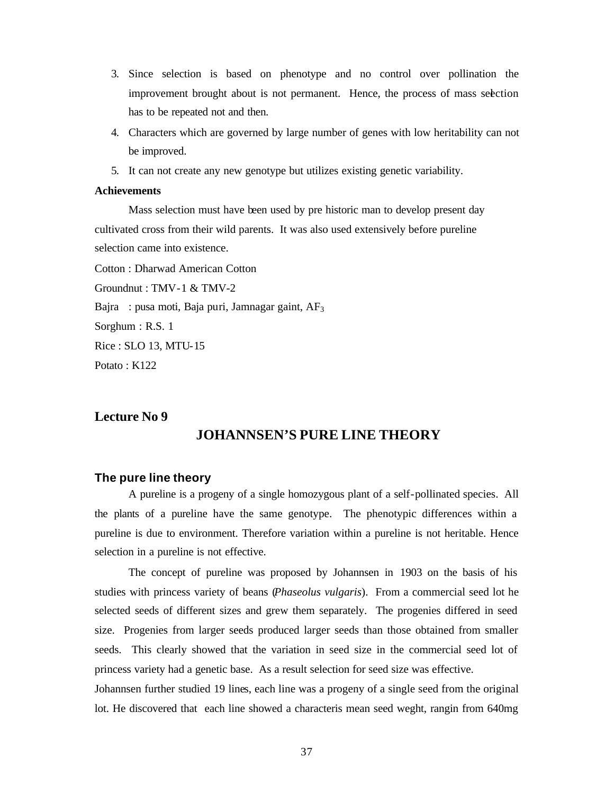- 3. Since selection is based on phenotype and no control over pollination the improvement brought about is not permanent. Hence, the process of mass selection has to be repeated not and then.
- 4. Characters which are governed by large number of genes with low heritability can not be improved.
- 5. It can not create any new genotype but utilizes existing genetic variability.

## **Achievements**

Mass selection must have been used by pre historic man to develop present day cultivated cross from their wild parents. It was also used extensively before pureline selection came into existence.

Cotton : Dharwad American Cotton

Groundnut : TMV-1 & TMV-2

Bajra : pusa moti, Baja puri, Jamnagar gaint, AF<sub>3</sub>

Sorghum : R.S. 1

Rice : SLO 13, MTU-15

Potato : K122

# **Lecture No 9**

# **JOHANNSEN'S PURE LINE THEORY**

# **The pure line theory**

A pureline is a progeny of a single homozygous plant of a self-pollinated species. All the plants of a pureline have the same genotype. The phenotypic differences within a pureline is due to environment. Therefore variation within a pureline is not heritable. Hence selection in a pureline is not effective.

The concept of pureline was proposed by Johannsen in 1903 on the basis of his studies with princess variety of beans (*Phaseolus vulgaris*). From a commercial seed lot he selected seeds of different sizes and grew them separately. The progenies differed in seed size. Progenies from larger seeds produced larger seeds than those obtained from smaller seeds. This clearly showed that the variation in seed size in the commercial seed lot of princess variety had a genetic base. As a result selection for seed size was effective.

Johannsen further studied 19 lines, each line was a progeny of a single seed from the original lot. He discovered that each line showed a characteris mean seed weght, rangin from 640mg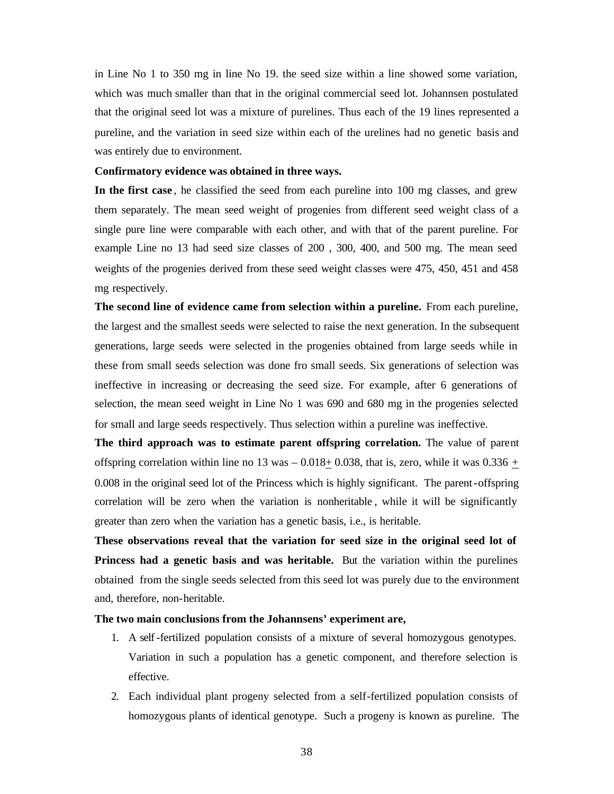in Line No 1 to 350 mg in line No 19. the seed size within a line showed some variation, which was much smaller than that in the original commercial seed lot. Johannsen postulated that the original seed lot was a mixture of purelines. Thus each of the 19 lines represented a pureline, and the variation in seed size within each of the urelines had no genetic basis and was entirely due to environment.

## **Confirmatory evidence was obtained in three ways.**

**In the first case** , he classified the seed from each pureline into 100 mg classes, and grew them separately. The mean seed weight of progenies from different seed weight class of a single pure line were comparable with each other, and with that of the parent pureline. For example Line no 13 had seed size classes of 200 , 300, 400, and 500 mg. The mean seed weights of the progenies derived from these seed weight classes were 475, 450, 451 and 458 mg respectively.

**The second line of evidence came from selection within a pureline.** From each pureline, the largest and the smallest seeds were selected to raise the next generation. In the subsequent generations, large seeds were selected in the progenies obtained from large seeds while in these from small seeds selection was done fro small seeds. Six generations of selection was ineffective in increasing or decreasing the seed size. For example, after 6 generations of selection, the mean seed weight in Line No 1 was 690 and 680 mg in the progenies selected for small and large seeds respectively. Thus selection within a pureline was ineffective.

**The third approach was to estimate parent offspring correlation.** The value of parent offspring correlation within line no 13 was – 0.018 $\pm$  0.038, that is, zero, while it was 0.336  $\pm$ 0.008 in the original seed lot of the Princess which is highly significant. The parent-offspring correlation will be zero when the variation is nonheritable , while it will be significantly greater than zero when the variation has a genetic basis, i.e., is heritable.

**These observations reveal that the variation for seed size in the original seed lot of Princess had a genetic basis and was heritable.** But the variation within the purelines obtained from the single seeds selected from this seed lot was purely due to the environment and, therefore, non-heritable.

## **The two main conclusions from the Johannsens' experiment are,**

- 1. A self-fertilized population consists of a mixture of several homozygous genotypes. Variation in such a population has a genetic component, and therefore selection is effective.
- 2. Each individual plant progeny selected from a self-fertilized population consists of homozygous plants of identical genotype. Such a progeny is known as pureline. The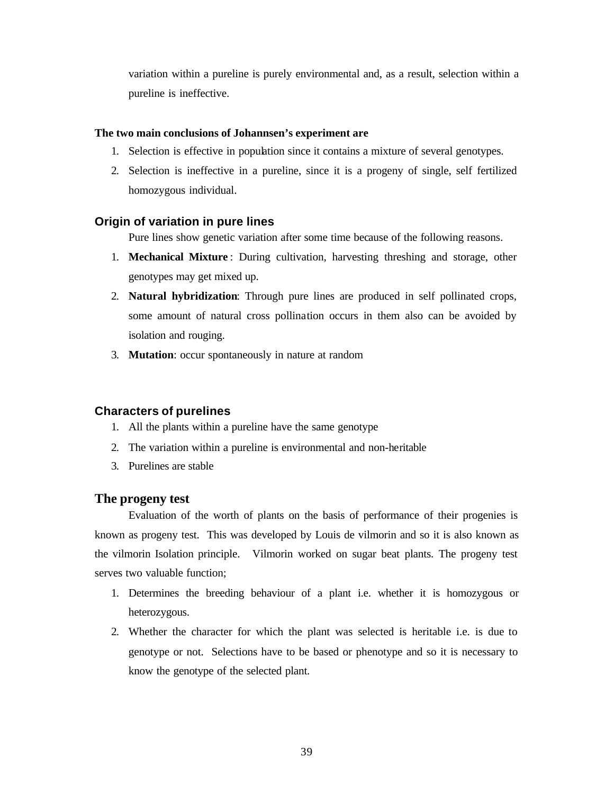variation within a pureline is purely environmental and, as a result, selection within a pureline is ineffective.

## **The two main conclusions of Johannsen's experiment are**

- 1. Selection is effective in population since it contains a mixture of several genotypes.
- 2. Selection is ineffective in a pureline, since it is a progeny of single, self fertilized homozygous individual.

# **Origin of variation in pure lines**

Pure lines show genetic variation after some time because of the following reasons.

- 1. **Mechanical Mixture** : During cultivation, harvesting threshing and storage, other genotypes may get mixed up.
- 2. **Natural hybridization**: Through pure lines are produced in self pollinated crops, some amount of natural cross pollination occurs in them also can be avoided by isolation and rouging.
- 3. **Mutation**: occur spontaneously in nature at random

# **Characters of purelines**

- 1. All the plants within a pureline have the same genotype
- 2. The variation within a pureline is environmental and non-heritable
- 3. Purelines are stable

# **The progeny test**

Evaluation of the worth of plants on the basis of performance of their progenies is known as progeny test. This was developed by Louis de vilmorin and so it is also known as the vilmorin Isolation principle. Vilmorin worked on sugar beat plants. The progeny test serves two valuable function;

- 1. Determines the breeding behaviour of a plant i.e. whether it is homozygous or heterozygous.
- 2. Whether the character for which the plant was selected is heritable i.e. is due to genotype or not. Selections have to be based or phenotype and so it is necessary to know the genotype of the selected plant.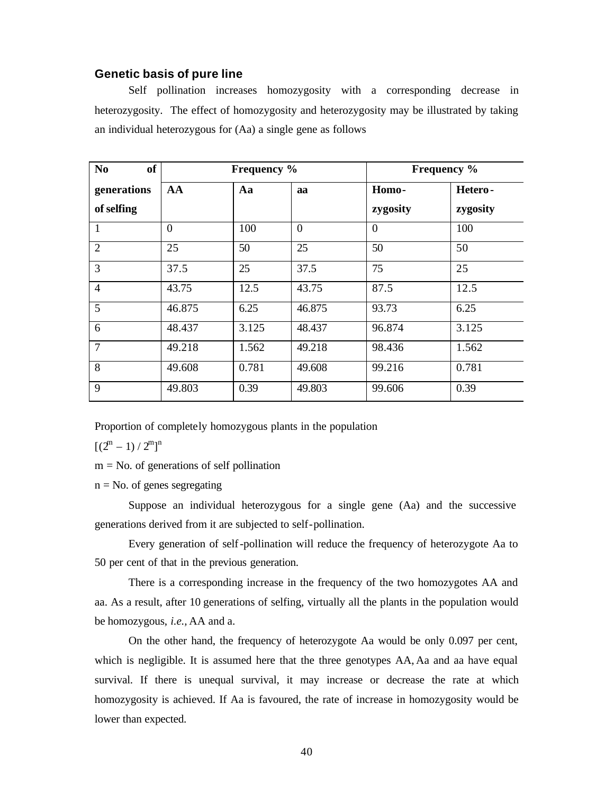## **Genetic basis of pure line**

Self pollination increases homozygosity with a corresponding decrease in heterozygosity. The effect of homozygosity and heterozygosity may be illustrated by taking an individual heterozygous for (Aa) a single gene as follows

| <b>of</b><br>N <sub>0</sub> |          | Frequency % |                | <b>Frequency</b> % |          |  |  |
|-----------------------------|----------|-------------|----------------|--------------------|----------|--|--|
| generations                 | AA       | Aa<br>aa    |                | Homo-              | Hetero-  |  |  |
| of selfing                  |          |             |                | zygosity           | zygosity |  |  |
|                             | $\theta$ | 100         | $\overline{0}$ | $\theta$           | 100      |  |  |
| $\overline{2}$              | 25       | 50          | 25             | 50                 | 50       |  |  |
| 3                           | 37.5     | 25          | 37.5           | 75                 | 25       |  |  |
| $\overline{4}$              | 43.75    | 12.5        | 43.75          | 87.5               | 12.5     |  |  |
| 5                           | 46.875   | 6.25        | 46.875         | 93.73              | 6.25     |  |  |
| 6                           | 48.437   | 3.125       | 48.437         | 96.874             | 3.125    |  |  |
| 7                           | 49.218   | 1.562       | 49.218         | 98.436             | 1.562    |  |  |
| 8                           | 49.608   | 0.781       | 49.608         | 99.216             | 0.781    |  |  |
| 9                           | 49.803   | 0.39        | 49.803         | 99.606             | 0.39     |  |  |

Proportion of completely homozygous plants in the population

 $[(2^m - 1)/2^m]^n$ 

- $m = No$ . of generations of self pollination
- $n = No$ . of genes segregating

Suppose an individual heterozygous for a single gene (Aa) and the successive generations derived from it are subjected to self-pollination.

Every generation of self-pollination will reduce the frequency of heterozygote Aa to 50 per cent of that in the previous generation.

There is a corresponding increase in the frequency of the two homozygotes AA and aa. As a result, after 10 generations of selfing, virtually all the plants in the population would be homozygous, *i.e.,* AA and a.

On the other hand, the frequency of heterozygote Aa would be only 0.097 per cent, which is negligible. It is assumed here that the three genotypes AA, Aa and aa have equal survival. If there is unequal survival, it may increase or decrease the rate at which homozygosity is achieved. If Aa is favoured, the rate of increase in homozygosity would be lower than expected.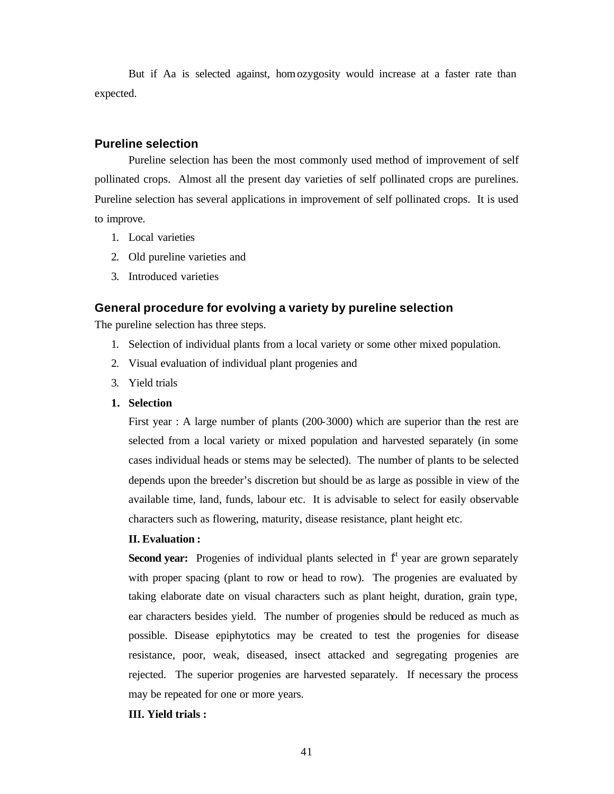But if Aa is selected against, homozygosity would increase at a faster rate than expected.

# **Pureline selection**

Pureline selection has been the most commonly used method of improvement of self pollinated crops. Almost all the present day varieties of self pollinated crops are purelines. Pureline selection has several applications in improvement of self pollinated crops. It is used to improve.

- 1. Local varieties
- 2. Old pureline varieties and
- 3. Introduced varieties

# **General procedure for evolving a variety by pureline selection**

The pureline selection has three steps.

- 1. Selection of individual plants from a local variety or some other mixed population.
- 2. Visual evaluation of individual plant progenies and
- 3. Yield trials
- **1. Selection**

First year : A large number of plants (200-3000) which are superior than the rest are selected from a local variety or mixed population and harvested separately (in some cases individual heads or stems may be selected). The number of plants to be selected depends upon the breeder's discretion but should be as large as possible in view of the available time, land, funds, labour etc. It is advisable to select for easily observable characters such as flowering, maturity, disease resistance, plant height etc.

### **II. Evaluation :**

**Second year:** Progenies of individual plants selected in  $f^{\dagger}$  year are grown separately with proper spacing (plant to row or head to row). The progenies are evaluated by taking elaborate date on visual characters such as plant height, duration, grain type, ear characters besides yield. The number of progenies should be reduced as much as possible. Disease epiphytotics may be created to test the progenies for disease resistance, poor, weak, diseased, insect attacked and segregating progenies are rejected. The superior progenies are harvested separately. If necessary the process may be repeated for one or more years.

## **III. Yield trials :**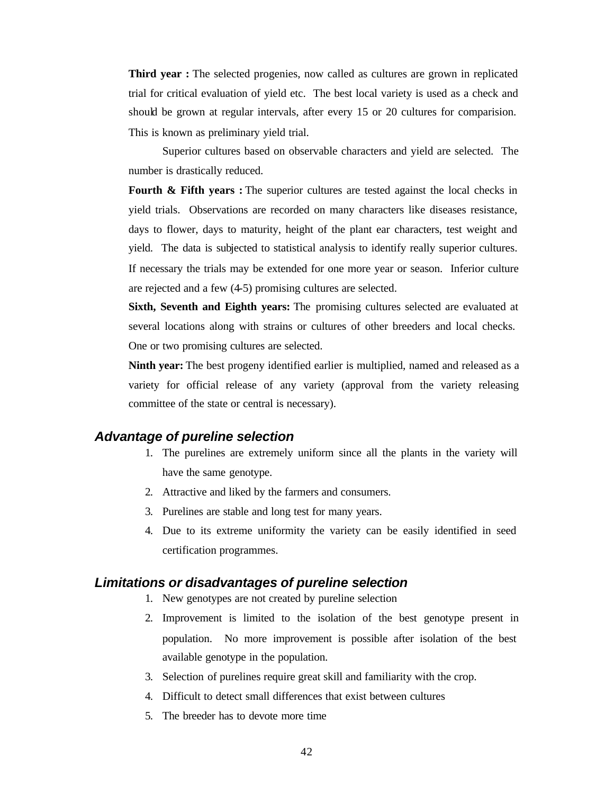**Third year :** The selected progenies, now called as cultures are grown in replicated trial for critical evaluation of yield etc. The best local variety is used as a check and should be grown at regular intervals, after every 15 or 20 cultures for comparision. This is known as preliminary yield trial.

Superior cultures based on observable characters and yield are selected. The number is drastically reduced.

**Fourth & Fifth years :** The superior cultures are tested against the local checks in yield trials. Observations are recorded on many characters like diseases resistance, days to flower, days to maturity, height of the plant ear characters, test weight and yield. The data is subjected to statistical analysis to identify really superior cultures. If necessary the trials may be extended for one more year or season. Inferior culture are rejected and a few (4-5) promising cultures are selected.

**Sixth, Seventh and Eighth years:** The promising cultures selected are evaluated at several locations along with strains or cultures of other breeders and local checks. One or two promising cultures are selected.

**Ninth year:** The best progeny identified earlier is multiplied, named and released as a variety for official release of any variety (approval from the variety releasing committee of the state or central is necessary).

# *Advantage of pureline selection*

- 1. The purelines are extremely uniform since all the plants in the variety will have the same genotype.
- 2. Attractive and liked by the farmers and consumers.
- 3. Purelines are stable and long test for many years.
- 4. Due to its extreme uniformity the variety can be easily identified in seed certification programmes.

# *Limitations or disadvantages of pureline selection*

- 1. New genotypes are not created by pureline selection
- 2. Improvement is limited to the isolation of the best genotype present in population. No more improvement is possible after isolation of the best available genotype in the population.
- 3. Selection of purelines require great skill and familiarity with the crop.
- 4. Difficult to detect small differences that exist between cultures
- 5. The breeder has to devote more time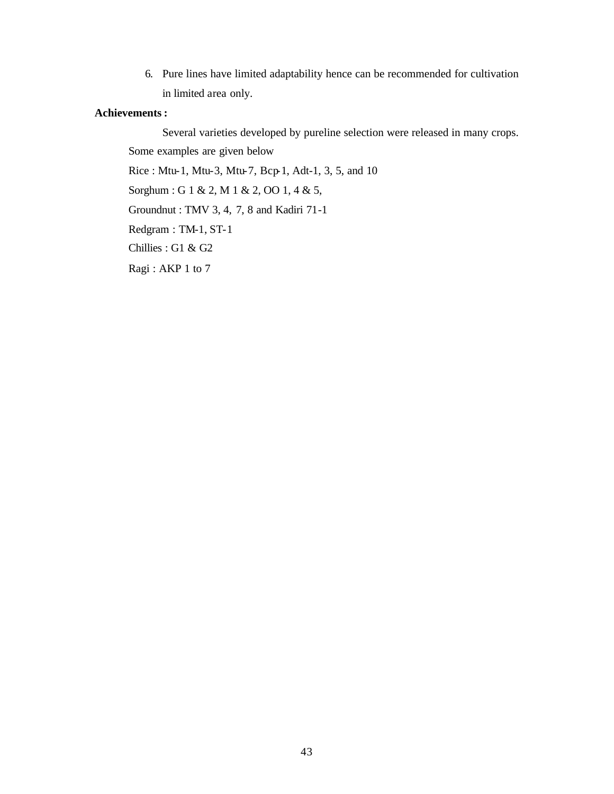6. Pure lines have limited adaptability hence can be recommended for cultivation in limited area only.

# **Achievements :**

Several varieties developed by pureline selection were released in many crops. Some examples are given below Rice : Mtu-1, Mtu-3, Mtu-7, Bcp-1, Adt-1, 3, 5, and 10 Sorghum : G 1 & 2, M 1 & 2, OO 1, 4 & 5, Groundnut : TMV 3, 4, 7, 8 and Kadiri 71-1 Redgram : TM-1, ST-1 Chillies : G1 & G2 Ragi : AKP 1 to 7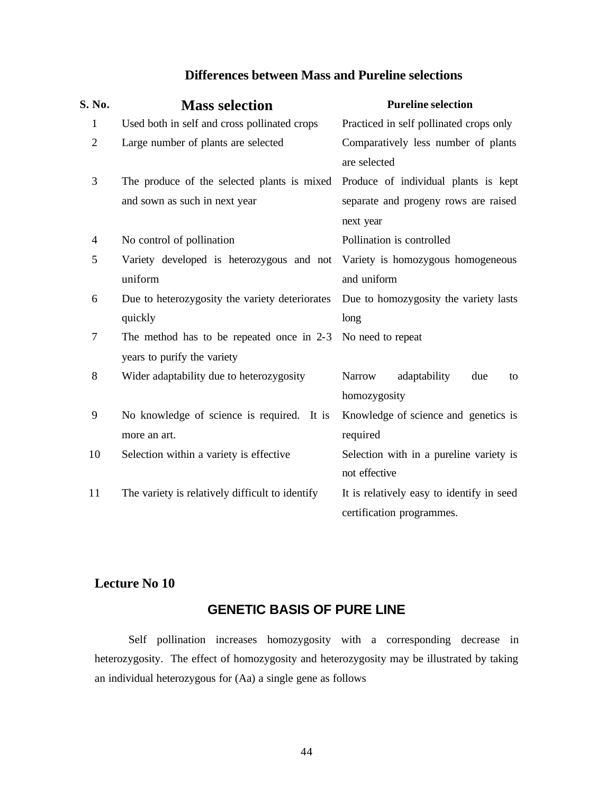# **Differences between Mass and Pureline selections**

| S. No.                   | <b>Mass selection</b>                           | <b>Pureline selection</b>                  |  |  |  |  |  |
|--------------------------|-------------------------------------------------|--------------------------------------------|--|--|--|--|--|
| $\mathbf{1}$             | Used both in self and cross pollinated crops    | Practiced in self pollinated crops only    |  |  |  |  |  |
| $\overline{2}$           | Large number of plants are selected             | Comparatively less number of plants        |  |  |  |  |  |
|                          |                                                 | are selected                               |  |  |  |  |  |
| 3                        | The produce of the selected plants is mixed     | Produce of individual plants is kept       |  |  |  |  |  |
|                          | and sown as such in next year                   | separate and progeny rows are raised       |  |  |  |  |  |
|                          |                                                 | next year                                  |  |  |  |  |  |
| $\overline{\mathcal{A}}$ | No control of pollination                       | Pollination is controlled                  |  |  |  |  |  |
| 5                        | Variety developed is heterozygous and not       | Variety is homozygous homogeneous          |  |  |  |  |  |
|                          | uniform                                         | and uniform                                |  |  |  |  |  |
| 6                        | Due to heterozygosity the variety deteriorates  | Due to homozygosity the variety lasts      |  |  |  |  |  |
|                          | quickly                                         | long                                       |  |  |  |  |  |
| 7                        | The method has to be repeated once in 2-3       | No need to repeat                          |  |  |  |  |  |
|                          | years to purify the variety                     |                                            |  |  |  |  |  |
| 8                        | Wider adaptability due to heterozygosity        | adaptability<br><b>Narrow</b><br>due<br>to |  |  |  |  |  |
|                          |                                                 | homozygosity                               |  |  |  |  |  |
| 9                        | No knowledge of science is required. It is      | Knowledge of science and genetics is       |  |  |  |  |  |
|                          | more an art.                                    | required                                   |  |  |  |  |  |
| 10                       | Selection within a variety is effective         | Selection with in a pureline variety is    |  |  |  |  |  |
|                          |                                                 | not effective                              |  |  |  |  |  |
| 11                       | The variety is relatively difficult to identify | It is relatively easy to identify in seed  |  |  |  |  |  |
|                          |                                                 | certification programmes.                  |  |  |  |  |  |

# **Lecture No 10**

# **GENETIC BASIS OF PURE LINE**

Self pollination increases homozygosity with a corresponding decrease in heterozygosity. The effect of homozygosity and heterozygosity may be illustrated by taking an individual heterozygous for (Aa) a single gene as follows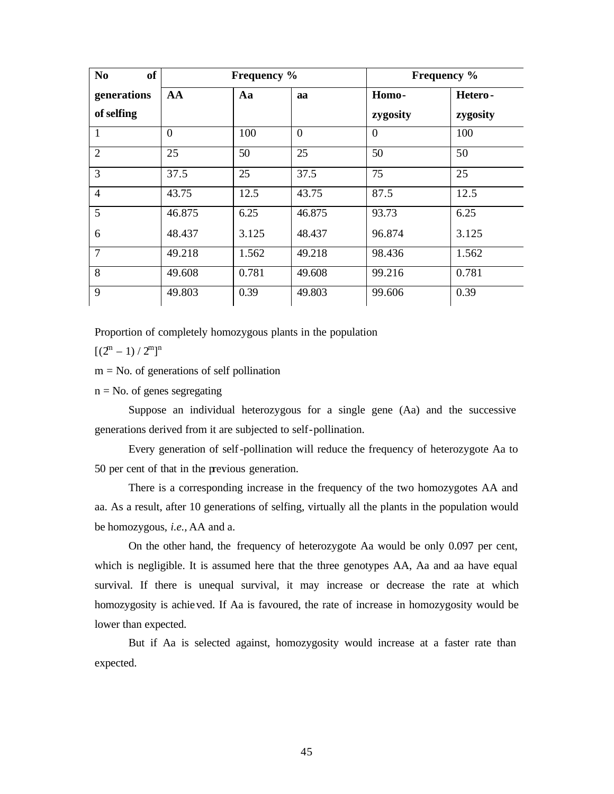| <b>of</b><br>N <sub>0</sub> |                | <b>Frequency</b> % |          |          | <b>Frequency</b> % |
|-----------------------------|----------------|--------------------|----------|----------|--------------------|
| generations                 | AA             | Aa                 |          | Homo-    | Hetero-            |
| of selfing                  |                |                    |          | zygosity | zygosity           |
| 1                           | $\theta$       | 100                | $\theta$ | $\Omega$ | 100                |
| $\overline{2}$              | 25<br>50<br>25 |                    | 50       | 50       |                    |
| 3                           | 37.5           | 25                 | 37.5     | 75       | 25                 |
| $\overline{4}$              | 43.75          | 12.5               | 43.75    | 87.5     | 12.5               |
| 5                           | 46.875         | 6.25               | 46.875   | 93.73    | 6.25               |
| 6                           | 48.437         | 3.125              | 48.437   | 96.874   | 3.125              |
| 7                           | 49.218         | 1.562              | 49.218   | 98.436   | 1.562              |
| 8                           | 49.608         | 0.781              | 49.608   | 99.216   | 0.781              |
| 9                           | 49.803         |                    | 49.803   | 99.606   |                    |

Proportion of completely homozygous plants in the population

 $[(2^m - 1)/2^m]^n$ 

 $m = No$ . of generations of self pollination

 $n = No$ . of genes segregating

Suppose an individual heterozygous for a single gene (Aa) and the successive generations derived from it are subjected to self-pollination.

Every generation of self-pollination will reduce the frequency of heterozygote Aa to 50 per cent of that in the previous generation.

There is a corresponding increase in the frequency of the two homozygotes AA and aa. As a result, after 10 generations of selfing, virtually all the plants in the population would be homozygous, *i.e.,* AA and a.

On the other hand, the frequency of heterozygote Aa would be only 0.097 per cent, which is negligible. It is assumed here that the three genotypes AA, Aa and aa have equal survival. If there is unequal survival, it may increase or decrease the rate at which homozygosity is achieved. If Aa is favoured, the rate of increase in homozygosity would be lower than expected.

But if Aa is selected against, homozygosity would increase at a faster rate than expected.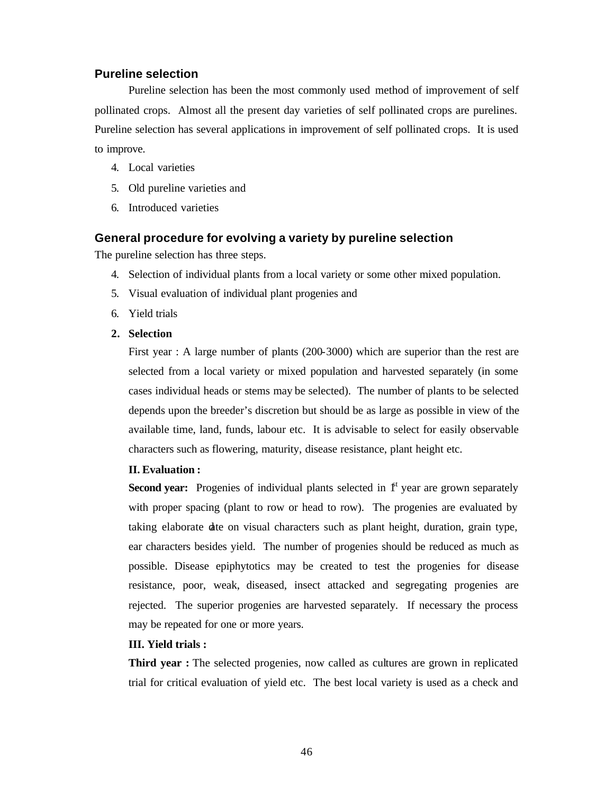# **Pureline selection**

Pureline selection has been the most commonly used method of improvement of self pollinated crops. Almost all the present day varieties of self pollinated crops are purelines. Pureline selection has several applications in improvement of self pollinated crops. It is used to improve.

- 4. Local varieties
- 5. Old pureline varieties and
- 6. Introduced varieties

# **General procedure for evolving a variety by pureline selection**

The pureline selection has three steps.

- 4. Selection of individual plants from a local variety or some other mixed population.
- 5. Visual evaluation of individual plant progenies and
- 6. Yield trials
- **2. Selection**

First year : A large number of plants (200-3000) which are superior than the rest are selected from a local variety or mixed population and harvested separately (in some cases individual heads or stems may be selected). The number of plants to be selected depends upon the breeder's discretion but should be as large as possible in view of the available time, land, funds, labour etc. It is advisable to select for easily observable characters such as flowering, maturity, disease resistance, plant height etc.

# **II. Evaluation :**

**Second year:** Progenies of individual plants selected in  $f^{\text{t}}$  year are grown separately with proper spacing (plant to row or head to row). The progenies are evaluated by taking elaborate date on visual characters such as plant height, duration, grain type, ear characters besides yield. The number of progenies should be reduced as much as possible. Disease epiphytotics may be created to test the progenies for disease resistance, poor, weak, diseased, insect attacked and segregating progenies are rejected. The superior progenies are harvested separately. If necessary the process may be repeated for one or more years.

# **III. Yield trials :**

**Third year :** The selected progenies, now called as cultures are grown in replicated trial for critical evaluation of yield etc. The best local variety is used as a check and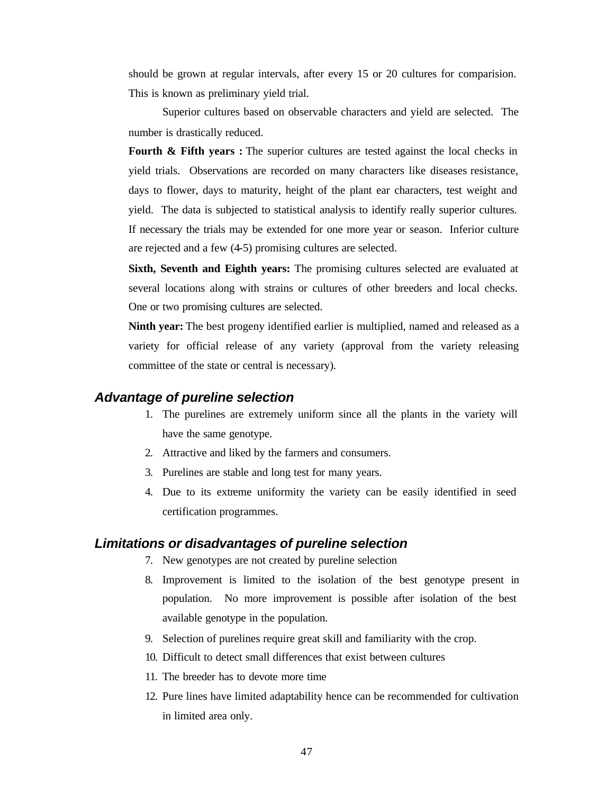should be grown at regular intervals, after every 15 or 20 cultures for comparision. This is known as preliminary yield trial.

Superior cultures based on observable characters and yield are selected. The number is drastically reduced.

**Fourth & Fifth years :** The superior cultures are tested against the local checks in yield trials. Observations are recorded on many characters like diseases resistance, days to flower, days to maturity, height of the plant ear characters, test weight and yield. The data is subjected to statistical analysis to identify really superior cultures. If necessary the trials may be extended for one more year or season. Inferior culture are rejected and a few (4-5) promising cultures are selected.

**Sixth, Seventh and Eighth years:** The promising cultures selected are evaluated at several locations along with strains or cultures of other breeders and local checks. One or two promising cultures are selected.

**Ninth year:** The best progeny identified earlier is multiplied, named and released as a variety for official release of any variety (approval from the variety releasing committee of the state or central is necessary).

# *Advantage of pureline selection*

- 1. The purelines are extremely uniform since all the plants in the variety will have the same genotype.
- 2. Attractive and liked by the farmers and consumers.
- 3. Purelines are stable and long test for many years.
- 4. Due to its extreme uniformity the variety can be easily identified in seed certification programmes.

# *Limitations or disadvantages of pureline selection*

- 7. New genotypes are not created by pureline selection
- 8. Improvement is limited to the isolation of the best genotype present in population. No more improvement is possible after isolation of the best available genotype in the population.
- 9. Selection of purelines require great skill and familiarity with the crop.
- 10. Difficult to detect small differences that exist between cultures
- 11. The breeder has to devote more time
- 12. Pure lines have limited adaptability hence can be recommended for cultivation in limited area only.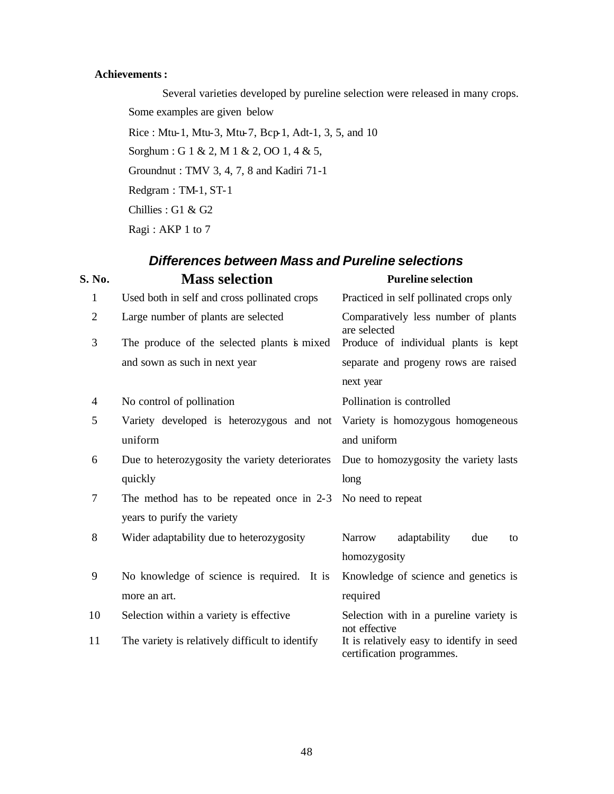# **Achievements :**

Several varieties developed by pureline selection were released in many crops. Some examples are given below

 $Rice$ : Mtu-1, Mtu-3, Mtu-7, Bcp-1, Adt-1, 3, 5, and 10 Sorghum : G 1 & 2, M 1 & 2, OO 1, 4 & 5,

Groundnut : TMV 3, 4, 7, 8 and Kadiri 71-1

Redgram : TM-1, ST-1

Chillies : G1 & G2

Ragi : AKP 1 to 7

# *Differences between Mass and Pureline selections*

| S. No.                   | <b>Mass selection</b>                           | <b>Pureline selection</b>                                                                      |  |  |  |  |
|--------------------------|-------------------------------------------------|------------------------------------------------------------------------------------------------|--|--|--|--|
| $\mathbf{1}$             | Used both in self and cross pollinated crops    | Practiced in self pollinated crops only                                                        |  |  |  |  |
| $\overline{2}$           | Large number of plants are selected             | Comparatively less number of plants<br>are selected                                            |  |  |  |  |
| 3                        | The produce of the selected plants is mixed     |                                                                                                |  |  |  |  |
|                          | and sown as such in next year                   | separate and progeny rows are raised                                                           |  |  |  |  |
|                          |                                                 | next year                                                                                      |  |  |  |  |
| $\overline{\mathcal{A}}$ | No control of pollination                       | Produce of individual plants is kept<br>Pollination is controlled<br>adaptability<br>due<br>to |  |  |  |  |
| 5                        | Variety developed is heterozygous and not       | Variety is homozygous homogeneous                                                              |  |  |  |  |
|                          | uniform                                         | and uniform                                                                                    |  |  |  |  |
| 6                        | Due to heterozygosity the variety deteriorates  | Due to homozygosity the variety lasts                                                          |  |  |  |  |
|                          | quickly                                         | long                                                                                           |  |  |  |  |
| 7                        | The method has to be repeated once in 2-3       | No need to repeat                                                                              |  |  |  |  |
|                          | years to purify the variety                     |                                                                                                |  |  |  |  |
| 8                        | Wider adaptability due to heterozygosity        | <b>Narrow</b>                                                                                  |  |  |  |  |
|                          |                                                 | homozygosity                                                                                   |  |  |  |  |
| 9                        | No knowledge of science is required. It is      | Knowledge of science and genetics is                                                           |  |  |  |  |
|                          | more an art.                                    | required                                                                                       |  |  |  |  |
| 10                       | Selection within a variety is effective         | Selection with in a pureline variety is<br>not effective                                       |  |  |  |  |
| 11                       | The variety is relatively difficult to identify | It is relatively easy to identify in seed<br>certification programmes.                         |  |  |  |  |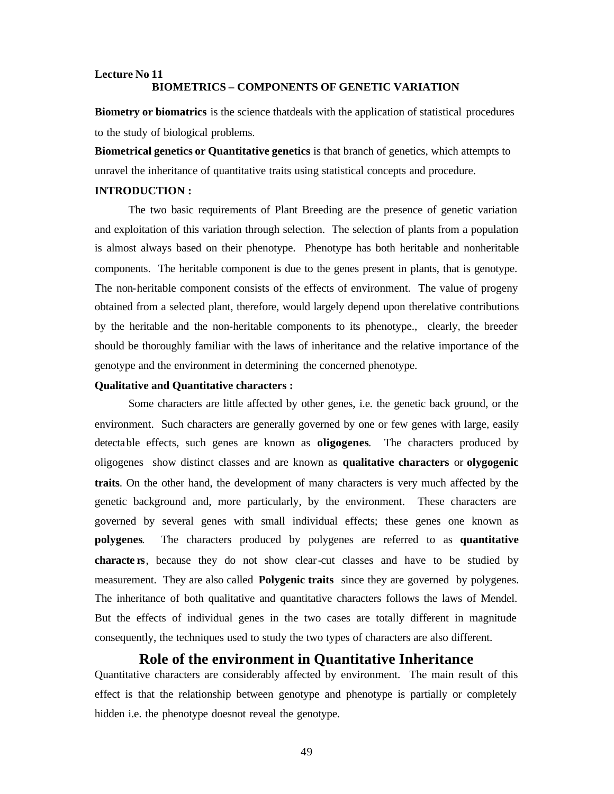## **Lecture No 11 BIOMETRICS – COMPONENTS OF GENETIC VARIATION**

**Biometry or biomatrics** is the science thatdeals with the application of statistical procedures to the study of biological problems.

**Biometrical genetics or Quantitative genetics** is that branch of genetics, which attempts to unravel the inheritance of quantitative traits using statistical concepts and procedure.

## **INTRODUCTION :**

The two basic requirements of Plant Breeding are the presence of genetic variation and exploitation of this variation through selection. The selection of plants from a population is almost always based on their phenotype. Phenotype has both heritable and nonheritable components. The heritable component is due to the genes present in plants, that is genotype. The non-heritable component consists of the effects of environment. The value of progeny obtained from a selected plant, therefore, would largely depend upon therelative contributions by the heritable and the non-heritable components to its phenotype., clearly, the breeder should be thoroughly familiar with the laws of inheritance and the relative importance of the genotype and the environment in determining the concerned phenotype.

#### **Qualitative and Quantitative characters :**

Some characters are little affected by other genes, i.e. the genetic back ground, or the environment. Such characters are generally governed by one or few genes with large, easily detectable effects, such genes are known as **oligogenes**. The characters produced by oligogenes show distinct classes and are known as **qualitative characters** or **olygogenic traits**. On the other hand, the development of many characters is very much affected by the genetic background and, more particularly, by the environment. These characters are governed by several genes with small individual effects; these genes one known as **polygenes**. The characters produced by polygenes are referred to as **quantitative characte rs**, because they do not show clear-cut classes and have to be studied by measurement. They are also called **Polygenic traits** since they are governed by polygenes. The inheritance of both qualitative and quantitative characters follows the laws of Mendel. But the effects of individual genes in the two cases are totally different in magnitude consequently, the techniques used to study the two types of characters are also different.

# **Role of the environment in Quantitative Inheritance**

Quantitative characters are considerably affected by environment. The main result of this effect is that the relationship between genotype and phenotype is partially or completely hidden i.e. the phenotype doesnot reveal the genotype.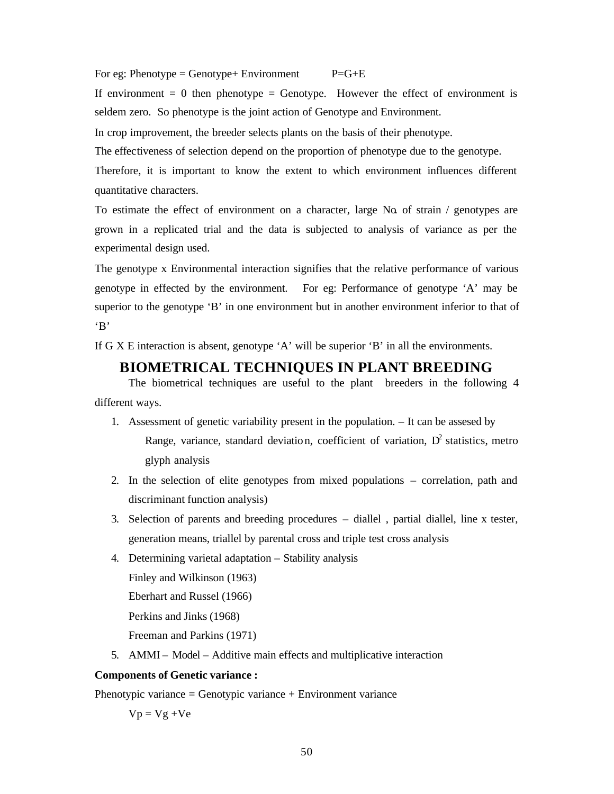For eg: Phenotype = Genotype + Environment  $P=G+E$ 

If environment  $= 0$  then phenotype  $=$  Genotype. However the effect of environment is seldem zero. So phenotype is the joint action of Genotype and Environment.

In crop improvement, the breeder selects plants on the basis of their phenotype.

The effectiveness of selection depend on the proportion of phenotype due to the genotype.

Therefore, it is important to know the extent to which environment influences different quantitative characters.

To estimate the effect of environment on a character, large No. of strain  $/$  genotypes are grown in a replicated trial and the data is subjected to analysis of variance as per the experimental design used.

The genotype x Environmental interaction signifies that the relative performance of various genotype in effected by the environment. For eg: Performance of genotype 'A' may be superior to the genotype 'B' in one environment but in another environment inferior to that of 'B'

If G X E interaction is absent, genotype 'A' will be superior 'B' in all the environments.

# **BIOMETRICAL TECHNIQUES IN PLANT BREEDING**

The biometrical techniques are useful to the plant breeders in the following 4 different ways.

- 1. Assessment of genetic variability present in the population. It can be assesed by Range, variance, standard deviation, coefficient of variation,  $D^2$  statistics, metro glyph analysis
- 2. In the selection of elite genotypes from mixed populations correlation, path and discriminant function analysis)
- 3. Selection of parents and breeding procedures diallel , partial diallel, line x tester, generation means, triallel by parental cross and triple test cross analysis
- 4. Determining varietal adaptation Stability analysis Finley and Wilkinson (1963) Eberhart and Russel (1966) Perkins and Jinks (1968) Freeman and Parkins (1971)
- 5. AMMI Model Additive main effects and multiplicative interaction

## **Components of Genetic variance :**

Phenotypic variance = Genotypic variance + Environment variance

 $Vp = Vg + Ve$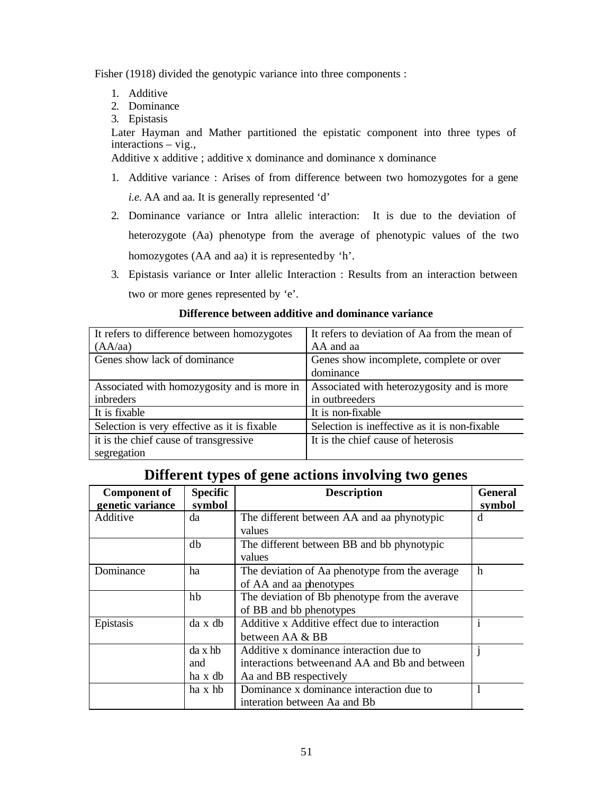Fisher (1918) divided the genotypic variance into three components :

- 1. Additive
- 2. Dominance
- 3. Epistasis

Later Hayman and Mather partitioned the epistatic component into three types of interactions – vig.,

Additive x additive ; additive x dominance and dominance x dominance

- 1. Additive variance : Arises of from difference between two homozygotes for a gene *i.e.* AA and aa. It is generally represented 'd'
- 2. Dominance variance or Intra allelic interaction: It is due to the deviation of heterozygote (Aa) phenotype from the average of phenotypic values of the two homozygotes (AA and aa) it is represented by 'h'.
- 3. Epistasis variance or Inter allelic Interaction : Results from an interaction between two or more genes represented by 'e'.

# **Difference between additive and dominance variance**

| It refers to difference between homozygotes  | It refers to deviation of Aa from the mean of |
|----------------------------------------------|-----------------------------------------------|
| (AA/aa)                                      | AA and aa                                     |
| Genes show lack of dominance                 | Genes show incomplete, complete or over       |
|                                              | dominance                                     |
| Associated with homozygosity and is more in  | Associated with heterozygosity and is more    |
| inbreders                                    | in outbreeders                                |
| It is fixable                                | It is non-fixable                             |
| Selection is very effective as it is fixable | Selection is ineffective as it is non-fixable |
| it is the chief cause of transgressive       | It is the chief cause of heterosis            |
| segregation                                  |                                               |

# **Different types of gene actions involving two genes**

| <b>Component of</b> | <b>Specific</b> | <b>Description</b>                             | <b>General</b> |
|---------------------|-----------------|------------------------------------------------|----------------|
| genetic variance    | symbol          |                                                | symbol         |
| Additive            | da              | The different between AA and aa phynotypic     | đ              |
|                     |                 | values                                         |                |
|                     | db              | The different between BB and bb phynotypic     |                |
|                     |                 | values                                         |                |
| Dominance           | ha              | The deviation of Aa phenotype from the average | h              |
|                     |                 | of AA and aa phenotypes                        |                |
|                     | hb              | The deviation of Bb phenotype from the averave |                |
|                     |                 | of BB and bb phenotypes                        |                |
| Epistasis           | da x db         | Additive x Additive effect due to interaction  | $\mathbf{1}$   |
|                     |                 | between AA & BB                                |                |
|                     | $da \times hb$  | Additive x dominance interaction due to        |                |
|                     | and             | interactions between and AA and Bb and between |                |
|                     | ha x db         | Aa and BB respectively                         |                |
|                     | ha x hb         | Dominance x dominance interaction due to       |                |
|                     |                 | interation between Aa and Bb                   |                |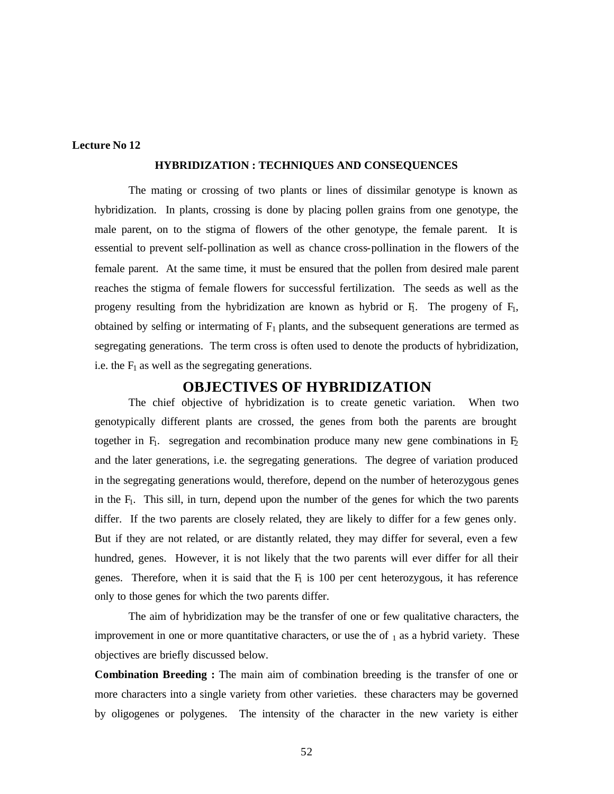## **Lecture No 12**

## **HYBRIDIZATION : TECHNIQUES AND CONSEQUENCES**

The mating or crossing of two plants or lines of dissimilar genotype is known as hybridization. In plants, crossing is done by placing pollen grains from one genotype, the male parent, on to the stigma of flowers of the other genotype, the female parent. It is essential to prevent self-pollination as well as chance cross-pollination in the flowers of the female parent. At the same time, it must be ensured that the pollen from desired male parent reaches the stigma of female flowers for successful fertilization. The seeds as well as the progeny resulting from the hybridization are known as hybrid or  $F_1$ . The progeny of  $F_1$ , obtained by selfing or intermating of  $F_1$  plants, and the subsequent generations are termed as segregating generations. The term cross is often used to denote the products of hybridization, i.e. the  $F_1$  as well as the segregating generations.

# **OBJECTIVES OF HYBRIDIZATION**

The chief objective of hybridization is to create genetic variation. When two genotypically different plants are crossed, the genes from both the parents are brought together in  $F_1$ . segregation and recombination produce many new gene combinations in  $F_2$ and the later generations, i.e. the segregating generations. The degree of variation produced in the segregating generations would, therefore, depend on the number of heterozygous genes in the F<sub>1</sub>. This sill, in turn, depend upon the number of the genes for which the two parents differ. If the two parents are closely related, they are likely to differ for a few genes only. But if they are not related, or are distantly related, they may differ for several, even a few hundred, genes. However, it is not likely that the two parents will ever differ for all their genes. Therefore, when it is said that the  $F<sub>1</sub>$  is 100 per cent heterozygous, it has reference only to those genes for which the two parents differ.

The aim of hybridization may be the transfer of one or few qualitative characters, the improvement in one or more quantitative characters, or use the of  $_1$  as a hybrid variety. These objectives are briefly discussed below.

**Combination Breeding :** The main aim of combination breeding is the transfer of one or more characters into a single variety from other varieties. these characters may be governed by oligogenes or polygenes. The intensity of the character in the new variety is either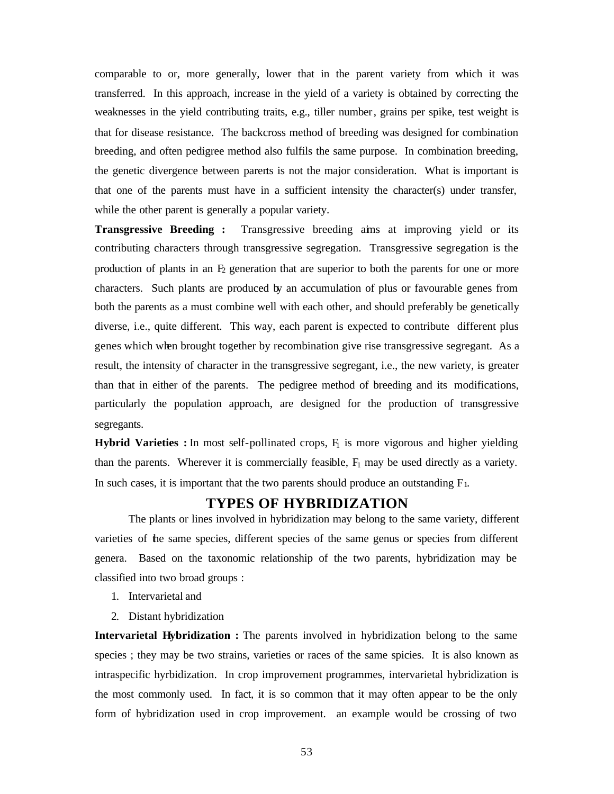comparable to or, more generally, lower that in the parent variety from which it was transferred. In this approach, increase in the yield of a variety is obtained by correcting the weaknesses in the yield contributing traits, e.g., tiller number, grains per spike, test weight is that for disease resistance. The backcross method of breeding was designed for combination breeding, and often pedigree method also fulfils the same purpose. In combination breeding, the genetic divergence between parents is not the major consideration. What is important is that one of the parents must have in a sufficient intensity the character(s) under transfer, while the other parent is generally a popular variety.

**Transgressive Breeding :** Transgressive breeding aims at improving yield or its contributing characters through transgressive segregation. Transgressive segregation is the production of plants in an  $F_2$  generation that are superior to both the parents for one or more characters. Such plants are produced by an accumulation of plus or favourable genes from both the parents as a must combine well with each other, and should preferably be genetically diverse, i.e., quite different. This way, each parent is expected to contribute different plus genes which when brought together by recombination give rise transgressive segregant. As a result, the intensity of character in the transgressive segregant, i.e., the new variety, is greater than that in either of the parents. The pedigree method of breeding and its modifications, particularly the population approach, are designed for the production of transgressive segregants.

**Hybrid Varieties :** In most self-pollinated crops, F<sub>1</sub> is more vigorous and higher yielding than the parents. Wherever it is commercially feasible,  $F_1$  may be used directly as a variety. In such cases, it is important that the two parents should produce an outstanding  $F_1$ .

# **TYPES OF HYBRIDIZATION**

The plants or lines involved in hybridization may belong to the same variety, different varieties of the same species, different species of the same genus or species from different genera. Based on the taxonomic relationship of the two parents, hybridization may be classified into two broad groups :

- 1. Intervarietal and
- 2. Distant hybridization

**Intervarietal Hybridization :** The parents involved in hybridization belong to the same species; they may be two strains, varieties or races of the same spicies. It is also known as intraspecific hyrbidization. In crop improvement programmes, intervarietal hybridization is the most commonly used. In fact, it is so common that it may often appear to be the only form of hybridization used in crop improvement. an example would be crossing of two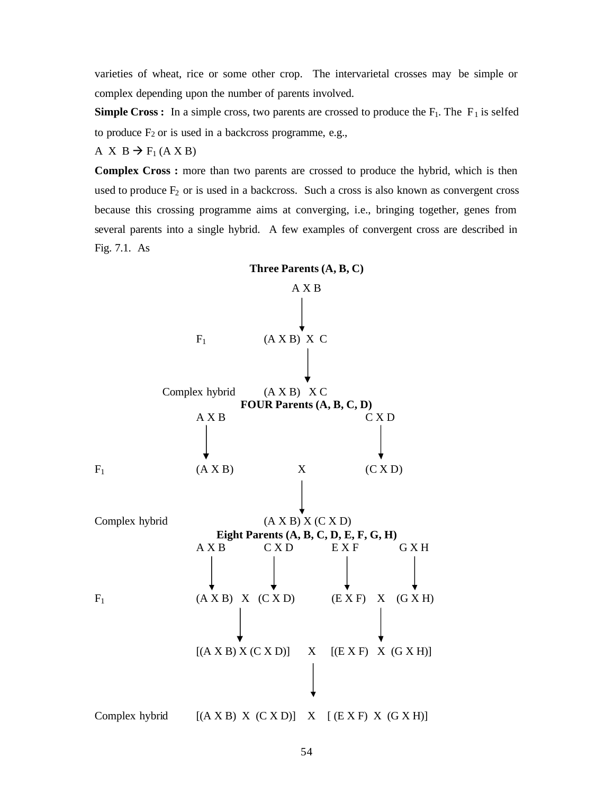varieties of wheat, rice or some other crop. The intervarietal crosses may be simple or complex depending upon the number of parents involved.

**Simple Cross :** In a simple cross, two parents are crossed to produce the  $F_1$ . The  $F_1$  is selfed to produce  $F_2$  or is used in a backcross programme, e.g.,

A X B  $\rightarrow$  F<sub>1</sub>(A X B)

**Complex Cross :** more than two parents are crossed to produce the hybrid, which is then used to produce  $F_2$  or is used in a backcross. Such a cross is also known as convergent cross because this crossing programme aims at converging, i.e., bringing together, genes from several parents into a single hybrid. A few examples of convergent cross are described in Fig. 7.1. As

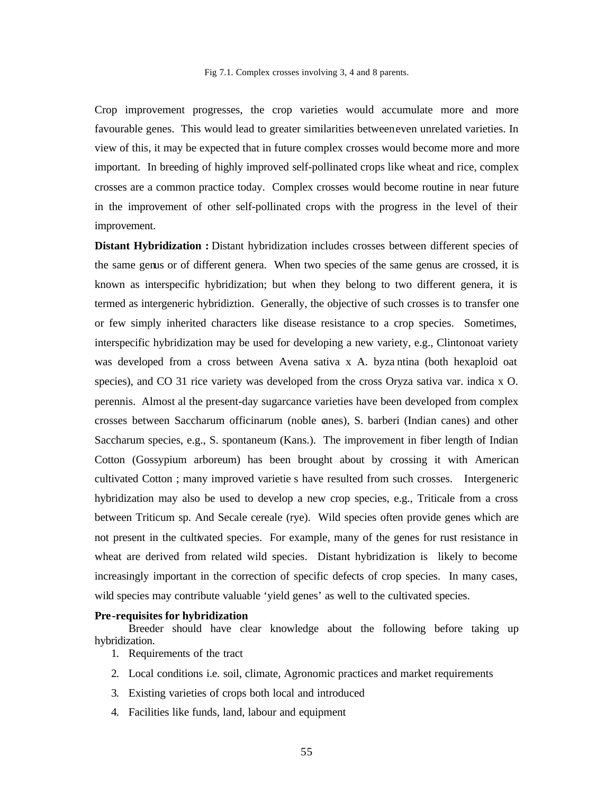Crop improvement progresses, the crop varieties would accumulate more and more favourable genes. This would lead to greater similarities between even unrelated varieties. In view of this, it may be expected that in future complex crosses would become more and more important. In breeding of highly improved self-pollinated crops like wheat and rice, complex crosses are a common practice today. Complex crosses would become routine in near future in the improvement of other self-pollinated crops with the progress in the level of their improvement.

**Distant Hybridization :** Distant hybridization includes crosses between different species of the same genus or of different genera. When two species of the same genus are crossed, it is known as interspecific hybridization; but when they belong to two different genera, it is termed as intergeneric hybridiztion. Generally, the objective of such crosses is to transfer one or few simply inherited characters like disease resistance to a crop species. Sometimes, interspecific hybridization may be used for developing a new variety, e.g., Clintonoat variety was developed from a cross between Avena sativa x A. byza ntina (both hexaploid oat species), and CO 31 rice variety was developed from the cross Oryza sativa var. indica x O. perennis. Almost al the present-day sugarcance varieties have been developed from complex crosses between Saccharum officinarum (noble canes), S. barberi (Indian canes) and other Saccharum species, e.g., S. spontaneum (Kans.). The improvement in fiber length of Indian Cotton (Gossypium arboreum) has been brought about by crossing it with American cultivated Cotton ; many improved varietie s have resulted from such crosses. Intergeneric hybridization may also be used to develop a new crop species, e.g., Triticale from a cross between Triticum sp. And Secale cereale (rye). Wild species often provide genes which are not present in the cultivated species. For example, many of the genes for rust resistance in wheat are derived from related wild species. Distant hybridization is likely to become increasingly important in the correction of specific defects of crop species. In many cases, wild species may contribute valuable 'yield genes' as well to the cultivated species.

#### **Pre-requisites for hybridization**

Breeder should have clear knowledge about the following before taking up hybridization.

- 1. Requirements of the tract
- 2. Local conditions i.e. soil, climate, Agronomic practices and market requirements
- 3. Existing varieties of crops both local and introduced
- 4. Facilities like funds, land, labour and equipment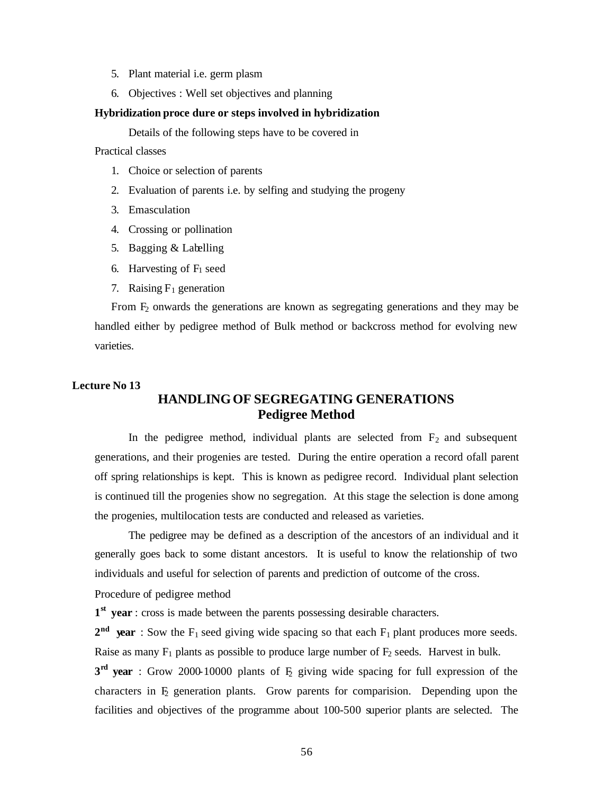- 5. Plant material i.e. germ plasm
- 6. Objectives : Well set objectives and planning

#### **Hybridization proce dure or steps involved in hybridization**

Details of the following steps have to be covered in

Practical classes

- 1. Choice or selection of parents
- 2. Evaluation of parents i.e. by selfing and studying the progeny
- 3. Emasculation
- 4. Crossing or pollination
- 5. Bagging & Labelling
- 6. Harvesting of  $F_1$  seed
- 7. Raising  $F_1$  generation

From F<sub>2</sub> onwards the generations are known as segregating generations and they may be handled either by pedigree method of Bulk method or backcross method for evolving new varieties.

# **Lecture No 13 HANDLING OF SEGREGATING GENERATIONS Pedigree Method**

In the pedigree method, individual plants are selected from  $F_2$  and subsequent generations, and their progenies are tested. During the entire operation a record ofall parent off spring relationships is kept. This is known as pedigree record. Individual plant selection is continued till the progenies show no segregation. At this stage the selection is done among the progenies, multilocation tests are conducted and released as varieties.

The pedigree may be defined as a description of the ancestors of an individual and it generally goes back to some distant ancestors. It is useful to know the relationship of two individuals and useful for selection of parents and prediction of outcome of the cross.

Procedure of pedigree method

**1 st year** : cross is made between the parents possessing desirable characters.

 $2<sup>nd</sup>$  **year** : Sow the F<sub>1</sub> seed giving wide spacing so that each F<sub>1</sub> plant produces more seeds. Raise as many  $F_1$  plants as possible to produce large number of  $F_2$  seeds. Harvest in bulk.

**3<sup>rd</sup> year** : Grow 2000-10000 plants of  $E_2$  giving wide spacing for full expression of the characters in  $E$  generation plants. Grow parents for comparision. Depending upon the facilities and objectives of the programme about 100-500 superior plants are selected. The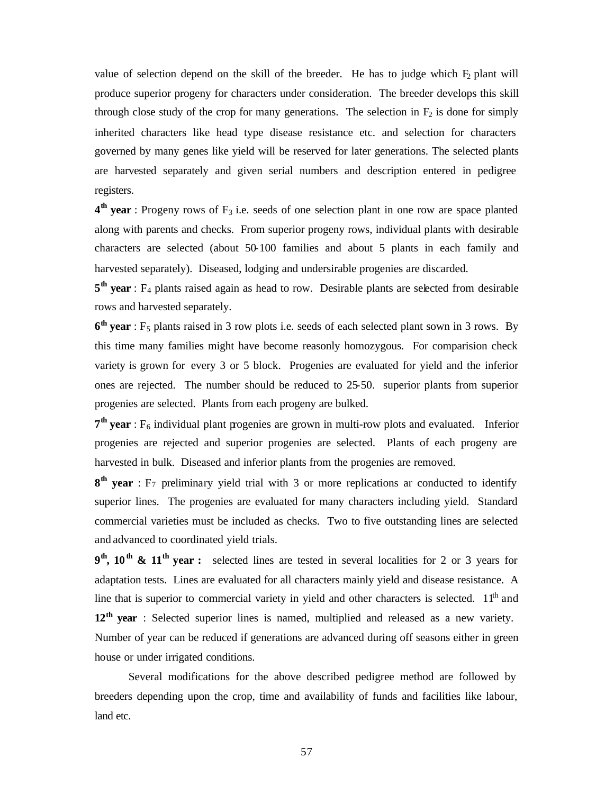value of selection depend on the skill of the breeder. He has to judge which  $F<sub>2</sub>$  plant will produce superior progeny for characters under consideration. The breeder develops this skill through close study of the crop for many generations. The selection in  $F_2$  is done for simply inherited characters like head type disease resistance etc. and selection for characters governed by many genes like yield will be reserved for later generations. The selected plants are harvested separately and given serial numbers and description entered in pedigree registers.

**4<sup>th</sup> year** : Progeny rows of F<sub>3</sub> i.e. seeds of one selection plant in one row are space planted along with parents and checks. From superior progeny rows, individual plants with desirable characters are selected (about 50-100 families and about 5 plants in each family and harvested separately). Diseased, lodging and undersirable progenies are discarded.

5<sup>th</sup> year : F<sub>4</sub> plants raised again as head to row. Desirable plants are selected from desirable rows and harvested separately.

**6<sup>th</sup> year** : F<sub>5</sub> plants raised in 3 row plots i.e. seeds of each selected plant sown in 3 rows. By this time many families might have become reasonly homozygous. For comparision check variety is grown for every 3 or 5 block. Progenies are evaluated for yield and the inferior ones are rejected. The number should be reduced to 25-50. superior plants from superior progenies are selected. Plants from each progeny are bulked.

7<sup>th</sup> year : F<sub>6</sub> individual plant progenies are grown in multi-row plots and evaluated. Inferior progenies are rejected and superior progenies are selected. Plants of each progeny are harvested in bulk. Diseased and inferior plants from the progenies are removed.

**8<sup>th</sup> year** : F<sub>7</sub> preliminary yield trial with 3 or more replications ar conducted to identify superior lines. The progenies are evaluated for many characters including yield. Standard commercial varieties must be included as checks. Two to five outstanding lines are selected and advanced to coordinated yield trials.

**9 th, 10th & 11th year :** selected lines are tested in several localities for 2 or 3 years for adaptation tests. Lines are evaluated for all characters mainly yield and disease resistance. A line that is superior to commercial variety in yield and other characters is selected. 11<sup>th</sup> and **12th year** : Selected superior lines is named, multiplied and released as a new variety. Number of year can be reduced if generations are advanced during off seasons either in green house or under irrigated conditions.

Several modifications for the above described pedigree method are followed by breeders depending upon the crop, time and availability of funds and facilities like labour, land etc.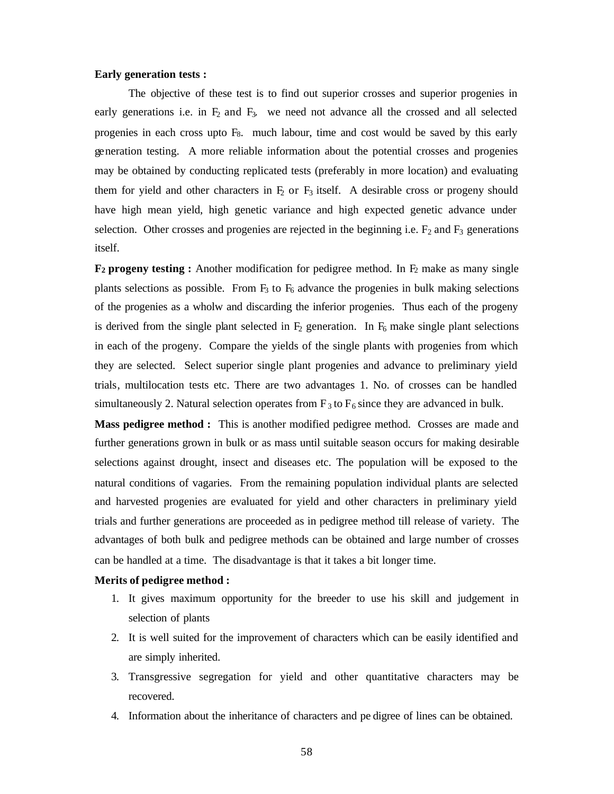## **Early generation tests :**

The objective of these test is to find out superior crosses and superior progenies in early generations i.e. in  $F_2$  and  $F_3$ . we need not advance all the crossed and all selected progenies in each cross upto F8. much labour, time and cost would be saved by this early generation testing. A more reliable information about the potential crosses and progenies may be obtained by conducting replicated tests (preferably in more location) and evaluating them for yield and other characters in  $F_2$  or  $F_3$  itself. A desirable cross or progeny should have high mean yield, high genetic variance and high expected genetic advance under selection. Other crosses and progenies are rejected in the beginning i.e.  $F_2$  and  $F_3$  generations itself.

**F<sub>2</sub>** progeny testing : Another modification for pedigree method. In  $F_2$  make as many single plants selections as possible. From  $F_3$  to  $F_6$  advance the progenies in bulk making selections of the progenies as a wholw and discarding the inferior progenies. Thus each of the progeny is derived from the single plant selected in  $F_2$  generation. In  $F_6$  make single plant selections in each of the progeny. Compare the yields of the single plants with progenies from which they are selected. Select superior single plant progenies and advance to preliminary yield trials, multilocation tests etc. There are two advantages 1. No. of crosses can be handled simultaneously 2. Natural selection operates from  $F_3$  to  $F_6$  since they are advanced in bulk.

**Mass pedigree method :** This is another modified pedigree method. Crosses are made and further generations grown in bulk or as mass until suitable season occurs for making desirable selections against drought, insect and diseases etc. The population will be exposed to the natural conditions of vagaries. From the remaining population individual plants are selected and harvested progenies are evaluated for yield and other characters in preliminary yield trials and further generations are proceeded as in pedigree method till release of variety. The advantages of both bulk and pedigree methods can be obtained and large number of crosses can be handled at a time. The disadvantage is that it takes a bit longer time.

#### **Merits of pedigree method :**

- 1. It gives maximum opportunity for the breeder to use his skill and judgement in selection of plants
- 2. It is well suited for the improvement of characters which can be easily identified and are simply inherited.
- 3. Transgressive segregation for yield and other quantitative characters may be recovered.
- 4. Information about the inheritance of characters and pe digree of lines can be obtained.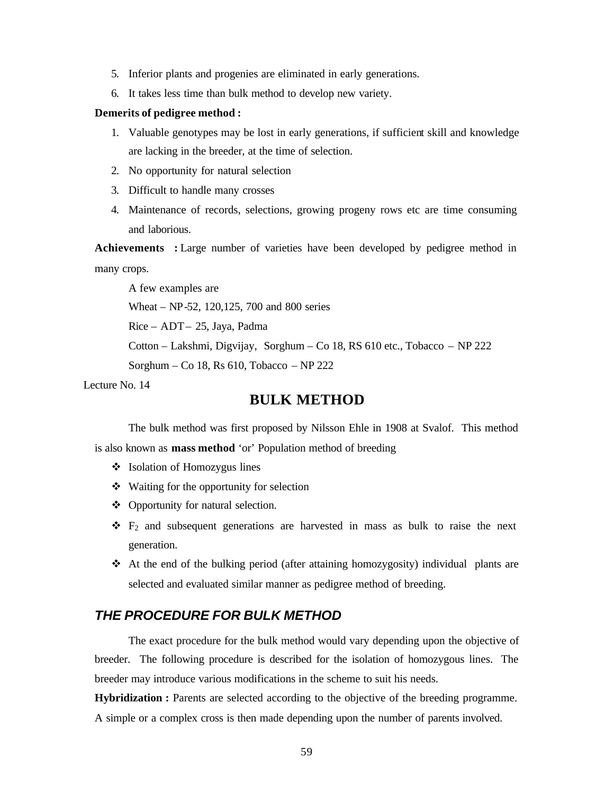- 5. Inferior plants and progenies are eliminated in early generations.
- 6. It takes less time than bulk method to develop new variety.

#### **Demerits of pedigree method :**

- 1. Valuable genotypes may be lost in early generations, if sufficient skill and knowledge are lacking in the breeder, at the time of selection.
- 2. No opportunity for natural selection
- 3. Difficult to handle many crosses
- 4. Maintenance of records, selections, growing progeny rows etc are time consuming and laborious.

**Achievements :** Large number of varieties have been developed by pedigree method in many crops.

A few examples are

Wheat – NP-52, 120,125, 700 and 800 series

Rice – ADT – 25, Jaya, Padma

Cotton – Lakshmi, Digvijay, Sorghum – Co 18, RS 610 etc., Tobacco – NP 222

Sorghum – Co 18, Rs 610, Tobacco – NP 222

Lecture No. 14

# **BULK METHOD**

The bulk method was first proposed by Nilsson Ehle in 1908 at Svalof. This method

is also known as **mass method** 'or' Population method of breeding

- v Isolation of Homozygus lines
- $\triangleleft$  Waiting for the opportunity for selection
- $\triangleleft$  Opportunity for natural selection.
- $\div$  F<sub>2</sub> and subsequent generations are harvested in mass as bulk to raise the next generation.
- $\triangleleft$  At the end of the bulking period (after attaining homozygosity) individual plants are selected and evaluated similar manner as pedigree method of breeding.

# *THE PROCEDURE FOR BULK METHOD*

The exact procedure for the bulk method would vary depending upon the objective of breeder. The following procedure is described for the isolation of homozygous lines. The breeder may introduce various modifications in the scheme to suit his needs.

**Hybridization :** Parents are selected according to the objective of the breeding programme. A simple or a complex cross is then made depending upon the number of parents involved.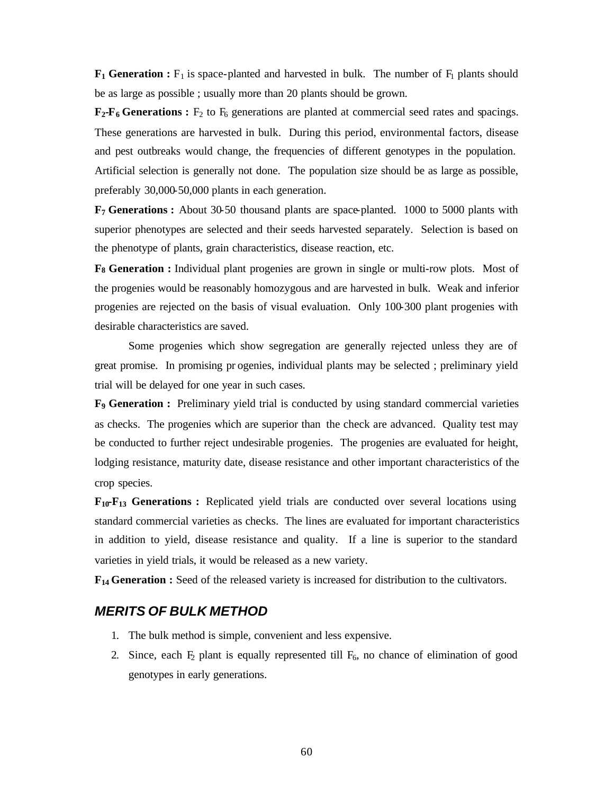$\mathbf{F}_1$  Generation :  $\mathbf{F}_1$  is space-planted and harvested in bulk. The number of  $\mathbf{F}_1$  plants should be as large as possible ; usually more than 20 plants should be grown.

 $\mathbf{F}_2\mathbf{-F}_6$  Generations :  $F_2$  to  $F_6$  generations are planted at commercial seed rates and spacings. These generations are harvested in bulk. During this period, environmental factors, disease and pest outbreaks would change, the frequencies of different genotypes in the population. Artificial selection is generally not done. The population size should be as large as possible, preferably 30,000-50,000 plants in each generation.

**F7 Generations :** About 30-50 thousand plants are space-planted. 1000 to 5000 plants with superior phenotypes are selected and their seeds harvested separately. Selection is based on the phenotype of plants, grain characteristics, disease reaction, etc.

**F8 Generation :** Individual plant progenies are grown in single or multi-row plots. Most of the progenies would be reasonably homozygous and are harvested in bulk. Weak and inferior progenies are rejected on the basis of visual evaluation. Only 100-300 plant progenies with desirable characteristics are saved.

Some progenies which show segregation are generally rejected unless they are of great promise. In promising pr ogenies, individual plants may be selected ; preliminary yield trial will be delayed for one year in such cases.

**F9 Generation :** Preliminary yield trial is conducted by using standard commercial varieties as checks. The progenies which are superior than the check are advanced. Quality test may be conducted to further reject undesirable progenies. The progenies are evaluated for height, lodging resistance, maturity date, disease resistance and other important characteristics of the crop species.

**F10-F<sup>13</sup> Generations :** Replicated yield trials are conducted over several locations using standard commercial varieties as checks. The lines are evaluated for important characteristics in addition to yield, disease resistance and quality. If a line is superior to the standard varieties in yield trials, it would be released as a new variety.

**F14 Generation :** Seed of the released variety is increased for distribution to the cultivators.

# *MERITS OF BULK METHOD*

- 1. The bulk method is simple, convenient and less expensive.
- 2. Since, each  $F_2$  plant is equally represented till  $F_6$ , no chance of elimination of good genotypes in early generations.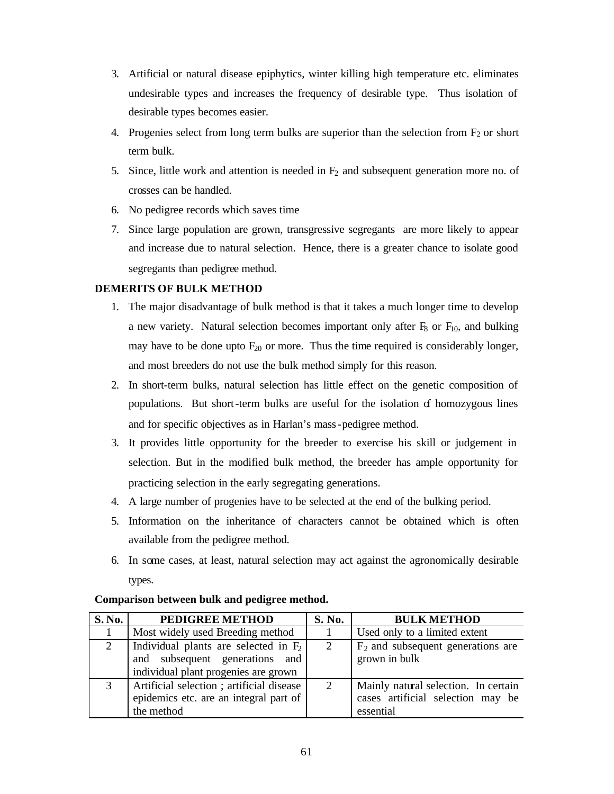- 3. Artificial or natural disease epiphytics, winter killing high temperature etc. eliminates undesirable types and increases the frequency of desirable type. Thus isolation of desirable types becomes easier.
- 4. Progenies select from long term bulks are superior than the selection from  $F_2$  or short term bulk.
- 5. Since, little work and attention is needed in  $F_2$  and subsequent generation more no. of crosses can be handled.
- 6. No pedigree records which saves time
- 7. Since large population are grown, transgressive segregants are more likely to appear and increase due to natural selection. Hence, there is a greater chance to isolate good segregants than pedigree method.

# **DEMERITS OF BULK METHOD**

- 1. The major disadvantage of bulk method is that it takes a much longer time to develop a new variety. Natural selection becomes important only after  $F_8$  or  $F_{10}$ , and bulking may have to be done upto  $F_{20}$  or more. Thus the time required is considerably longer, and most breeders do not use the bulk method simply for this reason.
- 2. In short-term bulks, natural selection has little effect on the genetic composition of populations. But short-term bulks are useful for the isolation of homozygous lines and for specific objectives as in Harlan's mass-pedigree method.
- 3. It provides little opportunity for the breeder to exercise his skill or judgement in selection. But in the modified bulk method, the breeder has ample opportunity for practicing selection in the early segregating generations.
- 4. A large number of progenies have to be selected at the end of the bulking period.
- 5. Information on the inheritance of characters cannot be obtained which is often available from the pedigree method.
- 6. In some cases, at least, natural selection may act against the agronomically desirable types.

| <b>S. No.</b> | PEDIGREE METHOD                          | S. No. | <b>BULK METHOD</b>                   |
|---------------|------------------------------------------|--------|--------------------------------------|
| -1            | Most widely used Breeding method         |        | Used only to a limited extent        |
| 2             | Individual plants are selected in $F_2$  | 2      | $F2$ and subsequent generations are  |
|               | and subsequent generations and           |        | grown in bulk                        |
|               | individual plant progenies are grown     |        |                                      |
| 3             | Artificial selection; artificial disease | 2      | Mainly natural selection. In certain |
|               | epidemics etc. are an integral part of   |        | cases artificial selection may be    |
|               | the method                               |        | essential                            |

# **Comparison between bulk and pedigree method.**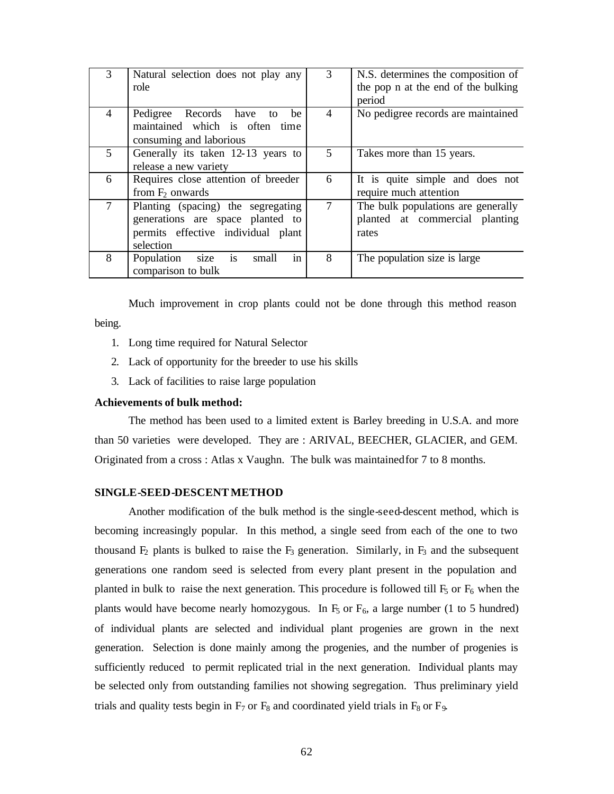| 3              | Natural selection does not play any<br>role                                                                               | 3 | N.S. determines the composition of<br>the pop n at the end of the bulking<br>period |
|----------------|---------------------------------------------------------------------------------------------------------------------------|---|-------------------------------------------------------------------------------------|
| 4              | Pedigree Records have to<br>be<br>maintained which is often time<br>consuming and laborious                               | 4 | No pedigree records are maintained                                                  |
| $\mathfrak{S}$ | Generally its taken 12-13 years to<br>release a new variety                                                               | 5 | Takes more than 15 years.                                                           |
| 6              | Requires close attention of breeder<br>from $F_2$ onwards                                                                 | 6 | It is quite simple and does not<br>require much attention                           |
| 7              | Planting (spacing) the segregating<br>generations are space planted to<br>permits effective individual plant<br>selection | 7 | The bulk populations are generally<br>planted at commercial planting<br>rates       |
| 8              | Population size is<br>in<br>small<br>comparison to bulk                                                                   | 8 | The population size is large                                                        |

Much improvement in crop plants could not be done through this method reason being.

- 1. Long time required for Natural Selector
- 2. Lack of opportunity for the breeder to use his skills
- 3. Lack of facilities to raise large population

### **Achievements of bulk method:**

The method has been used to a limited extent is Barley breeding in U.S.A. and more than 50 varieties were developed. They are : ARIVAL, BEECHER, GLACIER, and GEM. Originated from a cross : Atlas x Vaughn. The bulk was maintained for 7 to 8 months.

#### **SINGLE-SEED-DESCENT METHOD**

Another modification of the bulk method is the single-seed-descent method, which is becoming increasingly popular. In this method, a single seed from each of the one to two thousand  $F_2$  plants is bulked to raise the  $F_3$  generation. Similarly, in  $F_3$  and the subsequent generations one random seed is selected from every plant present in the population and planted in bulk to raise the next generation. This procedure is followed till  $F_5$  or  $F_6$  when the plants would have become nearly homozygous. In  $F_5$  or  $F_6$ , a large number (1 to 5 hundred) of individual plants are selected and individual plant progenies are grown in the next generation. Selection is done mainly among the progenies, and the number of progenies is sufficiently reduced to permit replicated trial in the next generation. Individual plants may be selected only from outstanding families not showing segregation. Thus preliminary yield trials and quality tests begin in  $F_7$  or  $F_8$  and coordinated yield trials in  $F_8$  or  $F_9$ .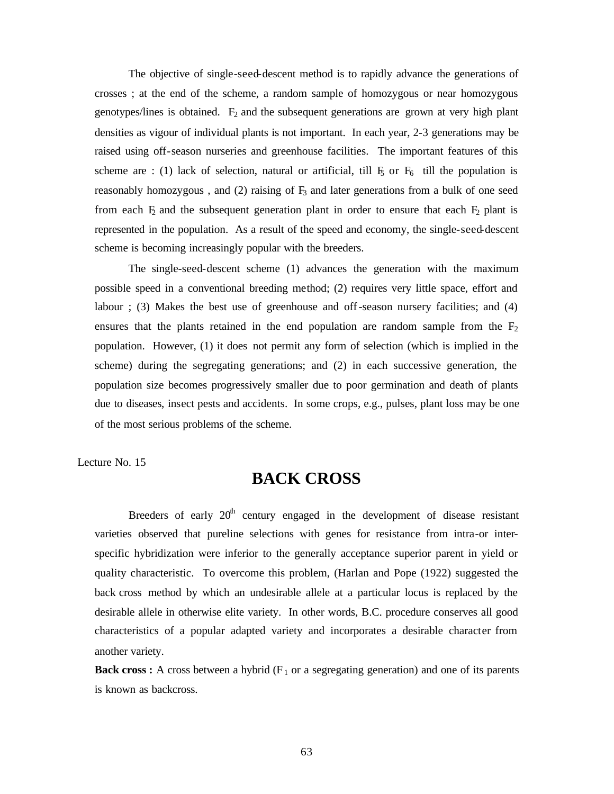The objective of single-seed-descent method is to rapidly advance the generations of crosses ; at the end of the scheme, a random sample of homozygous or near homozygous genotypes/lines is obtained.  $F_2$  and the subsequent generations are grown at very high plant densities as vigour of individual plants is not important. In each year, 2-3 generations may be raised using off-season nurseries and greenhouse facilities. The important features of this scheme are : (1) lack of selection, natural or artificial, till  $F_5$  or  $F_6$  till the population is reasonably homozygous, and  $(2)$  raising of  $F_3$  and later generations from a bulk of one seed from each  $F_2$  and the subsequent generation plant in order to ensure that each  $F_2$  plant is represented in the population. As a result of the speed and economy, the single-seed-descent scheme is becoming increasingly popular with the breeders.

The single-seed-descent scheme (1) advances the generation with the maximum possible speed in a conventional breeding method; (2) requires very little space, effort and labour ; (3) Makes the best use of greenhouse and off-season nursery facilities; and (4) ensures that the plants retained in the end population are random sample from the  $F_2$ population. However, (1) it does not permit any form of selection (which is implied in the scheme) during the segregating generations; and (2) in each successive generation, the population size becomes progressively smaller due to poor germination and death of plants due to diseases, insect pests and accidents. In some crops, e.g., pulses, plant loss may be one of the most serious problems of the scheme.

Lecture No. 15

# **BACK CROSS**

Breeders of early  $20<sup>th</sup>$  century engaged in the development of disease resistant varieties observed that pureline selections with genes for resistance from intra-or interspecific hybridization were inferior to the generally acceptance superior parent in yield or quality characteristic. To overcome this problem, (Harlan and Pope (1922) suggested the back cross method by which an undesirable allele at a particular locus is replaced by the desirable allele in otherwise elite variety. In other words, B.C. procedure conserves all good characteristics of a popular adapted variety and incorporates a desirable character from another variety.

**Back cross :** A cross between a hybrid  $(F_1 \text{ or a segregating generation})$  and one of its parents is known as backcross.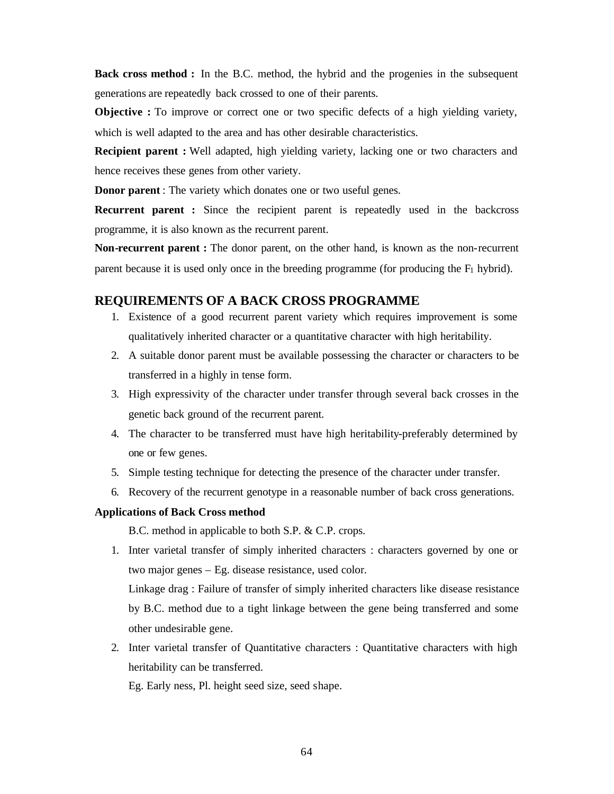**Back cross method :** In the B.C. method, the hybrid and the progenies in the subsequent generations are repeatedly back crossed to one of their parents.

**Objective :** To improve or correct one or two specific defects of a high yielding variety, which is well adapted to the area and has other desirable characteristics.

**Recipient parent :** Well adapted, high yielding variety, lacking one or two characters and hence receives these genes from other variety.

**Donor parent**: The variety which donates one or two useful genes.

**Recurrent parent :** Since the recipient parent is repeatedly used in the backcross programme, it is also known as the recurrent parent.

**Non-recurrent parent :** The donor parent, on the other hand, is known as the non-recurrent parent because it is used only once in the breeding programme (for producing the  $F_1$  hybrid).

# **REQUIREMENTS OF A BACK CROSS PROGRAMME**

- 1. Existence of a good recurrent parent variety which requires improvement is some qualitatively inherited character or a quantitative character with high heritability.
- 2. A suitable donor parent must be available possessing the character or characters to be transferred in a highly in tense form.
- 3. High expressivity of the character under transfer through several back crosses in the genetic back ground of the recurrent parent.
- 4. The character to be transferred must have high heritability-preferably determined by one or few genes.
- 5. Simple testing technique for detecting the presence of the character under transfer.
- 6. Recovery of the recurrent genotype in a reasonable number of back cross generations.

# **Applications of Back Cross method**

B.C. method in applicable to both S.P. & C.P. crops.

1. Inter varietal transfer of simply inherited characters : characters governed by one or two major genes – Eg. disease resistance, used color.

Linkage drag : Failure of transfer of simply inherited characters like disease resistance by B.C. method due to a tight linkage between the gene being transferred and some other undesirable gene.

2. Inter varietal transfer of Quantitative characters : Quantitative characters with high heritability can be transferred.

Eg. Early ness, Pl. height seed size, seed shape.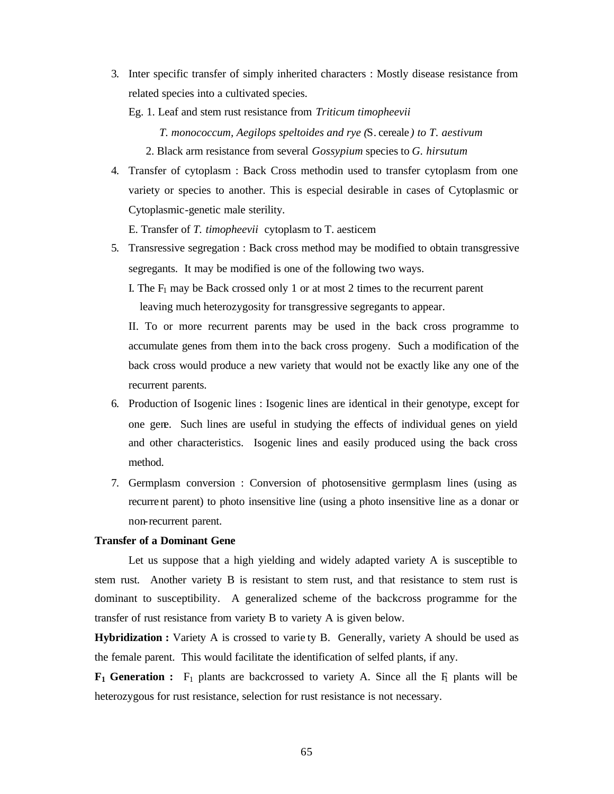3. Inter specific transfer of simply inherited characters : Mostly disease resistance from related species into a cultivated species.

Eg. 1. Leaf and stem rust resistance from *Triticum timopheevii*

 *T. monococcum, Aegilops speltoides and rye (*S. cereale *) to T. aestivum* 2. Black arm resistance from several *Gossypium* species to *G. hirsutum*

4. Transfer of cytoplasm : Back Cross methodin used to transfer cytoplasm from one variety or species to another. This is especial desirable in cases of Cytoplasmic or Cytoplasmic-genetic male sterility.

E. Transfer of *T. timopheevii* cytoplasm to T. aesticem

- 5. Transressive segregation : Back cross method may be modified to obtain transgressive segregants. It may be modified is one of the following two ways.
	- I. The  $F_1$  may be Back crossed only 1 or at most 2 times to the recurrent parent leaving much heterozygosity for transgressive segregants to appear.

II. To or more recurrent parents may be used in the back cross programme to accumulate genes from them into the back cross progeny. Such a modification of the back cross would produce a new variety that would not be exactly like any one of the recurrent parents.

- 6. Production of Isogenic lines : Isogenic lines are identical in their genotype, except for one gene. Such lines are useful in studying the effects of individual genes on yield and other characteristics. Isogenic lines and easily produced using the back cross method.
- 7. Germplasm conversion : Conversion of photosensitive germplasm lines (using as recurrent parent) to photo insensitive line (using a photo insensitive line as a donar or non-recurrent parent.

## **Transfer of a Dominant Gene**

Let us suppose that a high yielding and widely adapted variety A is susceptible to stem rust. Another variety B is resistant to stem rust, and that resistance to stem rust is dominant to susceptibility. A generalized scheme of the backcross programme for the transfer of rust resistance from variety B to variety A is given below.

**Hybridization :** Variety A is crossed to varie ty B. Generally, variety A should be used as the female parent. This would facilitate the identification of selfed plants, if any.

 $\mathbf{F}_1$  Generation :  $\mathbf{F}_1$  plants are backcrossed to variety A. Since all the  $\mathbf{F}_1$  plants will be heterozygous for rust resistance, selection for rust resistance is not necessary.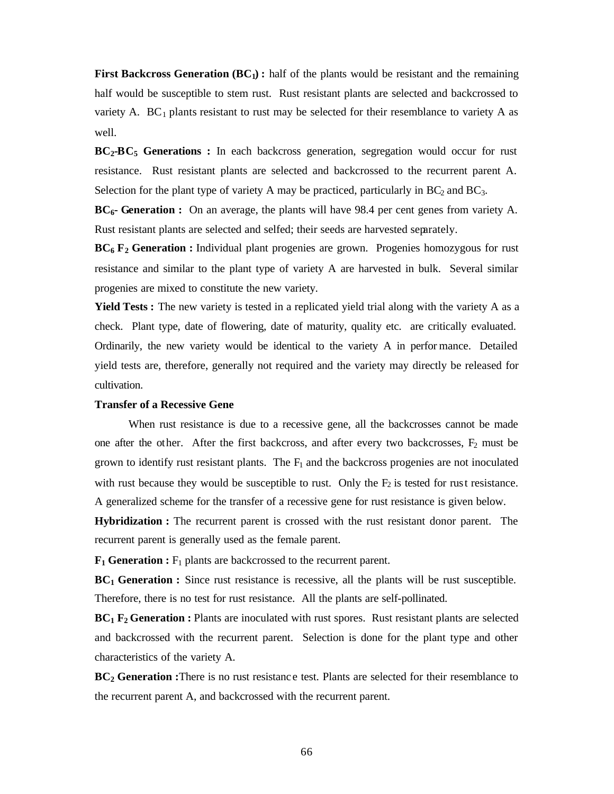**First Backcross Generation (BC1) :** half of the plants would be resistant and the remaining half would be susceptible to stem rust. Rust resistant plants are selected and backcrossed to variety A.  $BC_1$  plants resistant to rust may be selected for their resemblance to variety A as well.

**BC2-BC5 Generations :** In each backcross generation, segregation would occur for rust resistance. Rust resistant plants are selected and backcrossed to the recurrent parent A. Selection for the plant type of variety A may be practiced, particularly in  $BC_2$  and  $BC_3$ .

**BC6- Generation :** On an average, the plants will have 98.4 per cent genes from variety A. Rust resistant plants are selected and selfed; their seeds are harvested separately.

**BC6 F2 Generation :** Individual plant progenies are grown. Progenies homozygous for rust resistance and similar to the plant type of variety A are harvested in bulk. Several similar progenies are mixed to constitute the new variety.

**Yield Tests :** The new variety is tested in a replicated yield trial along with the variety A as a check. Plant type, date of flowering, date of maturity, quality etc. are critically evaluated. Ordinarily, the new variety would be identical to the variety A in perfor mance. Detailed yield tests are, therefore, generally not required and the variety may directly be released for cultivation.

## **Transfer of a Recessive Gene**

When rust resistance is due to a recessive gene, all the backcrosses cannot be made one after the other. After the first backcross, and after every two backcrosses,  $F_2$  must be grown to identify rust resistant plants. The  $F_1$  and the backcross progenies are not inoculated with rust because they would be susceptible to rust. Only the  $F_2$  is tested for rust resistance. A generalized scheme for the transfer of a recessive gene for rust resistance is given below.

**Hybridization :** The recurrent parent is crossed with the rust resistant donor parent. The recurrent parent is generally used as the female parent.

 $\mathbf{F}_1$  **Generation :**  $\mathbf{F}_1$  plants are backcrossed to the recurrent parent.

**BC1 Generation :** Since rust resistance is recessive, all the plants will be rust susceptible. Therefore, there is no test for rust resistance. All the plants are self-pollinated.

**BC1 F<sup>2</sup> Generation :** Plants are inoculated with rust spores. Rust resistant plants are selected and backcrossed with the recurrent parent. Selection is done for the plant type and other characteristics of the variety A.

**BC2 Generation :**There is no rust resistanc e test. Plants are selected for their resemblance to the recurrent parent A, and backcrossed with the recurrent parent.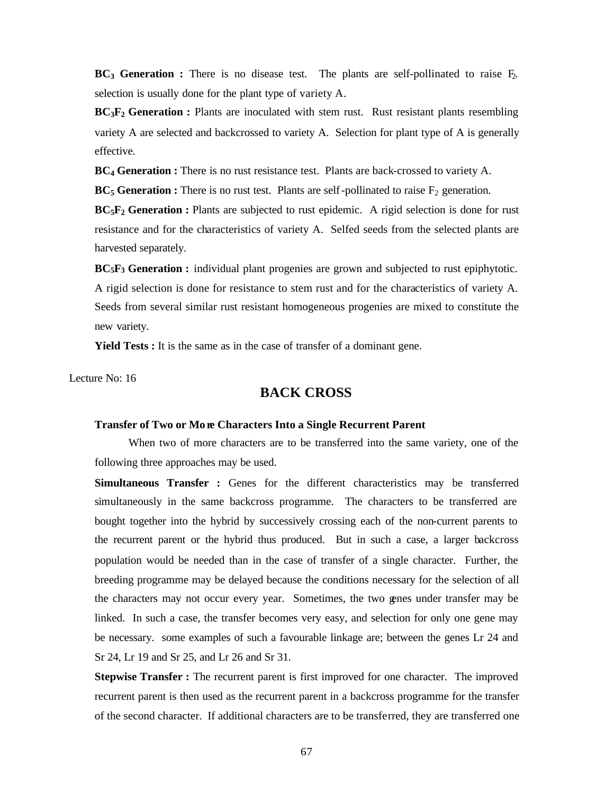$BC<sub>3</sub>$  Generation : There is no disease test. The plants are self-pollinated to raise  $F<sub>2</sub>$ . selection is usually done for the plant type of variety A.

**BC3F2 Generation :** Plants are inoculated with stem rust. Rust resistant plants resembling variety A are selected and backcrossed to variety A. Selection for plant type of A is generally effective.

**BC4 Generation :** There is no rust resistance test. Plants are back-crossed to variety A.

 $BC_5$  Generation : There is no rust test. Plants are self-pollinated to raise  $F_2$  generation.

**BC5F2 Generation :** Plants are subjected to rust epidemic. A rigid selection is done for rust resistance and for the characteristics of variety A. Selfed seeds from the selected plants are harvested separately.

**BC5F3 Generation :** individual plant progenies are grown and subjected to rust epiphytotic. A rigid selection is done for resistance to stem rust and for the characteristics of variety A. Seeds from several similar rust resistant homogeneous progenies are mixed to constitute the new variety.

**Yield Tests :** It is the same as in the case of transfer of a dominant gene.

Lecture No: 16

# **BACK CROSS**

## **Transfer of Two or Mo** *re* **Characters Into a Single Recurrent Parent**

When two of more characters are to be transferred into the same variety, one of the following three approaches may be used.

**Simultaneous Transfer :** Genes for the different characteristics may be transferred simultaneously in the same backcross programme. The characters to be transferred are bought together into the hybrid by successively crossing each of the non-current parents to the recurrent parent or the hybrid thus produced. But in such a case, a larger backcross population would be needed than in the case of transfer of a single character. Further, the breeding programme may be delayed because the conditions necessary for the selection of all the characters may not occur every year. Sometimes, the two genes under transfer may be linked. In such a case, the transfer becomes very easy, and selection for only one gene may be necessary. some examples of such a favourable linkage are; between the genes Lr 24 and Sr 24, Lr 19 and Sr 25, and Lr 26 and Sr 31.

**Stepwise Transfer :** The recurrent parent is first improved for one character. The improved recurrent parent is then used as the recurrent parent in a backcross programme for the transfer of the second character. If additional characters are to be transferred, they are transferred one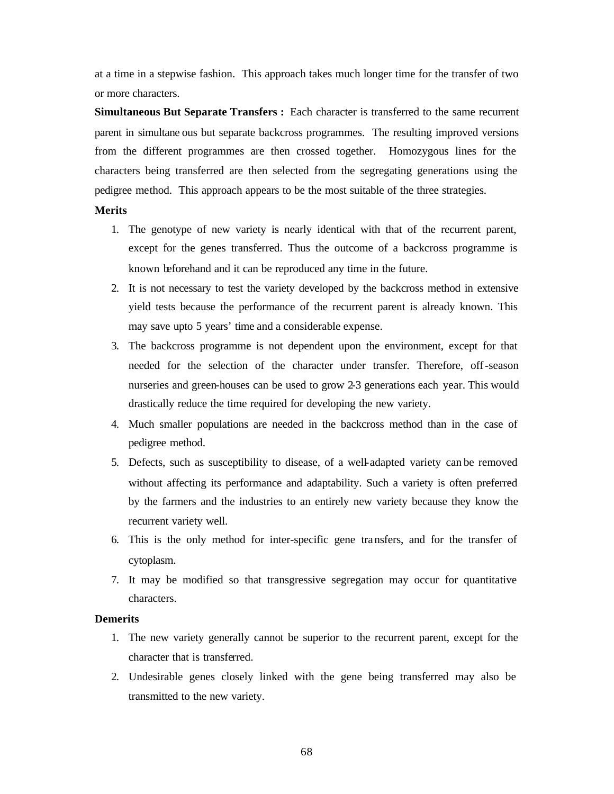at a time in a stepwise fashion. This approach takes much longer time for the transfer of two or more characters.

**Simultaneous But Separate Transfers :** Each character is transferred to the same recurrent parent in simultane ous but separate backcross programmes. The resulting improved versions from the different programmes are then crossed together. Homozygous lines for the characters being transferred are then selected from the segregating generations using the pedigree method. This approach appears to be the most suitable of the three strategies.

## **Merits**

- 1. The genotype of new variety is nearly identical with that of the recurrent parent, except for the genes transferred. Thus the outcome of a backcross programme is known beforehand and it can be reproduced any time in the future.
- 2. It is not necessary to test the variety developed by the backcross method in extensive yield tests because the performance of the recurrent parent is already known. This may save upto 5 years' time and a considerable expense.
- 3. The backcross programme is not dependent upon the environment, except for that needed for the selection of the character under transfer. Therefore, off-season nurseries and green-houses can be used to grow 2-3 generations each year. This would drastically reduce the time required for developing the new variety.
- 4. Much smaller populations are needed in the backcross method than in the case of pedigree method.
- 5. Defects, such as susceptibility to disease, of a well-adapted variety can be removed without affecting its performance and adaptability. Such a variety is often preferred by the farmers and the industries to an entirely new variety because they know the recurrent variety well.
- 6. This is the only method for inter-specific gene tra nsfers, and for the transfer of cytoplasm.
- 7. It may be modified so that transgressive segregation may occur for quantitative characters.

## **Demerits**

- 1. The new variety generally cannot be superior to the recurrent parent, except for the character that is transferred.
- 2. Undesirable genes closely linked with the gene being transferred may also be transmitted to the new variety.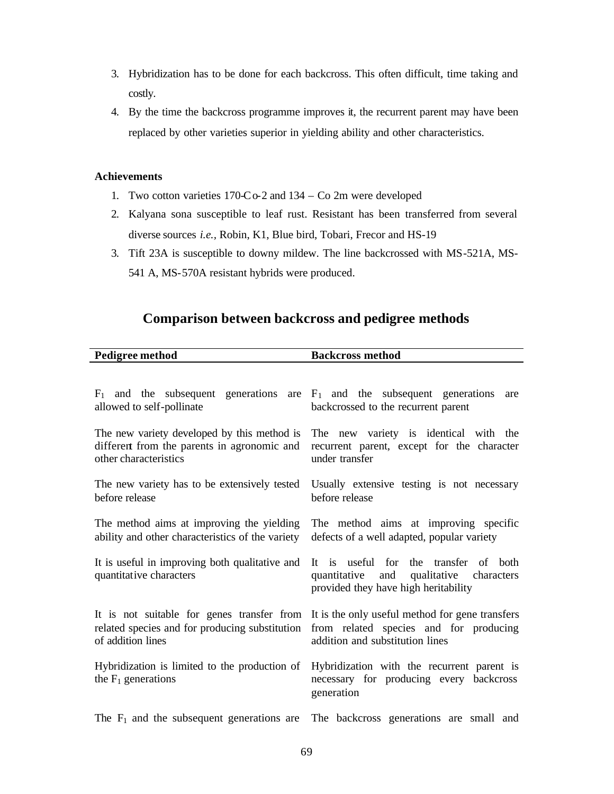- 3. Hybridization has to be done for each backcross. This often difficult, time taking and costly.
- 4. By the time the backcross programme improves it, the recurrent parent may have been replaced by other varieties superior in yielding ability and other characteristics.

# **Achievements**

- 1. Two cotton varieties 170-Co-2 and 134 Co 2m were developed
- 2. Kalyana sona susceptible to leaf rust. Resistant has been transferred from several diverse sources *i.e.,* Robin, K1, Blue bird, Tobari, Frecor and HS-19
- 3. Tift 23A is susceptible to downy mildew. The line backcrossed with MS-521A, MS-541 A, MS-570A resistant hybrids were produced.

# **Comparison between backcross and pedigree methods**

| Pedigree method                                                               | <b>Backcross method</b>                                                                                                     |  |  |  |  |  |
|-------------------------------------------------------------------------------|-----------------------------------------------------------------------------------------------------------------------------|--|--|--|--|--|
|                                                                               |                                                                                                                             |  |  |  |  |  |
| $F_1$ and the subsequent generations are $F_1$ and the subsequent generations | are                                                                                                                         |  |  |  |  |  |
| allowed to self-pollinate                                                     | backcrossed to the recurrent parent                                                                                         |  |  |  |  |  |
| The new variety developed by this method is                                   | The new variety is identical with the                                                                                       |  |  |  |  |  |
| different from the parents in agronomic and                                   | recurrent parent, except for the character                                                                                  |  |  |  |  |  |
| other characteristics                                                         | under transfer                                                                                                              |  |  |  |  |  |
| The new variety has to be extensively tested                                  | Usually extensive testing is not necessary                                                                                  |  |  |  |  |  |
| before release                                                                | before release                                                                                                              |  |  |  |  |  |
| The method aims at improving the yielding                                     | The method aims at improving specific                                                                                       |  |  |  |  |  |
| ability and other characteristics of the variety                              | defects of a well adapted, popular variety                                                                                  |  |  |  |  |  |
| It is useful in improving both qualitative and<br>quantitative characters     | It is useful for the transfer of both<br>and qualitative characters<br>quantitative<br>provided they have high heritability |  |  |  |  |  |
| It is not suitable for genes transfer from                                    | It is the only useful method for gene transfers                                                                             |  |  |  |  |  |
| related species and for producing substitution                                | from related species and for producing                                                                                      |  |  |  |  |  |
| of addition lines                                                             | addition and substitution lines                                                                                             |  |  |  |  |  |
| Hybridization is limited to the production of<br>the $F_1$ generations        | Hybridization with the recurrent parent is<br>necessary for producing every backcross<br>generation                         |  |  |  |  |  |
| The $F_1$ and the subsequent generations are                                  | The backcross generations are small and                                                                                     |  |  |  |  |  |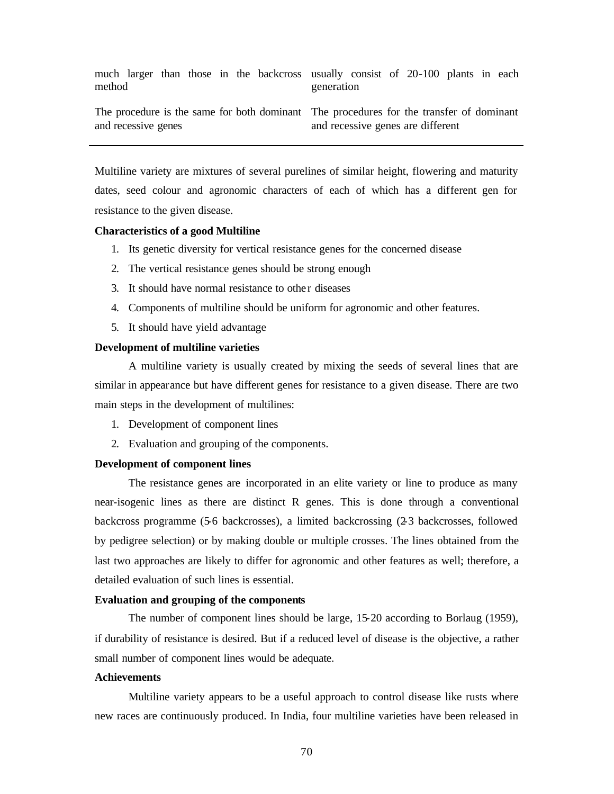| method |                     |  |  | much larger than those in the backcross usually consist of 20-100 plants in each        | generation |  |                                   |  |  |
|--------|---------------------|--|--|-----------------------------------------------------------------------------------------|------------|--|-----------------------------------|--|--|
|        | and recessive genes |  |  | The procedure is the same for both dominant The procedures for the transfer of dominant |            |  | and recessive genes are different |  |  |

Multiline variety are mixtures of several purelines of similar height, flowering and maturity dates, seed colour and agronomic characters of each of which has a different gen for resistance to the given disease.

## **Characteristics of a good Multiline**

- 1. Its genetic diversity for vertical resistance genes for the concerned disease
- 2. The vertical resistance genes should be strong enough
- 3. It should have normal resistance to other diseases
- 4. Components of multiline should be uniform for agronomic and other features.
- 5. It should have yield advantage

## **Development of multiline varieties**

A multiline variety is usually created by mixing the seeds of several lines that are similar in appearance but have different genes for resistance to a given disease. There are two main steps in the development of multilines:

- 1. Development of component lines
- 2. Evaluation and grouping of the components.

### **Development of component lines**

The resistance genes are incorporated in an elite variety or line to produce as many near-isogenic lines as there are distinct R genes. This is done through a conventional backcross programme (5-6 backcrosses), a limited backcrossing (2-3 backcrosses, followed by pedigree selection) or by making double or multiple crosses. The lines obtained from the last two approaches are likely to differ for agronomic and other features as well; therefore, a detailed evaluation of such lines is essential.

#### **Evaluation and grouping of the components**

The number of component lines should be large, 15-20 according to Borlaug (1959), if durability of resistance is desired. But if a reduced level of disease is the objective, a rather small number of component lines would be adequate.

#### **Achievements**

Multiline variety appears to be a useful approach to control disease like rusts where new races are continuously produced. In India, four multiline varieties have been released in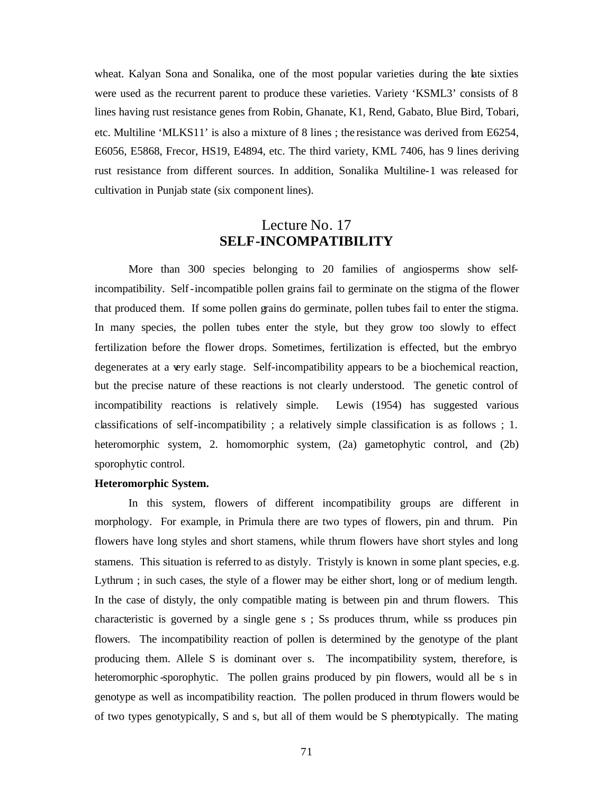wheat. Kalyan Sona and Sonalika, one of the most popular varieties during the late sixties were used as the recurrent parent to produce these varieties. Variety 'KSML3' consists of 8 lines having rust resistance genes from Robin, Ghanate, K1, Rend, Gabato, Blue Bird, Tobari, etc. Multiline 'MLKS11' is also a mixture of 8 lines ; the resistance was derived from E6254, E6056, E5868, Frecor, HS19, E4894, etc. The third variety, KML 7406, has 9 lines deriving rust resistance from different sources. In addition, Sonalika Multiline-1 was released for cultivation in Punjab state (six component lines).

# Lecture No. 17 **SELF-INCOMPATIBILITY**

More than 300 species belonging to 20 families of angiosperms show selfincompatibility. Self-incompatible pollen grains fail to germinate on the stigma of the flower that produced them. If some pollen grains do germinate, pollen tubes fail to enter the stigma. In many species, the pollen tubes enter the style, but they grow too slowly to effect fertilization before the flower drops. Sometimes, fertilization is effected, but the embryo degenerates at a very early stage. Self-incompatibility appears to be a biochemical reaction, but the precise nature of these reactions is not clearly understood. The genetic control of incompatibility reactions is relatively simple. Lewis (1954) has suggested various classifications of self-incompatibility ; a relatively simple classification is as follows ; 1. heteromorphic system, 2. homomorphic system, (2a) gametophytic control, and (2b) sporophytic control.

## **Heteromorphic System.**

In this system, flowers of different incompatibility groups are different in morphology. For example, in Primula there are two types of flowers, pin and thrum. Pin flowers have long styles and short stamens, while thrum flowers have short styles and long stamens. This situation is referred to as distyly. Tristyly is known in some plant species, e.g. Lythrum ; in such cases, the style of a flower may be either short, long or of medium length. In the case of distyly, the only compatible mating is between pin and thrum flowers. This characteristic is governed by a single gene s ; Ss produces thrum, while ss produces pin flowers. The incompatibility reaction of pollen is determined by the genotype of the plant producing them. Allele S is dominant over s. The incompatibility system, therefore, is heteromorphic -sporophytic. The pollen grains produced by pin flowers, would all be s in genotype as well as incompatibility reaction. The pollen produced in thrum flowers would be of two types genotypically, S and s, but all of them would be S phenotypically. The mating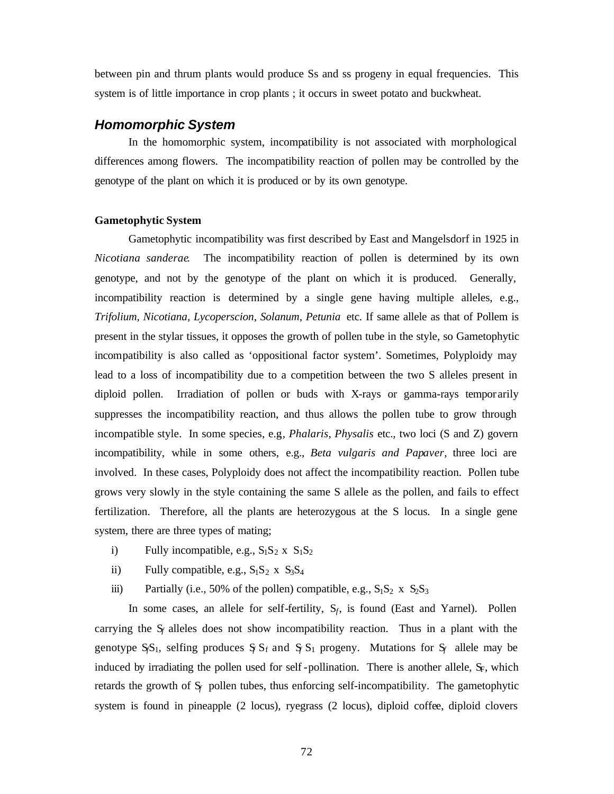between pin and thrum plants would produce Ss and ss progeny in equal frequencies. This system is of little importance in crop plants ; it occurs in sweet potato and buckwheat.

# *Homomorphic System*

In the homomorphic system, incompatibility is not associated with morphological differences among flowers. The incompatibility reaction of pollen may be controlled by the genotype of the plant on which it is produced or by its own genotype.

## **Gametophytic System**

Gametophytic incompatibility was first described by East and Mangelsdorf in 1925 in *Nicotiana sanderae*. The incompatibility reaction of pollen is determined by its own genotype, and not by the genotype of the plant on which it is produced. Generally, incompatibility reaction is determined by a single gene having multiple alleles, e.g., *Trifolium, Nicotiana, Lycoperscion, Solanum, Petunia* etc. If same allele as that of Pollem is present in the stylar tissues, it opposes the growth of pollen tube in the style, so Gametophytic incompatibility is also called as 'oppositional factor system'. Sometimes, Polyploidy may lead to a loss of incompatibility due to a competition between the two S alleles present in diploid pollen. Irradiation of pollen or buds with X-rays or gamma-rays tempor arily suppresses the incompatibility reaction, and thus allows the pollen tube to grow through incompatible style. In some species, e.g*., Phalaris, Physalis* etc., two loci (S and Z) govern incompatibility, while in some others, e.g., *Beta vulgaris and Papaver*, three loci are involved. In these cases, Polyploidy does not affect the incompatibility reaction. Pollen tube grows very slowly in the style containing the same S allele as the pollen, and fails to effect fertilization. Therefore, all the plants are heterozygous at the S locus. In a single gene system, there are three types of mating;

- i) Fully incompatible, e.g.,  $S_1S_2 \times S_1S_2$
- ii) Fully compatible, e.g.,  $S_1S_2 \times S_3S_4$
- iii) Partially (i.e., 50% of the pollen) compatible, e.g.,  $S_1S_2 \times S_2S_3$

In some cases, an allele for self-fertility,  $S_f$ , is found (East and Yarnel). Pollen carrying the  $S_f$  alleles does not show incompatibility reaction. Thus in a plant with the genotype  $S_fS_1$ , selfing produces  $S_fS_f$  and  $S_fS_1$  progeny. Mutations for  $S_f$  allele may be induced by irradiating the pollen used for self-pollination. There is another allele,  $S_F$ , which retards the growth of  $S_f$  pollen tubes, thus enforcing self-incompatibility. The gametophytic system is found in pineapple (2 locus), ryegrass (2 locus), diploid coffee, diploid clovers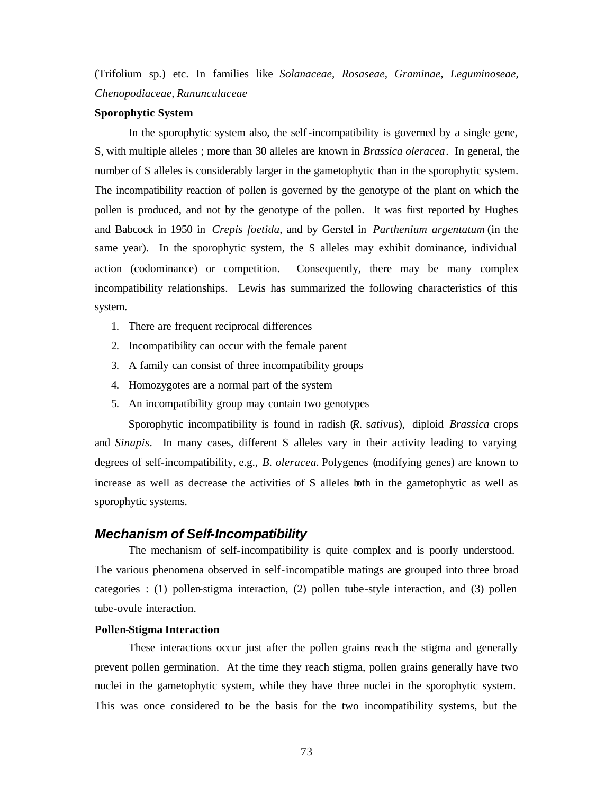(Trifolium sp.) etc. In families like *Solanaceae, Rosaseae, Graminae, Leguminoseae, Chenopodiaceae, Ranunculaceae*

#### **Sporophytic System**

In the sporophytic system also, the self-incompatibility is governed by a single gene, S, with multiple alleles ; more than 30 alleles are known in *Brassica oleracea*. In general, the number of S alleles is considerably larger in the gametophytic than in the sporophytic system. The incompatibility reaction of pollen is governed by the genotype of the plant on which the pollen is produced, and not by the genotype of the pollen. It was first reported by Hughes and Babcock in 1950 in *Crepis foetida*, and by Gerstel in *Parthenium argentatum* (in the same year). In the sporophytic system, the S alleles may exhibit dominance, individual action (codominance) or competition. Consequently, there may be many complex incompatibility relationships. Lewis has summarized the following characteristics of this system.

- 1. There are frequent reciprocal differences
- 2. Incompatibility can occur with the female parent
- 3. A family can consist of three incompatibility groups
- 4. Homozygotes are a normal part of the system
- 5. An incompatibility group may contain two genotypes

Sporophytic incompatibility is found in radish (*R.* s*ativus*), diploid *Brassica* crops and *Sinapis*. In many cases, different S alleles vary in their activity leading to varying degrees of self-incompatibility, e.g., *B. oleracea.* Polygenes (modifying genes) are known to increase as well as decrease the activities of S alleles both in the gametophytic as well as sporophytic systems.

### *Mechanism of Self-Incompatibility*

The mechanism of self-incompatibility is quite complex and is poorly understood. The various phenomena observed in self-incompatible matings are grouped into three broad categories : (1) pollen-stigma interaction, (2) pollen tube-style interaction, and (3) pollen tube-ovule interaction.

### **Pollen-Stigma Interaction**

These interactions occur just after the pollen grains reach the stigma and generally prevent pollen germination. At the time they reach stigma, pollen grains generally have two nuclei in the gametophytic system, while they have three nuclei in the sporophytic system. This was once considered to be the basis for the two incompatibility systems, but the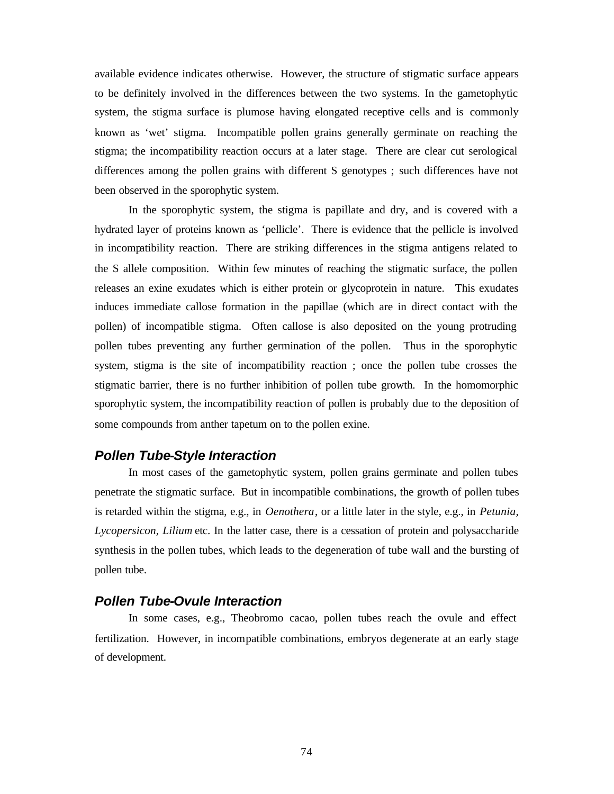available evidence indicates otherwise. However, the structure of stigmatic surface appears to be definitely involved in the differences between the two systems. In the gametophytic system, the stigma surface is plumose having elongated receptive cells and is commonly known as 'wet' stigma. Incompatible pollen grains generally germinate on reaching the stigma; the incompatibility reaction occurs at a later stage. There are clear cut serological differences among the pollen grains with different S genotypes ; such differences have not been observed in the sporophytic system.

In the sporophytic system, the stigma is papillate and dry, and is covered with a hydrated layer of proteins known as 'pellicle'. There is evidence that the pellicle is involved in incompatibility reaction. There are striking differences in the stigma antigens related to the S allele composition. Within few minutes of reaching the stigmatic surface, the pollen releases an exine exudates which is either protein or glycoprotein in nature. This exudates induces immediate callose formation in the papillae (which are in direct contact with the pollen) of incompatible stigma. Often callose is also deposited on the young protruding pollen tubes preventing any further germination of the pollen. Thus in the sporophytic system, stigma is the site of incompatibility reaction ; once the pollen tube crosses the stigmatic barrier, there is no further inhibition of pollen tube growth. In the homomorphic sporophytic system, the incompatibility reaction of pollen is probably due to the deposition of some compounds from anther tapetum on to the pollen exine.

# *Pollen Tube-Style Interaction*

In most cases of the gametophytic system, pollen grains germinate and pollen tubes penetrate the stigmatic surface. But in incompatible combinations, the growth of pollen tubes is retarded within the stigma, e.g., in *Oenothera*, or a little later in the style, e.g., in *Petunia, Lycopersicon, Lilium* etc. In the latter case, there is a cessation of protein and polysaccharide synthesis in the pollen tubes, which leads to the degeneration of tube wall and the bursting of pollen tube.

# *Pollen Tube-Ovule Interaction*

In some cases, e.g., Theobromo cacao, pollen tubes reach the ovule and effect fertilization. However, in incompatible combinations, embryos degenerate at an early stage of development.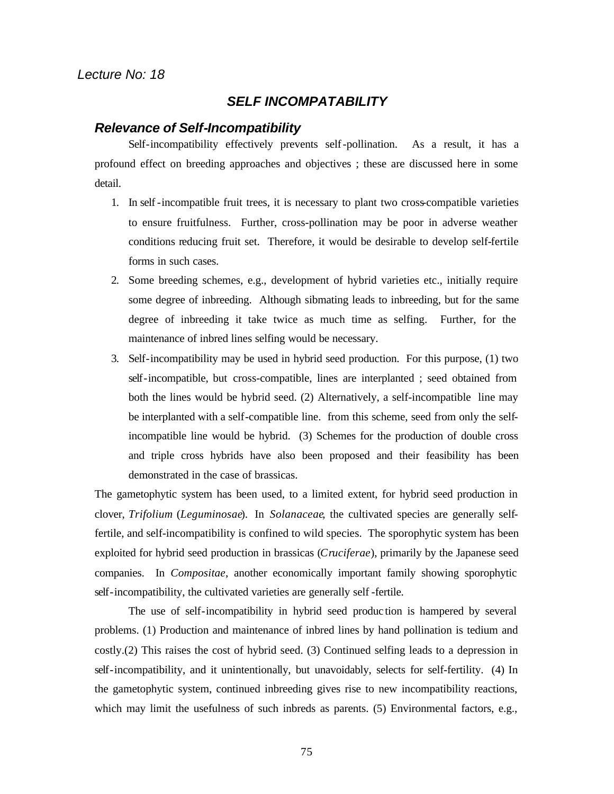# *SELF INCOMPATABILITY*

# *Relevance of Self-Incompatibility*

Self-incompatibility effectively prevents self-pollination. As a result, it has a profound effect on breeding approaches and objectives ; these are discussed here in some detail.

- 1. In self-incompatible fruit trees, it is necessary to plant two cross-compatible varieties to ensure fruitfulness. Further, cross-pollination may be poor in adverse weather conditions reducing fruit set. Therefore, it would be desirable to develop self-fertile forms in such cases.
- 2. Some breeding schemes, e.g., development of hybrid varieties etc., initially require some degree of inbreeding. Although sibmating leads to inbreeding, but for the same degree of inbreeding it take twice as much time as selfing. Further, for the maintenance of inbred lines selfing would be necessary.
- 3. Self-incompatibility may be used in hybrid seed production. For this purpose, (1) two self-incompatible, but cross-compatible, lines are interplanted ; seed obtained from both the lines would be hybrid seed. (2) Alternatively, a self-incompatible line may be interplanted with a self-compatible line. from this scheme, seed from only the selfincompatible line would be hybrid. (3) Schemes for the production of double cross and triple cross hybrids have also been proposed and their feasibility has been demonstrated in the case of brassicas.

The gametophytic system has been used, to a limited extent, for hybrid seed production in clover, *Trifolium* (*Leguminosae*). In *Solanaceae*, the cultivated species are generally selffertile, and self-incompatibility is confined to wild species. The sporophytic system has been exploited for hybrid seed production in brassicas (*Cruciferae*), primarily by the Japanese seed companies. In *Compositae*, another economically important family showing sporophytic self-incompatibility, the cultivated varieties are generally self -fertile.

The use of self-incompatibility in hybrid seed produc tion is hampered by several problems. (1) Production and maintenance of inbred lines by hand pollination is tedium and costly.(2) This raises the cost of hybrid seed. (3) Continued selfing leads to a depression in self-incompatibility, and it unintentionally, but unavoidably, selects for self-fertility. (4) In the gametophytic system, continued inbreeding gives rise to new incompatibility reactions, which may limit the usefulness of such inbreds as parents. (5) Environmental factors, e.g.,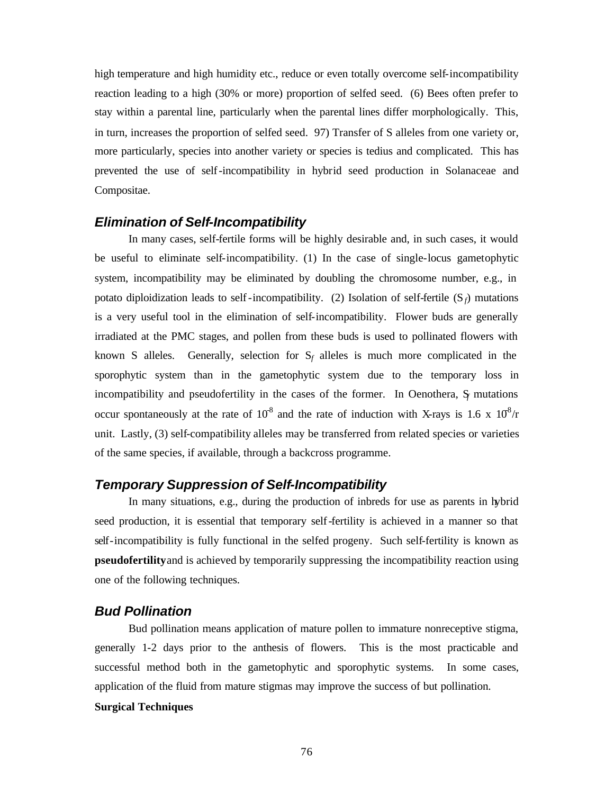high temperature and high humidity etc., reduce or even totally overcome self-incompatibility reaction leading to a high (30% or more) proportion of selfed seed. (6) Bees often prefer to stay within a parental line, particularly when the parental lines differ morphologically. This, in turn, increases the proportion of selfed seed. 97) Transfer of S alleles from one variety or, more particularly, species into another variety or species is tedius and complicated. This has prevented the use of self-incompatibility in hybrid seed production in Solanaceae and Compositae.

# *Elimination of Self-Incompatibility*

In many cases, self-fertile forms will be highly desirable and, in such cases, it would be useful to eliminate self-incompatibility. (1) In the case of single-locus gametophytic system, incompatibility may be eliminated by doubling the chromosome number, e.g., in potato diploidization leads to self-incompatibility. (2) Isolation of self-fertile  $(S_f)$  mutations is a very useful tool in the elimination of self-incompatibility. Flower buds are generally irradiated at the PMC stages, and pollen from these buds is used to pollinated flowers with known S alleles. Generally, selection for  $S_f$  alleles is much more complicated in the sporophytic system than in the gametophytic system due to the temporary loss in incompatibility and pseudofertility in the cases of the former. In Oenothera, S*<sup>f</sup>* mutations occur spontaneously at the rate of  $10^{8}$  and the rate of induction with X-rays is 1.6 x  $10^{8}/r$ unit. Lastly, (3) self-compatibility alleles may be transferred from related species or varieties of the same species, if available, through a backcross programme.

# *Temporary Suppression of Self-Incompatibility*

In many situations, e.g., during the production of inbreds for use as parents in hybrid seed production, it is essential that temporary self-fertility is achieved in a manner so that self-incompatibility is fully functional in the selfed progeny. Such self-fertility is known as **pseudofertility** and is achieved by temporarily suppressing the incompatibility reaction using one of the following techniques.

# *Bud Pollination*

Bud pollination means application of mature pollen to immature nonreceptive stigma, generally 1-2 days prior to the anthesis of flowers. This is the most practicable and successful method both in the gametophytic and sporophytic systems. In some cases, application of the fluid from mature stigmas may improve the success of but pollination. **Surgical Techniques**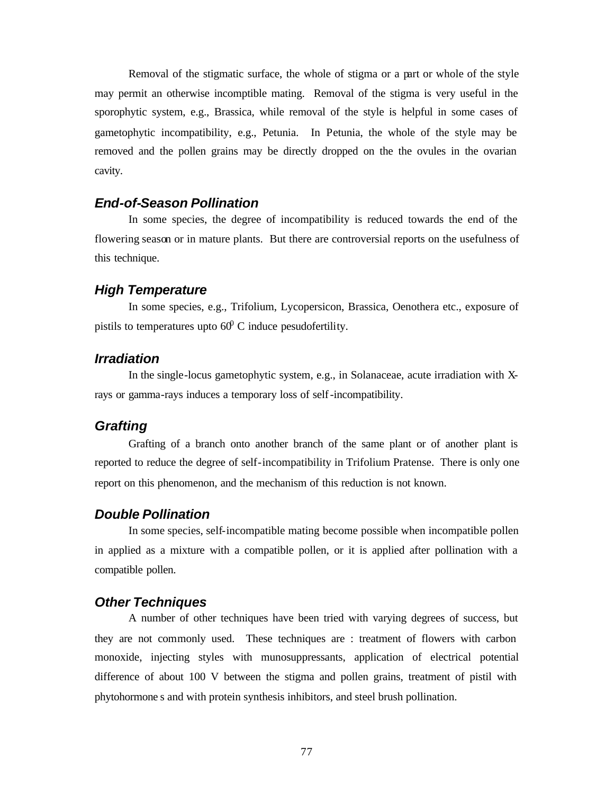Removal of the stigmatic surface, the whole of stigma or a part or whole of the style may permit an otherwise incomptible mating. Removal of the stigma is very useful in the sporophytic system, e.g., Brassica, while removal of the style is helpful in some cases of gametophytic incompatibility, e.g., Petunia. In Petunia, the whole of the style may be removed and the pollen grains may be directly dropped on the the ovules in the ovarian cavity.

# *End-of-Season Pollination*

In some species, the degree of incompatibility is reduced towards the end of the flowering season or in mature plants. But there are controversial reports on the usefulness of this technique.

### *High Temperature*

In some species, e.g., Trifolium, Lycopersicon, Brassica, Oenothera etc., exposure of pistils to temperatures upto  $60^{\circ}$  C induce pesudofertility.

# *Irradiation*

In the single-locus gametophytic system, e.g., in Solanaceae, acute irradiation with Xrays or gamma-rays induces a temporary loss of self-incompatibility.

# *Grafting*

Grafting of a branch onto another branch of the same plant or of another plant is reported to reduce the degree of self-incompatibility in Trifolium Pratense. There is only one report on this phenomenon, and the mechanism of this reduction is not known.

# *Double Pollination*

In some species, self-incompatible mating become possible when incompatible pollen in applied as a mixture with a compatible pollen, or it is applied after pollination with a compatible pollen.

# *Other Techniques*

A number of other techniques have been tried with varying degrees of success, but they are not commonly used. These techniques are : treatment of flowers with carbon monoxide, injecting styles with munosuppressants, application of electrical potential difference of about 100 V between the stigma and pollen grains, treatment of pistil with phytohormone s and with protein synthesis inhibitors, and steel brush pollination.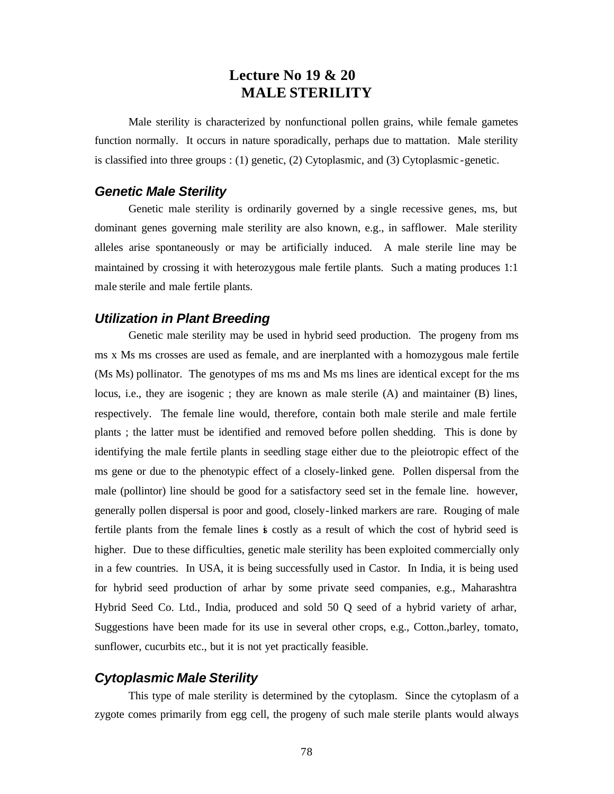# **Lecture No 19 & 20 MALE STERILITY**

Male sterility is characterized by nonfunctional pollen grains, while female gametes function normally. It occurs in nature sporadically, perhaps due to mattation. Male sterility is classified into three groups : (1) genetic, (2) Cytoplasmic, and (3) Cytoplasmic -genetic.

# *Genetic Male Sterility*

Genetic male sterility is ordinarily governed by a single recessive genes, ms, but dominant genes governing male sterility are also known, e.g., in safflower. Male sterility alleles arise spontaneously or may be artificially induced. A male sterile line may be maintained by crossing it with heterozygous male fertile plants. Such a mating produces 1:1 male sterile and male fertile plants.

# *Utilization in Plant Breeding*

Genetic male sterility may be used in hybrid seed production. The progeny from ms ms x Ms ms crosses are used as female, and are inerplanted with a homozygous male fertile (Ms Ms) pollinator. The genotypes of ms ms and Ms ms lines are identical except for the ms locus, i.e., they are isogenic ; they are known as male sterile (A) and maintainer (B) lines, respectively. The female line would, therefore, contain both male sterile and male fertile plants ; the latter must be identified and removed before pollen shedding. This is done by identifying the male fertile plants in seedling stage either due to the pleiotropic effect of the ms gene or due to the phenotypic effect of a closely-linked gene. Pollen dispersal from the male (pollintor) line should be good for a satisfactory seed set in the female line. however, generally pollen dispersal is poor and good, closely-linked markers are rare. Rouging of male fertile plants from the female lines is costly as a result of which the cost of hybrid seed is higher. Due to these difficulties, genetic male sterility has been exploited commercially only in a few countries. In USA, it is being successfully used in Castor. In India, it is being used for hybrid seed production of arhar by some private seed companies, e.g., Maharashtra Hybrid Seed Co. Ltd., India, produced and sold 50 Q seed of a hybrid variety of arhar, Suggestions have been made for its use in several other crops, e.g., Cotton.,barley, tomato, sunflower, cucurbits etc., but it is not yet practically feasible.

# *Cytoplasmic Male Sterility*

This type of male sterility is determined by the cytoplasm. Since the cytoplasm of a zygote comes primarily from egg cell, the progeny of such male sterile plants would always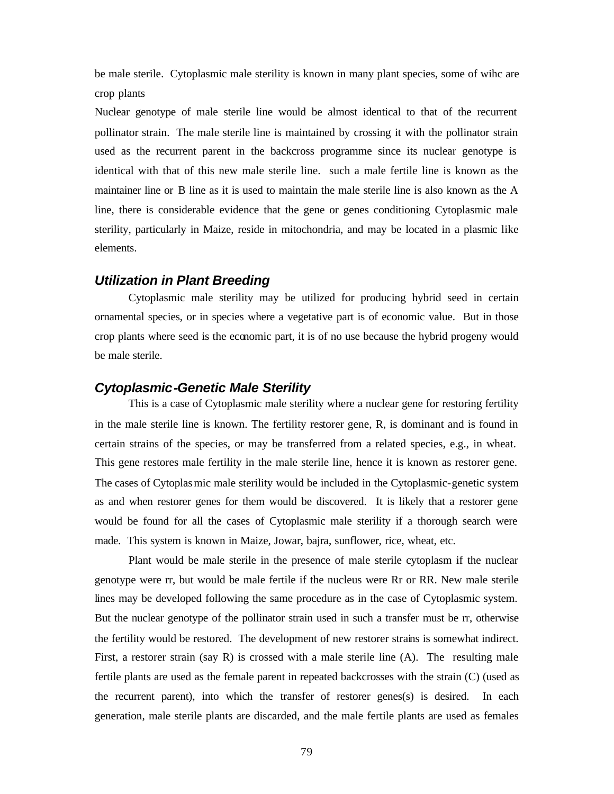be male sterile. Cytoplasmic male sterility is known in many plant species, some of wihc are crop plants

Nuclear genotype of male sterile line would be almost identical to that of the recurrent pollinator strain. The male sterile line is maintained by crossing it with the pollinator strain used as the recurrent parent in the backcross programme since its nuclear genotype is identical with that of this new male sterile line. such a male fertile line is known as the maintainer line or B line as it is used to maintain the male sterile line is also known as the A line, there is considerable evidence that the gene or genes conditioning Cytoplasmic male sterility, particularly in Maize, reside in mitochondria, and may be located in a plasmic like elements.

# *Utilization in Plant Breeding*

Cytoplasmic male sterility may be utilized for producing hybrid seed in certain ornamental species, or in species where a vegetative part is of economic value. But in those crop plants where seed is the economic part, it is of no use because the hybrid progeny would be male sterile.

# *Cytoplasmic-Genetic Male Sterility*

This is a case of Cytoplasmic male sterility where a nuclear gene for restoring fertility in the male sterile line is known. The fertility restorer gene, R, is dominant and is found in certain strains of the species, or may be transferred from a related species, e.g., in wheat. This gene restores male fertility in the male sterile line, hence it is known as restorer gene. The cases of Cytoplasmic male sterility would be included in the Cytoplasmic-genetic system as and when restorer genes for them would be discovered. It is likely that a restorer gene would be found for all the cases of Cytoplasmic male sterility if a thorough search were made. This system is known in Maize, Jowar, bajra, sunflower, rice, wheat, etc.

Plant would be male sterile in the presence of male sterile cytoplasm if the nuclear genotype were rr, but would be male fertile if the nucleus were Rr or RR. New male sterile lines may be developed following the same procedure as in the case of Cytoplasmic system. But the nuclear genotype of the pollinator strain used in such a transfer must be rr, otherwise the fertility would be restored. The development of new restorer strains is somewhat indirect. First, a restorer strain (say R) is crossed with a male sterile line (A). The resulting male fertile plants are used as the female parent in repeated backcrosses with the strain (C) (used as the recurrent parent), into which the transfer of restorer genes(s) is desired. In each generation, male sterile plants are discarded, and the male fertile plants are used as females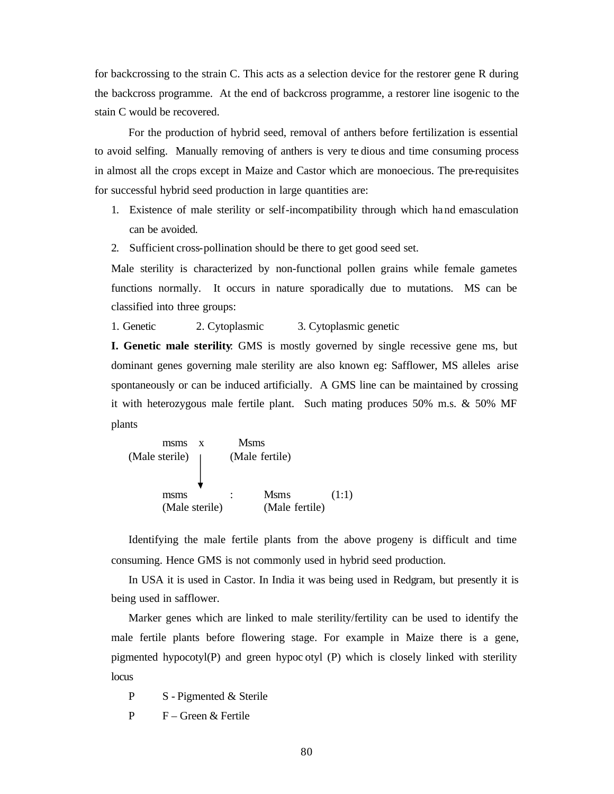for backcrossing to the strain C. This acts as a selection device for the restorer gene R during the backcross programme. At the end of backcross programme, a restorer line isogenic to the stain C would be recovered.

For the production of hybrid seed, removal of anthers before fertilization is essential to avoid selfing. Manually removing of anthers is very te dious and time consuming process in almost all the crops except in Maize and Castor which are monoecious. The pre-requisites for successful hybrid seed production in large quantities are:

- 1. Existence of male sterility or self-incompatibility through which ha nd emasculation can be avoided.
- 2. Sufficient cross-pollination should be there to get good seed set.

Male sterility is characterized by non-functional pollen grains while female gametes functions normally. It occurs in nature sporadically due to mutations. MS can be classified into three groups:

1. Genetic 2. Cytoplasmic 3. Cytoplasmic genetic

**I. Genetic male sterility**: GMS is mostly governed by single recessive gene ms, but dominant genes governing male sterility are also known eg: Safflower, MS alleles arise spontaneously or can be induced artificially. A GMS line can be maintained by crossing it with heterozygous male fertile plant. Such mating produces 50% m.s. & 50% MF plants

msms x Msms (Male sterile) (Male fertile) msms : Msms (1:1) (Male sterile) (Male fertile)

Identifying the male fertile plants from the above progeny is difficult and time consuming. Hence GMS is not commonly used in hybrid seed production.

In USA it is used in Castor. In India it was being used in Redgram, but presently it is being used in safflower.

Marker genes which are linked to male sterility/fertility can be used to identify the male fertile plants before flowering stage. For example in Maize there is a gene, pigmented hypocotyl(P) and green hypoc otyl (P) which is closely linked with sterility locus

P S - Pigmented & Sterile

P F – Green & Fertile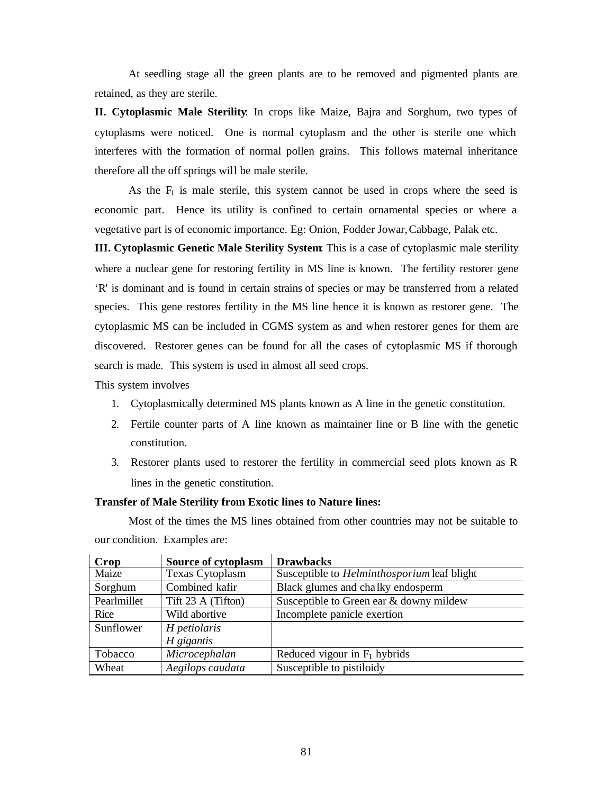At seedling stage all the green plants are to be removed and pigmented plants are retained, as they are sterile.

**II. Cytoplasmic Male Sterility**: In crops like Maize, Bajra and Sorghum, two types of cytoplasms were noticed. One is normal cytoplasm and the other is sterile one which interferes with the formation of normal pollen grains. This follows maternal inheritance therefore all the off springs will be male sterile.

As the  $F_1$  is male sterile, this system cannot be used in crops where the seed is economic part. Hence its utility is confined to certain ornamental species or where a vegetative part is of economic importance. Eg: Onion, Fodder Jowar, Cabbage, Palak etc.

**III. Cytoplasmic Genetic Male Sterility System**: This is a case of cytoplasmic male sterility where a nuclear gene for restoring fertility in MS line is known. The fertility restorer gene 'R' is dominant and is found in certain strains of species or may be transferred from a related species. This gene restores fertility in the MS line hence it is known as restorer gene. The cytoplasmic MS can be included in CGMS system as and when restorer genes for them are discovered. Restorer genes can be found for all the cases of cytoplasmic MS if thorough search is made. This system is used in almost all seed crops.

This system involves

- 1. Cytoplasmically determined MS plants known as A line in the genetic constitution.
- 2. Fertile counter parts of A line known as maintainer line or B line with the genetic constitution.
- 3. Restorer plants used to restorer the fertility in commercial seed plots known as R lines in the genetic constitution.

### **Transfer of Male Sterility from Exotic lines to Nature lines:**

Most of the times the MS lines obtained from other countries may not be suitable to our condition. Examples are:

| Crop        | <b>Source of cytoplasm</b> | <b>Drawbacks</b>                                   |
|-------------|----------------------------|----------------------------------------------------|
| Maize       | Texas Cytoplasm            | Susceptible to <i>Helminthosporium</i> leaf blight |
| Sorghum     | Combined kafir             | Black glumes and chalky endosperm                  |
| Pearlmillet | Tift 23 A (Tifton)         | Susceptible to Green ear & downy mildew            |
| Rice        | Wild abortive              | Incomplete panicle exertion                        |
| Sunflower   | H petiolaris               |                                                    |
|             | H gigantis                 |                                                    |
| Tobacco     | Microcephalan              | Reduced vigour in $F_1$ hybrids                    |
| Wheat       | Aegilops caudata           | Susceptible to pistiloidy                          |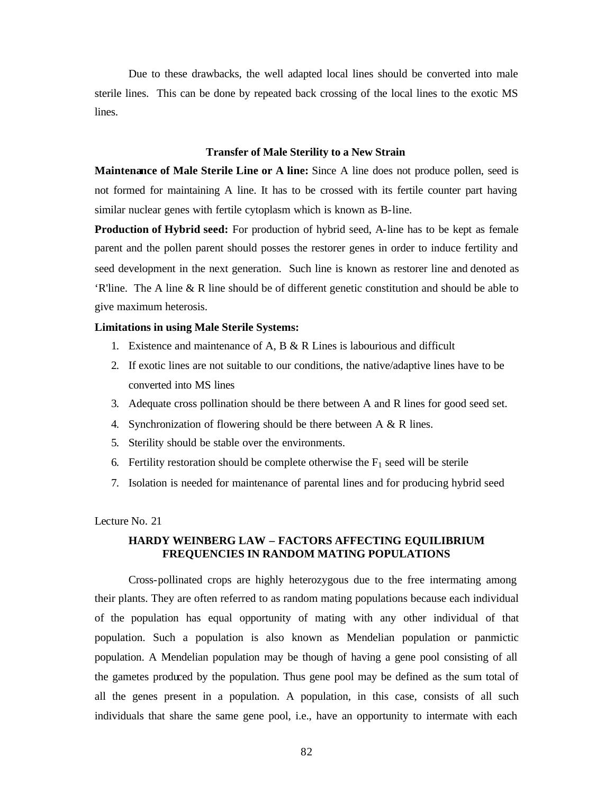Due to these drawbacks, the well adapted local lines should be converted into male sterile lines. This can be done by repeated back crossing of the local lines to the exotic MS lines.

#### **Transfer of Male Sterility to a New Strain**

**Maintenance of Male Sterile Line or A line:** Since A line does not produce pollen, seed is not formed for maintaining A line. It has to be crossed with its fertile counter part having similar nuclear genes with fertile cytoplasm which is known as B-line.

**Production of Hybrid seed:** For production of hybrid seed, A-line has to be kept as female parent and the pollen parent should posses the restorer genes in order to induce fertility and seed development in the next generation. Such line is known as restorer line and denoted as 'R'line. The A line & R line should be of different genetic constitution and should be able to give maximum heterosis.

#### **Limitations in using Male Sterile Systems:**

- 1. Existence and maintenance of A, B  $\&$  R Lines is labourious and difficult
- 2. If exotic lines are not suitable to our conditions, the native/adaptive lines have to be converted into MS lines
- 3. Adequate cross pollination should be there between A and R lines for good seed set.
- 4. Synchronization of flowering should be there between A & R lines.
- 5. Sterility should be stable over the environments.
- 6. Fertility restoration should be complete otherwise the  $F_1$  seed will be sterile
- 7. Isolation is needed for maintenance of parental lines and for producing hybrid seed

#### Lecture No. 21

# **HARDY WEINBERG LAW – FACTORS AFFECTING EQUILIBRIUM FREQUENCIES IN RANDOM MATING POPULATIONS**

Cross-pollinated crops are highly heterozygous due to the free intermating among their plants. They are often referred to as random mating populations because each individual of the population has equal opportunity of mating with any other individual of that population. Such a population is also known as Mendelian population or panmictic population. A Mendelian population may be though of having a gene pool consisting of all the gametes produced by the population. Thus gene pool may be defined as the sum total of all the genes present in a population. A population, in this case, consists of all such individuals that share the same gene pool, i.e., have an opportunity to intermate with each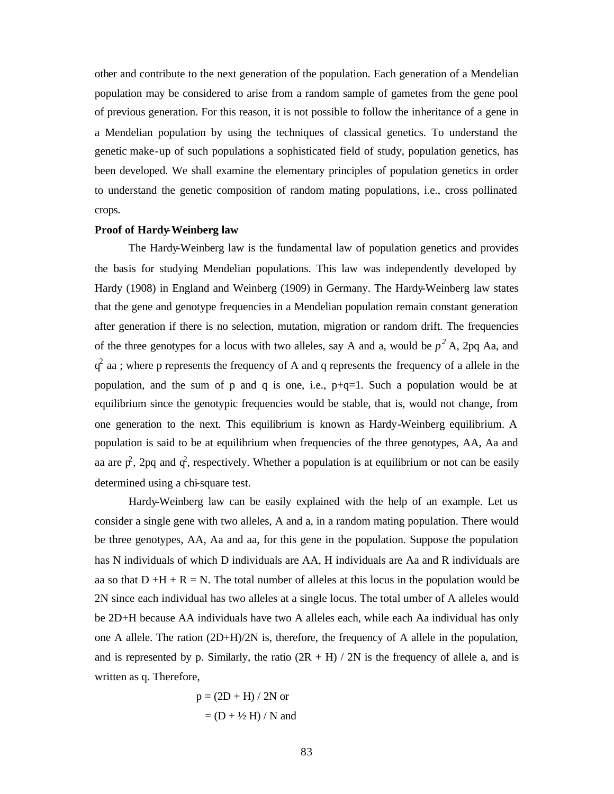other and contribute to the next generation of the population. Each generation of a Mendelian population may be considered to arise from a random sample of gametes from the gene pool of previous generation. For this reason, it is not possible to follow the inheritance of a gene in a Mendelian population by using the techniques of classical genetics. To understand the genetic make-up of such populations a sophisticated field of study, population genetics, has been developed. We shall examine the elementary principles of population genetics in order to understand the genetic composition of random mating populations, i.e., cross pollinated crops.

#### **Proof of Hardy-Weinberg law**

The Hardy-Weinberg law is the fundamental law of population genetics and provides the basis for studying Mendelian populations. This law was independently developed by Hardy (1908) in England and Weinberg (1909) in Germany. The Hardy-Weinberg law states that the gene and genotype frequencies in a Mendelian population remain constant generation after generation if there is no selection, mutation, migration or random drift. The frequencies of the three genotypes for a locus with two alleles, say A and a, would be  $p^2$  A, 2pq Aa, and  $q^2$  aa ; where p represents the frequency of A and q represents the frequency of a allele in the population, and the sum of p and q is one, i.e.,  $p+q=1$ . Such a population would be at equilibrium since the genotypic frequencies would be stable, that is, would not change, from one generation to the next. This equilibrium is known as Hardy-Weinberg equilibrium. A population is said to be at equilibrium when frequencies of the three genotypes, AA, Aa and aa are  $\vec{p}$ , 2pq and  $\vec{q}$ , respectively. Whether a population is at equilibrium or not can be easily determined using a chi-square test.

Hardy-Weinberg law can be easily explained with the help of an example. Let us consider a single gene with two alleles, A and a, in a random mating population. There would be three genotypes, AA, Aa and aa, for this gene in the population. Suppose the population has N individuals of which D individuals are AA, H individuals are Aa and R individuals are aa so that  $D + H + R = N$ . The total number of alleles at this locus in the population would be 2N since each individual has two alleles at a single locus. The total umber of A alleles would be 2D+H because AA individuals have two A alleles each, while each Aa individual has only one A allele. The ration  $(2D+H)/2N$  is, therefore, the frequency of A allele in the population, and is represented by p. Similarly, the ratio  $(2R + H) / 2N$  is the frequency of allele a, and is written as q. Therefore,

$$
p = (2D + H) / 2N
$$
 or  
=  $(D + \frac{1}{2}H) / N$  and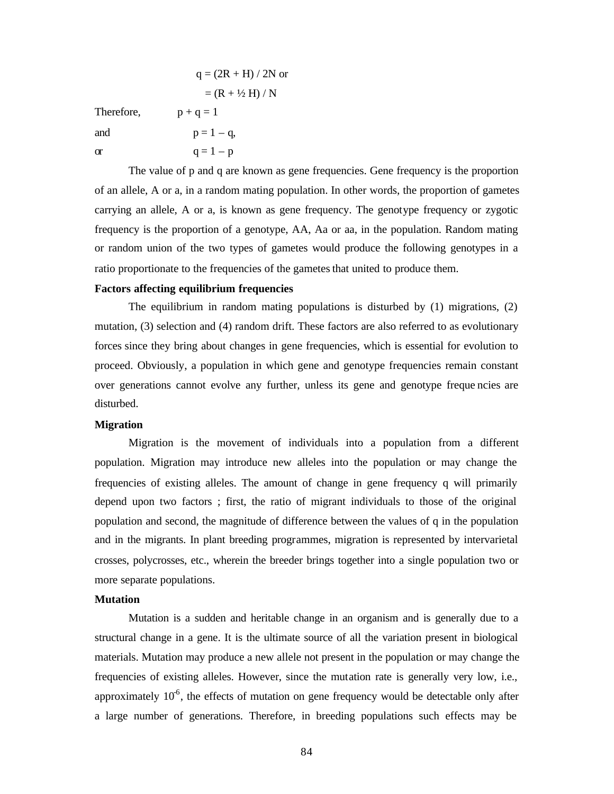|            | $q = (2R + H)/2N$ or     |
|------------|--------------------------|
|            | $= (R + \frac{1}{2}H)/N$ |
| Therefore, | $p + q = 1$              |
| and        | $p = 1 - q$ ,            |
| $\alpha$   | $q = 1 - p$              |

The value of p and q are known as gene frequencies. Gene frequency is the proportion of an allele, A or a, in a random mating population. In other words, the proportion of gametes carrying an allele, A or a, is known as gene frequency. The genotype frequency or zygotic frequency is the proportion of a genotype, AA, Aa or aa, in the population. Random mating or random union of the two types of gametes would produce the following genotypes in a ratio proportionate to the frequencies of the gametes that united to produce them.

#### **Factors affecting equilibrium frequencies**

The equilibrium in random mating populations is disturbed by (1) migrations, (2) mutation, (3) selection and (4) random drift. These factors are also referred to as evolutionary forces since they bring about changes in gene frequencies, which is essential for evolution to proceed. Obviously, a population in which gene and genotype frequencies remain constant over generations cannot evolve any further, unless its gene and genotype freque ncies are disturbed.

#### **Migration**

Migration is the movement of individuals into a population from a different population. Migration may introduce new alleles into the population or may change the frequencies of existing alleles. The amount of change in gene frequency q will primarily depend upon two factors ; first, the ratio of migrant individuals to those of the original population and second, the magnitude of difference between the values of q in the population and in the migrants. In plant breeding programmes, migration is represented by intervarietal crosses, polycrosses, etc., wherein the breeder brings together into a single population two or more separate populations.

#### **Mutation**

Mutation is a sudden and heritable change in an organism and is generally due to a structural change in a gene. It is the ultimate source of all the variation present in biological materials. Mutation may produce a new allele not present in the population or may change the frequencies of existing alleles. However, since the mutation rate is generally very low, i.e., approximately  $10<sup>6</sup>$ , the effects of mutation on gene frequency would be detectable only after a large number of generations. Therefore, in breeding populations such effects may be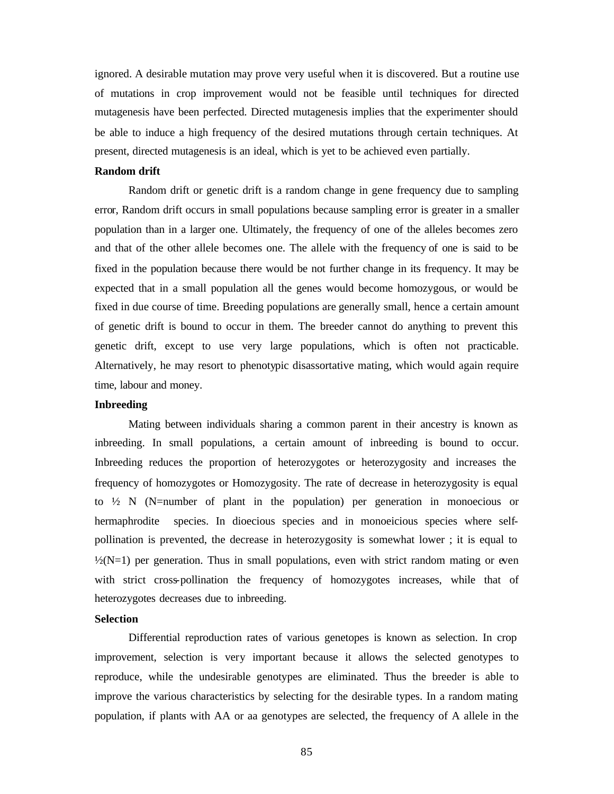ignored. A desirable mutation may prove very useful when it is discovered. But a routine use of mutations in crop improvement would not be feasible until techniques for directed mutagenesis have been perfected. Directed mutagenesis implies that the experimenter should be able to induce a high frequency of the desired mutations through certain techniques. At present, directed mutagenesis is an ideal, which is yet to be achieved even partially.

#### **Random drift**

Random drift or genetic drift is a random change in gene frequency due to sampling error, Random drift occurs in small populations because sampling error is greater in a smaller population than in a larger one. Ultimately, the frequency of one of the alleles becomes zero and that of the other allele becomes one. The allele with the frequency of one is said to be fixed in the population because there would be not further change in its frequency. It may be expected that in a small population all the genes would become homozygous, or would be fixed in due course of time. Breeding populations are generally small, hence a certain amount of genetic drift is bound to occur in them. The breeder cannot do anything to prevent this genetic drift, except to use very large populations, which is often not practicable. Alternatively, he may resort to phenotypic disassortative mating, which would again require time, labour and money.

#### **Inbreeding**

Mating between individuals sharing a common parent in their ancestry is known as inbreeding. In small populations, a certain amount of inbreeding is bound to occur. Inbreeding reduces the proportion of heterozygotes or heterozygosity and increases the frequency of homozygotes or Homozygosity. The rate of decrease in heterozygosity is equal to  $\frac{1}{2}$  N (N=number of plant in the population) per generation in monoecious or hermaphrodite species. In dioecious species and in monoeicious species where selfpollination is prevented, the decrease in heterozygosity is somewhat lower ; it is equal to  $\frac{1}{2}(N=1)$  per generation. Thus in small populations, even with strict random mating or even with strict cross-pollination the frequency of homozygotes increases, while that of heterozygotes decreases due to inbreeding.

#### **Selection**

Differential reproduction rates of various genetopes is known as selection. In crop improvement, selection is very important because it allows the selected genotypes to reproduce, while the undesirable genotypes are eliminated. Thus the breeder is able to improve the various characteristics by selecting for the desirable types. In a random mating population, if plants with AA or aa genotypes are selected, the frequency of A allele in the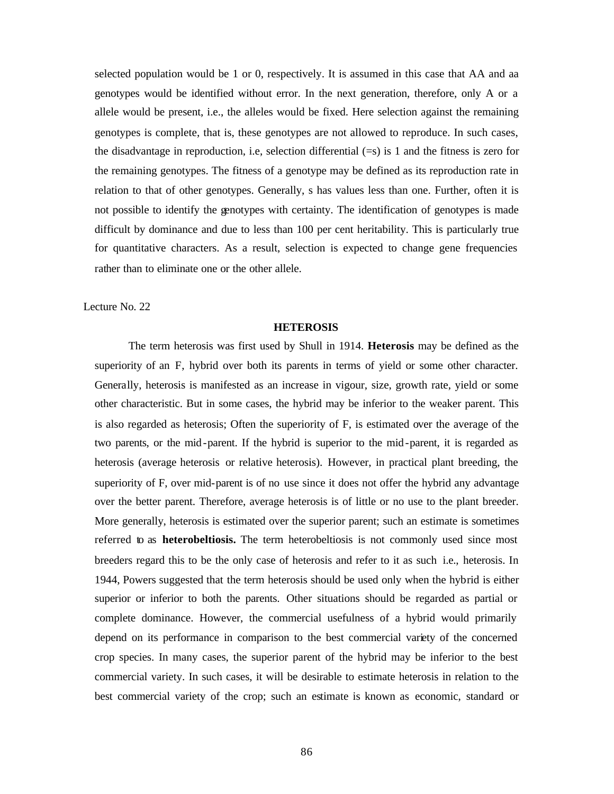selected population would be 1 or 0, respectively. It is assumed in this case that AA and aa genotypes would be identified without error. In the next generation, therefore, only A or a allele would be present, i.e., the alleles would be fixed. Here selection against the remaining genotypes is complete, that is, these genotypes are not allowed to reproduce. In such cases, the disadvantage in reproduction, i.e, selection differential (=s) is 1 and the fitness is zero for the remaining genotypes. The fitness of a genotype may be defined as its reproduction rate in relation to that of other genotypes. Generally, s has values less than one. Further, often it is not possible to identify the genotypes with certainty. The identification of genotypes is made difficult by dominance and due to less than 100 per cent heritability. This is particularly true for quantitative characters. As a result, selection is expected to change gene frequencies rather than to eliminate one or the other allele.

Lecture No. 22

#### **HETEROSIS**

The term heterosis was first used by Shull in 1914. **Heterosis** may be defined as the superiority of an F, hybrid over both its parents in terms of yield or some other character. Generally, heterosis is manifested as an increase in vigour, size, growth rate, yield or some other characteristic. But in some cases, the hybrid may be inferior to the weaker parent. This is also regarded as heterosis; Often the superiority of F, is estimated over the average of the two parents, or the mid-parent. If the hybrid is superior to the mid-parent, it is regarded as heterosis (average heterosis or relative heterosis). However, in practical plant breeding, the superiority of F, over mid-parent is of no use since it does not offer the hybrid any advantage over the better parent. Therefore, average heterosis is of little or no use to the plant breeder. More generally, heterosis is estimated over the superior parent; such an estimate is sometimes referred to as **heterobeltiosis.** The term heterobeltiosis is not commonly used since most breeders regard this to be the only case of heterosis and refer to it as such i.e., heterosis. In 1944, Powers suggested that the term heterosis should be used only when the hybrid is either superior or inferior to both the parents. Other situations should be regarded as partial or complete dominance. However, the commercial usefulness of a hybrid would primarily depend on its performance in comparison to the best commercial variety of the concerned crop species. In many cases, the superior parent of the hybrid may be inferior to the best commercial variety. In such cases, it will be desirable to estimate heterosis in relation to the best commercial variety of the crop; such an estimate is known as economic, standard or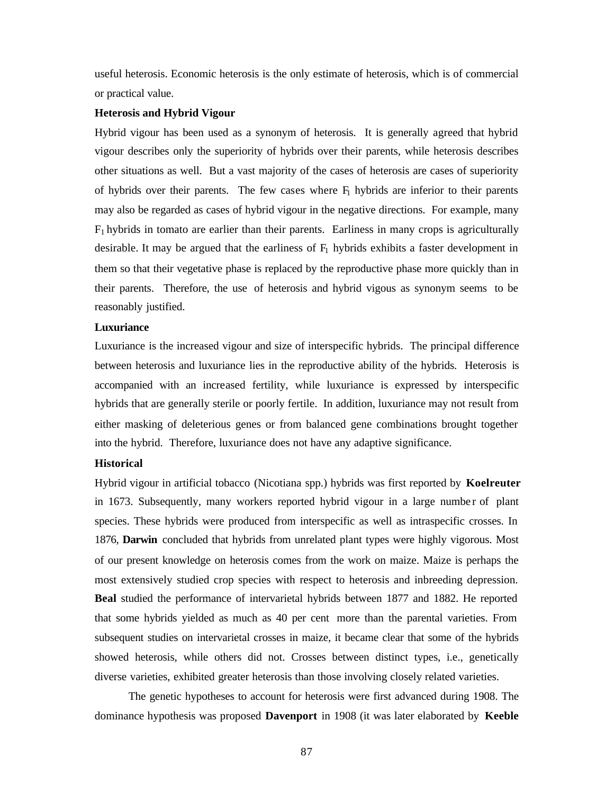useful heterosis. Economic heterosis is the only estimate of heterosis, which is of commercial or practical value.

### **Heterosis and Hybrid Vigour**

Hybrid vigour has been used as a synonym of heterosis. It is generally agreed that hybrid vigour describes only the superiority of hybrids over their parents, while heterosis describes other situations as well. But a vast majority of the cases of heterosis are cases of superiority of hybrids over their parents. The few cases where  $F_1$  hybrids are inferior to their parents may also be regarded as cases of hybrid vigour in the negative directions. For example, many  $F_1$  hybrids in tomato are earlier than their parents. Earliness in many crops is agriculturally desirable. It may be argued that the earliness of  $F_1$  hybrids exhibits a faster development in them so that their vegetative phase is replaced by the reproductive phase more quickly than in their parents. Therefore, the use of heterosis and hybrid vigous as synonym seems to be reasonably justified.

### **Luxuriance**

Luxuriance is the increased vigour and size of interspecific hybrids. The principal difference between heterosis and luxuriance lies in the reproductive ability of the hybrids. Heterosis is accompanied with an increased fertility, while luxuriance is expressed by interspecific hybrids that are generally sterile or poorly fertile. In addition, luxuriance may not result from either masking of deleterious genes or from balanced gene combinations brought together into the hybrid. Therefore, luxuriance does not have any adaptive significance.

### **Historical**

Hybrid vigour in artificial tobacco (Nicotiana spp.) hybrids was first reported by **Koelreuter** in 1673. Subsequently, many workers reported hybrid vigour in a large number of plant species. These hybrids were produced from interspecific as well as intraspecific crosses. In 1876, **Darwin** concluded that hybrids from unrelated plant types were highly vigorous. Most of our present knowledge on heterosis comes from the work on maize. Maize is perhaps the most extensively studied crop species with respect to heterosis and inbreeding depression. **Beal** studied the performance of intervarietal hybrids between 1877 and 1882. He reported that some hybrids yielded as much as 40 per cent more than the parental varieties. From subsequent studies on intervarietal crosses in maize, it became clear that some of the hybrids showed heterosis, while others did not. Crosses between distinct types, i.e., genetically diverse varieties, exhibited greater heterosis than those involving closely related varieties.

The genetic hypotheses to account for heterosis were first advanced during 1908. The dominance hypothesis was proposed **Davenport** in 1908 (it was later elaborated by **Keeble**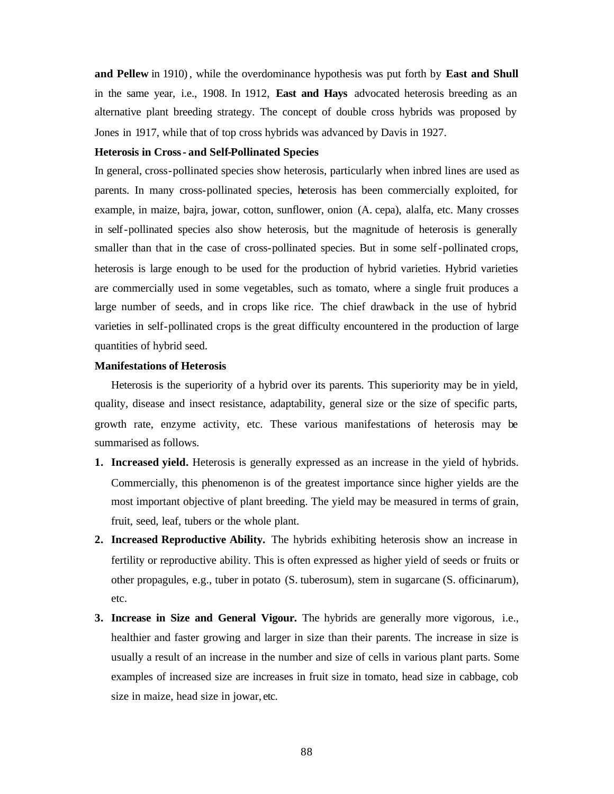**and Pellew** in 1910), while the overdominance hypothesis was put forth by **East and Shull**  in the same year, i.e., 1908. In 1912, **East and Hays** advocated heterosis breeding as an alternative plant breeding strategy. The concept of double cross hybrids was proposed by Jones in 1917, while that of top cross hybrids was advanced by Davis in 1927.

### **Heterosis in Cross- and Self-Pollinated Species**

In general, cross-pollinated species show heterosis, particularly when inbred lines are used as parents. In many cross-pollinated species, heterosis has been commercially exploited, for example, in maize, bajra, jowar, cotton, sunflower, onion (A. cepa), alalfa, etc. Many crosses in self-pollinated species also show heterosis, but the magnitude of heterosis is generally smaller than that in the case of cross-pollinated species. But in some self-pollinated crops, heterosis is large enough to be used for the production of hybrid varieties. Hybrid varieties are commercially used in some vegetables, such as tomato, where a single fruit produces a large number of seeds, and in crops like rice. The chief drawback in the use of hybrid varieties in self-pollinated crops is the great difficulty encountered in the production of large quantities of hybrid seed.

### **Manifestations of Heterosis**

Heterosis is the superiority of a hybrid over its parents. This superiority may be in yield, quality, disease and insect resistance, adaptability, general size or the size of specific parts, growth rate, enzyme activity, etc. These various manifestations of heterosis may be summarised as follows.

- **1. Increased yield.** Heterosis is generally expressed as an increase in the yield of hybrids. Commercially, this phenomenon is of the greatest importance since higher yields are the most important objective of plant breeding. The yield may be measured in terms of grain, fruit, seed, leaf, tubers or the whole plant.
- **2. Increased Reproductive Ability.** The hybrids exhibiting heterosis show an increase in fertility or reproductive ability. This is often expressed as higher yield of seeds or fruits or other propagules, e.g., tuber in potato (S. tuberosum), stem in sugarcane (S. officinarum), etc.
- **3. Increase in Size and General Vigour.** The hybrids are generally more vigorous, i.e., healthier and faster growing and larger in size than their parents. The increase in size is usually a result of an increase in the number and size of cells in various plant parts. Some examples of increased size are increases in fruit size in tomato, head size in cabbage, cob size in maize, head size in jowar, etc.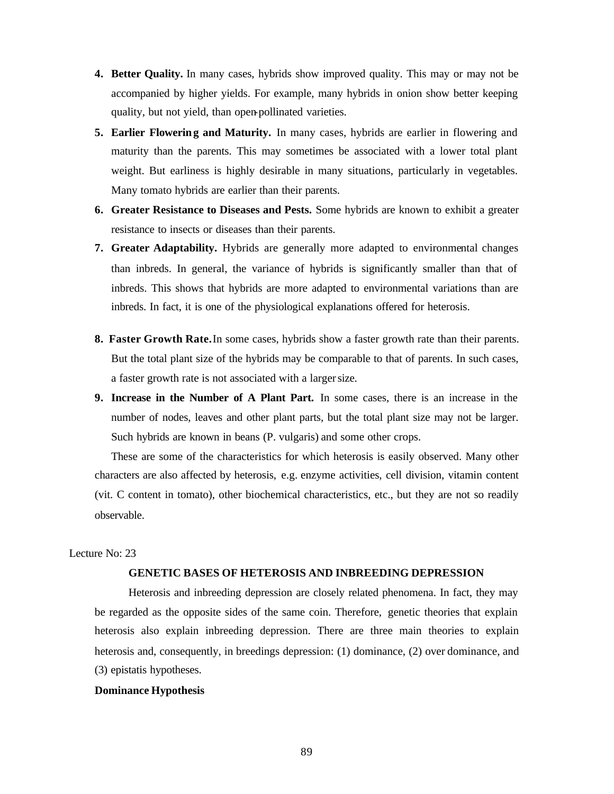- **4. Better Quality.** In many cases, hybrids show improved quality. This may or may not be accompanied by higher yields. For example, many hybrids in onion show better keeping quality, but not yield, than open-pollinated varieties.
- **5. Earlier Flowering and Maturity.** In many cases, hybrids are earlier in flowering and maturity than the parents. This may sometimes be associated with a lower total plant weight. But earliness is highly desirable in many situations, particularly in vegetables. Many tomato hybrids are earlier than their parents.
- **6. Greater Resistance to Diseases and Pests.** Some hybrids are known to exhibit a greater resistance to insects or diseases than their parents.
- **7. Greater Adaptability.** Hybrids are generally more adapted to environmental changes than inbreds. In general, the variance of hybrids is significantly smaller than that of inbreds. This shows that hybrids are more adapted to environmental variations than are inbreds. In fact, it is one of the physiological explanations offered for heterosis.
- **8. Faster Growth Rate.**In some cases, hybrids show a faster growth rate than their parents. But the total plant size of the hybrids may be comparable to that of parents. In such cases, a faster growth rate is not associated with a larger size.
- **9. Increase in the Number of A Plant Part.** In some cases, there is an increase in the number of nodes, leaves and other plant parts, but the total plant size may not be larger. Such hybrids are known in beans (P. vulgaris) and some other crops.

These are some of the characteristics for which heterosis is easily observed. Many other characters are also affected by heterosis, e.g. enzyme activities, cell division, vitamin content (vit. C content in tomato), other biochemical characteristics, etc., but they are not so readily observable.

# Lecture No: 23

### **GENETIC BASES OF HETEROSIS AND INBREEDING DEPRESSION**

Heterosis and inbreeding depression are closely related phenomena. In fact, they may be regarded as the opposite sides of the same coin. Therefore, genetic theories that explain heterosis also explain inbreeding depression. There are three main theories to explain heterosis and, consequently, in breedings depression: (1) dominance, (2) over dominance, and (3) epistatis hypotheses.

#### **Dominance Hypothesis**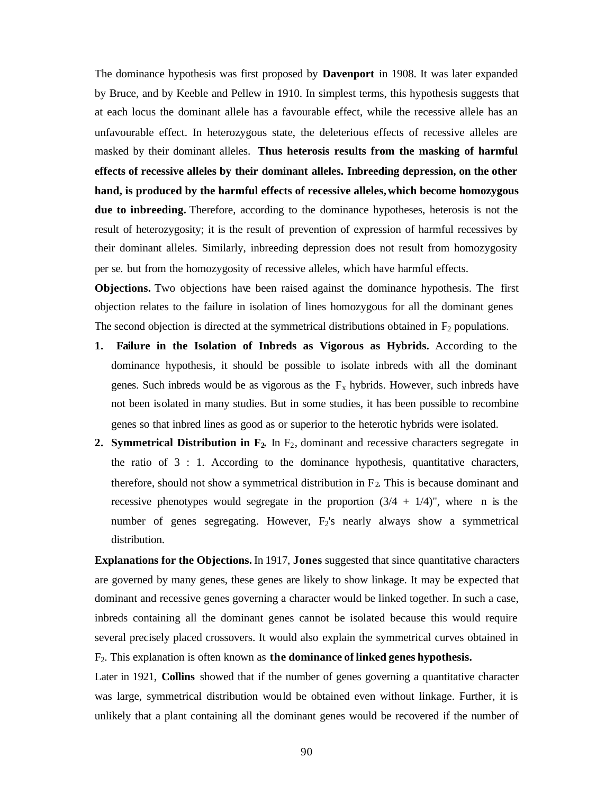The dominance hypothesis was first proposed by **Davenport** in 1908. It was later expanded by Bruce, and by Keeble and Pellew in 1910. In simplest terms, this hypothesis suggests that at each locus the dominant allele has a favourable effect, while the recessive allele has an unfavourable effect. In heterozygous state, the deleterious effects of recessive alleles are masked by their dominant alleles. **Thus heterosis results from the masking of harmful effects of recessive alleles by their dominant alleles. Inbreeding depression, on the other hand, is produced by the harmful effects of recessive alleles,which become homozygous due to inbreeding.** Therefore, according to the dominance hypotheses, heterosis is not the result of heterozygosity; it is the result of prevention of expression of harmful recessives by their dominant alleles. Similarly, inbreeding depression does not result from homozygosity per se. but from the homozygosity of recessive alleles, which have harmful effects.

**Objections.** Two objections have been raised against the dominance hypothesis. The first objection relates to the failure in isolation of lines homozygous for all the dominant genes The second objection is directed at the symmetrical distributions obtained in  $F_2$  populations.

- **1. Failure in the Isolation of Inbreds as Vigorous as Hybrids.** According to the dominance hypothesis, it should be possible to isolate inbreds with all the dominant genes. Such inbreds would be as vigorous as the  $F_x$  hybrids. However, such inbreds have not been isolated in many studies. But in some studies, it has been possible to recombine genes so that inbred lines as good as or superior to the heterotic hybrids were isolated.
- **2. Symmetrical Distribution in F<sub>2</sub>.** In F<sub>2</sub>, dominant and recessive characters segregate in the ratio of  $3:1$ . According to the dominance hypothesis, quantitative characters, therefore, should not show a symmetrical distribution in  $F_2$ . This is because dominant and recessive phenotypes would segregate in the proportion  $(3/4 + 1/4)$ ", where n is the number of genes segregating. However, F<sub>2</sub>'s nearly always show a symmetrical distribution.

**Explanations for the Objections.** In 1917, **Jones** suggested that since quantitative characters are governed by many genes, these genes are likely to show linkage. It may be expected that dominant and recessive genes governing a character would be linked together. In such a case, inbreds containing all the dominant genes cannot be isolated because this would require several precisely placed crossovers. It would also explain the symmetrical curves obtained in F2. This explanation is often known as **the dominance of linked genes hypothesis.**

Later in 1921, **Collins** showed that if the number of genes governing a quantitative character was large, symmetrical distribution would be obtained even without linkage. Further, it is unlikely that a plant containing all the dominant genes would be recovered if the number of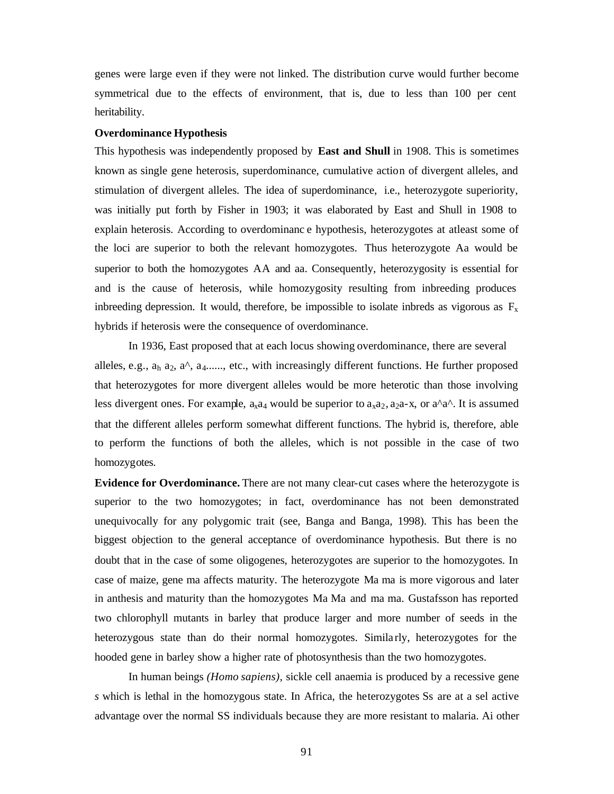genes were large even if they were not linked. The distribution curve would further become symmetrical due to the effects of environment, that is, due to less than 100 per cent heritability.

#### **Overdominance Hypothesis**

This hypothesis was independently proposed by **East and Shull** in 1908. This is sometimes known as single gene heterosis, superdominance, cumulative action of divergent alleles, and stimulation of divergent alleles. The idea of superdominance, i.e., heterozygote superiority, was initially put forth by Fisher in 1903; it was elaborated by East and Shull in 1908 to explain heterosis. According to overdominanc e hypothesis, heterozygotes at atleast some of the loci are superior to both the relevant homozygotes. Thus heterozygote Aa would be superior to both the homozygotes AA and aa. Consequently, heterozygosity is essential for and is the cause of heterosis, while homozygosity resulting from inbreeding produces inbreeding depression. It would, therefore, be impossible to isolate inbreds as vigorous as  $F_x$ hybrids if heterosis were the consequence of overdominance.

In 1936, East proposed that at each locus showing overdominance, there are several alleles, e.g.,  $a_h$   $a_2$ ,  $a^{\wedge}$ ,  $a_4$ ......, etc., with increasingly different functions. He further proposed that heterozygotes for more divergent alleles would be more heterotic than those involving less divergent ones. For example,  $a_{x4}a_{y}$  would be superior to  $a_{x4}a_{y}$ ,  $a_{y4}a_{z}a_{z}$ , or  $a^{\land}a^{\land}$ . It is assumed that the different alleles perform somewhat different functions. The hybrid is, therefore, able to perform the functions of both the alleles, which is not possible in the case of two homozygotes.

**Evidence for Overdominance.** There are not many clear-cut cases where the heterozygote is superior to the two homozygotes; in fact, overdominance has not been demonstrated unequivocally for any polygomic trait (see, Banga and Banga, 1998). This has been the biggest objection to the general acceptance of overdominance hypothesis. But there is no doubt that in the case of some oligogenes, heterozygotes are superior to the homozygotes. In case of maize, gene ma affects maturity. The heterozygote Ma ma is more vigorous and later in anthesis and maturity than the homozygotes Ma Ma and ma ma. Gustafsson has reported two chlorophyll mutants in barley that produce larger and more number of seeds in the heterozygous state than do their normal homozygotes. Similarly, heterozygotes for the hooded gene in barley show a higher rate of photosynthesis than the two homozygotes.

In human beings *(Homo sapiens),* sickle cell anaemia is produced by a recessive gene *s* which is lethal in the homozygous state. In Africa, the heterozygotes Ss are at a sel active advantage over the normal SS individuals because they are more resistant to malaria. Ai other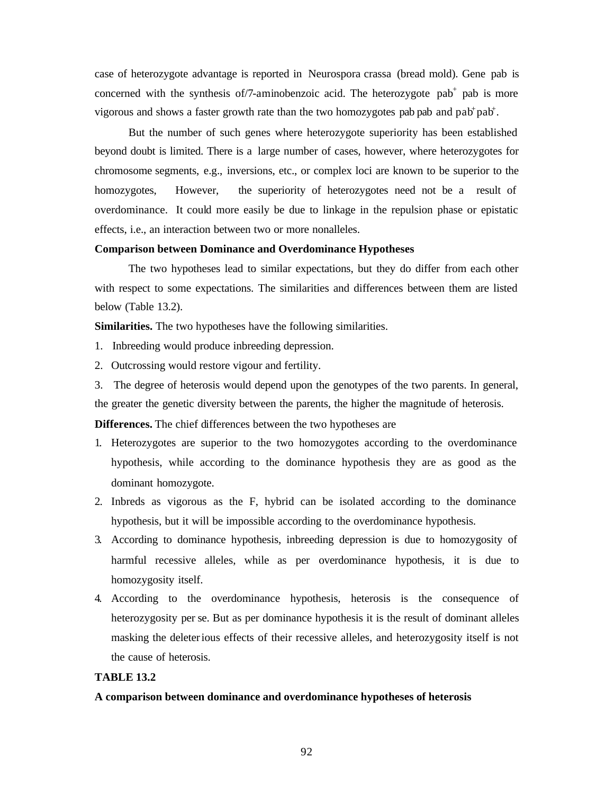case of heterozygote advantage is reported in Neurospora crassa (bread mold). Gene pab is concerned with the synthesis of  $/7$ -aminobenzoic acid. The heterozygote pab<sup>+</sup> pab is more vigorous and shows a faster growth rate than the two homozygotes pab pab and  $\text{pab}^+ \text{pab}^+$ .

But the number of such genes where heterozygote superiority has been established beyond doubt is limited. There is a large number of cases, however, where heterozygotes for chromosome segments, e.g., inversions, etc., or complex loci are known to be superior to the homozygotes, However, the superiority of heterozygotes need not be a result of overdominance. It could more easily be due to linkage in the repulsion phase or epistatic effects, i.e., an interaction between two or more nonalleles.

### **Comparison between Dominance and Overdominance Hypotheses**

The two hypotheses lead to similar expectations, but they do differ from each other with respect to some expectations. The similarities and differences between them are listed below (Table 13.2).

**Similarities.** The two hypotheses have the following similarities.

- 1. Inbreeding would produce inbreeding depression.
- 2. Outcrossing would restore vigour and fertility.

3. The degree of heterosis would depend upon the genotypes of the two parents. In general, the greater the genetic diversity between the parents, the higher the magnitude of heterosis.

**Differences.** The chief differences between the two hypotheses are

- 1. Heterozygotes are superior to the two homozygotes according to the overdominance hypothesis, while according to the dominance hypothesis they are as good as the dominant homozygote.
- 2. Inbreds as vigorous as the F, hybrid can be isolated according to the dominance hypothesis, but it will be impossible according to the overdominance hypothesis.
- 3. According to dominance hypothesis, inbreeding depression is due to homozygosity of harmful recessive alleles, while as per overdominance hypothesis, it is due to homozygosity itself.
- 4. According to the overdominance hypothesis, heterosis is the consequence of heterozygosity per se. But as per dominance hypothesis it is the result of dominant alleles masking the deleterious effects of their recessive alleles, and heterozygosity itself is not the cause of heterosis.

### **TABLE 13.2**

#### **A comparison between dominance and overdominance hypotheses of heterosis**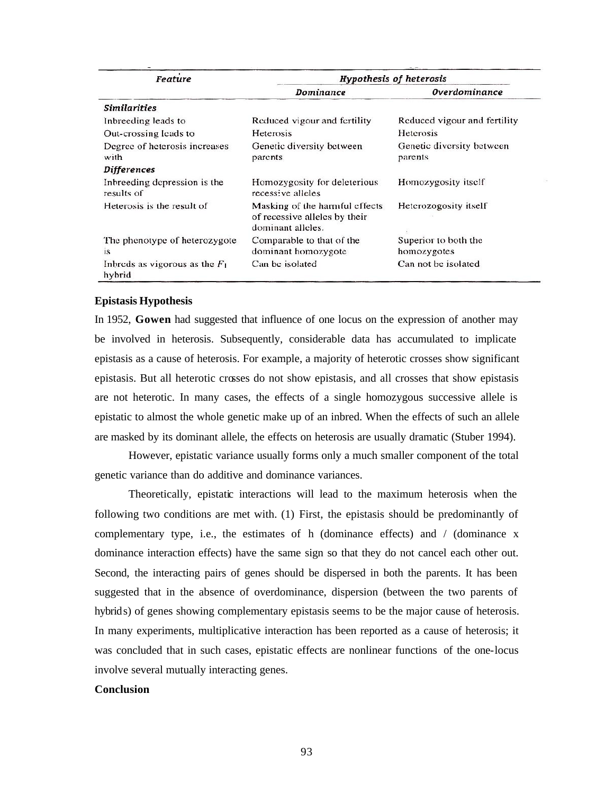| Feature                                    | <b>Hypothesis of heterosis</b>                                                       |                                      |
|--------------------------------------------|--------------------------------------------------------------------------------------|--------------------------------------|
|                                            | Dominance                                                                            | Overdominance                        |
| <b>Similarities</b>                        |                                                                                      |                                      |
| Inbreeding leads to                        | Reduced vigour and fertility                                                         | Reduced vigour and fertility         |
| Out-crossing leads to                      | Heterosis                                                                            | Heterosis                            |
| Degree of heterosis increases<br>with      | Genetic diversity between<br>parents                                                 | Genetic diversity between<br>parents |
| Differences                                |                                                                                      |                                      |
| Inbreeding depression is the<br>results of | Homozygosity for deleterious<br>recessive alleles                                    | Homozygosity itself                  |
| Heterosis is the result of                 | Masking of the harmful effects<br>of recessive alleles by their<br>dominant alleles. | Heterozogosity itself                |
| The phenotype of heterozygote              | Comparable to that of the                                                            | Superior to both the                 |
| <b>is</b>                                  | dominant homozygote                                                                  | homozygotes                          |
| Indeeds as vigorous as the $F_1$<br>hybrid | Can be isolated                                                                      | Can not be isolated                  |

#### **Epistasis Hypothesis**

In 1952, **Gowen** had suggested that influence of one locus on the expression of another may be involved in heterosis. Subsequently, considerable data has accumulated to implicate epistasis as a cause of heterosis. For example, a majority of heterotic crosses show significant epistasis. But all heterotic crosses do not show epistasis, and all crosses that show epistasis are not heterotic. In many cases, the effects of a single homozygous successive allele is epistatic to almost the whole genetic make up of an inbred. When the effects of such an allele are masked by its dominant allele, the effects on heterosis are usually dramatic (Stuber 1994).

However, epistatic variance usually forms only a much smaller component of the total genetic variance than do additive and dominance variances.

Theoretically, epistatic interactions will lead to the maximum heterosis when the following two conditions are met with. (1) First, the epistasis should be predominantly of complementary type, i.e., the estimates of h (dominance effects) and  $/$  (dominance x dominance interaction effects) have the same sign so that they do not cancel each other out. Second, the interacting pairs of genes should be dispersed in both the parents. It has been suggested that in the absence of overdominance, dispersion (between the two parents of hybrids) of genes showing complementary epistasis seems to be the major cause of heterosis. In many experiments, multiplicative interaction has been reported as a cause of heterosis; it was concluded that in such cases, epistatic effects are nonlinear functions of the one-locus involve several mutually interacting genes.

### **Conclusion**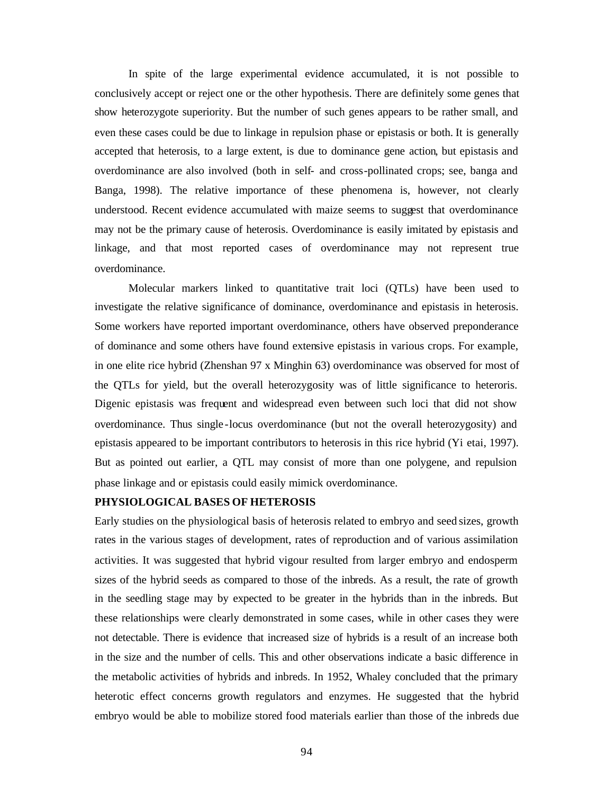In spite of the large experimental evidence accumulated, it is not possible to conclusively accept or reject one or the other hypothesis. There are definitely some genes that show heterozygote superiority. But the number of such genes appears to be rather small, and even these cases could be due to linkage in repulsion phase or epistasis or both. It is generally accepted that heterosis, to a large extent, is due to dominance gene action, but epistasis and overdominance are also involved (both in self- and cross-pollinated crops; see, banga and Banga, 1998). The relative importance of these phenomena is, however, not clearly understood. Recent evidence accumulated with maize seems to suggest that overdominance may not be the primary cause of heterosis. Overdominance is easily imitated by epistasis and linkage, and that most reported cases of overdominance may not represent true overdominance.

Molecular markers linked to quantitative trait loci (QTLs) have been used to investigate the relative significance of dominance, overdominance and epistasis in heterosis. Some workers have reported important overdominance, others have observed preponderance of dominance and some others have found extensive epistasis in various crops. For example, in one elite rice hybrid (Zhenshan 97 x Minghin 63) overdominance was observed for most of the QTLs for yield, but the overall heterozygosity was of little significance to heteroris. Digenic epistasis was frequent and widespread even between such loci that did not show overdominance. Thus single -locus overdominance (but not the overall heterozygosity) and epistasis appeared to be important contributors to heterosis in this rice hybrid (Yi etai, 1997). But as pointed out earlier, a QTL may consist of more than one polygene, and repulsion phase linkage and or epistasis could easily mimick overdominance.

### **PHYSIOLOGICAL BASES OF HETEROSIS**

Early studies on the physiological basis of heterosis related to embryo and seed sizes, growth rates in the various stages of development, rates of reproduction and of various assimilation activities. It was suggested that hybrid vigour resulted from larger embryo and endosperm sizes of the hybrid seeds as compared to those of the inbreds. As a result, the rate of growth in the seedling stage may by expected to be greater in the hybrids than in the inbreds. But these relationships were clearly demonstrated in some cases, while in other cases they were not detectable. There is evidence that increased size of hybrids is a result of an increase both in the size and the number of cells. This and other observations indicate a basic difference in the metabolic activities of hybrids and inbreds. In 1952, Whaley concluded that the primary heterotic effect concerns growth regulators and enzymes. He suggested that the hybrid embryo would be able to mobilize stored food materials earlier than those of the inbreds due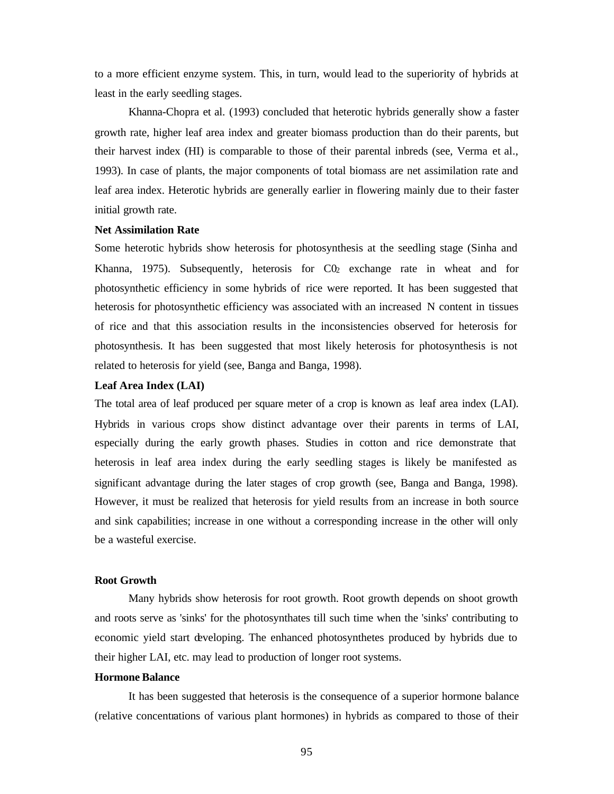to a more efficient enzyme system. This, in turn, would lead to the superiority of hybrids at least in the early seedling stages.

Khanna-Chopra et al. (1993) concluded that heterotic hybrids generally show a faster growth rate, higher leaf area index and greater biomass production than do their parents, but their harvest index (HI) is comparable to those of their parental inbreds (see, Verma et al., 1993). In case of plants, the major components of total biomass are net assimilation rate and leaf area index. Heterotic hybrids are generally earlier in flowering mainly due to their faster initial growth rate.

#### **Net Assimilation Rate**

Some heterotic hybrids show heterosis for photosynthesis at the seedling stage (Sinha and Khanna, 1975). Subsequently, heterosis for  $C_0$  exchange rate in wheat and for photosynthetic efficiency in some hybrids of rice were reported. It has been suggested that heterosis for photosynthetic efficiency was associated with an increased N content in tissues of rice and that this association results in the inconsistencies observed for heterosis for photosynthesis. It has been suggested that most likely heterosis for photosynthesis is not related to heterosis for yield (see, Banga and Banga, 1998).

### **Leaf Area Index (LAI)**

The total area of leaf produced per square meter of a crop is known as leaf area index (LAI). Hybrids in various crops show distinct advantage over their parents in terms of LAI, especially during the early growth phases. Studies in cotton and rice demonstrate that heterosis in leaf area index during the early seedling stages is likely be manifested as significant advantage during the later stages of crop growth (see, Banga and Banga, 1998). However, it must be realized that heterosis for yield results from an increase in both source and sink capabilities; increase in one without a corresponding increase in the other will only be a wasteful exercise.

### **Root Growth**

Many hybrids show heterosis for root growth. Root growth depends on shoot growth and roots serve as 'sinks' for the photosynthates till such time when the 'sinks' contributing to economic yield start developing. The enhanced photosynthetes produced by hybrids due to their higher LAI, etc. may lead to production of longer root systems.

### **Hormone Balance**

It has been suggested that heterosis is the consequence of a superior hormone balance (relative concentrations of various plant hormones) in hybrids as compared to those of their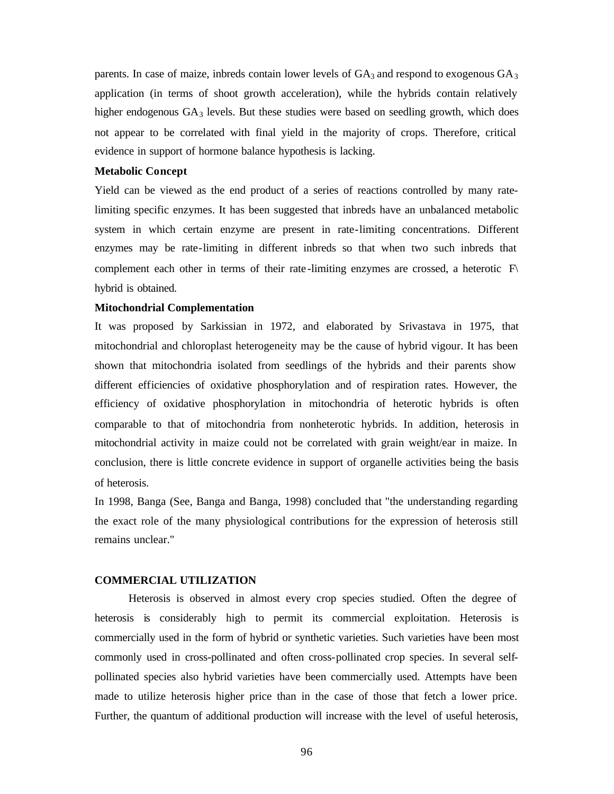parents. In case of maize, inbreds contain lower levels of  $GA_3$  and respond to exogenous  $GA_3$ application (in terms of shoot growth acceleration), while the hybrids contain relatively higher endogenous  $GA_3$  levels. But these studies were based on seedling growth, which does not appear to be correlated with final yield in the majority of crops. Therefore, critical evidence in support of hormone balance hypothesis is lacking.

#### **Metabolic Concept**

Yield can be viewed as the end product of a series of reactions controlled by many ratelimiting specific enzymes. It has been suggested that inbreds have an unbalanced metabolic system in which certain enzyme are present in rate-limiting concentrations. Different enzymes may be rate-limiting in different inbreds so that when two such inbreds that complement each other in terms of their rate-limiting enzymes are crossed, a heterotic  $\mathbb{F}\setminus\mathbb{F}$ hybrid is obtained.

### **Mitochondrial Complementation**

It was proposed by Sarkissian in 1972, and elaborated by Srivastava in 1975, that mitochondrial and chloroplast heterogeneity may be the cause of hybrid vigour. It has been shown that mitochondria isolated from seedlings of the hybrids and their parents show different efficiencies of oxidative phosphorylation and of respiration rates. However, the efficiency of oxidative phosphorylation in mitochondria of heterotic hybrids is often comparable to that of mitochondria from nonheterotic hybrids. In addition, heterosis in mitochondrial activity in maize could not be correlated with grain weight/ear in maize. In conclusion, there is little concrete evidence in support of organelle activities being the basis of heterosis.

In 1998, Banga (See, Banga and Banga, 1998) concluded that "the understanding regarding the exact role of the many physiological contributions for the expression of heterosis still remains unclear."

### **COMMERCIAL UTILIZATION**

Heterosis is observed in almost every crop species studied. Often the degree of heterosis is considerably high to permit its commercial exploitation. Heterosis is commercially used in the form of hybrid or synthetic varieties. Such varieties have been most commonly used in cross-pollinated and often cross-pollinated crop species. In several selfpollinated species also hybrid varieties have been commercially used. Attempts have been made to utilize heterosis higher price than in the case of those that fetch a lower price. Further, the quantum of additional production will increase with the level of useful heterosis,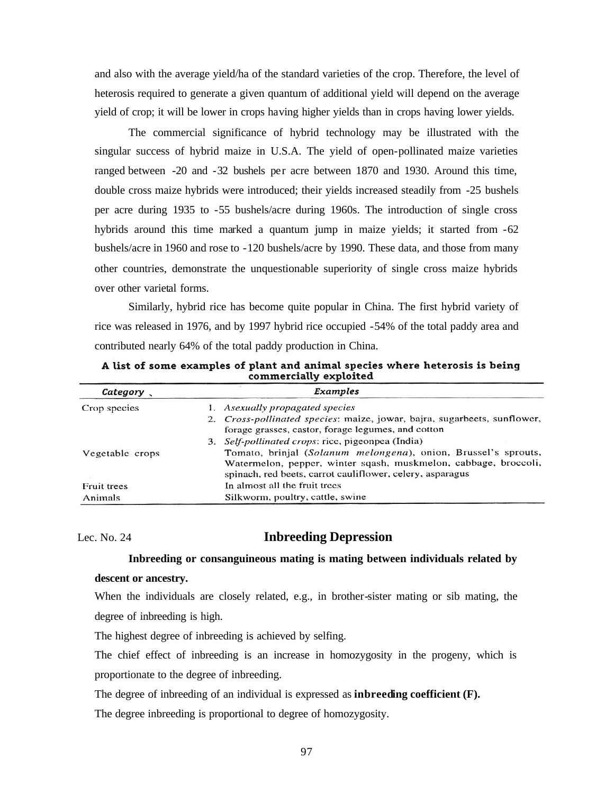and also with the average yield/ha of the standard varieties of the crop. Therefore, the level of heterosis required to generate a given quantum of additional yield will depend on the average yield of crop; it will be lower in crops having higher yields than in crops having lower yields.

The commercial significance of hybrid technology may be illustrated with the singular success of hybrid maize in U.S.A. The yield of open-pollinated maize varieties ranged between -20 and -32 bushels per acre between 1870 and 1930. Around this time, double cross maize hybrids were introduced; their yields increased steadily from -25 bushels per acre during 1935 to -55 bushels/acre during 1960s. The introduction of single cross hybrids around this time marked a quantum jump in maize yields; it started from -62 bushels/acre in 1960 and rose to -120 bushels/acre by 1990. These data, and those from many other countries, demonstrate the unquestionable superiority of single cross maize hybrids over other varietal forms.

Similarly, hybrid rice has become quite popular in China. The first hybrid variety of rice was released in 1976, and by 1997 hybrid rice occupied -54% of the total paddy area and contributed nearly 64% of the total paddy production in China.

| commercially exploited |                                                                                                                                                                                                |  |  |
|------------------------|------------------------------------------------------------------------------------------------------------------------------------------------------------------------------------------------|--|--|
| Category,              | Examples                                                                                                                                                                                       |  |  |
| Crop species           | 1. Asexually propagated species                                                                                                                                                                |  |  |
|                        | 2. Cross-pollinated species: maize, jowar, bajra, sugarbeets, sunflower,<br>forage grasses, castor, forage legumes, and cotton                                                                 |  |  |
|                        | 3. Self-pollinated crops: rice, pigeonpea (India)                                                                                                                                              |  |  |
| Vegetable crops        | Tomato, brinjal (Solanum melongena), onion, Brussel's sprouts,<br>Watermelon, pepper, winter sqash, muskmelon, cabbage, broccoli,<br>spinach, red beets, carrot cauliflower, celery, asparagus |  |  |
| Fruit trees            | In almost all the fruit trees                                                                                                                                                                  |  |  |
| Animals                | Silkworm, poultry, cattle, swine                                                                                                                                                               |  |  |

A list of some examples of plant and animal species where heterosis is being ommercially exploited

# Lec. No. 24 **Inbreeding Depression**

### **Inbreeding or consanguineous mating is mating between individuals related by**

### **descent or ancestry.**

When the individuals are closely related, e.g., in brother-sister mating or sib mating, the degree of inbreeding is high.

The highest degree of inbreeding is achieved by selfing.

The chief effect of inbreeding is an increase in homozygosity in the progeny, which is proportionate to the degree of inbreeding.

The degree of inbreeding of an individual is expressed as **inbreeding coefficient (F).**

The degree inbreeding is proportional to degree of homozygosity.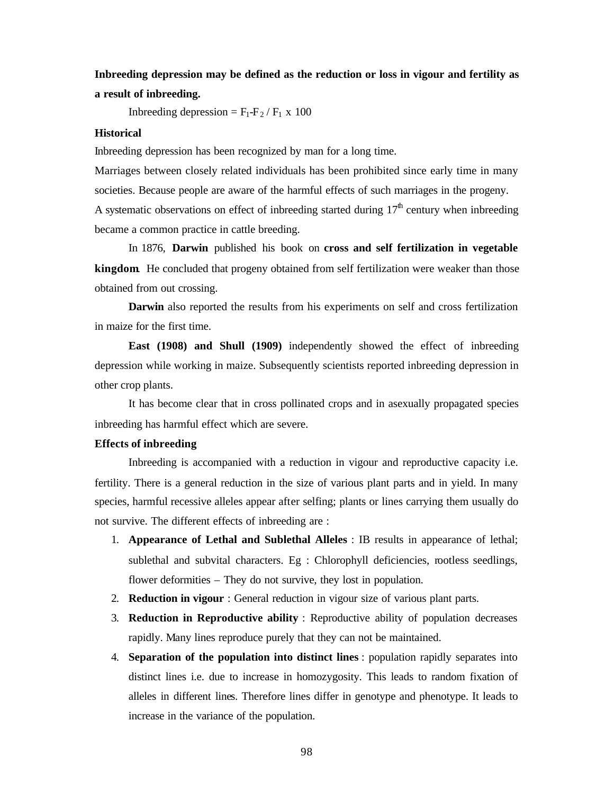# **Inbreeding depression may be defined as the reduction or loss in vigour and fertility as a result of inbreeding.**

Inbreeding depression =  $F_1-F_2/F_1 \times 100$ 

### **Historical**

Inbreeding depression has been recognized by man for a long time.

Marriages between closely related individuals has been prohibited since early time in many societies. Because people are aware of the harmful effects of such marriages in the progeny. A systematic observations on effect of inbreeding started during  $17<sup>th</sup>$  century when inbreeding became a common practice in cattle breeding.

In 1876, **Darwin** published his book on **cross and self fertilization in vegetable kingdom**. He concluded that progeny obtained from self fertilization were weaker than those obtained from out crossing.

**Darwin** also reported the results from his experiments on self and cross fertilization in maize for the first time.

**East (1908) and Shull (1909)** independently showed the effect of inbreeding depression while working in maize. Subsequently scientists reported inbreeding depression in other crop plants.

It has become clear that in cross pollinated crops and in asexually propagated species inbreeding has harmful effect which are severe.

#### **Effects of inbreeding**

Inbreeding is accompanied with a reduction in vigour and reproductive capacity i.e. fertility. There is a general reduction in the size of various plant parts and in yield. In many species, harmful recessive alleles appear after selfing; plants or lines carrying them usually do not survive. The different effects of inbreeding are :

- 1. **Appearance of Lethal and Sublethal Alleles** : IB results in appearance of lethal; sublethal and subvital characters. Eg : Chlorophyll deficiencies, rootless seedlings, flower deformities – They do not survive, they lost in population.
- 2. **Reduction in vigour** : General reduction in vigour size of various plant parts.
- 3. **Reduction in Reproductive ability** : Reproductive ability of population decreases rapidly. Many lines reproduce purely that they can not be maintained.
- 4. **Separation of the population into distinct lines** : population rapidly separates into distinct lines i.e. due to increase in homozygosity. This leads to random fixation of alleles in different lines. Therefore lines differ in genotype and phenotype. It leads to increase in the variance of the population.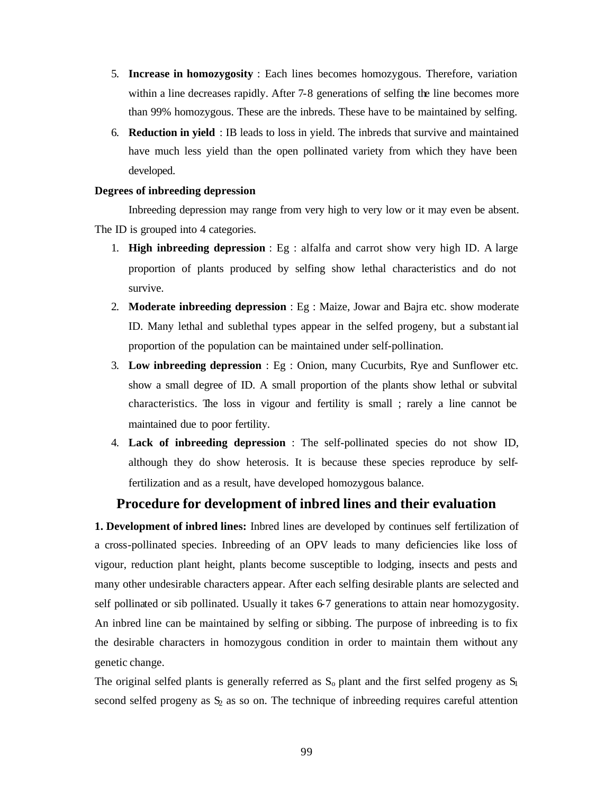- 5. **Increase in homozygosity** : Each lines becomes homozygous. Therefore, variation within a line decreases rapidly. After 7-8 generations of selfing the line becomes more than 99% homozygous. These are the inbreds. These have to be maintained by selfing.
- 6. **Reduction in yield** : IB leads to loss in yield. The inbreds that survive and maintained have much less yield than the open pollinated variety from which they have been developed.

#### **Degrees of inbreeding depression**

Inbreeding depression may range from very high to very low or it may even be absent. The ID is grouped into 4 categories.

- 1. **High inbreeding depression** : Eg : alfalfa and carrot show very high ID. A large proportion of plants produced by selfing show lethal characteristics and do not survive.
- 2. **Moderate inbreeding depression** : Eg : Maize, Jowar and Bajra etc. show moderate ID. Many lethal and sublethal types appear in the selfed progeny, but a substantial proportion of the population can be maintained under self-pollination.
- 3. **Low inbreeding depression** : Eg : Onion, many Cucurbits, Rye and Sunflower etc. show a small degree of ID. A small proportion of the plants show lethal or subvital characteristics. The loss in vigour and fertility is small ; rarely a line cannot be maintained due to poor fertility.
- 4. **Lack of inbreeding depression** : The self-pollinated species do not show ID, although they do show heterosis. It is because these species reproduce by selffertilization and as a result, have developed homozygous balance.

# **Procedure for development of inbred lines and their evaluation**

**1. Development of inbred lines:** Inbred lines are developed by continues self fertilization of a cross-pollinated species. Inbreeding of an OPV leads to many deficiencies like loss of vigour, reduction plant height, plants become susceptible to lodging, insects and pests and many other undesirable characters appear. After each selfing desirable plants are selected and self pollinated or sib pollinated. Usually it takes 6-7 generations to attain near homozygosity. An inbred line can be maintained by selfing or sibbing. The purpose of inbreeding is to fix the desirable characters in homozygous condition in order to maintain them without any genetic change.

The original selfed plants is generally referred as  $S_0$  plant and the first selfed progeny as  $S_1$ second selfed progeny as  $S_2$  as so on. The technique of inbreeding requires careful attention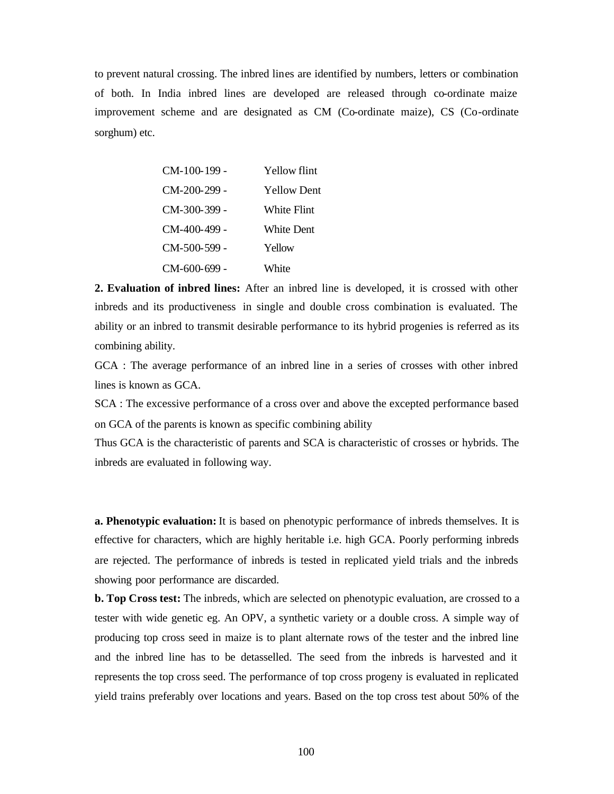to prevent natural crossing. The inbred lines are identified by numbers, letters or combination of both. In India inbred lines are developed are released through co-ordinate maize improvement scheme and are designated as CM (Co-ordinate maize), CS (Co-ordinate sorghum) etc.

| $CM-100-199$ - | Yellow flint       |
|----------------|--------------------|
| CM-200-299 -   | <b>Yellow Dent</b> |
| CM-300-399 -   | White Flint        |
| $CM-400-499$ - | White Dent         |
| CM-500-599 -   | Yellow             |
| CM-600-699 -   | White              |

**2. Evaluation of inbred lines:** After an inbred line is developed, it is crossed with other inbreds and its productiveness in single and double cross combination is evaluated. The ability or an inbred to transmit desirable performance to its hybrid progenies is referred as its combining ability.

GCA : The average performance of an inbred line in a series of crosses with other inbred lines is known as GCA.

SCA : The excessive performance of a cross over and above the excepted performance based on GCA of the parents is known as specific combining ability

Thus GCA is the characteristic of parents and SCA is characteristic of crosses or hybrids. The inbreds are evaluated in following way.

**a. Phenotypic evaluation:** It is based on phenotypic performance of inbreds themselves. It is effective for characters, which are highly heritable i.e. high GCA. Poorly performing inbreds are rejected. The performance of inbreds is tested in replicated yield trials and the inbreds showing poor performance are discarded.

**b. Top Cross test:** The inbreds, which are selected on phenotypic evaluation, are crossed to a tester with wide genetic eg. An OPV, a synthetic variety or a double cross. A simple way of producing top cross seed in maize is to plant alternate rows of the tester and the inbred line and the inbred line has to be detasselled. The seed from the inbreds is harvested and it represents the top cross seed. The performance of top cross progeny is evaluated in replicated yield trains preferably over locations and years. Based on the top cross test about 50% of the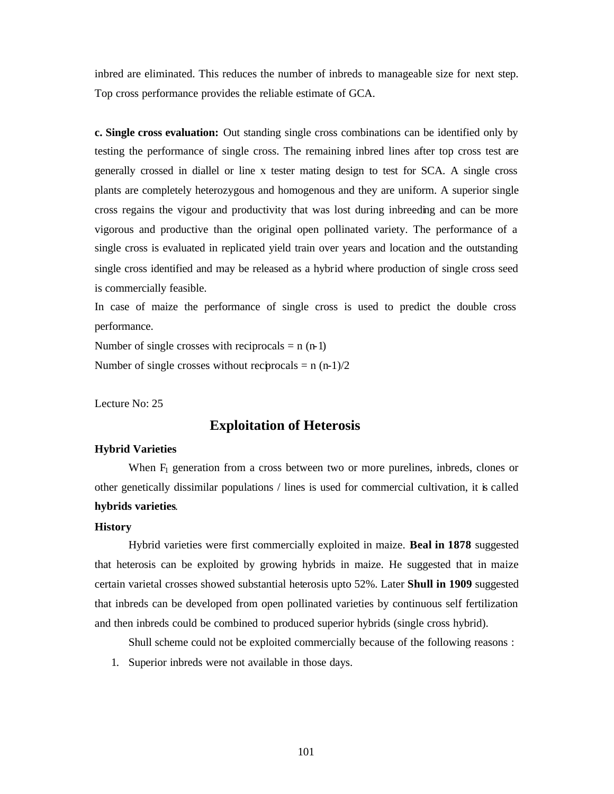inbred are eliminated. This reduces the number of inbreds to manageable size for next step. Top cross performance provides the reliable estimate of GCA.

**c. Single cross evaluation:** Out standing single cross combinations can be identified only by testing the performance of single cross. The remaining inbred lines after top cross test are generally crossed in diallel or line x tester mating design to test for SCA. A single cross plants are completely heterozygous and homogenous and they are uniform. A superior single cross regains the vigour and productivity that was lost during inbreeding and can be more vigorous and productive than the original open pollinated variety. The performance of a single cross is evaluated in replicated yield train over years and location and the outstanding single cross identified and may be released as a hybrid where production of single cross seed is commercially feasible.

In case of maize the performance of single cross is used to predict the double cross performance.

Number of single crosses with reciprocals  $= n (n-1)$ Number of single crosses without reciprocals  $= n (n-1)/2$ 

Lecture No: 25

# **Exploitation of Heterosis**

#### **Hybrid Varieties**

When  $F_1$  generation from a cross between two or more purelines, inbreds, clones or other genetically dissimilar populations / lines is used for commercial cultivation, it is called **hybrids varieties**.

### **History**

Hybrid varieties were first commercially exploited in maize. **Beal in 1878** suggested that heterosis can be exploited by growing hybrids in maize. He suggested that in maize certain varietal crosses showed substantial heterosis upto 52%. Later **Shull in 1909** suggested that inbreds can be developed from open pollinated varieties by continuous self fertilization and then inbreds could be combined to produced superior hybrids (single cross hybrid).

Shull scheme could not be exploited commercially because of the following reasons :

1. Superior inbreds were not available in those days.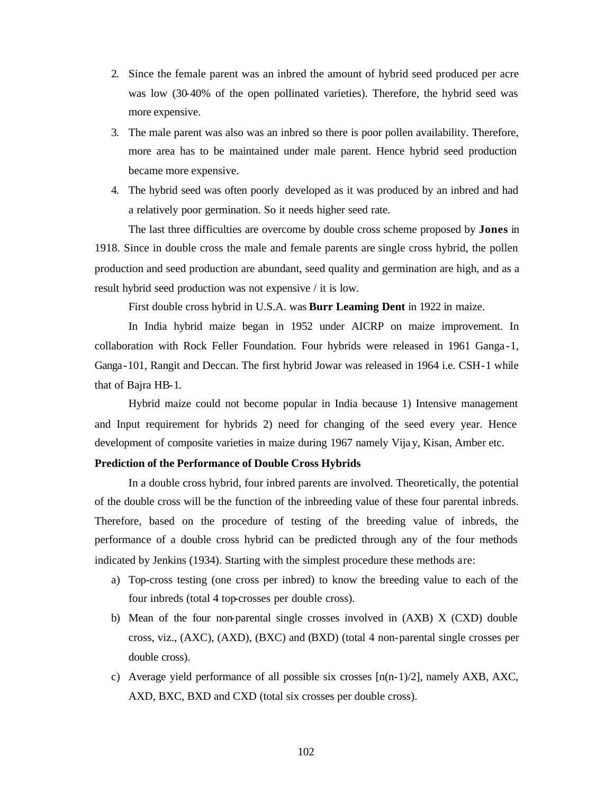- 2. Since the female parent was an inbred the amount of hybrid seed produced per acre was low (30-40% of the open pollinated varieties). Therefore, the hybrid seed was more expensive.
- 3. The male parent was also was an inbred so there is poor pollen availability. Therefore, more area has to be maintained under male parent. Hence hybrid seed production became more expensive.
- 4. The hybrid seed was often poorly developed as it was produced by an inbred and had a relatively poor germination. So it needs higher seed rate.

The last three difficulties are overcome by double cross scheme proposed by **Jones** in 1918. Since in double cross the male and female parents are single cross hybrid, the pollen production and seed production are abundant, seed quality and germination are high, and as a result hybrid seed production was not expensive / it is low.

First double cross hybrid in U.S.A. was **Burr Leaming Dent** in 1922 in maize.

In India hybrid maize began in 1952 under AICRP on maize improvement. In collaboration with Rock Feller Foundation. Four hybrids were released in 1961 Ganga -1, Ganga-101, Rangit and Deccan. The first hybrid Jowar was released in 1964 i.e. CSH-1 while that of Bajra HB-1.

Hybrid maize could not become popular in India because 1) Intensive management and Input requirement for hybrids 2) need for changing of the seed every year. Hence development of composite varieties in maize during 1967 namely Vijay, Kisan, Amber etc.

### **Prediction of the Performance of Double Cross Hybrids**

In a double cross hybrid, four inbred parents are involved. Theoretically, the potential of the double cross will be the function of the inbreeding value of these four parental inbreds. Therefore, based on the procedure of testing of the breeding value of inbreds, the performance of a double cross hybrid can be predicted through any of the four methods indicated by Jenkins (1934). Starting with the simplest procedure these methods are:

- a) Top-cross testing (one cross per inbred) to know the breeding value to each of the four inbreds (total 4 top-crosses per double cross).
- b) Mean of the four non-parental single crosses involved in (AXB) X (CXD) double cross, viz., (AXC), (AXD), (BXC) and (BXD) (total 4 non-parental single crosses per double cross).
- c) Average yield performance of all possible six crosses  $[n(n-1)/2]$ , namely AXB, AXC, AXD, BXC, BXD and CXD (total six crosses per double cross).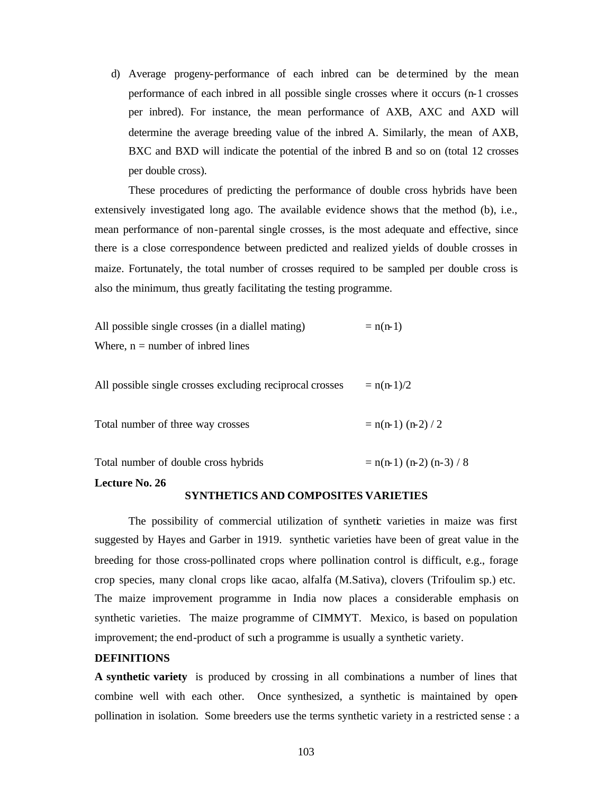d) Average progeny-performance of each inbred can be de termined by the mean performance of each inbred in all possible single crosses where it occurs (n-1 crosses per inbred). For instance, the mean performance of AXB, AXC and AXD will determine the average breeding value of the inbred A. Similarly, the mean of AXB, BXC and BXD will indicate the potential of the inbred B and so on (total 12 crosses per double cross).

These procedures of predicting the performance of double cross hybrids have been extensively investigated long ago. The available evidence shows that the method (b), i.e., mean performance of non-parental single crosses, is the most adequate and effective, since there is a close correspondence between predicted and realized yields of double crosses in maize. Fortunately, the total number of crosses required to be sampled per double cross is also the minimum, thus greatly facilitating the testing programme.

All possible single crosses (in a diallel mating)  $= n(n-1)$ Where,  $n =$  number of inbred lines

All possible single crosses excluding reciprocal crosses  $= n(n-1)/2$ 

Total number of three way crosses  $= n(n-1) (n-2) / 2$ 

Total number of double cross hybrids  $= n(n-1) (n-2) (n-3) / 8$ 

#### **Lecture No. 26**

### **SYNTHETICS AND COMPOSITES VARIETIES**

The possibility of commercial utilization of synthetic varieties in maize was first suggested by Hayes and Garber in 1919. synthetic varieties have been of great value in the breeding for those cross-pollinated crops where pollination control is difficult, e.g., forage crop species, many clonal crops like cacao, alfalfa (M.Sativa), clovers (Trifoulim sp.) etc. The maize improvement programme in India now places a considerable emphasis on synthetic varieties. The maize programme of CIMMYT. Mexico, is based on population improvement; the end-product of such a programme is usually a synthetic variety.

#### **DEFINITIONS**

**A synthetic variety** is produced by crossing in all combinations a number of lines that combine well with each other. Once synthesized, a synthetic is maintained by openpollination in isolation. Some breeders use the terms synthetic variety in a restricted sense : a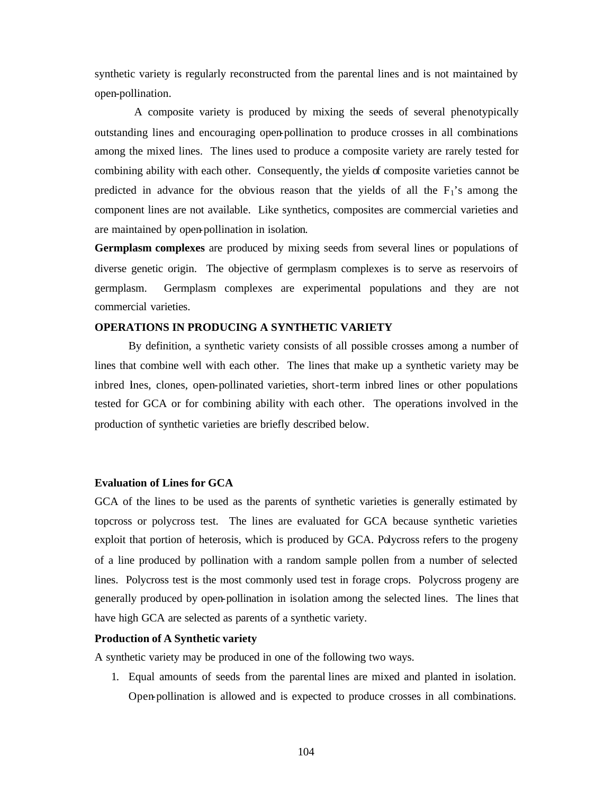synthetic variety is regularly reconstructed from the parental lines and is not maintained by open-pollination.

 A composite variety is produced by mixing the seeds of several phenotypically outstanding lines and encouraging open-pollination to produce crosses in all combinations among the mixed lines. The lines used to produce a composite variety are rarely tested for combining ability with each other. Consequently, the yields of composite varieties cannot be predicted in advance for the obvious reason that the yields of all the  $F_1$ 's among the component lines are not available. Like synthetics, composites are commercial varieties and are maintained by open-pollination in isolation.

**Germplasm complexes** are produced by mixing seeds from several lines or populations of diverse genetic origin. The objective of germplasm complexes is to serve as reservoirs of germplasm. Germplasm complexes are experimental populations and they are not commercial varieties.

### **OPERATIONS IN PRODUCING A SYNTHETIC VARIETY**

By definition, a synthetic variety consists of all possible crosses among a number of lines that combine well with each other. The lines that make up a synthetic variety may be inbred lines, clones, open-pollinated varieties, short-term inbred lines or other populations tested for GCA or for combining ability with each other. The operations involved in the production of synthetic varieties are briefly described below.

### **Evaluation of Lines for GCA**

GCA of the lines to be used as the parents of synthetic varieties is generally estimated by topcross or polycross test. The lines are evaluated for GCA because synthetic varieties exploit that portion of heterosis, which is produced by GCA. Polycross refers to the progeny of a line produced by pollination with a random sample pollen from a number of selected lines. Polycross test is the most commonly used test in forage crops. Polycross progeny are generally produced by open-pollination in isolation among the selected lines. The lines that have high GCA are selected as parents of a synthetic variety.

#### **Production of A Synthetic variety**

A synthetic variety may be produced in one of the following two ways.

1. Equal amounts of seeds from the parental lines are mixed and planted in isolation. Open-pollination is allowed and is expected to produce crosses in all combinations.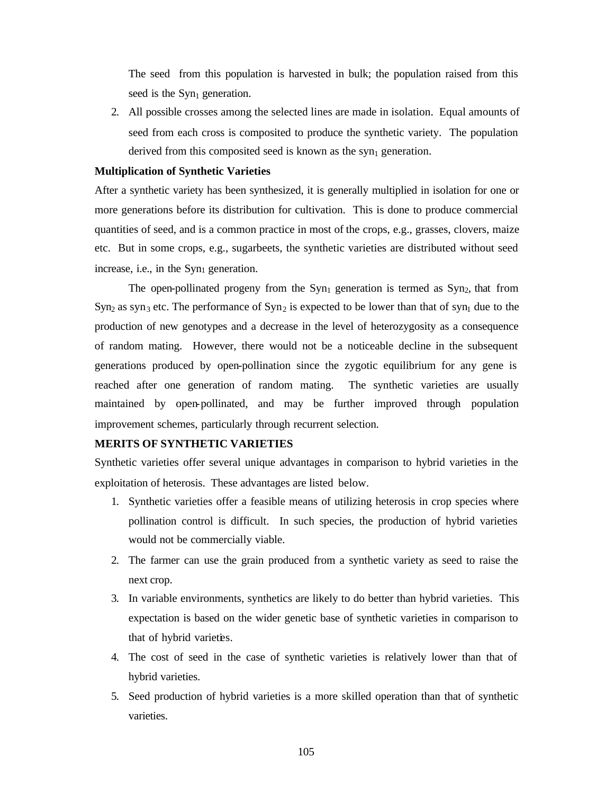The seed from this population is harvested in bulk; the population raised from this seed is the  $Syn<sub>1</sub>$  generation.

2. All possible crosses among the selected lines are made in isolation. Equal amounts of seed from each cross is composited to produce the synthetic variety. The population derived from this composited seed is known as the syn<sub>1</sub> generation.

### **Multiplication of Synthetic Varieties**

After a synthetic variety has been synthesized, it is generally multiplied in isolation for one or more generations before its distribution for cultivation. This is done to produce commercial quantities of seed, and is a common practice in most of the crops, e.g., grasses, clovers, maize etc. But in some crops, e.g., sugarbeets, the synthetic varieties are distributed without seed increase, i.e., in the  $Syn<sub>1</sub>$  generation.

The open-pollinated progeny from the  $Syn_1$  generation is termed as  $Syn_2$ , that from  $Syn_2$  as syn<sub>3</sub> etc. The performance of  $Syn_2$  is expected to be lower than that of syn<sub>1</sub> due to the production of new genotypes and a decrease in the level of heterozygosity as a consequence of random mating. However, there would not be a noticeable decline in the subsequent generations produced by open-pollination since the zygotic equilibrium for any gene is reached after one generation of random mating. The synthetic varieties are usually maintained by open-pollinated, and may be further improved through population improvement schemes, particularly through recurrent selection.

# **MERITS OF SYNTHETIC VARIETIES**

Synthetic varieties offer several unique advantages in comparison to hybrid varieties in the exploitation of heterosis. These advantages are listed below.

- 1. Synthetic varieties offer a feasible means of utilizing heterosis in crop species where pollination control is difficult. In such species, the production of hybrid varieties would not be commercially viable.
- 2. The farmer can use the grain produced from a synthetic variety as seed to raise the next crop.
- 3. In variable environments, synthetics are likely to do better than hybrid varieties. This expectation is based on the wider genetic base of synthetic varieties in comparison to that of hybrid varieties.
- 4. The cost of seed in the case of synthetic varieties is relatively lower than that of hybrid varieties.
- 5. Seed production of hybrid varieties is a more skilled operation than that of synthetic varieties.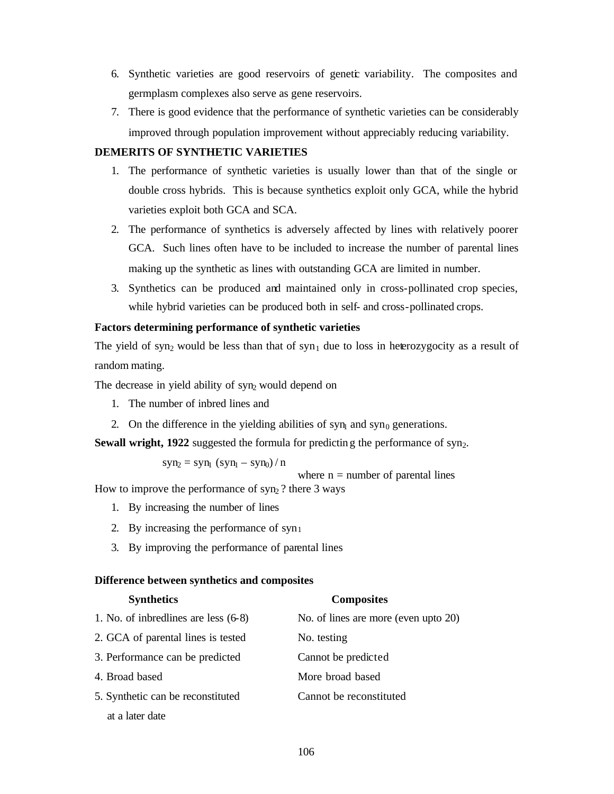- 6. Synthetic varieties are good reservoirs of genetic variability. The composites and germplasm complexes also serve as gene reservoirs.
- 7. There is good evidence that the performance of synthetic varieties can be considerably improved through population improvement without appreciably reducing variability.

# **DEMERITS OF SYNTHETIC VARIETIES**

- 1. The performance of synthetic varieties is usually lower than that of the single or double cross hybrids. This is because synthetics exploit only GCA, while the hybrid varieties exploit both GCA and SCA.
- 2. The performance of synthetics is adversely affected by lines with relatively poorer GCA. Such lines often have to be included to increase the number of parental lines making up the synthetic as lines with outstanding GCA are limited in number.
- 3. Synthetics can be produced and maintained only in cross-pollinated crop species, while hybrid varieties can be produced both in self- and cross-pollinated crops.

# **Factors determining performance of synthetic varieties**

The yield of syn<sub>2</sub> would be less than that of syn<sub>1</sub> due to loss in heterozygocity as a result of random mating.

The decrease in yield ability of  $syn_2$  would depend on

- 1. The number of inbred lines and
- 2. On the difference in the yielding abilities of syn<sub>1</sub> and syn<sub>0</sub> generations.

**Sewall wright, 1922** suggested the formula for predicting the performance of syn<sub>2</sub>.

 $syn_2 = syn_1 (syn_1 - syn_0) / n$ 

where  $n =$  number of parental lines

How to improve the performance of  $syn_2$ ? there 3 ways

- 1. By increasing the number of lines
- 2. By increasing the performance of  $syn<sub>1</sub>$
- 3. By improving the performance of parental lines

### **Difference between synthetics and composites**

| <b>Synthetics</b>                      | <b>Composites</b>                    |
|----------------------------------------|--------------------------------------|
| 1. No. of inbredlines are less $(6-8)$ | No. of lines are more (even upto 20) |
| 2. GCA of parental lines is tested     | No. testing                          |
| 3. Performance can be predicted        | Cannot be predicted                  |
| 4. Broad based                         | More broad based                     |
| 5. Synthetic can be reconstituted      | Cannot be reconstituted              |
| at a later date                        |                                      |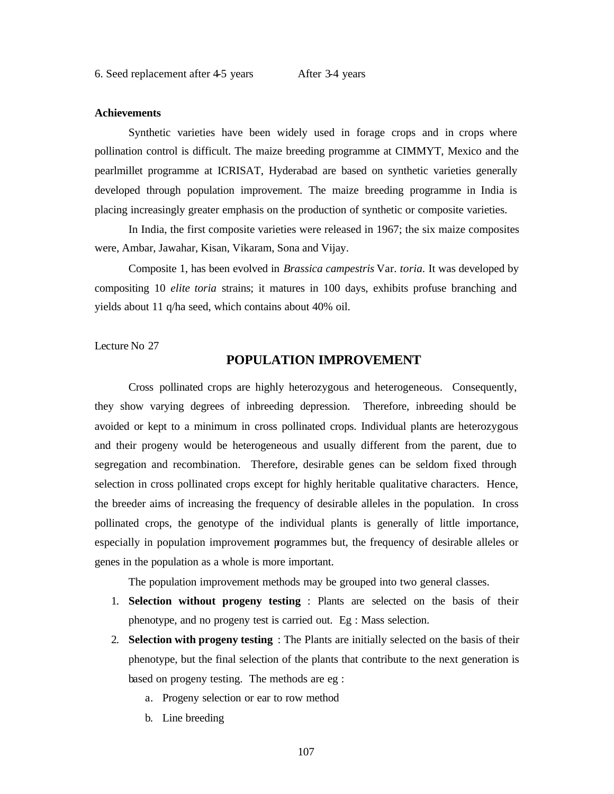#### **Achievements**

Synthetic varieties have been widely used in forage crops and in crops where pollination control is difficult. The maize breeding programme at CIMMYT, Mexico and the pearlmillet programme at ICRISAT, Hyderabad are based on synthetic varieties generally developed through population improvement. The maize breeding programme in India is placing increasingly greater emphasis on the production of synthetic or composite varieties.

In India, the first composite varieties were released in 1967; the six maize composites were, Ambar, Jawahar, Kisan, Vikaram, Sona and Vijay.

Composite 1, has been evolved in *Brassica campestris* Var. *toria.* It was developed by compositing 10 *elite toria* strains; it matures in 100 days, exhibits profuse branching and yields about 11 q/ha seed, which contains about 40% oil.

Lecture No 27

# **POPULATION IMPROVEMENT**

Cross pollinated crops are highly heterozygous and heterogeneous. Consequently, they show varying degrees of inbreeding depression. Therefore, inbreeding should be avoided or kept to a minimum in cross pollinated crops. Individual plants are heterozygous and their progeny would be heterogeneous and usually different from the parent, due to segregation and recombination. Therefore, desirable genes can be seldom fixed through selection in cross pollinated crops except for highly heritable qualitative characters. Hence, the breeder aims of increasing the frequency of desirable alleles in the population. In cross pollinated crops, the genotype of the individual plants is generally of little importance, especially in population improvement programmes but, the frequency of desirable alleles or genes in the population as a whole is more important.

The population improvement methods may be grouped into two general classes.

- 1. **Selection without progeny testing** : Plants are selected on the basis of their phenotype, and no progeny test is carried out. Eg : Mass selection.
- 2. **Selection with progeny testing** : The Plants are initially selected on the basis of their phenotype, but the final selection of the plants that contribute to the next generation is based on progeny testing. The methods are eg :
	- a. Progeny selection or ear to row method
	- b. Line breeding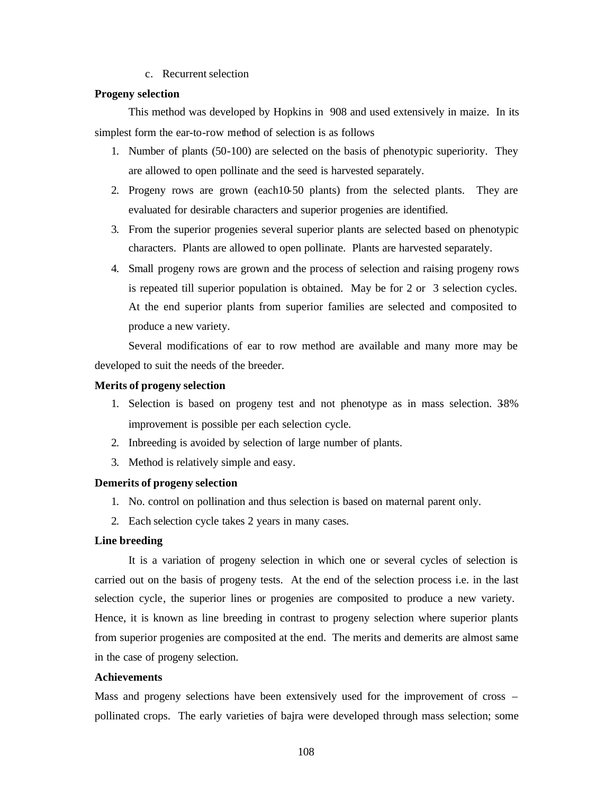c. Recurrent selection

# **Progeny selection**

This method was developed by Hopkins in 908 and used extensively in maize. In its simplest form the ear-to-row method of selection is as follows

- 1. Number of plants (50-100) are selected on the basis of phenotypic superiority. They are allowed to open pollinate and the seed is harvested separately.
- 2. Progeny rows are grown (each10-50 plants) from the selected plants. They are evaluated for desirable characters and superior progenies are identified.
- 3. From the superior progenies several superior plants are selected based on phenotypic characters. Plants are allowed to open pollinate. Plants are harvested separately.
- 4. Small progeny rows are grown and the process of selection and raising progeny rows is repeated till superior population is obtained. May be for 2 or 3 selection cycles. At the end superior plants from superior families are selected and composited to produce a new variety.

Several modifications of ear to row method are available and many more may be developed to suit the needs of the breeder.

#### **Merits of progeny selection**

- 1. Selection is based on progeny test and not phenotype as in mass selection. 3-8% improvement is possible per each selection cycle.
- 2. Inbreeding is avoided by selection of large number of plants.
- 3. Method is relatively simple and easy.

### **Demerits of progeny selection**

- 1. No. control on pollination and thus selection is based on maternal parent only.
- 2. Each selection cycle takes 2 years in many cases.

# **Line breeding**

It is a variation of progeny selection in which one or several cycles of selection is carried out on the basis of progeny tests. At the end of the selection process i.e. in the last selection cycle, the superior lines or progenies are composited to produce a new variety. Hence, it is known as line breeding in contrast to progeny selection where superior plants from superior progenies are composited at the end. The merits and demerits are almost same in the case of progeny selection.

# **Achievements**

Mass and progeny selections have been extensively used for the improvement of cross – pollinated crops. The early varieties of bajra were developed through mass selection; some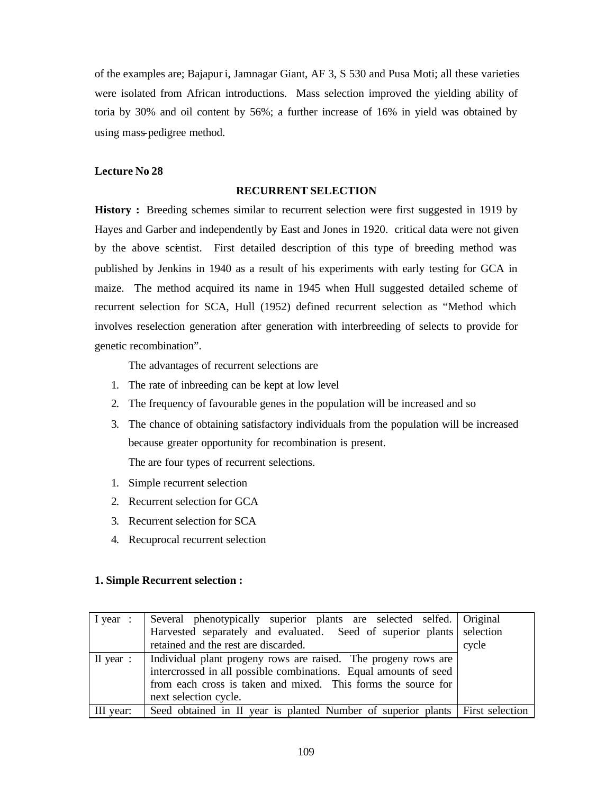of the examples are; Bajapur i, Jamnagar Giant, AF 3, S 530 and Pusa Moti; all these varieties were isolated from African introductions. Mass selection improved the yielding ability of toria by 30% and oil content by 56%; a further increase of 16% in yield was obtained by using mass-pedigree method.

# **Lecture No 28**

#### **RECURRENT SELECTION**

**History :** Breeding schemes similar to recurrent selection were first suggested in 1919 by Hayes and Garber and independently by East and Jones in 1920. critical data were not given by the above scientist. First detailed description of this type of breeding method was published by Jenkins in 1940 as a result of his experiments with early testing for GCA in maize. The method acquired its name in 1945 when Hull suggested detailed scheme of recurrent selection for SCA, Hull (1952) defined recurrent selection as "Method which involves reselection generation after generation with interbreeding of selects to provide for genetic recombination".

The advantages of recurrent selections are

- 1. The rate of inbreeding can be kept at low level
- 2. The frequency of favourable genes in the population will be increased and so
- 3. The chance of obtaining satisfactory individuals from the population will be increased because greater opportunity for recombination is present. The are four types of recurrent selections.
- 1. Simple recurrent selection
- 2. Recurrent selection for GCA
- 3. Recurrent selection for SCA
- 4. Recuprocal recurrent selection

### **1. Simple Recurrent selection :**

|                     | I year : Several phenotypically superior plants are selected selfed. Original |       |
|---------------------|-------------------------------------------------------------------------------|-------|
|                     | Harvested separately and evaluated. Seed of superior plants selection         |       |
|                     | retained and the rest are discarded.                                          | cycle |
| $\mathbf{I}$ year : | Individual plant progeny rows are raised. The progeny rows are                |       |
|                     | intercrossed in all possible combinations. Equal amounts of seed              |       |
|                     | from each cross is taken and mixed. This forms the source for                 |       |
|                     | next selection cycle.                                                         |       |
| III year:           | Seed obtained in II year is planted Number of superior plants First selection |       |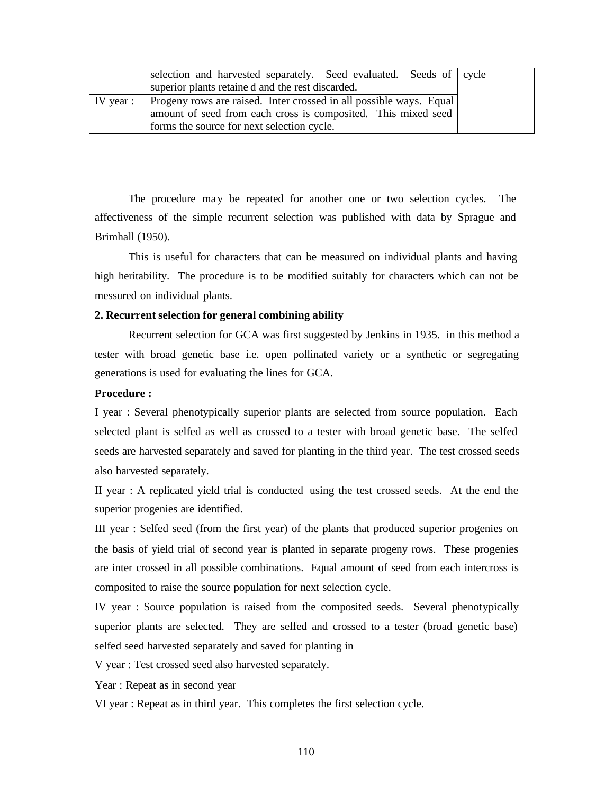|                   | selection and harvested separately. Seed evaluated. Seeds of cycle |  |
|-------------------|--------------------------------------------------------------------|--|
|                   | superior plants retained and the rest discarded.                   |  |
| $\vert$ IV year : | Progeny rows are raised. Inter crossed in all possible ways. Equal |  |
|                   | amount of seed from each cross is composited. This mixed seed      |  |
|                   | forms the source for next selection cycle.                         |  |

The procedure may be repeated for another one or two selection cycles. The affectiveness of the simple recurrent selection was published with data by Sprague and Brimhall (1950).

This is useful for characters that can be measured on individual plants and having high heritability. The procedure is to be modified suitably for characters which can not be messured on individual plants.

### **2. Recurrent selection for general combining ability**

Recurrent selection for GCA was first suggested by Jenkins in 1935. in this method a tester with broad genetic base i.e. open pollinated variety or a synthetic or segregating generations is used for evaluating the lines for GCA.

# **Procedure :**

I year : Several phenotypically superior plants are selected from source population. Each selected plant is selfed as well as crossed to a tester with broad genetic base. The selfed seeds are harvested separately and saved for planting in the third year. The test crossed seeds also harvested separately.

II year : A replicated yield trial is conducted using the test crossed seeds. At the end the superior progenies are identified.

III year : Selfed seed (from the first year) of the plants that produced superior progenies on the basis of yield trial of second year is planted in separate progeny rows. These progenies are inter crossed in all possible combinations. Equal amount of seed from each intercross is composited to raise the source population for next selection cycle.

IV year : Source population is raised from the composited seeds. Several phenotypically superior plants are selected. They are selfed and crossed to a tester (broad genetic base) selfed seed harvested separately and saved for planting in

V year : Test crossed seed also harvested separately.

Year : Repeat as in second year

VI year : Repeat as in third year. This completes the first selection cycle.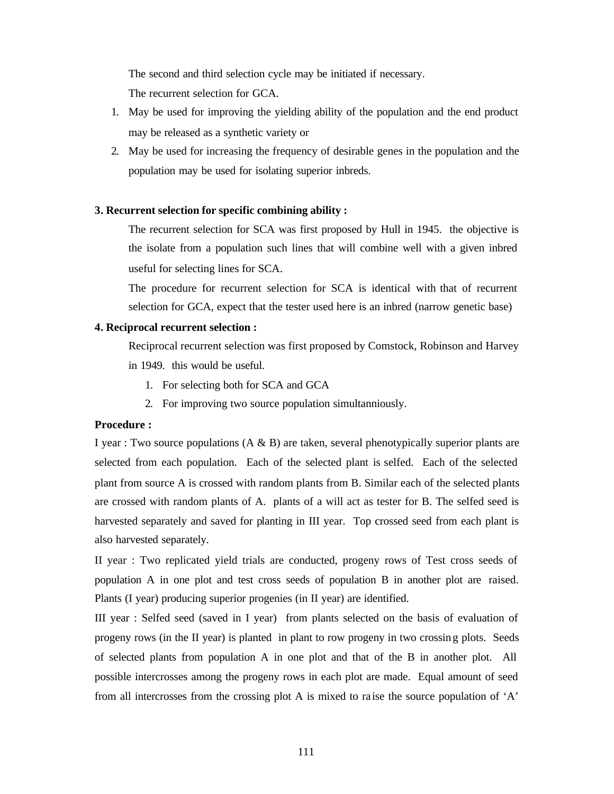The second and third selection cycle may be initiated if necessary.

The recurrent selection for GCA.

- 1. May be used for improving the yielding ability of the population and the end product may be released as a synthetic variety or
- 2. May be used for increasing the frequency of desirable genes in the population and the population may be used for isolating superior inbreds.

# **3. Recurrent selection for specific combining ability :**

The recurrent selection for SCA was first proposed by Hull in 1945. the objective is the isolate from a population such lines that will combine well with a given inbred useful for selecting lines for SCA.

The procedure for recurrent selection for SCA is identical with that of recurrent selection for GCA, expect that the tester used here is an inbred (narrow genetic base)

# **4. Reciprocal recurrent selection :**

Reciprocal recurrent selection was first proposed by Comstock, Robinson and Harvey in 1949. this would be useful.

- 1. For selecting both for SCA and GCA
- 2. For improving two source population simultanniously.

# **Procedure :**

I year : Two source populations  $(A \& B)$  are taken, several phenotypically superior plants are selected from each population. Each of the selected plant is selfed. Each of the selected plant from source A is crossed with random plants from B. Similar each of the selected plants are crossed with random plants of A. plants of a will act as tester for B. The selfed seed is harvested separately and saved for planting in III year. Top crossed seed from each plant is also harvested separately.

II year : Two replicated yield trials are conducted, progeny rows of Test cross seeds of population A in one plot and test cross seeds of population B in another plot are raised. Plants (I year) producing superior progenies (in II year) are identified.

III year : Selfed seed (saved in I year) from plants selected on the basis of evaluation of progeny rows (in the II year) is planted in plant to row progeny in two crossin g plots. Seeds of selected plants from population A in one plot and that of the B in another plot. All possible intercrosses among the progeny rows in each plot are made. Equal amount of seed from all intercrosses from the crossing plot A is mixed to ra ise the source population of 'A'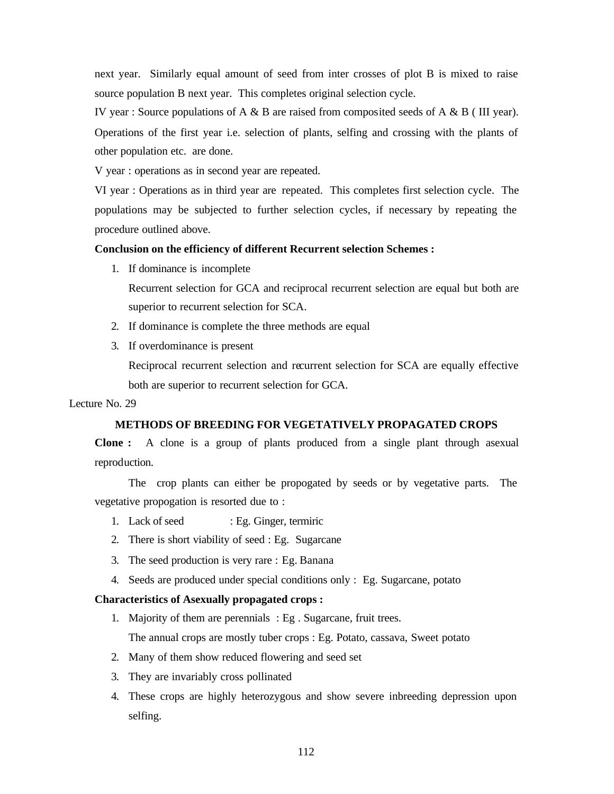next year. Similarly equal amount of seed from inter crosses of plot B is mixed to raise source population B next year. This completes original selection cycle.

IV year : Source populations of A & B are raised from composited seeds of A & B ( III year). Operations of the first year i.e. selection of plants, selfing and crossing with the plants of other population etc. are done.

V year : operations as in second year are repeated.

VI year : Operations as in third year are repeated. This completes first selection cycle. The populations may be subjected to further selection cycles, if necessary by repeating the procedure outlined above.

# **Conclusion on the efficiency of different Recurrent selection Schemes :**

1. If dominance is incomplete

Recurrent selection for GCA and reciprocal recurrent selection are equal but both are superior to recurrent selection for SCA.

- 2. If dominance is complete the three methods are equal
- 3. If overdominance is present

Reciprocal recurrent selection and recurrent selection for SCA are equally effective both are superior to recurrent selection for GCA.

### Lecture No. 29

# **METHODS OF BREEDING FOR VEGETATIVELY PROPAGATED CROPS**

**Clone :** A clone is a group of plants produced from a single plant through asexual reproduction.

The crop plants can either be propogated by seeds or by vegetative parts. The vegetative propogation is resorted due to :

- 1. Lack of seed : Eg. Ginger, termiric
- 2. There is short viability of seed : Eg. Sugarcane
- 3. The seed production is very rare : Eg. Banana
- 4. Seeds are produced under special conditions only : Eg. Sugarcane, potato

### **Characteristics of Asexually propagated crops :**

- 1. Majority of them are perennials : Eg . Sugarcane, fruit trees. The annual crops are mostly tuber crops : Eg. Potato, cassava, Sweet potato
- 2. Many of them show reduced flowering and seed set
- 3. They are invariably cross pollinated
- 4. These crops are highly heterozygous and show severe inbreeding depression upon selfing.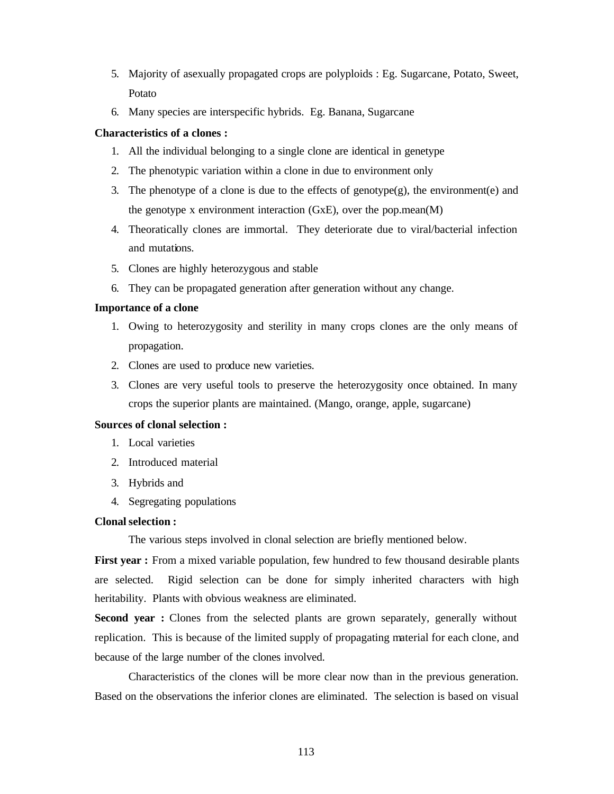- 5. Majority of asexually propagated crops are polyploids : Eg. Sugarcane, Potato, Sweet, Potato
- 6. Many species are interspecific hybrids. Eg. Banana, Sugarcane

# **Characteristics of a clones :**

- 1. All the individual belonging to a single clone are identical in genetype
- 2. The phenotypic variation within a clone in due to environment only
- 3. The phenotype of a clone is due to the effects of genotype(g), the environment(e) and the genotype x environment interaction  $(GxE)$ , over the pop.mean $(M)$
- 4. Theoratically clones are immortal. They deteriorate due to viral/bacterial infection and mutations.
- 5. Clones are highly heterozygous and stable
- 6. They can be propagated generation after generation without any change.

### **Importance of a clone**

- 1. Owing to heterozygosity and sterility in many crops clones are the only means of propagation.
- 2. Clones are used to produce new varieties.
- 3. Clones are very useful tools to preserve the heterozygosity once obtained. In many crops the superior plants are maintained. (Mango, orange, apple, sugarcane)

## **Sources of clonal selection :**

- 1. Local varieties
- 2. Introduced material
- 3. Hybrids and
- 4. Segregating populations

### **Clonal selection :**

The various steps involved in clonal selection are briefly mentioned below.

**First year :** From a mixed variable population, few hundred to few thousand desirable plants are selected. Rigid selection can be done for simply inherited characters with high heritability. Plants with obvious weakness are eliminated.

**Second year :** Clones from the selected plants are grown separately, generally without replication. This is because of the limited supply of propagating material for each clone, and because of the large number of the clones involved.

Characteristics of the clones will be more clear now than in the previous generation. Based on the observations the inferior clones are eliminated. The selection is based on visual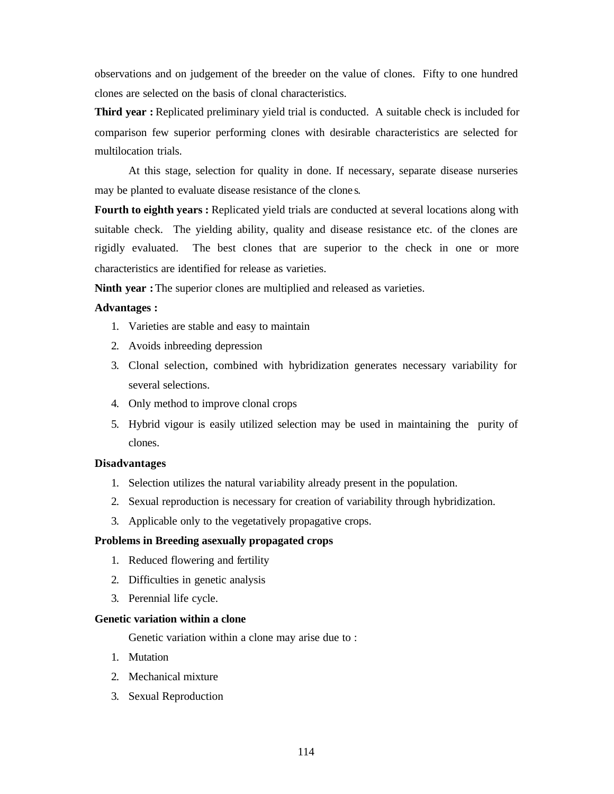observations and on judgement of the breeder on the value of clones. Fifty to one hundred clones are selected on the basis of clonal characteristics.

**Third year :** Replicated preliminary yield trial is conducted. A suitable check is included for comparison few superior performing clones with desirable characteristics are selected for multilocation trials.

At this stage, selection for quality in done. If necessary, separate disease nurseries may be planted to evaluate disease resistance of the clone s.

**Fourth to eighth years :** Replicated yield trials are conducted at several locations along with suitable check. The yielding ability, quality and disease resistance etc. of the clones are rigidly evaluated. The best clones that are superior to the check in one or more characteristics are identified for release as varieties.

**Ninth year :** The superior clones are multiplied and released as varieties.

### **Advantages :**

- 1. Varieties are stable and easy to maintain
- 2. Avoids inbreeding depression
- 3. Clonal selection, combined with hybridization generates necessary variability for several selections.
- 4. Only method to improve clonal crops
- 5. Hybrid vigour is easily utilized selection may be used in maintaining the purity of clones.

### **Disadvantages**

- 1. Selection utilizes the natural variability already present in the population.
- 2. Sexual reproduction is necessary for creation of variability through hybridization.
- 3. Applicable only to the vegetatively propagative crops.

### **Problems in Breeding asexually propagated crops**

- 1. Reduced flowering and fertility
- 2. Difficulties in genetic analysis
- 3. Perennial life cycle.

# **Genetic variation within a clone**

Genetic variation within a clone may arise due to :

- 1. Mutation
- 2. Mechanical mixture
- 3. Sexual Reproduction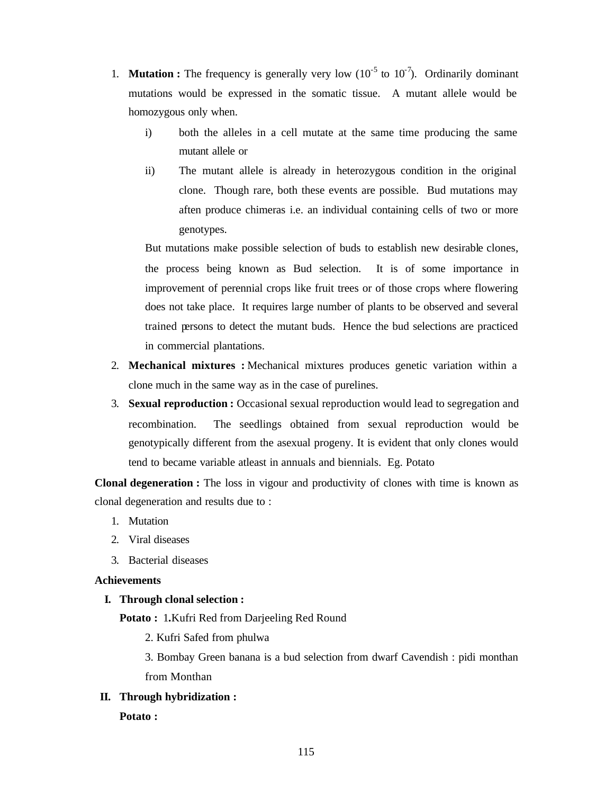- 1. **Mutation :** The frequency is generally very low  $(10^{-5} \text{ to } 10^{-7})$ . Ordinarily dominant mutations would be expressed in the somatic tissue. A mutant allele would be homozygous only when.
	- i) both the alleles in a cell mutate at the same time producing the same mutant allele or
	- ii) The mutant allele is already in heterozygous condition in the original clone. Though rare, both these events are possible. Bud mutations may aften produce chimeras i.e. an individual containing cells of two or more genotypes.

But mutations make possible selection of buds to establish new desirable clones, the process being known as Bud selection. It is of some importance in improvement of perennial crops like fruit trees or of those crops where flowering does not take place. It requires large number of plants to be observed and several trained persons to detect the mutant buds. Hence the bud selections are practiced in commercial plantations.

- 2. **Mechanical mixtures :** Mechanical mixtures produces genetic variation within a clone much in the same way as in the case of purelines.
- 3. **Sexual reproduction :** Occasional sexual reproduction would lead to segregation and recombination. The seedlings obtained from sexual reproduction would be genotypically different from the asexual progeny. It is evident that only clones would tend to became variable atleast in annuals and biennials. Eg. Potato

**Clonal degeneration :** The loss in vigour and productivity of clones with time is known as clonal degeneration and results due to :

- 1. Mutation
- 2. Viral diseases
- 3. Bacterial diseases

# **Achievements**

# **I. Through clonal selection :**

**Potato :** 1**.**Kufri Red from Darjeeling Red Round

2. Kufri Safed from phulwa

3. Bombay Green banana is a bud selection from dwarf Cavendish : pidi monthan from Monthan

# **II. Through hybridization :**

# **Potato :**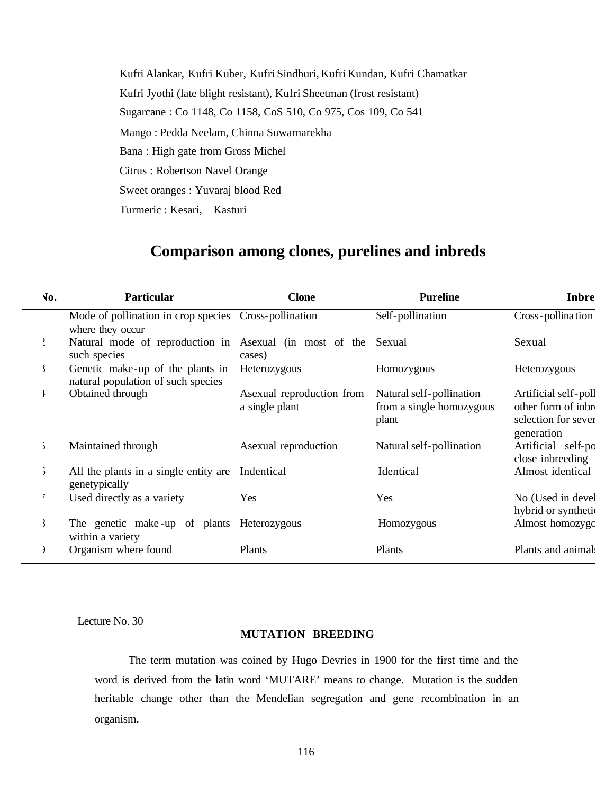Kufri Alankar, Kufri Kuber, Kufri Sindhuri, Kufri Kundan, Kufri Chamatkar Kufri Jyothi (late blight resistant), Kufri Sheetman (frost resistant) Sugarcane : Co 1148, Co 1158, CoS 510, Co 975, Cos 109, Co 541 Mango : Pedda Neelam, Chinna Suwarnarekha Bana : High gate from Gross Michel Citrus : Robertson Navel Orange Sweet oranges : Yuvaraj blood Red Turmeric : Kesari, Kasturi

# **Comparison among clones, purelines and inbreds**

| $\sqrt{0}$ . | Particular                                                                | <b>Clone</b>                                | <b>Pureline</b>                                               | Inbre                                                                            |
|--------------|---------------------------------------------------------------------------|---------------------------------------------|---------------------------------------------------------------|----------------------------------------------------------------------------------|
|              | Mode of pollination in crop species Cross-pollination<br>where they occur |                                             | Self-pollination                                              | Cross-pollination                                                                |
|              | Natural mode of reproduction in Asexual (in most of the<br>such species   | cases)                                      | Sexual                                                        | Sexual                                                                           |
| f,           | Genetic make-up of the plants in<br>natural population of such species    | Heterozygous                                | Homozygous                                                    | Heterozygous                                                                     |
|              | Obtained through                                                          | Asexual reproduction from<br>a single plant | Natural self-pollination<br>from a single homozygous<br>plant | Artificial self-poll<br>other form of inbro<br>selection for sever<br>generation |
| $\lambda$    | Maintained through                                                        | Asexual reproduction                        | Natural self-pollination                                      | Artificial self-po<br>close inbreeding                                           |
| $\mathbf{r}$ | All the plants in a single entity are<br>genetypically                    | Indentical                                  | Identical                                                     | Almost identical                                                                 |
|              | Used directly as a variety                                                | Yes                                         | Yes                                                           | No (Used in devel<br>hybrid or synthetic                                         |
|              | The genetic make-up of plants Heterozygous<br>within a variety            |                                             | Homozygous                                                    | Almost homozygo                                                                  |
|              | Organism where found                                                      | Plants                                      | Plants                                                        | Plants and animals                                                               |

Lecture No. 30

# **MUTATION BREEDING**

The term mutation was coined by Hugo Devries in 1900 for the first time and the word is derived from the latin word 'MUTARE' means to change. Mutation is the sudden heritable change other than the Mendelian segregation and gene recombination in an organism.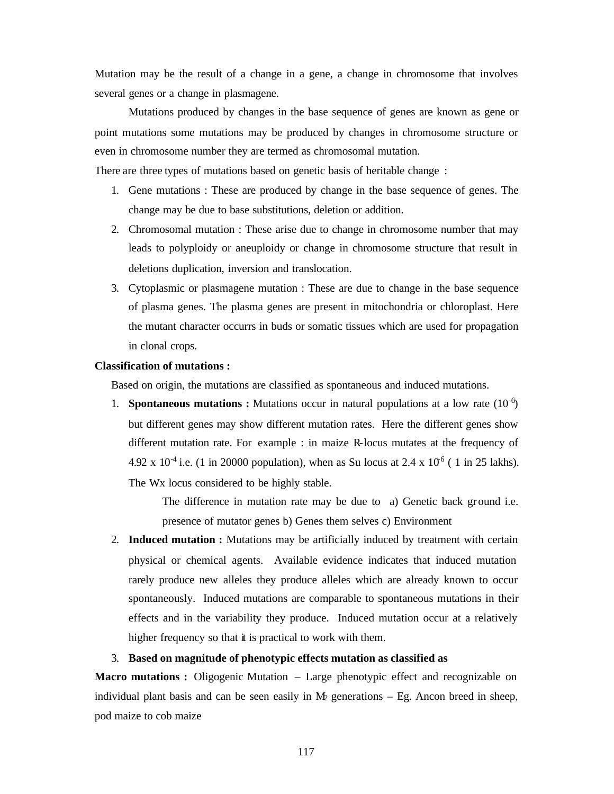Mutation may be the result of a change in a gene, a change in chromosome that involves several genes or a change in plasmagene.

Mutations produced by changes in the base sequence of genes are known as gene or point mutations some mutations may be produced by changes in chromosome structure or even in chromosome number they are termed as chromosomal mutation.

There are three types of mutations based on genetic basis of heritable change :

- 1. Gene mutations : These are produced by change in the base sequence of genes. The change may be due to base substitutions, deletion or addition.
- 2. Chromosomal mutation : These arise due to change in chromosome number that may leads to polyploidy or aneuploidy or change in chromosome structure that result in deletions duplication, inversion and translocation.
- 3. Cytoplasmic or plasmagene mutation : These are due to change in the base sequence of plasma genes. The plasma genes are present in mitochondria or chloroplast. Here the mutant character occurrs in buds or somatic tissues which are used for propagation in clonal crops.

# **Classification of mutations :**

Based on origin, the mutations are classified as spontaneous and induced mutations.

1. **Spontaneous mutations :** Mutations occur in natural populations at a low rate  $(10^{-6})$ but different genes may show different mutation rates. Here the different genes show different mutation rate. For example : in maize R-locus mutates at the frequency of 4.92 x 10<sup>-4</sup> i.e. (1 in 20000 population), when as Su locus at 2.4 x 10<sup>-6</sup> (1 in 25 lakhs). The Wx locus considered to be highly stable.

> The difference in mutation rate may be due to a) Genetic back ground i.e. presence of mutator genes b) Genes them selves c) Environment

2. **Induced mutation :** Mutations may be artificially induced by treatment with certain physical or chemical agents. Available evidence indicates that induced mutation rarely produce new alleles they produce alleles which are already known to occur spontaneously. Induced mutations are comparable to spontaneous mutations in their effects and in the variability they produce. Induced mutation occur at a relatively higher frequency so that it is practical to work with them.

# 3. **Based on magnitude of phenotypic effects mutation as classified as**

**Macro mutations :** Oligogenic Mutation – Large phenotypic effect and recognizable on individual plant basis and can be seen easily in  $M_2$  generations – Eg. Ancon breed in sheep, pod maize to cob maize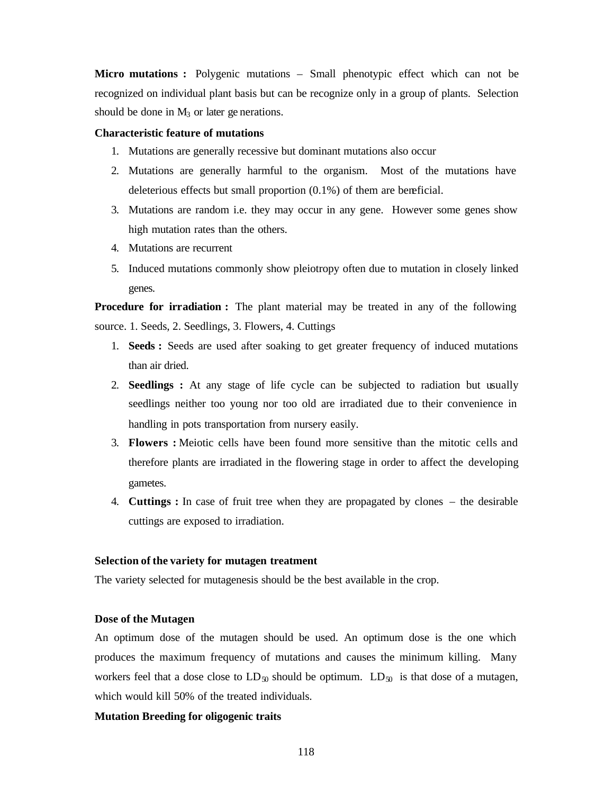**Micro mutations :** Polygenic mutations – Small phenotypic effect which can not be recognized on individual plant basis but can be recognize only in a group of plants. Selection should be done in  $M_3$  or later ge nerations.

### **Characteristic feature of mutations**

- 1. Mutations are generally recessive but dominant mutations also occur
- 2. Mutations are generally harmful to the organism. Most of the mutations have deleterious effects but small proportion (0.1%) of them are beneficial.
- 3. Mutations are random i.e. they may occur in any gene. However some genes show high mutation rates than the others.
- 4. Mutations are recurrent
- 5. Induced mutations commonly show pleiotropy often due to mutation in closely linked genes.

**Procedure for irradiation :** The plant material may be treated in any of the following source. 1. Seeds, 2. Seedlings, 3. Flowers, 4. Cuttings

- 1. **Seeds :** Seeds are used after soaking to get greater frequency of induced mutations than air dried.
- 2. **Seedlings :** At any stage of life cycle can be subjected to radiation but usually seedlings neither too young nor too old are irradiated due to their convenience in handling in pots transportation from nursery easily.
- 3. **Flowers :** Meiotic cells have been found more sensitive than the mitotic cells and therefore plants are irradiated in the flowering stage in order to affect the developing gametes.
- 4. **Cuttings :** In case of fruit tree when they are propagated by clones the desirable cuttings are exposed to irradiation.

#### **Selection of the variety for mutagen treatment**

The variety selected for mutagenesis should be the best available in the crop.

### **Dose of the Mutagen**

An optimum dose of the mutagen should be used. An optimum dose is the one which produces the maximum frequency of mutations and causes the minimum killing. Many workers feel that a dose close to  $LD_{50}$  should be optimum.  $LD_{50}$  is that dose of a mutagen, which would kill 50% of the treated individuals.

### **Mutation Breeding for oligogenic traits**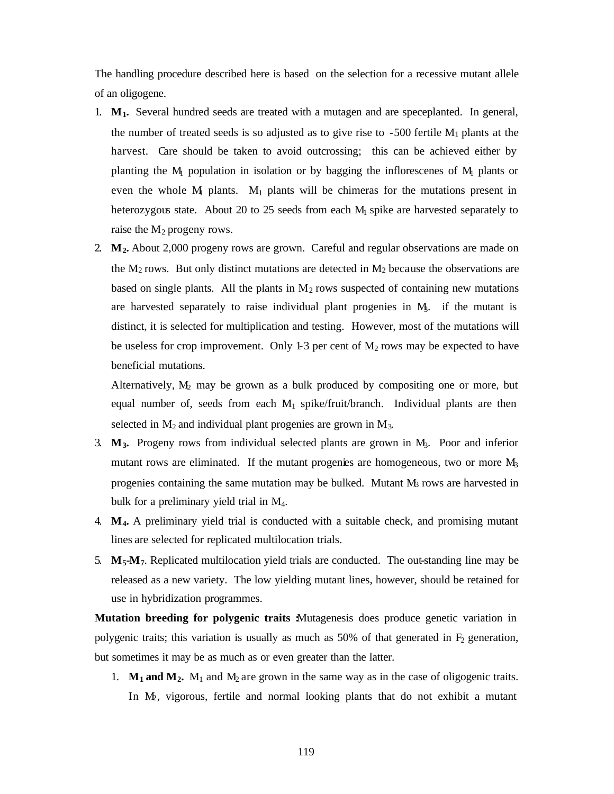The handling procedure described here is based on the selection for a recessive mutant allele of an oligogene.

- 1. **M1.** Several hundred seeds are treated with a mutagen and are speceplanted. In general, the number of treated seeds is so adjusted as to give rise to  $-500$  fertile M<sub>1</sub> plants at the harvest. Care should be taken to avoid outcrossing; this can be achieved either by planting the  $M_1$  population in isolation or by bagging the inflorescenes of  $M_1$  plants or even the whole  $M_1$  plants.  $M_1$  plants will be chimeras for the mutations present in heterozygous state. About 20 to 25 seeds from each  $M<sub>1</sub>$  spike are harvested separately to raise the  $M_2$  progeny rows.
- 2. **M2.** About 2,000 progeny rows are grown. Careful and regular observations are made on the  $M_2$  rows. But only distinct mutations are detected in  $M_2$  because the observations are based on single plants. All the plants in  $M<sub>2</sub>$  rows suspected of containing new mutations are harvested separately to raise individual plant progenies in  $M<sub>3</sub>$ . if the mutant is distinct, it is selected for multiplication and testing. However, most of the mutations will be useless for crop improvement. Only 1-3 per cent of  $M_2$  rows may be expected to have beneficial mutations.

Alternatively,  $M_2$  may be grown as a bulk produced by compositing one or more, but equal number of, seeds from each  $M_1$  spike/fruit/branch. Individual plants are then selected in  $M_2$  and individual plant progenies are grown in  $M_3$ .

- 3. **M3.** Progeny rows from individual selected plants are grown in M3. Poor and inferior mutant rows are eliminated. If the mutant progenies are homogeneous, two or more  $M_3$ progenies containing the same mutation may be bulked. Mutant  $M_3$  rows are harvested in bulk for a preliminary yield trial in M4.
- 4. **M4.** A preliminary yield trial is conducted with a suitable check, and promising mutant lines are selected for replicated multilocation trials.
- 5. **M5-M7**. Replicated multilocation yield trials are conducted. The out-standing line may be released as a new variety. The low yielding mutant lines, however, should be retained for use in hybridization programmes.

**Mutation breeding for polygenic traits Mutagenesis does produce genetic variation in** polygenic traits; this variation is usually as much as 50% of that generated in  $F<sub>2</sub>$  generation, but sometimes it may be as much as or even greater than the latter.

1.  $M_1$  and  $M_2$ .  $M_1$  and  $M_2$  are grown in the same way as in the case of oligogenic traits. In M2, vigorous, fertile and normal looking plants that do not exhibit a mutant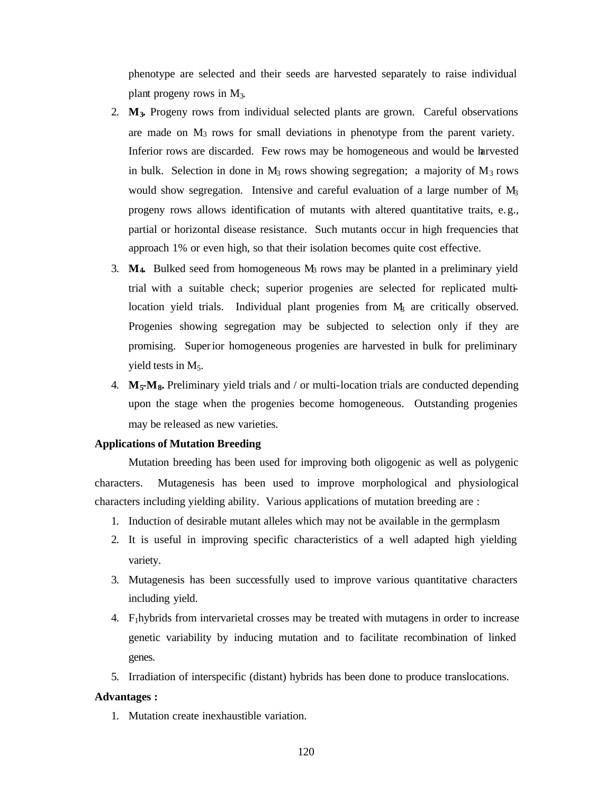phenotype are selected and their seeds are harvested separately to raise individual plant progeny rows in M3.

- 2. **M3.** Progeny rows from individual selected plants are grown. Careful observations are made on M3 rows for small deviations in phenotype from the parent variety. Inferior rows are discarded. Few rows may be homogeneous and would be harvested in bulk. Selection in done in  $M_3$  rows showing segregation; a majority of  $M_3$  rows would show segregation. Intensive and careful evaluation of a large number of  $M_3$ progeny rows allows identification of mutants with altered quantitative traits, e. g., partial or horizontal disease resistance. Such mutants occur in high frequencies that approach 1% or even high, so that their isolation becomes quite cost effective.
- 3. **M4.** Bulked seed from homogeneous M3 rows may be planted in a preliminary yield trial with a suitable check; superior progenies are selected for replicated multilocation yield trials. Individual plant progenies from  $M<sub>3</sub>$  are critically observed. Progenies showing segregation may be subjected to selection only if they are promising. Superior homogeneous progenies are harvested in bulk for preliminary yield tests in  $M_5$ .
- 4. **M5-M8.** Preliminary yield trials and / or multi-location trials are conducted depending upon the stage when the progenies become homogeneous. Outstanding progenies may be released as new varieties.

### **Applications of Mutation Breeding**

Mutation breeding has been used for improving both oligogenic as well as polygenic characters. Mutagenesis has been used to improve morphological and physiological characters including yielding ability. Various applications of mutation breeding are :

- 1. Induction of desirable mutant alleles which may not be available in the germplasm
- 2. It is useful in improving specific characteristics of a well adapted high yielding variety.
- 3. Mutagenesis has been successfully used to improve various quantitative characters including yield.
- 4. F1hybrids from intervarietal crosses may be treated with mutagens in order to increase genetic variability by inducing mutation and to facilitate recombination of linked genes.
- 5. Irradiation of interspecific (distant) hybrids has been done to produce translocations.

### **Advantages :**

1. Mutation create inexhaustible variation.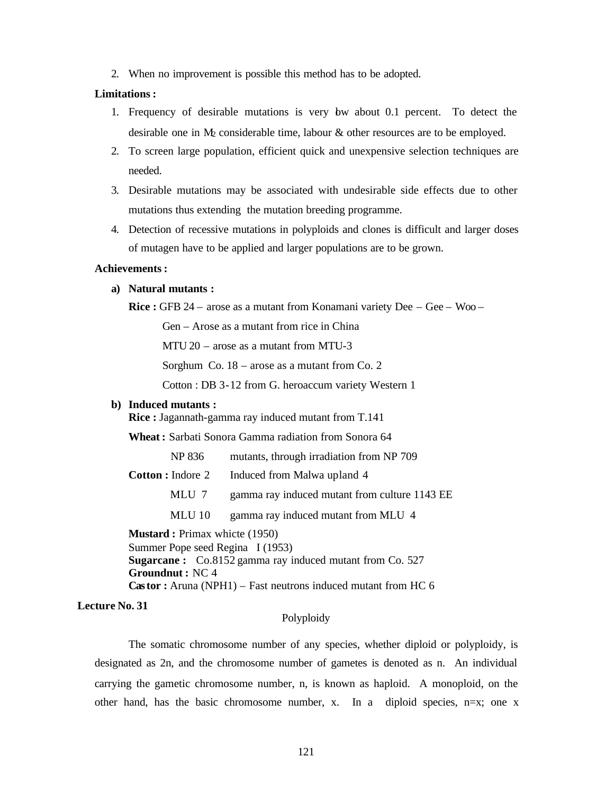2. When no improvement is possible this method has to be adopted.

# **Limitations :**

- 1. Frequency of desirable mutations is very low about 0.1 percent. To detect the desirable one in  $M_2$  considerable time, labour  $\&$  other resources are to be employed.
- 2. To screen large population, efficient quick and unexpensive selection techniques are needed.
- 3. Desirable mutations may be associated with undesirable side effects due to other mutations thus extending the mutation breeding programme.
- 4. Detection of recessive mutations in polyploids and clones is difficult and larger doses of mutagen have to be applied and larger populations are to be grown.

### **Achievements :**

#### **a) Natural mutants :**

**Rice :** GFB 24 – arose as a mutant from Konamani variety Dee – Gee – Woo –

Gen – Arose as a mutant from rice in China

MTU 20 – arose as a mutant from MTU-3

Sorghum Co. 18 – arose as a mutant from Co. 2

Cotton : DB 3-12 from G. heroaccum variety Western 1

#### **b) Induced mutants :**

**Rice :** Jagannath-gamma ray induced mutant from T.141

**Wheat :** Sarbati Sonora Gamma radiation from Sonora 64

| NP 836                   | mutants, through irradiation from NP 709      |
|--------------------------|-----------------------------------------------|
| <b>Cotton</b> : Indore 2 | Induced from Malwa upland 4                   |
| MLU 7                    | gamma ray induced mutant from culture 1143 EE |
| MLU 10                   | gamma ray induced mutant from MLU 4           |

**Mustard : Primax whicte (1950)** Summer Pope seed Regina I (1953) **Sugarcane :** Co.8152 gamma ray induced mutant from Co. 527 **Groundnut :** NC 4 **Castor :** Aruna (NPH1) – Fast neutrons induced mutant from HC 6

# **Lecture No. 31**

# Polyploidy

The somatic chromosome number of any species, whether diploid or polyploidy, is designated as 2n, and the chromosome number of gametes is denoted as n. An individual carrying the gametic chromosome number, n, is known as haploid. A monoploid, on the other hand, has the basic chromosome number, x. In a diploid species,  $n=x$ ; one x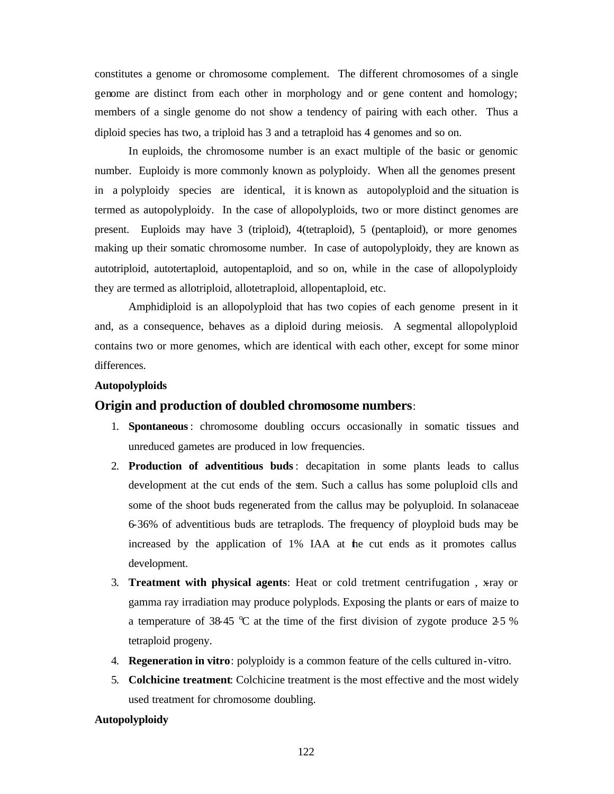constitutes a genome or chromosome complement. The different chromosomes of a single genome are distinct from each other in morphology and or gene content and homology; members of a single genome do not show a tendency of pairing with each other. Thus a diploid species has two, a triploid has 3 and a tetraploid has 4 genomes and so on.

In euploids, the chromosome number is an exact multiple of the basic or genomic number. Euploidy is more commonly known as polyploidy. When all the genomes present in a polyploidy species are identical, it is known as autopolyploid and the situation is termed as autopolyploidy. In the case of allopolyploids, two or more distinct genomes are present. Euploids may have 3 (triploid), 4(tetraploid), 5 (pentaploid), or more genomes making up their somatic chromosome number. In case of autopolyploidy, they are known as autotriploid, autotertaploid, autopentaploid, and so on, while in the case of allopolyploidy they are termed as allotriploid, allotetraploid, allopentaploid, etc.

Amphidiploid is an allopolyploid that has two copies of each genome present in it and, as a consequence, behaves as a diploid during meiosis. A segmental allopolyploid contains two or more genomes, which are identical with each other, except for some minor differences.

### **Autopolyploids**

### **Origin and production of doubled chromosome numbers**:

- 1. **Spontaneous**: chromosome doubling occurs occasionally in somatic tissues and unreduced gametes are produced in low frequencies.
- 2. **Production of adventitious buds**: decapitation in some plants leads to callus development at the cut ends of the stem. Such a callus has some poluploid clls and some of the shoot buds regenerated from the callus may be polyuploid. In solanaceae 6-36% of adventitious buds are tetraplods. The frequency of ployploid buds may be increased by the application of 1% IAA at the cut ends as it promotes callus development.
- 3. **Treatment with physical agents**: Heat or cold tretment centrifugation , x-ray or gamma ray irradiation may produce polyplods. Exposing the plants or ears of maize to a temperature of 38-45  $\degree$ C at the time of the first division of zygote produce 2.5 % tetraploid progeny.
- 4. **Regeneration in vitro**: polyploidy is a common feature of the cells cultured in-vitro.
- 5. **Colchicine treatment**: Colchicine treatment is the most effective and the most widely used treatment for chromosome doubling.

#### **Autopolyploidy**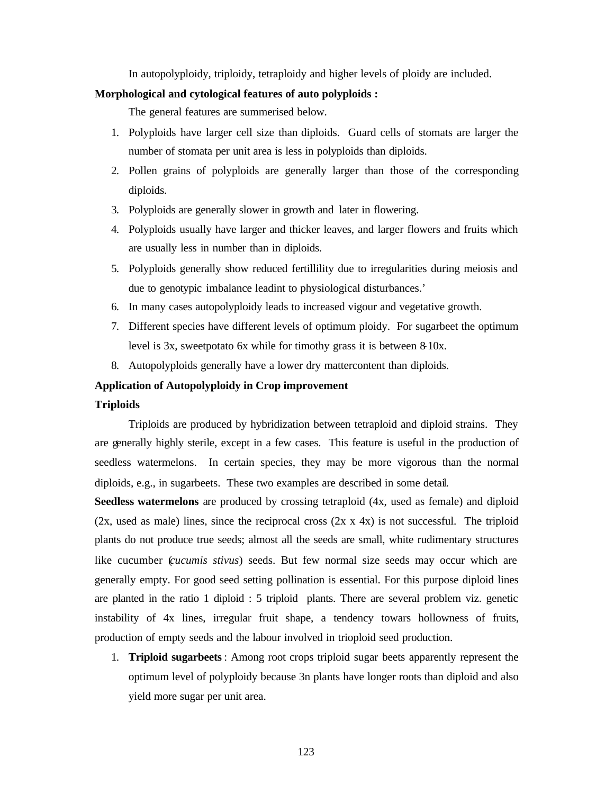In autopolyploidy, triploidy, tetraploidy and higher levels of ploidy are included.

#### **Morphological and cytological features of auto polyploids :**

The general features are summerised below.

- 1. Polyploids have larger cell size than diploids. Guard cells of stomats are larger the number of stomata per unit area is less in polyploids than diploids.
- 2. Pollen grains of polyploids are generally larger than those of the corresponding diploids.
- 3. Polyploids are generally slower in growth and later in flowering.
- 4. Polyploids usually have larger and thicker leaves, and larger flowers and fruits which are usually less in number than in diploids.
- 5. Polyploids generally show reduced fertillility due to irregularities during meiosis and due to genotypic imbalance leadint to physiological disturbances.'
- 6. In many cases autopolyploidy leads to increased vigour and vegetative growth.
- 7. Different species have different levels of optimum ploidy. For sugarbeet the optimum level is 3x, sweetpotato 6x while for timothy grass it is between 8-10x.
- 8. Autopolyploids generally have a lower dry mattercontent than diploids.

### **Application of Autopolyploidy in Crop improvement**

#### **Triploids**

Triploids are produced by hybridization between tetraploid and diploid strains. They are generally highly sterile, except in a few cases. This feature is useful in the production of seedless watermelons. In certain species, they may be more vigorous than the normal diploids, e.g., in sugarbeets. These two examples are described in some detail.

**Seedless watermelons** are produced by crossing tetraploid (4x, used as female) and diploid  $(2x, used as male) lines, since the reciprocal cross  $(2x \times 4x)$  is not successful. The triploid$ plants do not produce true seeds; almost all the seeds are small, white rudimentary structures like cucumber (*cucumis stivus*) seeds. But few normal size seeds may occur which are generally empty. For good seed setting pollination is essential. For this purpose diploid lines are planted in the ratio 1 diploid : 5 triploid plants. There are several problem viz. genetic instability of 4x lines, irregular fruit shape, a tendency towars hollowness of fruits, production of empty seeds and the labour involved in trioploid seed production.

1. **Triploid sugarbeets**: Among root crops triploid sugar beets apparently represent the optimum level of polyploidy because 3n plants have longer roots than diploid and also yield more sugar per unit area.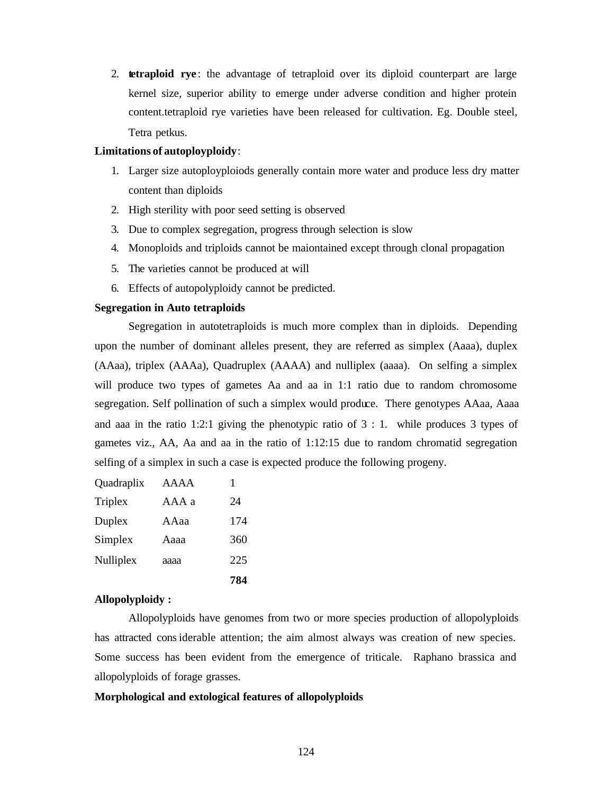2. **tetraploid rye** : the advantage of tetraploid over its diploid counterpart are large kernel size, superior ability to emerge under adverse condition and higher protein content.tetraploid rye varieties have been released for cultivation. Eg. Double steel, Tetra petkus.

### **Limitations of autoployploidy**:

- 1. Larger size autoployploiods generally contain more water and produce less dry matter content than diploids
- 2. High sterility with poor seed setting is observed
- 3. Due to complex segregation, progress through selection is slow
- 4. Monoploids and triploids cannot be maiontained except through clonal propagation
- 5. The varieties cannot be produced at will
- 6. Effects of autopolyploidy cannot be predicted.

#### **Segregation in Auto tetraploids**

Segregation in autotetraploids is much more complex than in diploids. Depending upon the number of dominant alleles present, they are referred as simplex (Aaaa), duplex (AAaa), triplex (AAAa), Quadruplex (AAAA) and nulliplex (aaaa). On selfing a simplex will produce two types of gametes Aa and aa in 1:1 ratio due to random chromosome segregation. Self pollination of such a simplex would produce. There genotypes AAaa, Aaaa and aaa in the ratio 1:2:1 giving the phenotypic ratio of 3 : 1. while produces 3 types of gametes viz., AA, Aa and aa in the ratio of 1:12:15 due to random chromatid segregation selfing of a simplex in such a case is expected produce the following progeny.

|            |       | 784 |
|------------|-------|-----|
| Nulliplex  | аааа  | 225 |
| Simplex    | Aaaa  | 360 |
| Duplex     | AAaa  | 174 |
| Triplex    | AAA a | 24  |
| Quadraplix | AAAA  | 1   |

#### **Allopolyploidy :**

Allopolyploids have genomes from two or more species production of allopolyploids has attracted considerable attention; the aim almost always was creation of new species. Some success has been evident from the emergence of triticale. Raphano brassica and allopolyploids of forage grasses.

#### **Morphological and extological features of allopolyploids**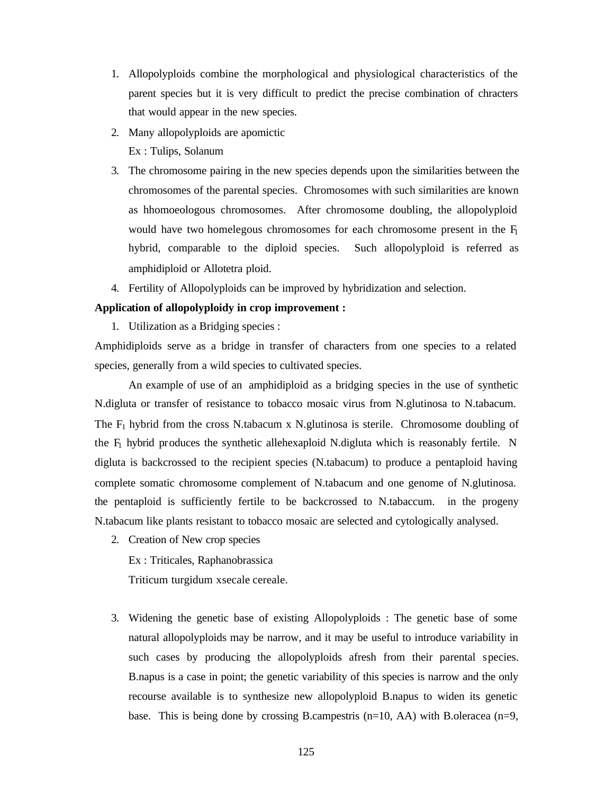- 1. Allopolyploids combine the morphological and physiological characteristics of the parent species but it is very difficult to predict the precise combination of chracters that would appear in the new species.
- 2. Many allopolyploids are apomictic Ex : Tulips, Solanum
- 3. The chromosome pairing in the new species depends upon the similarities between the chromosomes of the parental species. Chromosomes with such similarities are known as hhomoeologous chromosomes. After chromosome doubling, the allopolyploid would have two homelegous chromosomes for each chromosome present in the  $F_1$ hybrid, comparable to the diploid species. Such allopolyploid is referred as amphidiploid or Allotetra ploid.
- 4. Fertility of Allopolyploids can be improved by hybridization and selection.

### **Application of allopolyploidy in crop improvement :**

1. Utilization as a Bridging species :

Amphidiploids serve as a bridge in transfer of characters from one species to a related species, generally from a wild species to cultivated species.

An example of use of an amphidiploid as a bridging species in the use of synthetic N.digluta or transfer of resistance to tobacco mosaic virus from N.glutinosa to N.tabacum. The  $F_1$  hybrid from the cross N.tabacum x N.glutinosa is sterile. Chromosome doubling of the  $F_1$  hybrid produces the synthetic allehexaploid N.digluta which is reasonably fertile. N digluta is backcrossed to the recipient species (N.tabacum) to produce a pentaploid having complete somatic chromosome complement of N.tabacum and one genome of N.glutinosa. the pentaploid is sufficiently fertile to be backcrossed to N.tabaccum. in the progeny N.tabacum like plants resistant to tobacco mosaic are selected and cytologically analysed.

2. Creation of New crop species

Ex : Triticales, Raphanobrassica

Triticum turgidum x secale cereale.

3. Widening the genetic base of existing Allopolyploids : The genetic base of some natural allopolyploids may be narrow, and it may be useful to introduce variability in such cases by producing the allopolyploids afresh from their parental species. B.napus is a case in point; the genetic variability of this species is narrow and the only recourse available is to synthesize new allopolyploid B.napus to widen its genetic base. This is being done by crossing B.campestris  $(n=10, AA)$  with B.oleracea  $(n=9,$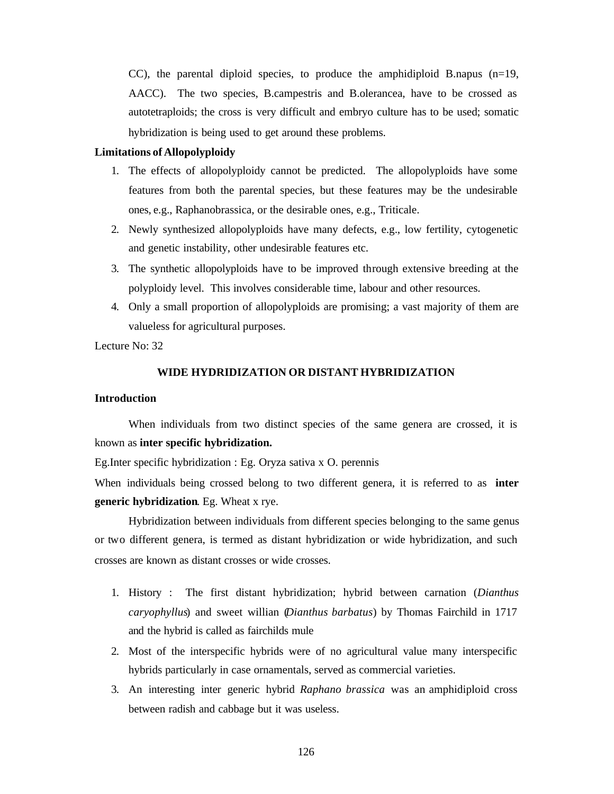CC), the parental diploid species, to produce the amphidiploid B.napus  $(n=19, 100)$ AACC). The two species, B.campestris and B.olerancea, have to be crossed as autotetraploids; the cross is very difficult and embryo culture has to be used; somatic hybridization is being used to get around these problems.

### **Limitations of Allopolyploidy**

- 1. The effects of allopolyploidy cannot be predicted. The allopolyploids have some features from both the parental species, but these features may be the undesirable ones, e.g., Raphanobrassica, or the desirable ones, e.g., Triticale.
- 2. Newly synthesized allopolyploids have many defects, e.g., low fertility, cytogenetic and genetic instability, other undesirable features etc.
- 3. The synthetic allopolyploids have to be improved through extensive breeding at the polyploidy level. This involves considerable time, labour and other resources.
- 4. Only a small proportion of allopolyploids are promising; a vast majority of them are valueless for agricultural purposes.

Lecture No: 32

# **WIDE HYDRIDIZATION OR DISTANT HYBRIDIZATION**

### **Introduction**

When individuals from two distinct species of the same genera are crossed, it is known as **inter specific hybridization.**

Eg.Inter specific hybridization : Eg. Oryza sativa x O. perennis

When individuals being crossed belong to two different genera, it is referred to as **inter generic hybridization**. Eg. Wheat x rye.

Hybridization between individuals from different species belonging to the same genus or two different genera, is termed as distant hybridization or wide hybridization, and such crosses are known as distant crosses or wide crosses.

- 1. History : The first distant hybridization; hybrid between carnation (*Dianthus caryophyllus*) and sweet willian (*Dianthus barbatus*) by Thomas Fairchild in 1717 and the hybrid is called as fairchilds mule
- 2. Most of the interspecific hybrids were of no agricultural value many interspecific hybrids particularly in case ornamentals, served as commercial varieties.
- 3. An interesting inter generic hybrid *Raphano brassica* was an amphidiploid cross between radish and cabbage but it was useless.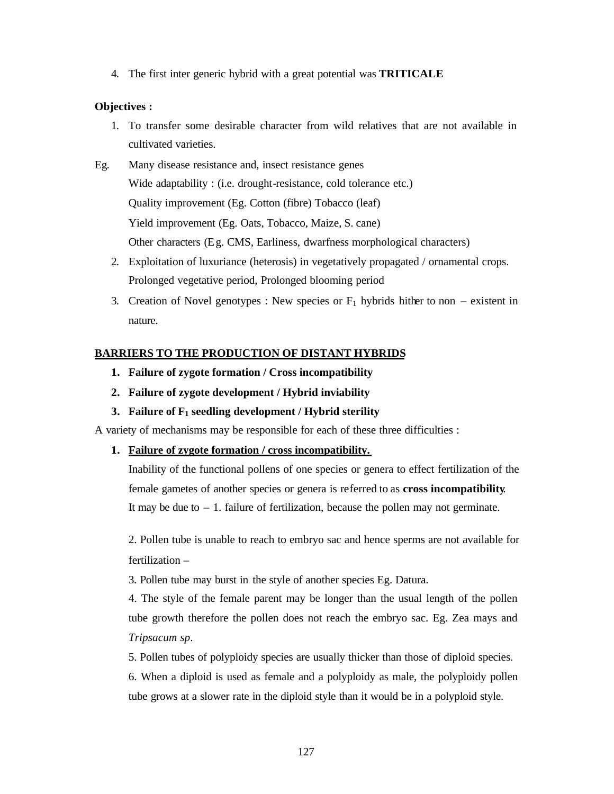4. The first inter generic hybrid with a great potential was **TRITICALE**

# **Objectives :**

- 1. To transfer some desirable character from wild relatives that are not available in cultivated varieties.
- Eg. Many disease resistance and, insect resistance genes Wide adaptability : (i.e. drought-resistance, cold tolerance etc.) Quality improvement (Eg. Cotton (fibre) Tobacco (leaf) Yield improvement (Eg. Oats, Tobacco, Maize, S. cane) Other characters (Eg. CMS, Earliness, dwarfness morphological characters)
	- 2. Exploitation of luxuriance (heterosis) in vegetatively propagated / ornamental crops. Prolonged vegetative period, Prolonged blooming period
	- 3. Creation of Novel genotypes : New species or  $F_1$  hybrids hither to non existent in nature.

# **BARRIERS TO THE PRODUCTION OF DISTANT HYBRIDS**

- **1. Failure of zygote formation / Cross incompatibility**
- **2. Failure of zygote development / Hybrid inviability**
- **3. Failure of F1 seedling development / Hybrid sterility**

A variety of mechanisms may be responsible for each of these three difficulties :

**1. Failure of zygote formation / cross incompatibility.**

Inability of the functional pollens of one species or genera to effect fertilization of the female gametes of another species or genera is referred to as **cross incompatibility**. It may be due to  $-1$ . failure of fertilization, because the pollen may not germinate.

2. Pollen tube is unable to reach to embryo sac and hence sperms are not available for fertilization –

3. Pollen tube may burst in the style of another species Eg. Datura.

4. The style of the female parent may be longer than the usual length of the pollen tube growth therefore the pollen does not reach the embryo sac. Eg. Zea mays and *Tripsacum sp*.

5. Pollen tubes of polyploidy species are usually thicker than those of diploid species.

6. When a diploid is used as female and a polyploidy as male, the polyploidy pollen tube grows at a slower rate in the diploid style than it would be in a polyploid style.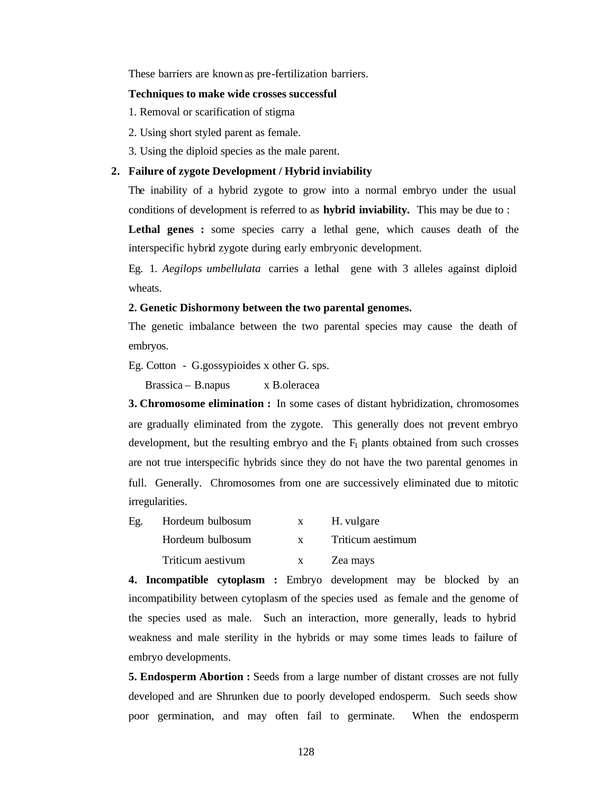These barriers are known as pre-fertilization barriers.

#### **Techniques to make wide crosses successful**

- 1. Removal or scarification of stigma
- 2. Using short styled parent as female.
- 3. Using the diploid species as the male parent.

### **2. Failure of zygote Development / Hybrid inviability**

The inability of a hybrid zygote to grow into a normal embryo under the usual conditions of development is referred to as **hybrid inviability.** This may be due to :

**Lethal genes :** some species carry a lethal gene, which causes death of the interspecific hybrid zygote during early embryonic development.

Eg. 1. *Aegilops umbellulata* carries a lethal gene with 3 alleles against diploid wheats.

# **2. Genetic Dishormony between the two parental genomes.**

The genetic imbalance between the two parental species may cause the death of embryos.

Eg. Cotton - G.gossypioides x other G. sps.

Brassica – B.napus x B.oleracea

**3. Chromosome elimination :** In some cases of distant hybridization, chromosomes are gradually eliminated from the zygote. This generally does not prevent embryo development, but the resulting embryo and the  $F_1$  plants obtained from such crosses are not true interspecific hybrids since they do not have the two parental genomes in full. Generally. Chromosomes from one are successively eliminated due to mitotic irregularities.

| Eg. | Hordeum bulbosum  | H. vulgare        |
|-----|-------------------|-------------------|
|     | Hordeum bulbosum  | Triticum aestimum |
|     | Triticum aestivum | Zea mays          |

**4. Incompatible cytoplasm :** Embryo development may be blocked by an incompatibility between cytoplasm of the species used as female and the genome of the species used as male. Such an interaction, more generally, leads to hybrid weakness and male sterility in the hybrids or may some times leads to failure of embryo developments.

**5. Endosperm Abortion :** Seeds from a large number of distant crosses are not fully developed and are Shrunken due to poorly developed endosperm. Such seeds show poor germination, and may often fail to germinate. When the endosperm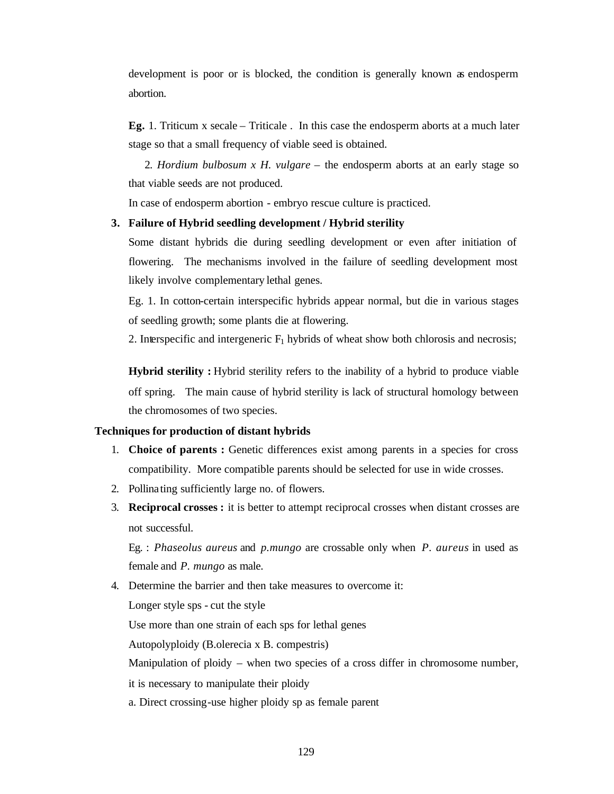development is poor or is blocked, the condition is generally known as endosperm abortion.

**Eg.** 1. Triticum x secale – Triticale . In this case the endosperm aborts at a much later stage so that a small frequency of viable seed is obtained.

 2. *Hordium bulbosum x H. vulgare* – the endosperm aborts at an early stage so that viable seeds are not produced.

In case of endosperm abortion - embryo rescue culture is practiced.

### **3. Failure of Hybrid seedling development / Hybrid sterility**

Some distant hybrids die during seedling development or even after initiation of flowering. The mechanisms involved in the failure of seedling development most likely involve complementary lethal genes.

Eg. 1. In cotton-certain interspecific hybrids appear normal, but die in various stages of seedling growth; some plants die at flowering.

2. Interspecific and intergeneric  $F_1$  hybrids of wheat show both chlorosis and necrosis;

**Hybrid sterility :** Hybrid sterility refers to the inability of a hybrid to produce viable off spring. The main cause of hybrid sterility is lack of structural homology between the chromosomes of two species.

### **Techniques for production of distant hybrids**

- 1. **Choice of parents :** Genetic differences exist among parents in a species for cross compatibility. More compatible parents should be selected for use in wide crosses.
- 2. Pollinating sufficiently large no. of flowers.
- 3. **Reciprocal crosses :** it is better to attempt reciprocal crosses when distant crosses are not successful.

Eg. : *Phaseolus aureus* and *p.mungo* are crossable only when *P. aureus* in used as female and *P. mungo* as male.

4. Determine the barrier and then take measures to overcome it: Longer style sps - cut the style Use more than one strain of each sps for lethal genes Autopolyploidy (B.olerecia x B. compestris) Manipulation of ploidy – when two species of a cross differ in chromosome number, it is necessary to manipulate their ploidy a. Direct crossing-use higher ploidy sp as female parent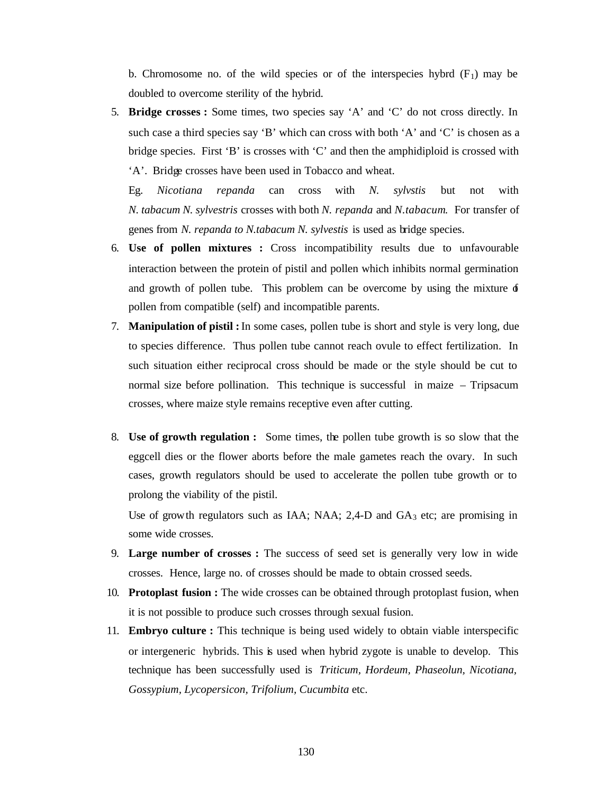b. Chromosome no. of the wild species or of the interspecies hybrd  $(F_1)$  may be doubled to overcome sterility of the hybrid.

5. **Bridge crosses :** Some times, two species say 'A' and 'C' do not cross directly. In such case a third species say 'B' which can cross with both 'A' and 'C' is chosen as a bridge species. First 'B' is crosses with 'C' and then the amphidiploid is crossed with 'A'. Bridge crosses have been used in Tobacco and wheat.

Eg. *Nicotiana repanda* can cross with *N. sylvstis* but not with *N. tabacum N. sylvestris* crosses with both *N. repanda* and *N.tabacum*. For transfer of genes from *N. repanda to N.tabacum N. sylvestis* is used as bridge species.

- 6. **Use of pollen mixtures :** Cross incompatibility results due to unfavourable interaction between the protein of pistil and pollen which inhibits normal germination and growth of pollen tube. This problem can be overcome by using the mixture  $\phi$ pollen from compatible (self) and incompatible parents.
- 7. **Manipulation of pistil :** In some cases, pollen tube is short and style is very long, due to species difference. Thus pollen tube cannot reach ovule to effect fertilization. In such situation either reciprocal cross should be made or the style should be cut to normal size before pollination. This technique is successful in maize – Tripsacum crosses, where maize style remains receptive even after cutting.
- 8. **Use of growth regulation :** Some times, the pollen tube growth is so slow that the eggcell dies or the flower aborts before the male gametes reach the ovary. In such cases, growth regulators should be used to accelerate the pollen tube growth or to prolong the viability of the pistil.

Use of growth regulators such as IAA; NAA;  $2,4$ -D and  $GA_3$  etc; are promising in some wide crosses.

- 9. **Large number of crosses :** The success of seed set is generally very low in wide crosses. Hence, large no. of crosses should be made to obtain crossed seeds.
- 10. **Protoplast fusion :** The wide crosses can be obtained through protoplast fusion, when it is not possible to produce such crosses through sexual fusion.
- 11. **Embryo culture :** This technique is being used widely to obtain viable interspecific or intergeneric hybrids. This is used when hybrid zygote is unable to develop. This technique has been successfully used is *Triticum, Hordeum, Phaseolun, Nicotiana, Gossypium, Lycopersicon, Trifolium, Cucumbita* etc.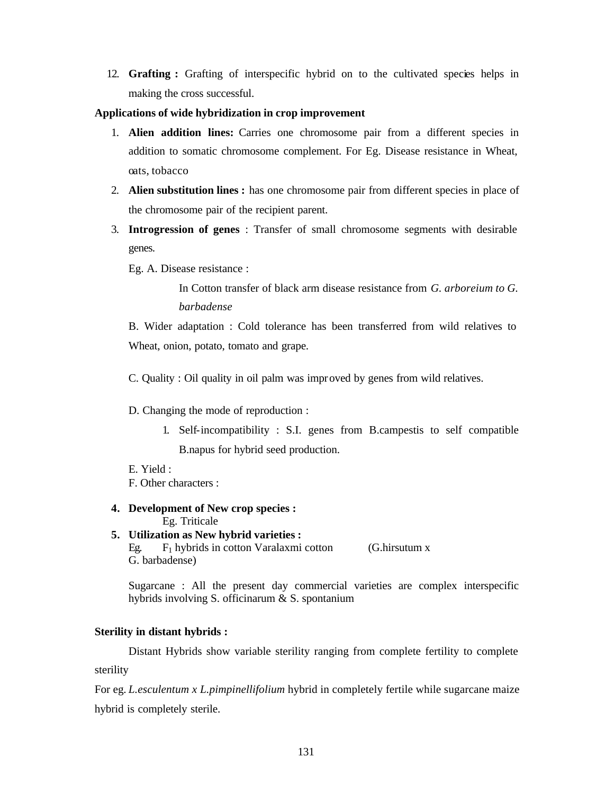12. **Grafting :** Grafting of interspecific hybrid on to the cultivated species helps in making the cross successful.

# **Applications of wide hybridization in crop improvement**

- 1. **Alien addition lines:** Carries one chromosome pair from a different species in addition to somatic chromosome complement. For Eg. Disease resistance in Wheat, oats, tobacco
- 2. **Alien substitution lines :** has one chromosome pair from different species in place of the chromosome pair of the recipient parent.
- 3. **Introgression of genes** : Transfer of small chromosome segments with desirable genes.

Eg. A. Disease resistance :

In Cotton transfer of black arm disease resistance from *G. arboreium to G. barbadense*

B. Wider adaptation : Cold tolerance has been transferred from wild relatives to Wheat, onion, potato, tomato and grape.

C. Quality : Oil quality in oil palm was improved by genes from wild relatives.

# D. Changing the mode of reproduction :

- 1. Self-incompatibility : S.I. genes from B.campestis to self compatible B.napus for hybrid seed production.
- E. Yield :

F. Other characters :

- **4. Development of New crop species :** Eg. Triticale
- **5. Utilization as New hybrid varieties :** Eg.  $F_1$  hybrids in cotton Varalaxmi cotton (G.hirsutum x G. barbadense)

Sugarcane : All the present day commercial varieties are complex interspecific hybrids involving S. officinarum & S. spontanium

# **Sterility in distant hybrids :**

Distant Hybrids show variable sterility ranging from complete fertility to complete sterility

For eg. *L.esculentum x L.pimpinellifolium* hybrid in completely fertile while sugarcane maize hybrid is completely sterile.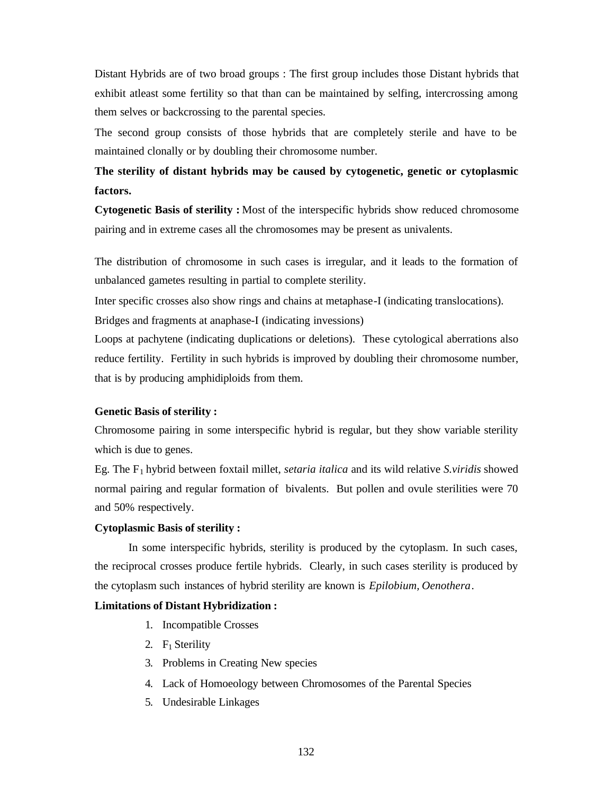Distant Hybrids are of two broad groups : The first group includes those Distant hybrids that exhibit atleast some fertility so that than can be maintained by selfing, intercrossing among them selves or backcrossing to the parental species.

The second group consists of those hybrids that are completely sterile and have to be maintained clonally or by doubling their chromosome number.

# **The sterility of distant hybrids may be caused by cytogenetic, genetic or cytoplasmic factors.**

**Cytogenetic Basis of sterility :** Most of the interspecific hybrids show reduced chromosome pairing and in extreme cases all the chromosomes may be present as univalents.

The distribution of chromosome in such cases is irregular, and it leads to the formation of unbalanced gametes resulting in partial to complete sterility.

Inter specific crosses also show rings and chains at metaphase-I (indicating translocations).

Bridges and fragments at anaphase-I (indicating invessions)

Loops at pachytene (indicating duplications or deletions). These cytological aberrations also reduce fertility. Fertility in such hybrids is improved by doubling their chromosome number, that is by producing amphidiploids from them.

### **Genetic Basis of sterility :**

Chromosome pairing in some interspecific hybrid is regular, but they show variable sterility which is due to genes.

Eg. The F1 hybrid between foxtail millet, *setaria italica* and its wild relative *S.viridis* showed normal pairing and regular formation of bivalents. But pollen and ovule sterilities were 70 and 50% respectively.

### **Cytoplasmic Basis of sterility :**

In some interspecific hybrids, sterility is produced by the cytoplasm. In such cases, the reciprocal crosses produce fertile hybrids. Clearly, in such cases sterility is produced by the cytoplasm such instances of hybrid sterility are known is *Epilobium, Oenothera*.

# **Limitations of Distant Hybridization :**

- 1. Incompatible Crosses
- 2.  $F_1$  Sterility
- 3. Problems in Creating New species
- 4. Lack of Homoeology between Chromosomes of the Parental Species
- 5. Undesirable Linkages